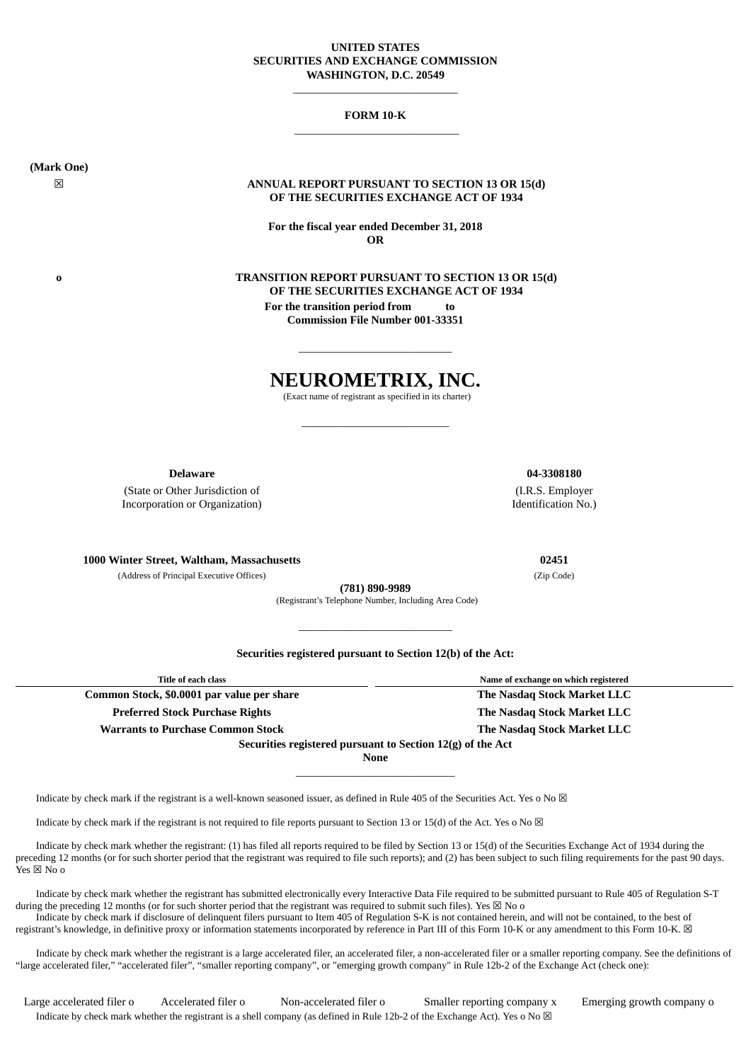# **UNITED STATES SECURITIES AND EXCHANGE COMMISSION WASHINGTON, D.C. 20549**

### **FORM 10-K** \_\_\_\_\_\_\_\_\_\_\_\_\_\_\_\_\_\_\_\_\_\_\_\_\_\_\_\_\_

\_\_\_\_\_\_\_\_\_\_\_\_\_\_\_\_\_\_\_\_\_\_\_\_\_\_\_\_\_

**(Mark One)**

### ☒ **ANNUAL REPORT PURSUANT TO SECTION 13 OR 15(d) OF THE SECURITIES EXCHANGE ACT OF 1934**

**For the fiscal year ended December 31, 2018 OR**

**o TRANSITION REPORT PURSUANT TO SECTION 13 OR 15(d) OF THE SECURITIES EXCHANGE ACT OF 1934 For the transition period from to Commission File Number 001-33351**

# **NEUROMETRIX, INC.**

\_\_\_\_\_\_\_\_\_\_\_\_\_\_\_\_\_\_\_\_\_\_\_\_\_\_\_

(Exact name of registrant as specified in its charter)

\_\_\_\_\_\_\_\_\_\_\_\_\_\_\_\_\_\_\_\_\_\_\_\_\_\_

**Delaware 04-3308180**

(State or Other Jurisdiction of Incorporation or Organization)

**1000 Winter Street, Waltham, Massachusetts 02451**

(Address of Principal Executive Offices) (Zip Code)

**(781) 890-9989**

(Registrant's Telephone Number, Including Area Code) \_\_\_\_\_\_\_\_\_\_\_\_\_\_\_\_\_\_\_\_\_\_\_\_\_\_\_

**Securities registered pursuant to Section 12(b) of the Act:**

| Title of each class                                        | Name of exchange on which registered |  |  |  |  |  |  |
|------------------------------------------------------------|--------------------------------------|--|--|--|--|--|--|
| Common Stock, \$0.0001 par value per share                 | The Nasdaq Stock Market LLC          |  |  |  |  |  |  |
| <b>Preferred Stock Purchase Rights</b>                     | The Nasdaq Stock Market LLC          |  |  |  |  |  |  |
| <b>Warrants to Purchase Common Stock</b>                   | The Nasdaq Stock Market LLC          |  |  |  |  |  |  |
| Securities registered pursuant to Section 12(g) of the Act |                                      |  |  |  |  |  |  |
| None                                                       |                                      |  |  |  |  |  |  |

Indicate by check mark if the registrant is a well-known seasoned issuer, as defined in Rule 405 of the Securities Act. Yes o No  $\boxtimes$ 

Indicate by check mark if the registrant is not required to file reports pursuant to Section 13 or 15(d) of the Act. Yes o No  $\boxtimes$ 

Indicate by check mark whether the registrant: (1) has filed all reports required to be filed by Section 13 or 15(d) of the Securities Exchange Act of 1934 during the preceding 12 months (or for such shorter period that the registrant was required to file such reports); and (2) has been subject to such filing requirements for the past 90 days. Yes ⊠ No o

\_\_\_\_\_\_\_\_\_\_\_\_\_\_\_\_\_\_\_\_\_\_\_\_\_\_\_\_

Indicate by check mark whether the registrant has submitted electronically every Interactive Data File required to be submitted pursuant to Rule 405 of Regulation S-T during the preceding 12 months (or for such shorter period that the registrant was required to submit such files). Yes  $\boxtimes$  No o

Indicate by check mark if disclosure of delinquent filers pursuant to Item 405 of Regulation S-K is not contained herein, and will not be contained, to the best of registrant's knowledge, in definitive proxy or information statements incorporated by reference in Part III of this Form 10-K or any amendment to this Form 10-K.  $\boxtimes$ 

Indicate by check mark whether the registrant is a large accelerated filer, an accelerated filer, a non-accelerated filer or a smaller reporting company. See the definitions of "large accelerated filer," "accelerated filer", "smaller reporting company", or "emerging growth company" in Rule 12b-2 of the Exchange Act (check one):

Large accelerated filer o Accelerated filer o Non-accelerated filer o Smaller reporting company x Emerging growth company o Indicate by check mark whether the registrant is a shell company (as defined in Rule 12b-2 of the Exchange Act). Yes o No  $\boxtimes$ 

(I.R.S. Employer

Identification No.)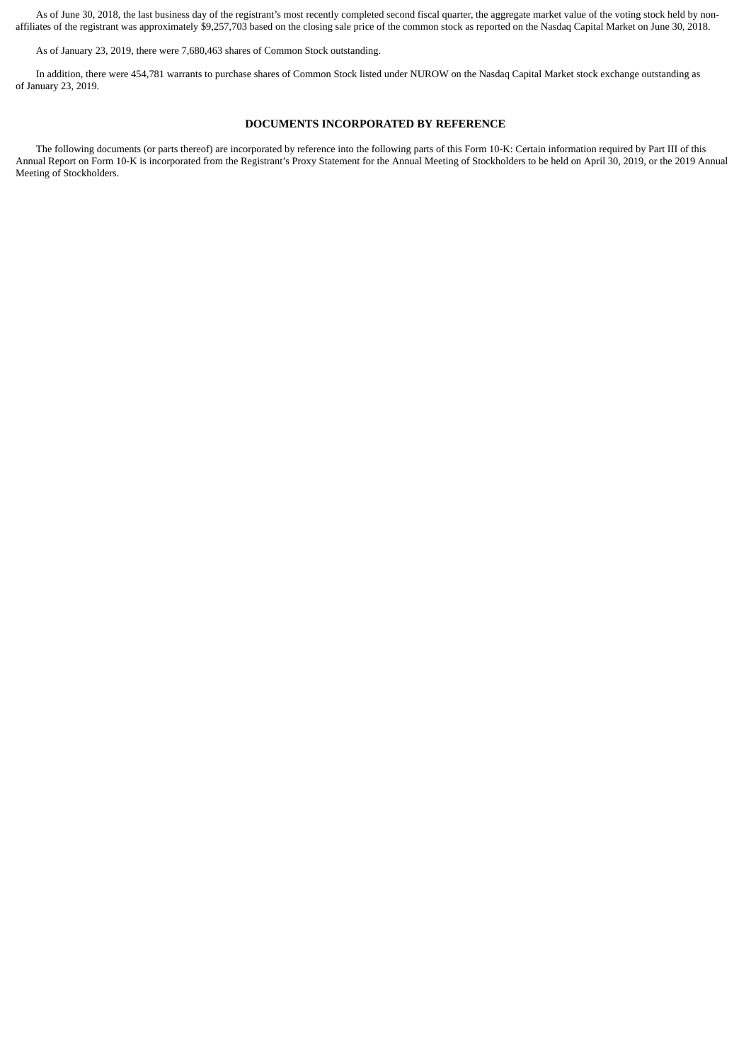As of June 30, 2018, the last business day of the registrant's most recently completed second fiscal quarter, the aggregate market value of the voting stock held by nonaffiliates of the registrant was approximately \$9,257,703 based on the closing sale price of the common stock as reported on the Nasdaq Capital Market on June 30, 2018.

As of January 23, 2019, there were 7,680,463 shares of Common Stock outstanding.

In addition, there were 454,781 warrants to purchase shares of Common Stock listed under NUROW on the Nasdaq Capital Market stock exchange outstanding as of January 23, 2019.

### **DOCUMENTS INCORPORATED BY REFERENCE**

The following documents (or parts thereof) are incorporated by reference into the following parts of this Form 10-K: Certain information required by Part III of this Annual Report on Form 10-K is incorporated from the Registrant's Proxy Statement for the Annual Meeting of Stockholders to be held on April 30, 2019, or the 2019 Annual Meeting of Stockholders.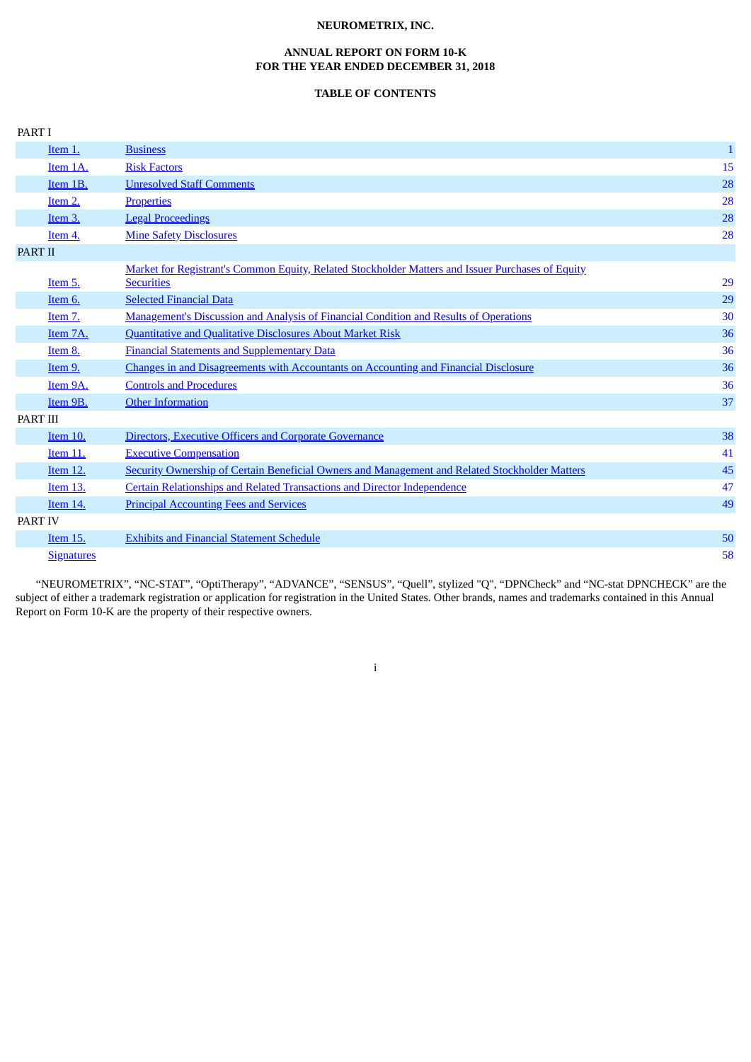# **NEUROMETRIX, INC.**

# **ANNUAL REPORT ON FORM 10-K FOR THE YEAR ENDED DECEMBER 31, 2018**

# **TABLE OF CONTENTS**

| <b>PART I</b>  |                   |                                                                                                                        |             |
|----------------|-------------------|------------------------------------------------------------------------------------------------------------------------|-------------|
|                | Item 1.           | <b>Business</b>                                                                                                        | $\mathbf 1$ |
|                | Item 1A.          | <b>Risk Factors</b>                                                                                                    | 15          |
|                | Item 1B.          | <b>Unresolved Staff Comments</b>                                                                                       | 28          |
|                | Item 2.           | <b>Properties</b>                                                                                                      | 28          |
|                | Item 3.           | <b>Legal Proceedings</b>                                                                                               | 28          |
|                | Item 4.           | <b>Mine Safety Disclosures</b>                                                                                         | 28          |
| <b>PART II</b> |                   |                                                                                                                        |             |
|                | Item 5.           | Market for Registrant's Common Equity, Related Stockholder Matters and Issuer Purchases of Equity<br><b>Securities</b> | 29          |
|                | Item 6.           | <b>Selected Financial Data</b>                                                                                         | 29          |
|                | Item 7.           | <b>Management's Discussion and Analysis of Financial Condition and Results of Operations</b>                           | 30          |
|                | Item 7A.          | Quantitative and Qualitative Disclosures About Market Risk                                                             | 36          |
|                | Item 8.           | <b>Financial Statements and Supplementary Data</b>                                                                     | 36          |
|                | Item 9.           | Changes in and Disagreements with Accountants on Accounting and Financial Disclosure                                   | 36          |
|                | Item 9A.          | <b>Controls and Procedures</b>                                                                                         | 36          |
|                | Item 9B.          | <b>Other Information</b>                                                                                               | 37          |
|                | <b>PART III</b>   |                                                                                                                        |             |
|                | Item 10.          | Directors, Executive Officers and Corporate Governance                                                                 | 38          |
|                | Item 11.          | <b>Executive Compensation</b>                                                                                          | 41          |
|                | Item 12.          | Security Ownership of Certain Beneficial Owners and Management and Related Stockholder Matters                         | 45          |
|                | Item 13.          | <b>Certain Relationships and Related Transactions and Director Independence</b>                                        | 47          |
|                | Item 14.          | <b>Principal Accounting Fees and Services</b>                                                                          | 49          |
|                | <b>PART IV</b>    |                                                                                                                        |             |
|                | Item 15.          | <b>Exhibits and Financial Statement Schedule</b>                                                                       | 50          |
|                | <b>Signatures</b> |                                                                                                                        | 58          |

"NEUROMETRIX", "NC-STAT", "OptiTherapy", "ADVANCE", "SENSUS", "Quell", stylized "Q", "DPNCheck" and "NC-stat DPNCHECK" are the subject of either a trademark registration or application for registration in the United States. Other brands, names and trademarks contained in this Annual Report on Form 10-K are the property of their respective owners.

i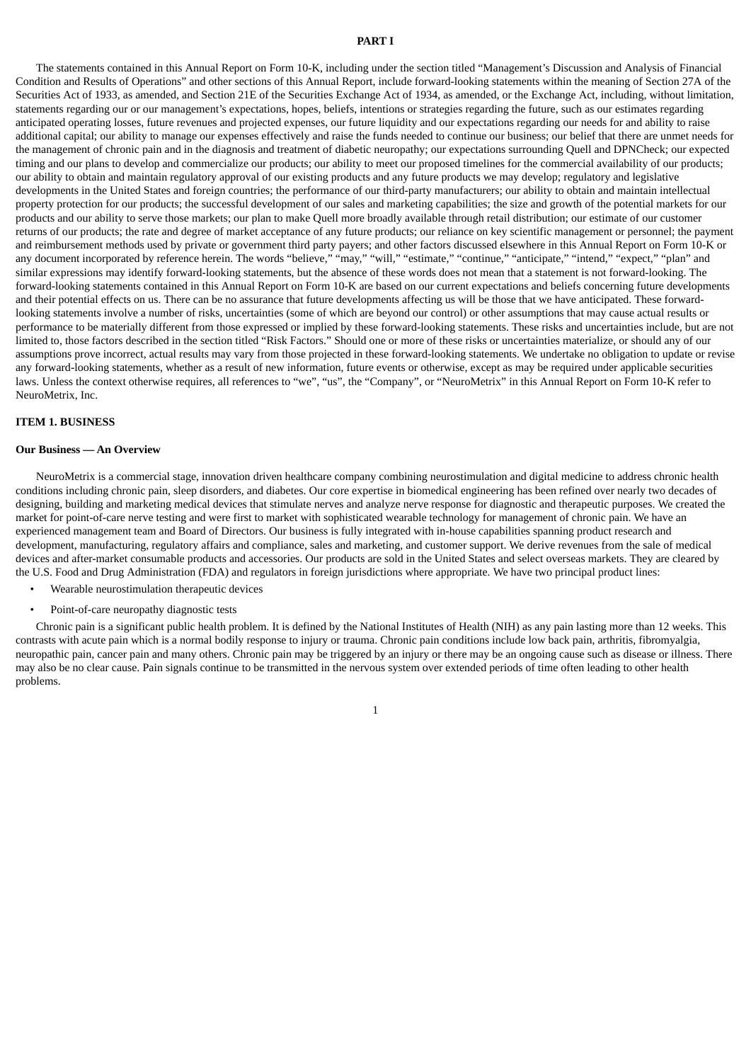#### **PART I**

The statements contained in this Annual Report on Form 10-K, including under the section titled "Management's Discussion and Analysis of Financial Condition and Results of Operations" and other sections of this Annual Report, include forward-looking statements within the meaning of Section 27A of the Securities Act of 1933, as amended, and Section 21E of the Securities Exchange Act of 1934, as amended, or the Exchange Act, including, without limitation, statements regarding our or our management's expectations, hopes, beliefs, intentions or strategies regarding the future, such as our estimates regarding anticipated operating losses, future revenues and projected expenses, our future liquidity and our expectations regarding our needs for and ability to raise additional capital; our ability to manage our expenses effectively and raise the funds needed to continue our business; our belief that there are unmet needs for the management of chronic pain and in the diagnosis and treatment of diabetic neuropathy; our expectations surrounding Quell and DPNCheck; our expected timing and our plans to develop and commercialize our products; our ability to meet our proposed timelines for the commercial availability of our products; our ability to obtain and maintain regulatory approval of our existing products and any future products we may develop; regulatory and legislative developments in the United States and foreign countries; the performance of our third-party manufacturers; our ability to obtain and maintain intellectual property protection for our products; the successful development of our sales and marketing capabilities; the size and growth of the potential markets for our products and our ability to serve those markets; our plan to make Quell more broadly available through retail distribution; our estimate of our customer returns of our products; the rate and degree of market acceptance of any future products; our reliance on key scientific management or personnel; the payment and reimbursement methods used by private or government third party payers; and other factors discussed elsewhere in this Annual Report on Form 10-K or any document incorporated by reference herein. The words "believe," "may," "will," "estimate," "continue," "anticipate," "intend," "expect," "plan" and similar expressions may identify forward-looking statements, but the absence of these words does not mean that a statement is not forward-looking. The forward-looking statements contained in this Annual Report on Form 10-K are based on our current expectations and beliefs concerning future developments and their potential effects on us. There can be no assurance that future developments affecting us will be those that we have anticipated. These forwardlooking statements involve a number of risks, uncertainties (some of which are beyond our control) or other assumptions that may cause actual results or performance to be materially different from those expressed or implied by these forward-looking statements. These risks and uncertainties include, but are not limited to, those factors described in the section titled "Risk Factors." Should one or more of these risks or uncertainties materialize, or should any of our assumptions prove incorrect, actual results may vary from those projected in these forward-looking statements. We undertake no obligation to update or revise any forward-looking statements, whether as a result of new information, future events or otherwise, except as may be required under applicable securities laws. Unless the context otherwise requires, all references to "we", "us", the "Company", or "NeuroMetrix" in this Annual Report on Form 10-K refer to NeuroMetrix, Inc.

### <span id="page-3-0"></span>**ITEM 1. BUSINESS**

#### **Our Business — An Overview**

NeuroMetrix is a commercial stage, innovation driven healthcare company combining neurostimulation and digital medicine to address chronic health conditions including chronic pain, sleep disorders, and diabetes. Our core expertise in biomedical engineering has been refined over nearly two decades of designing, building and marketing medical devices that stimulate nerves and analyze nerve response for diagnostic and therapeutic purposes. We created the market for point-of-care nerve testing and were first to market with sophisticated wearable technology for management of chronic pain. We have an experienced management team and Board of Directors. Our business is fully integrated with in-house capabilities spanning product research and development, manufacturing, regulatory affairs and compliance, sales and marketing, and customer support. We derive revenues from the sale of medical devices and after-market consumable products and accessories. Our products are sold in the United States and select overseas markets. They are cleared by the U.S. Food and Drug Administration (FDA) and regulators in foreign jurisdictions where appropriate. We have two principal product lines:

- Wearable neurostimulation therapeutic devices
- Point-of-care neuropathy diagnostic tests

Chronic pain is a significant public health problem. It is defined by the National Institutes of Health (NIH) as any pain lasting more than 12 weeks. This contrasts with acute pain which is a normal bodily response to injury or trauma. Chronic pain conditions include low back pain, arthritis, fibromyalgia, neuropathic pain, cancer pain and many others. Chronic pain may be triggered by an injury or there may be an ongoing cause such as disease or illness. There may also be no clear cause. Pain signals continue to be transmitted in the nervous system over extended periods of time often leading to other health problems.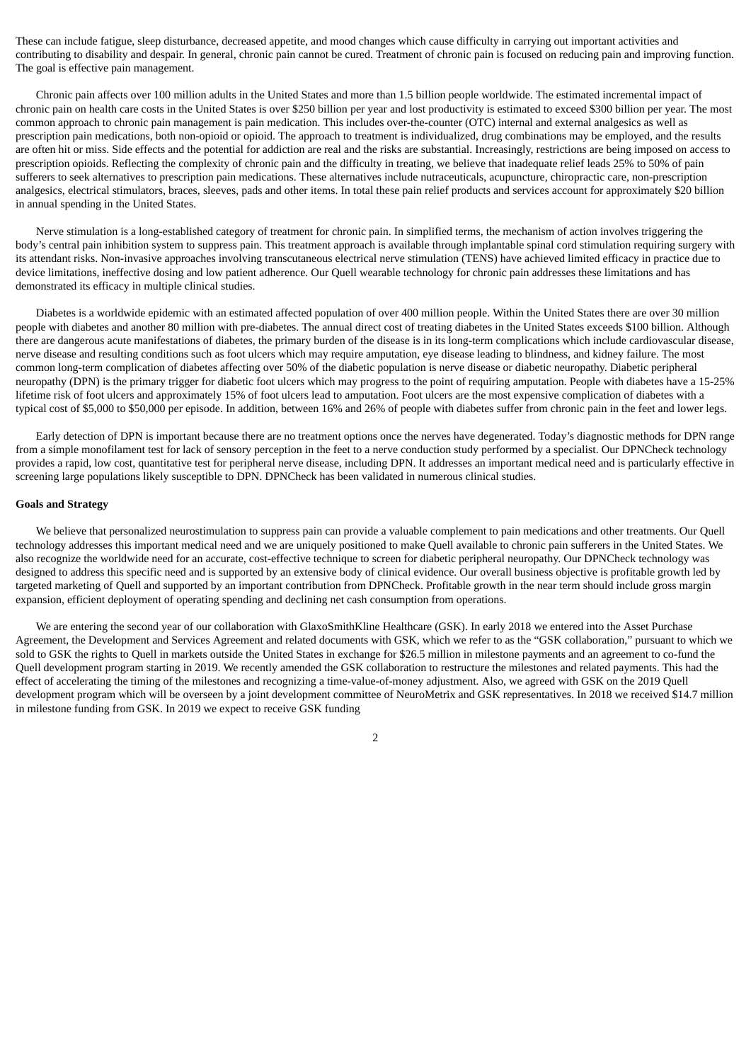These can include fatigue, sleep disturbance, decreased appetite, and mood changes which cause difficulty in carrying out important activities and contributing to disability and despair. In general, chronic pain cannot be cured. Treatment of chronic pain is focused on reducing pain and improving function. The goal is effective pain management.

Chronic pain affects over 100 million adults in the United States and more than 1.5 billion people worldwide. The estimated incremental impact of chronic pain on health care costs in the United States is over \$250 billion per year and lost productivity is estimated to exceed \$300 billion per year. The most common approach to chronic pain management is pain medication. This includes over-the-counter (OTC) internal and external analgesics as well as prescription pain medications, both non-opioid or opioid. The approach to treatment is individualized, drug combinations may be employed, and the results are often hit or miss. Side effects and the potential for addiction are real and the risks are substantial. Increasingly, restrictions are being imposed on access to prescription opioids. Reflecting the complexity of chronic pain and the difficulty in treating, we believe that inadequate relief leads 25% to 50% of pain sufferers to seek alternatives to prescription pain medications. These alternatives include nutraceuticals, acupuncture, chiropractic care, non-prescription analgesics, electrical stimulators, braces, sleeves, pads and other items. In total these pain relief products and services account for approximately \$20 billion in annual spending in the United States.

Nerve stimulation is a long-established category of treatment for chronic pain. In simplified terms, the mechanism of action involves triggering the body's central pain inhibition system to suppress pain. This treatment approach is available through implantable spinal cord stimulation requiring surgery with its attendant risks. Non-invasive approaches involving transcutaneous electrical nerve stimulation (TENS) have achieved limited efficacy in practice due to device limitations, ineffective dosing and low patient adherence. Our Quell wearable technology for chronic pain addresses these limitations and has demonstrated its efficacy in multiple clinical studies.

Diabetes is a worldwide epidemic with an estimated affected population of over 400 million people. Within the United States there are over 30 million people with diabetes and another 80 million with pre-diabetes. The annual direct cost of treating diabetes in the United States exceeds \$100 billion. Although there are dangerous acute manifestations of diabetes, the primary burden of the disease is in its long-term complications which include cardiovascular disease, nerve disease and resulting conditions such as foot ulcers which may require amputation, eye disease leading to blindness, and kidney failure. The most common long-term complication of diabetes affecting over 50% of the diabetic population is nerve disease or diabetic neuropathy. Diabetic peripheral neuropathy (DPN) is the primary trigger for diabetic foot ulcers which may progress to the point of requiring amputation. People with diabetes have a 15-25% lifetime risk of foot ulcers and approximately 15% of foot ulcers lead to amputation. Foot ulcers are the most expensive complication of diabetes with a typical cost of \$5,000 to \$50,000 per episode. In addition, between 16% and 26% of people with diabetes suffer from chronic pain in the feet and lower legs.

Early detection of DPN is important because there are no treatment options once the nerves have degenerated. Today's diagnostic methods for DPN range from a simple monofilament test for lack of sensory perception in the feet to a nerve conduction study performed by a specialist. Our DPNCheck technology provides a rapid, low cost, quantitative test for peripheral nerve disease, including DPN. It addresses an important medical need and is particularly effective in screening large populations likely susceptible to DPN. DPNCheck has been validated in numerous clinical studies.

#### **Goals and Strategy**

We believe that personalized neurostimulation to suppress pain can provide a valuable complement to pain medications and other treatments. Our Quell technology addresses this important medical need and we are uniquely positioned to make Quell available to chronic pain sufferers in the United States. We also recognize the worldwide need for an accurate, cost-effective technique to screen for diabetic peripheral neuropathy. Our DPNCheck technology was designed to address this specific need and is supported by an extensive body of clinical evidence. Our overall business objective is profitable growth led by targeted marketing of Quell and supported by an important contribution from DPNCheck. Profitable growth in the near term should include gross margin expansion, efficient deployment of operating spending and declining net cash consumption from operations.

We are entering the second year of our collaboration with GlaxoSmithKline Healthcare (GSK). In early 2018 we entered into the Asset Purchase Agreement, the Development and Services Agreement and related documents with GSK, which we refer to as the "GSK collaboration," pursuant to which we sold to GSK the rights to Quell in markets outside the United States in exchange for \$26.5 million in milestone payments and an agreement to co-fund the Quell development program starting in 2019. We recently amended the GSK collaboration to restructure the milestones and related payments. This had the effect of accelerating the timing of the milestones and recognizing a time-value-of-money adjustment. Also, we agreed with GSK on the 2019 Quell development program which will be overseen by a joint development committee of NeuroMetrix and GSK representatives. In 2018 we received \$14.7 million in milestone funding from GSK. In 2019 we expect to receive GSK funding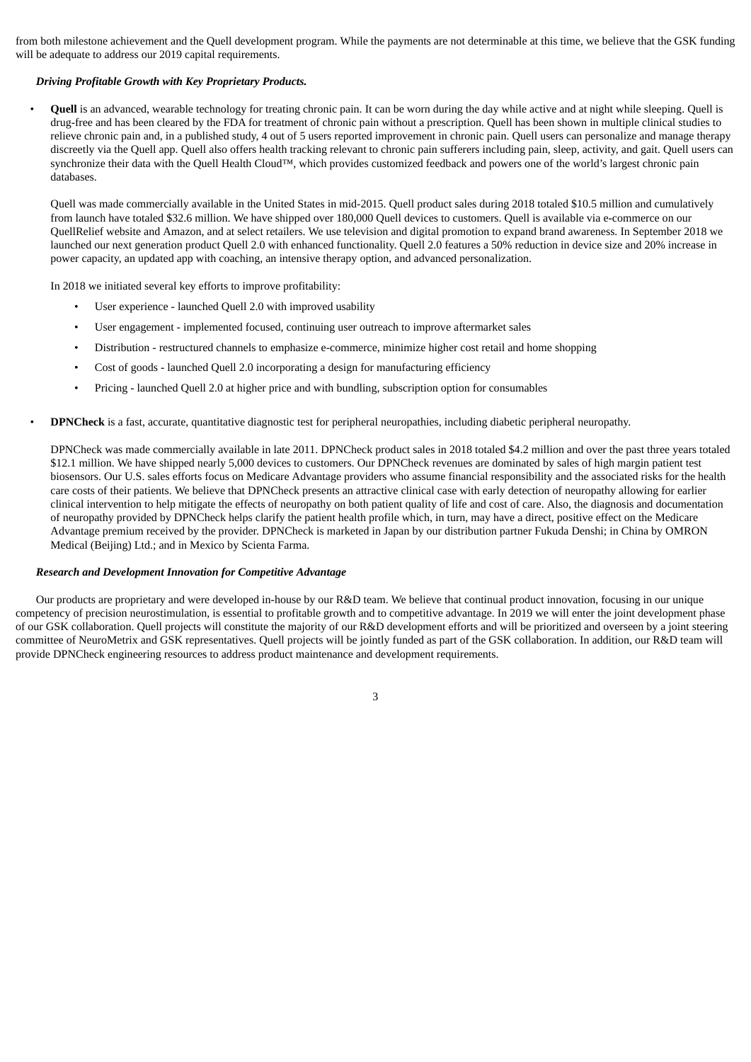from both milestone achievement and the Quell development program. While the payments are not determinable at this time, we believe that the GSK funding will be adequate to address our 2019 capital requirements.

# *Driving Profitable Growth with Key Proprietary Products.*

• **Quell** is an advanced, wearable technology for treating chronic pain. It can be worn during the day while active and at night while sleeping. Quell is drug-free and has been cleared by the FDA for treatment of chronic pain without a prescription. Quell has been shown in multiple clinical studies to relieve chronic pain and, in a published study, 4 out of 5 users reported improvement in chronic pain. Quell users can personalize and manage therapy discreetly via the Quell app. Quell also offers health tracking relevant to chronic pain sufferers including pain, sleep, activity, and gait. Quell users can synchronize their data with the Quell Health Cloud™, which provides customized feedback and powers one of the world's largest chronic pain databases.

Quell was made commercially available in the United States in mid-2015. Quell product sales during 2018 totaled \$10.5 million and cumulatively from launch have totaled \$32.6 million. We have shipped over 180,000 Quell devices to customers. Quell is available via e-commerce on our QuellRelief website and Amazon, and at select retailers. We use television and digital promotion to expand brand awareness. In September 2018 we launched our next generation product Quell 2.0 with enhanced functionality. Quell 2.0 features a 50% reduction in device size and 20% increase in power capacity, an updated app with coaching, an intensive therapy option, and advanced personalization.

In 2018 we initiated several key efforts to improve profitability:

- User experience launched Quell 2.0 with improved usability
- User engagement implemented focused, continuing user outreach to improve aftermarket sales
- Distribution restructured channels to emphasize e-commerce, minimize higher cost retail and home shopping
- Cost of goods launched Quell 2.0 incorporating a design for manufacturing efficiency
- Pricing launched Quell 2.0 at higher price and with bundling, subscription option for consumables
- **DPNCheck** is a fast, accurate, quantitative diagnostic test for peripheral neuropathies, including diabetic peripheral neuropathy.

DPNCheck was made commercially available in late 2011. DPNCheck product sales in 2018 totaled \$4.2 million and over the past three years totaled \$12.1 million. We have shipped nearly 5,000 devices to customers. Our DPNCheck revenues are dominated by sales of high margin patient test biosensors. Our U.S. sales efforts focus on Medicare Advantage providers who assume financial responsibility and the associated risks for the health care costs of their patients. We believe that DPNCheck presents an attractive clinical case with early detection of neuropathy allowing for earlier clinical intervention to help mitigate the effects of neuropathy on both patient quality of life and cost of care. Also, the diagnosis and documentation of neuropathy provided by DPNCheck helps clarify the patient health profile which, in turn, may have a direct, positive effect on the Medicare Advantage premium received by the provider. DPNCheck is marketed in Japan by our distribution partner Fukuda Denshi; in China by OMRON Medical (Beijing) Ltd.; and in Mexico by Scienta Farma.

# *Research and Development Innovation for Competitive Advantage*

Our products are proprietary and were developed in-house by our R&D team. We believe that continual product innovation, focusing in our unique competency of precision neurostimulation, is essential to profitable growth and to competitive advantage. In 2019 we will enter the joint development phase of our GSK collaboration. Quell projects will constitute the majority of our R&D development efforts and will be prioritized and overseen by a joint steering committee of NeuroMetrix and GSK representatives. Quell projects will be jointly funded as part of the GSK collaboration. In addition, our R&D team will provide DPNCheck engineering resources to address product maintenance and development requirements.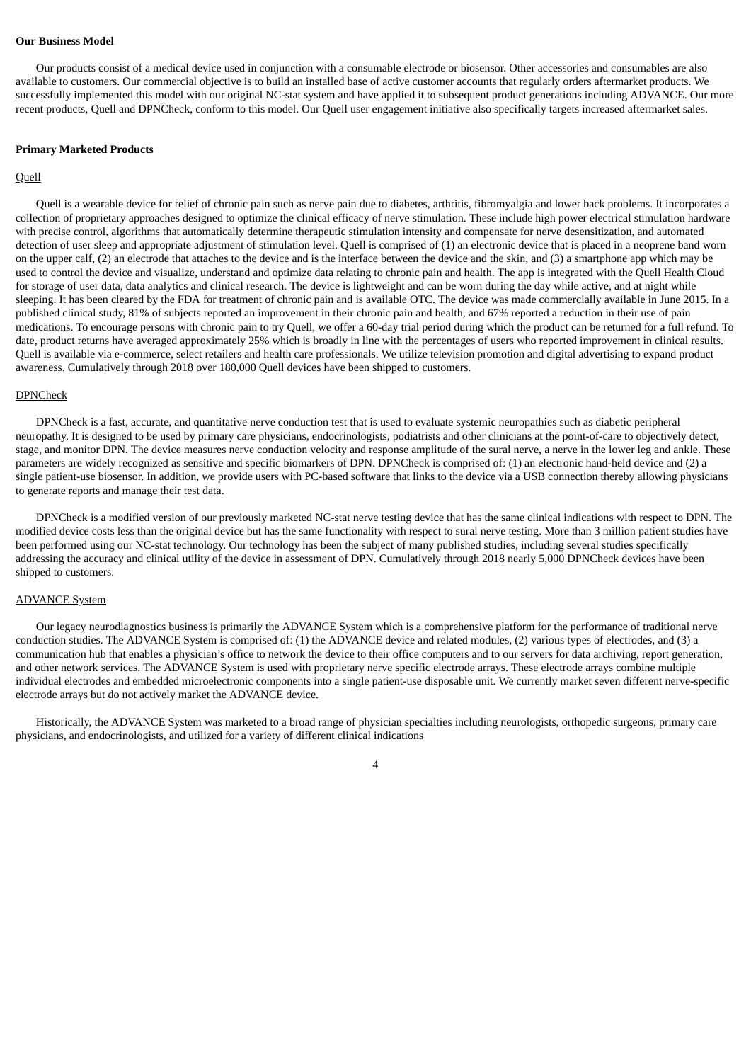#### **Our Business Model**

Our products consist of a medical device used in conjunction with a consumable electrode or biosensor. Other accessories and consumables are also available to customers. Our commercial objective is to build an installed base of active customer accounts that regularly orders aftermarket products. We successfully implemented this model with our original NC-stat system and have applied it to subsequent product generations including ADVANCE. Our more recent products, Quell and DPNCheck, conform to this model. Our Quell user engagement initiative also specifically targets increased aftermarket sales.

#### **Primary Marketed Products**

### **Ouell**

Quell is a wearable device for relief of chronic pain such as nerve pain due to diabetes, arthritis, fibromyalgia and lower back problems. It incorporates a collection of proprietary approaches designed to optimize the clinical efficacy of nerve stimulation. These include high power electrical stimulation hardware with precise control, algorithms that automatically determine therapeutic stimulation intensity and compensate for nerve desensitization, and automated detection of user sleep and appropriate adjustment of stimulation level. Quell is comprised of (1) an electronic device that is placed in a neoprene band worn on the upper calf, (2) an electrode that attaches to the device and is the interface between the device and the skin, and (3) a smartphone app which may be used to control the device and visualize, understand and optimize data relating to chronic pain and health. The app is integrated with the Quell Health Cloud for storage of user data, data analytics and clinical research. The device is lightweight and can be worn during the day while active, and at night while sleeping. It has been cleared by the FDA for treatment of chronic pain and is available OTC. The device was made commercially available in June 2015. In a published clinical study, 81% of subjects reported an improvement in their chronic pain and health, and 67% reported a reduction in their use of pain medications. To encourage persons with chronic pain to try Quell, we offer a 60-day trial period during which the product can be returned for a full refund. To date, product returns have averaged approximately 25% which is broadly in line with the percentages of users who reported improvement in clinical results. Quell is available via e-commerce, select retailers and health care professionals. We utilize television promotion and digital advertising to expand product awareness. Cumulatively through 2018 over 180,000 Quell devices have been shipped to customers.

#### DPNCheck

DPNCheck is a fast, accurate, and quantitative nerve conduction test that is used to evaluate systemic neuropathies such as diabetic peripheral neuropathy. It is designed to be used by primary care physicians, endocrinologists, podiatrists and other clinicians at the point-of-care to objectively detect, stage, and monitor DPN. The device measures nerve conduction velocity and response amplitude of the sural nerve, a nerve in the lower leg and ankle. These parameters are widely recognized as sensitive and specific biomarkers of DPN. DPNCheck is comprised of: (1) an electronic hand-held device and (2) a single patient-use biosensor. In addition, we provide users with PC-based software that links to the device via a USB connection thereby allowing physicians to generate reports and manage their test data.

DPNCheck is a modified version of our previously marketed NC-stat nerve testing device that has the same clinical indications with respect to DPN. The modified device costs less than the original device but has the same functionality with respect to sural nerve testing. More than 3 million patient studies have been performed using our NC-stat technology. Our technology has been the subject of many published studies, including several studies specifically addressing the accuracy and clinical utility of the device in assessment of DPN. Cumulatively through 2018 nearly 5,000 DPNCheck devices have been shipped to customers.

### ADVANCE System

Our legacy neurodiagnostics business is primarily the ADVANCE System which is a comprehensive platform for the performance of traditional nerve conduction studies. The ADVANCE System is comprised of: (1) the ADVANCE device and related modules, (2) various types of electrodes, and (3) a communication hub that enables a physician's office to network the device to their office computers and to our servers for data archiving, report generation, and other network services. The ADVANCE System is used with proprietary nerve specific electrode arrays. These electrode arrays combine multiple individual electrodes and embedded microelectronic components into a single patient-use disposable unit. We currently market seven different nerve-specific electrode arrays but do not actively market the ADVANCE device.

Historically, the ADVANCE System was marketed to a broad range of physician specialties including neurologists, orthopedic surgeons, primary care physicians, and endocrinologists, and utilized for a variety of different clinical indications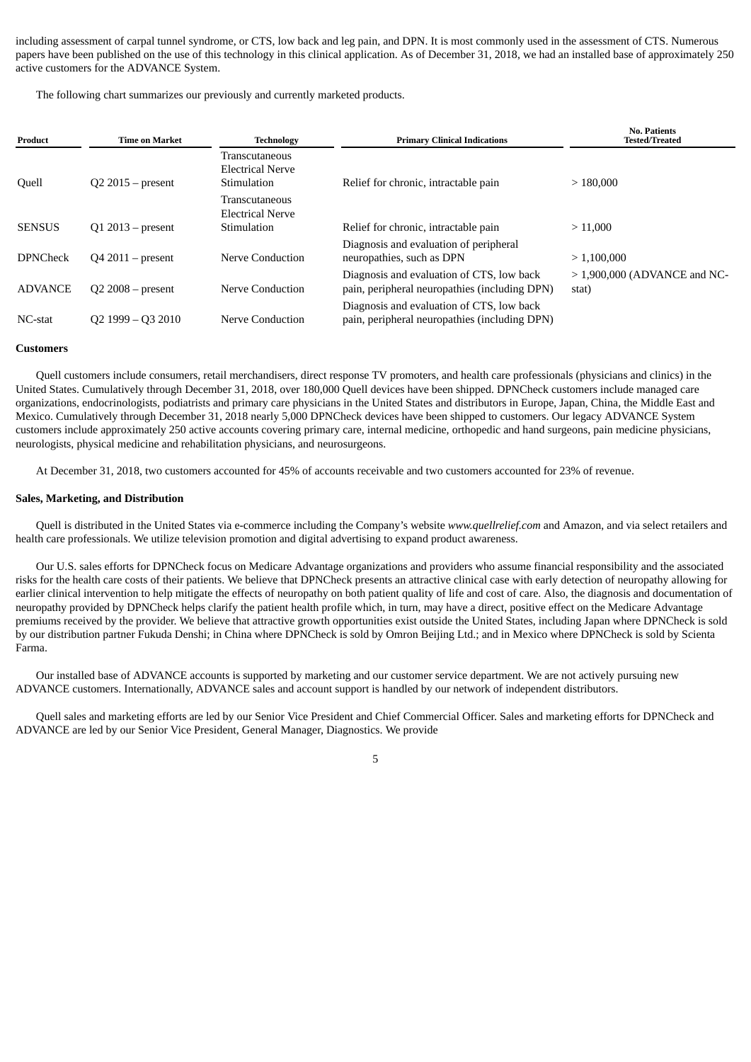including assessment of carpal tunnel syndrome, or CTS, low back and leg pain, and DPN. It is most commonly used in the assessment of CTS. Numerous papers have been published on the use of this technology in this clinical application. As of December 31, 2018, we had an installed base of approximately 250 active customers for the ADVANCE System.

The following chart summarizes our previously and currently marketed products.

| Product         | <b>Primary Clinical Indications</b><br>Time on Market<br><b>Technology</b> |                                                          | <b>No. Patients</b><br><b>Tested/Treated</b>                                               |                                         |
|-----------------|----------------------------------------------------------------------------|----------------------------------------------------------|--------------------------------------------------------------------------------------------|-----------------------------------------|
| Quell           | $Q2 2015 - present$                                                        | Transcutaneous<br><b>Electrical Nerve</b><br>Stimulation | Relief for chronic, intractable pain                                                       | >180,000                                |
| <b>SENSUS</b>   | $Q1 2013 - present$                                                        | Transcutaneous<br><b>Electrical Nerve</b><br>Stimulation | Relief for chronic, intractable pain                                                       | >11,000                                 |
| <b>DPNCheck</b> | $Q4 2011 - present$                                                        | Nerve Conduction                                         | Diagnosis and evaluation of peripheral<br>neuropathies, such as DPN                        | > 1,100,000                             |
| <b>ADVANCE</b>  | $Q2 2008 - present$                                                        | Nerve Conduction                                         | Diagnosis and evaluation of CTS, low back<br>pain, peripheral neuropathies (including DPN) | $>$ 1,900,000 (ADVANCE and NC-<br>stat) |
| NC-stat         | $Q2$ 1999 - $Q3$ 2010                                                      | Nerve Conduction                                         | Diagnosis and evaluation of CTS, low back<br>pain, peripheral neuropathies (including DPN) |                                         |

#### **Customers**

Quell customers include consumers, retail merchandisers, direct response TV promoters, and health care professionals (physicians and clinics) in the United States. Cumulatively through December 31, 2018, over 180,000 Quell devices have been shipped. DPNCheck customers include managed care organizations, endocrinologists, podiatrists and primary care physicians in the United States and distributors in Europe, Japan, China, the Middle East and Mexico. Cumulatively through December 31, 2018 nearly 5,000 DPNCheck devices have been shipped to customers. Our legacy ADVANCE System customers include approximately 250 active accounts covering primary care, internal medicine, orthopedic and hand surgeons, pain medicine physicians, neurologists, physical medicine and rehabilitation physicians, and neurosurgeons.

At December 31, 2018, two customers accounted for 45% of accounts receivable and two customers accounted for 23% of revenue.

#### **Sales, Marketing, and Distribution**

Quell is distributed in the United States via e-commerce including the Company's website *www.quellrelief.com* and Amazon, and via select retailers and health care professionals. We utilize television promotion and digital advertising to expand product awareness.

Our U.S. sales efforts for DPNCheck focus on Medicare Advantage organizations and providers who assume financial responsibility and the associated risks for the health care costs of their patients. We believe that DPNCheck presents an attractive clinical case with early detection of neuropathy allowing for earlier clinical intervention to help mitigate the effects of neuropathy on both patient quality of life and cost of care. Also, the diagnosis and documentation of neuropathy provided by DPNCheck helps clarify the patient health profile which, in turn, may have a direct, positive effect on the Medicare Advantage premiums received by the provider. We believe that attractive growth opportunities exist outside the United States, including Japan where DPNCheck is sold by our distribution partner Fukuda Denshi; in China where DPNCheck is sold by Omron Beijing Ltd.; and in Mexico where DPNCheck is sold by Scienta Farma.

Our installed base of ADVANCE accounts is supported by marketing and our customer service department. We are not actively pursuing new ADVANCE customers. Internationally, ADVANCE sales and account support is handled by our network of independent distributors.

Quell sales and marketing efforts are led by our Senior Vice President and Chief Commercial Officer. Sales and marketing efforts for DPNCheck and ADVANCE are led by our Senior Vice President, General Manager, Diagnostics. We provide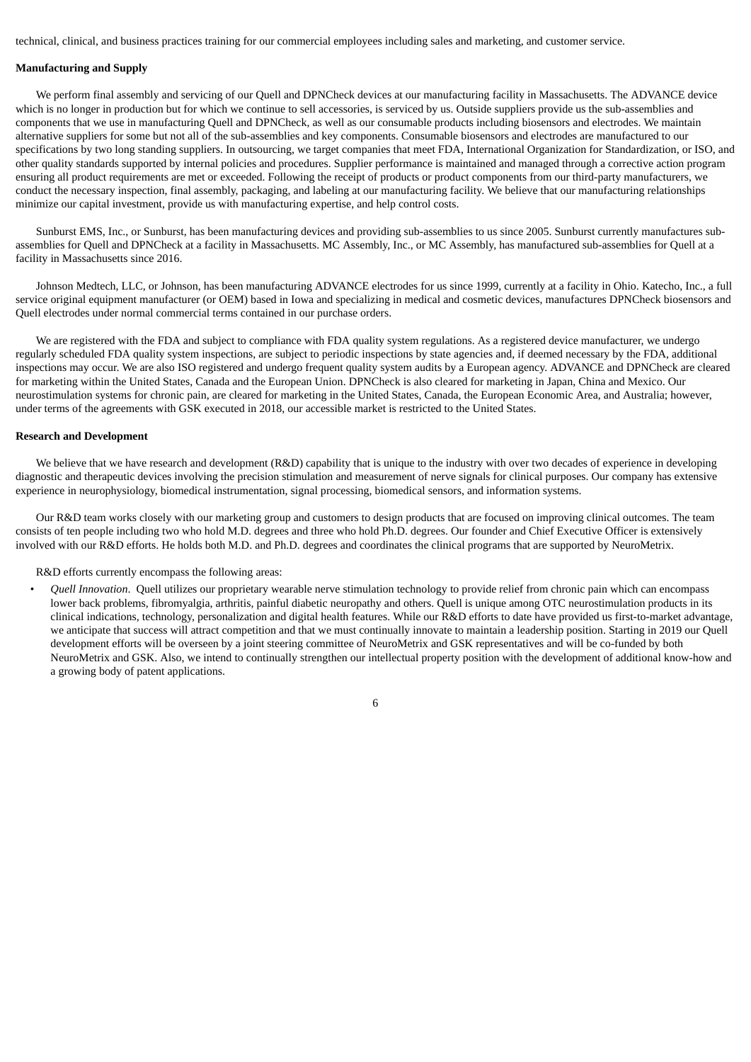technical, clinical, and business practices training for our commercial employees including sales and marketing, and customer service.

### **Manufacturing and Supply**

We perform final assembly and servicing of our Quell and DPNCheck devices at our manufacturing facility in Massachusetts. The ADVANCE device which is no longer in production but for which we continue to sell accessories, is serviced by us. Outside suppliers provide us the sub-assemblies and components that we use in manufacturing Quell and DPNCheck, as well as our consumable products including biosensors and electrodes. We maintain alternative suppliers for some but not all of the sub-assemblies and key components. Consumable biosensors and electrodes are manufactured to our specifications by two long standing suppliers. In outsourcing, we target companies that meet FDA, International Organization for Standardization, or ISO, and other quality standards supported by internal policies and procedures. Supplier performance is maintained and managed through a corrective action program ensuring all product requirements are met or exceeded. Following the receipt of products or product components from our third-party manufacturers, we conduct the necessary inspection, final assembly, packaging, and labeling at our manufacturing facility. We believe that our manufacturing relationships minimize our capital investment, provide us with manufacturing expertise, and help control costs.

Sunburst EMS, Inc., or Sunburst, has been manufacturing devices and providing sub-assemblies to us since 2005. Sunburst currently manufactures subassemblies for Quell and DPNCheck at a facility in Massachusetts. MC Assembly, Inc., or MC Assembly, has manufactured sub-assemblies for Quell at a facility in Massachusetts since 2016.

Johnson Medtech, LLC, or Johnson, has been manufacturing ADVANCE electrodes for us since 1999, currently at a facility in Ohio. Katecho, Inc., a full service original equipment manufacturer (or OEM) based in Iowa and specializing in medical and cosmetic devices, manufactures DPNCheck biosensors and Quell electrodes under normal commercial terms contained in our purchase orders.

We are registered with the FDA and subject to compliance with FDA quality system regulations. As a registered device manufacturer, we undergo regularly scheduled FDA quality system inspections, are subject to periodic inspections by state agencies and, if deemed necessary by the FDA, additional inspections may occur. We are also ISO registered and undergo frequent quality system audits by a European agency. ADVANCE and DPNCheck are cleared for marketing within the United States, Canada and the European Union. DPNCheck is also cleared for marketing in Japan, China and Mexico. Our neurostimulation systems for chronic pain, are cleared for marketing in the United States, Canada, the European Economic Area, and Australia; however, under terms of the agreements with GSK executed in 2018, our accessible market is restricted to the United States.

### **Research and Development**

We believe that we have research and development (R&D) capability that is unique to the industry with over two decades of experience in developing diagnostic and therapeutic devices involving the precision stimulation and measurement of nerve signals for clinical purposes. Our company has extensive experience in neurophysiology, biomedical instrumentation, signal processing, biomedical sensors, and information systems.

Our R&D team works closely with our marketing group and customers to design products that are focused on improving clinical outcomes. The team consists of ten people including two who hold M.D. degrees and three who hold Ph.D. degrees. Our founder and Chief Executive Officer is extensively involved with our R&D efforts. He holds both M.D. and Ph.D. degrees and coordinates the clinical programs that are supported by NeuroMetrix.

#### R&D efforts currently encompass the following areas:

*• Quell Innovation*. Quell utilizes our proprietary wearable nerve stimulation technology to provide relief from chronic pain which can encompass lower back problems, fibromyalgia, arthritis, painful diabetic neuropathy and others. Quell is unique among OTC neurostimulation products in its clinical indications, technology, personalization and digital health features. While our R&D efforts to date have provided us first-to-market advantage, we anticipate that success will attract competition and that we must continually innovate to maintain a leadership position. Starting in 2019 our Quell development efforts will be overseen by a joint steering committee of NeuroMetrix and GSK representatives and will be co-funded by both NeuroMetrix and GSK. Also, we intend to continually strengthen our intellectual property position with the development of additional know-how and a growing body of patent applications.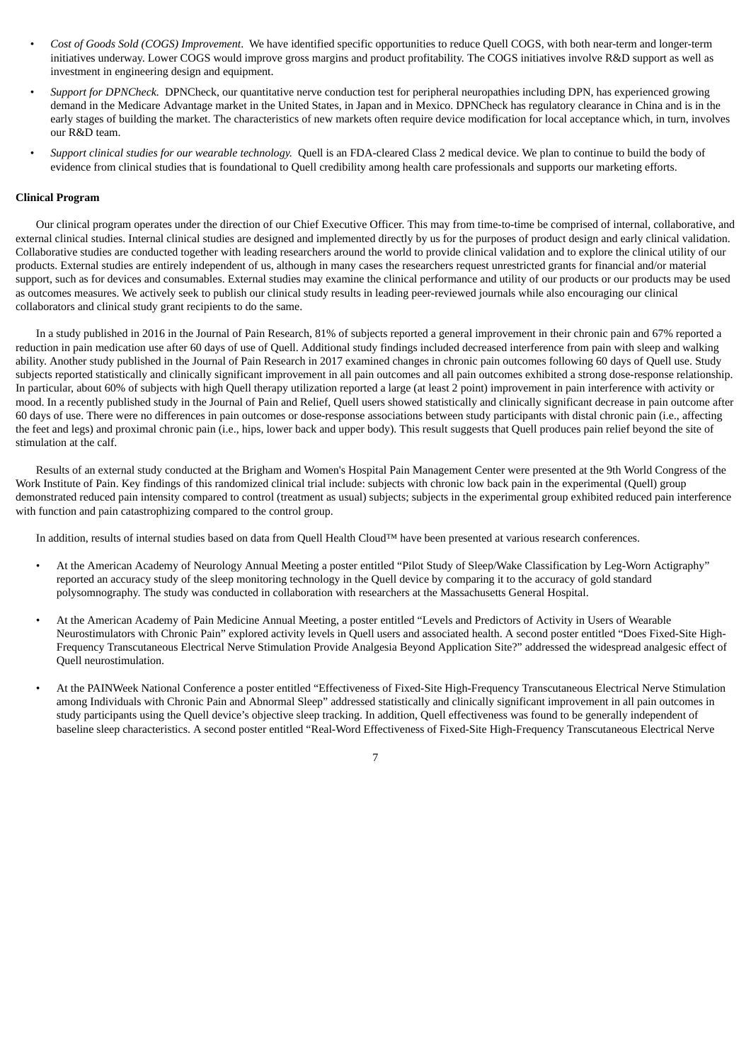- *• Cost of Goods Sold (COGS) Improvement*. We have identified specific opportunities to reduce Quell COGS, with both near-term and longer-term initiatives underway. Lower COGS would improve gross margins and product profitability. The COGS initiatives involve R&D support as well as investment in engineering design and equipment.
- *• Support for DPNCheck.* DPNCheck, our quantitative nerve conduction test for peripheral neuropathies including DPN, has experienced growing demand in the Medicare Advantage market in the United States, in Japan and in Mexico. DPNCheck has regulatory clearance in China and is in the early stages of building the market. The characteristics of new markets often require device modification for local acceptance which, in turn, involves our R&D team.
- *• Support clinical studies for our wearable technology.* Quell is an FDA-cleared Class 2 medical device. We plan to continue to build the body of evidence from clinical studies that is foundational to Quell credibility among health care professionals and supports our marketing efforts.

#### **Clinical Program**

Our clinical program operates under the direction of our Chief Executive Officer. This may from time-to-time be comprised of internal, collaborative, and external clinical studies. Internal clinical studies are designed and implemented directly by us for the purposes of product design and early clinical validation. Collaborative studies are conducted together with leading researchers around the world to provide clinical validation and to explore the clinical utility of our products. External studies are entirely independent of us, although in many cases the researchers request unrestricted grants for financial and/or material support, such as for devices and consumables. External studies may examine the clinical performance and utility of our products or our products may be used as outcomes measures. We actively seek to publish our clinical study results in leading peer-reviewed journals while also encouraging our clinical collaborators and clinical study grant recipients to do the same.

In a study published in 2016 in the Journal of Pain Research, 81% of subjects reported a general improvement in their chronic pain and 67% reported a reduction in pain medication use after 60 days of use of Quell. Additional study findings included decreased interference from pain with sleep and walking ability. Another study published in the Journal of Pain Research in 2017 examined changes in chronic pain outcomes following 60 days of Quell use. Study subjects reported statistically and clinically significant improvement in all pain outcomes and all pain outcomes exhibited a strong dose-response relationship. In particular, about 60% of subjects with high Quell therapy utilization reported a large (at least 2 point) improvement in pain interference with activity or mood. In a recently published study in the Journal of Pain and Relief, Quell users showed statistically and clinically significant decrease in pain outcome after 60 days of use. There were no differences in pain outcomes or dose-response associations between study participants with distal chronic pain (i.e., affecting the feet and legs) and proximal chronic pain (i.e., hips, lower back and upper body). This result suggests that Quell produces pain relief beyond the site of stimulation at the calf.

Results of an external study conducted at the Brigham and Women's Hospital Pain Management Center were presented at the 9th World Congress of the Work Institute of Pain. Key findings of this randomized clinical trial include: subjects with chronic low back pain in the experimental (Quell) group demonstrated reduced pain intensity compared to control (treatment as usual) subjects; subjects in the experimental group exhibited reduced pain interference with function and pain catastrophizing compared to the control group.

In addition, results of internal studies based on data from Quell Health Cloud™ have been presented at various research conferences.

- At the American Academy of Neurology Annual Meeting a poster entitled "Pilot Study of Sleep/Wake Classification by Leg-Worn Actigraphy" reported an accuracy study of the sleep monitoring technology in the Quell device by comparing it to the accuracy of gold standard polysomnography. The study was conducted in collaboration with researchers at the Massachusetts General Hospital.
- At the American Academy of Pain Medicine Annual Meeting, a poster entitled "Levels and Predictors of Activity in Users of Wearable Neurostimulators with Chronic Pain" explored activity levels in Quell users and associated health. A second poster entitled "Does Fixed-Site High-Frequency Transcutaneous Electrical Nerve Stimulation Provide Analgesia Beyond Application Site?" addressed the widespread analgesic effect of Quell neurostimulation.
- At the PAINWeek National Conference a poster entitled "Effectiveness of Fixed-Site High-Frequency Transcutaneous Electrical Nerve Stimulation among Individuals with Chronic Pain and Abnormal Sleep" addressed statistically and clinically significant improvement in all pain outcomes in study participants using the Quell device's objective sleep tracking. In addition, Quell effectiveness was found to be generally independent of baseline sleep characteristics. A second poster entitled "Real-Word Effectiveness of Fixed-Site High-Frequency Transcutaneous Electrical Nerve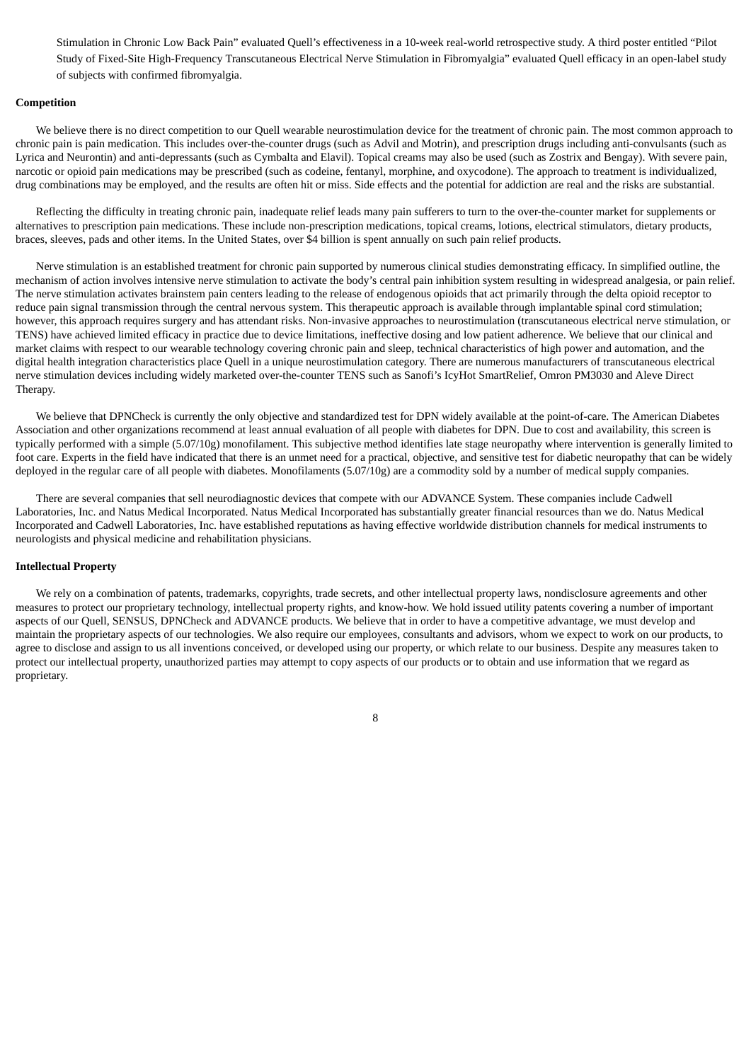Stimulation in Chronic Low Back Pain" evaluated Quell's effectiveness in a 10-week real-world retrospective study. A third poster entitled "Pilot Study of Fixed-Site High-Frequency Transcutaneous Electrical Nerve Stimulation in Fibromyalgia" evaluated Quell efficacy in an open-label study of subjects with confirmed fibromyalgia.

### **Competition**

We believe there is no direct competition to our Quell wearable neurostimulation device for the treatment of chronic pain. The most common approach to chronic pain is pain medication. This includes over-the-counter drugs (such as Advil and Motrin), and prescription drugs including anti-convulsants (such as Lyrica and Neurontin) and anti-depressants (such as Cymbalta and Elavil). Topical creams may also be used (such as Zostrix and Bengay). With severe pain, narcotic or opioid pain medications may be prescribed (such as codeine, fentanyl, morphine, and oxycodone). The approach to treatment is individualized, drug combinations may be employed, and the results are often hit or miss. Side effects and the potential for addiction are real and the risks are substantial.

Reflecting the difficulty in treating chronic pain, inadequate relief leads many pain sufferers to turn to the over-the-counter market for supplements or alternatives to prescription pain medications. These include non-prescription medications, topical creams, lotions, electrical stimulators, dietary products, braces, sleeves, pads and other items. In the United States, over \$4 billion is spent annually on such pain relief products.

Nerve stimulation is an established treatment for chronic pain supported by numerous clinical studies demonstrating efficacy. In simplified outline, the mechanism of action involves intensive nerve stimulation to activate the body's central pain inhibition system resulting in widespread analgesia, or pain relief. The nerve stimulation activates brainstem pain centers leading to the release of endogenous opioids that act primarily through the delta opioid receptor to reduce pain signal transmission through the central nervous system. This therapeutic approach is available through implantable spinal cord stimulation; however, this approach requires surgery and has attendant risks. Non-invasive approaches to neurostimulation (transcutaneous electrical nerve stimulation, or TENS) have achieved limited efficacy in practice due to device limitations, ineffective dosing and low patient adherence. We believe that our clinical and market claims with respect to our wearable technology covering chronic pain and sleep, technical characteristics of high power and automation, and the digital health integration characteristics place Quell in a unique neurostimulation category. There are numerous manufacturers of transcutaneous electrical nerve stimulation devices including widely marketed over-the-counter TENS such as Sanofi's IcyHot SmartRelief, Omron PM3030 and Aleve Direct Therapy.

We believe that DPNCheck is currently the only objective and standardized test for DPN widely available at the point-of-care. The American Diabetes Association and other organizations recommend at least annual evaluation of all people with diabetes for DPN. Due to cost and availability, this screen is typically performed with a simple (5.07/10g) monofilament. This subjective method identifies late stage neuropathy where intervention is generally limited to foot care. Experts in the field have indicated that there is an unmet need for a practical, objective, and sensitive test for diabetic neuropathy that can be widely deployed in the regular care of all people with diabetes. Monofilaments (5.07/10g) are a commodity sold by a number of medical supply companies.

There are several companies that sell neurodiagnostic devices that compete with our ADVANCE System. These companies include Cadwell Laboratories, Inc. and Natus Medical Incorporated. Natus Medical Incorporated has substantially greater financial resources than we do. Natus Medical Incorporated and Cadwell Laboratories, Inc. have established reputations as having effective worldwide distribution channels for medical instruments to neurologists and physical medicine and rehabilitation physicians.

#### **Intellectual Property**

We rely on a combination of patents, trademarks, copyrights, trade secrets, and other intellectual property laws, nondisclosure agreements and other measures to protect our proprietary technology, intellectual property rights, and know-how. We hold issued utility patents covering a number of important aspects of our Quell, SENSUS, DPNCheck and ADVANCE products. We believe that in order to have a competitive advantage, we must develop and maintain the proprietary aspects of our technologies. We also require our employees, consultants and advisors, whom we expect to work on our products, to agree to disclose and assign to us all inventions conceived, or developed using our property, or which relate to our business. Despite any measures taken to protect our intellectual property, unauthorized parties may attempt to copy aspects of our products or to obtain and use information that we regard as proprietary.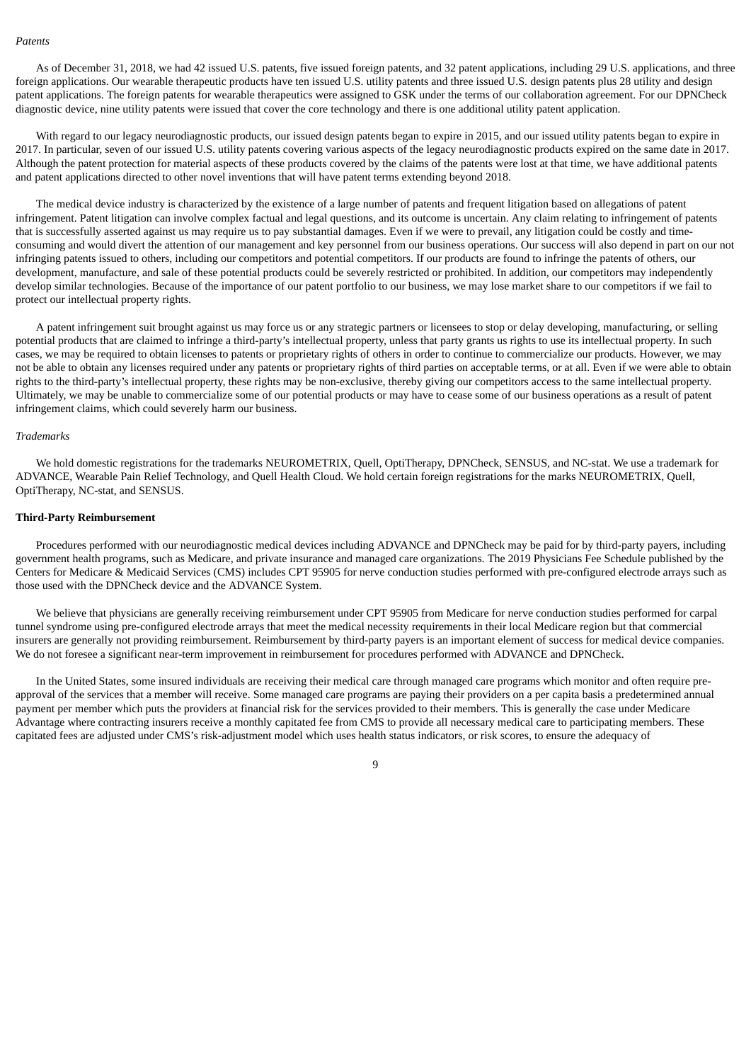#### *Patents*

As of December 31, 2018, we had 42 issued U.S. patents, five issued foreign patents, and 32 patent applications, including 29 U.S. applications, and three foreign applications. Our wearable therapeutic products have ten issued U.S. utility patents and three issued U.S. design patents plus 28 utility and design patent applications. The foreign patents for wearable therapeutics were assigned to GSK under the terms of our collaboration agreement. For our DPNCheck diagnostic device, nine utility patents were issued that cover the core technology and there is one additional utility patent application.

With regard to our legacy neurodiagnostic products, our issued design patents began to expire in 2015, and our issued utility patents began to expire in 2017. In particular, seven of our issued U.S. utility patents covering various aspects of the legacy neurodiagnostic products expired on the same date in 2017. Although the patent protection for material aspects of these products covered by the claims of the patents were lost at that time, we have additional patents and patent applications directed to other novel inventions that will have patent terms extending beyond 2018.

The medical device industry is characterized by the existence of a large number of patents and frequent litigation based on allegations of patent infringement. Patent litigation can involve complex factual and legal questions, and its outcome is uncertain. Any claim relating to infringement of patents that is successfully asserted against us may require us to pay substantial damages. Even if we were to prevail, any litigation could be costly and timeconsuming and would divert the attention of our management and key personnel from our business operations. Our success will also depend in part on our not infringing patents issued to others, including our competitors and potential competitors. If our products are found to infringe the patents of others, our development, manufacture, and sale of these potential products could be severely restricted or prohibited. In addition, our competitors may independently develop similar technologies. Because of the importance of our patent portfolio to our business, we may lose market share to our competitors if we fail to protect our intellectual property rights.

A patent infringement suit brought against us may force us or any strategic partners or licensees to stop or delay developing, manufacturing, or selling potential products that are claimed to infringe a third-party's intellectual property, unless that party grants us rights to use its intellectual property. In such cases, we may be required to obtain licenses to patents or proprietary rights of others in order to continue to commercialize our products. However, we may not be able to obtain any licenses required under any patents or proprietary rights of third parties on acceptable terms, or at all. Even if we were able to obtain rights to the third-party's intellectual property, these rights may be non-exclusive, thereby giving our competitors access to the same intellectual property. Ultimately, we may be unable to commercialize some of our potential products or may have to cease some of our business operations as a result of patent infringement claims, which could severely harm our business.

# *Trademarks*

We hold domestic registrations for the trademarks NEUROMETRIX, Quell, OptiTherapy, DPNCheck, SENSUS, and NC-stat. We use a trademark for ADVANCE, Wearable Pain Relief Technology, and Quell Health Cloud. We hold certain foreign registrations for the marks NEUROMETRIX, Quell, OptiTherapy, NC-stat, and SENSUS.

#### **Third-Party Reimbursement**

Procedures performed with our neurodiagnostic medical devices including ADVANCE and DPNCheck may be paid for by third-party payers, including government health programs, such as Medicare, and private insurance and managed care organizations. The 2019 Physicians Fee Schedule published by the Centers for Medicare & Medicaid Services (CMS) includes CPT 95905 for nerve conduction studies performed with pre-configured electrode arrays such as those used with the DPNCheck device and the ADVANCE System.

We believe that physicians are generally receiving reimbursement under CPT 95905 from Medicare for nerve conduction studies performed for carpal tunnel syndrome using pre-configured electrode arrays that meet the medical necessity requirements in their local Medicare region but that commercial insurers are generally not providing reimbursement. Reimbursement by third-party payers is an important element of success for medical device companies. We do not foresee a significant near-term improvement in reimbursement for procedures performed with ADVANCE and DPNCheck.

In the United States, some insured individuals are receiving their medical care through managed care programs which monitor and often require preapproval of the services that a member will receive. Some managed care programs are paying their providers on a per capita basis a predetermined annual payment per member which puts the providers at financial risk for the services provided to their members. This is generally the case under Medicare Advantage where contracting insurers receive a monthly capitated fee from CMS to provide all necessary medical care to participating members. These capitated fees are adjusted under CMS's risk-adjustment model which uses health status indicators, or risk scores, to ensure the adequacy of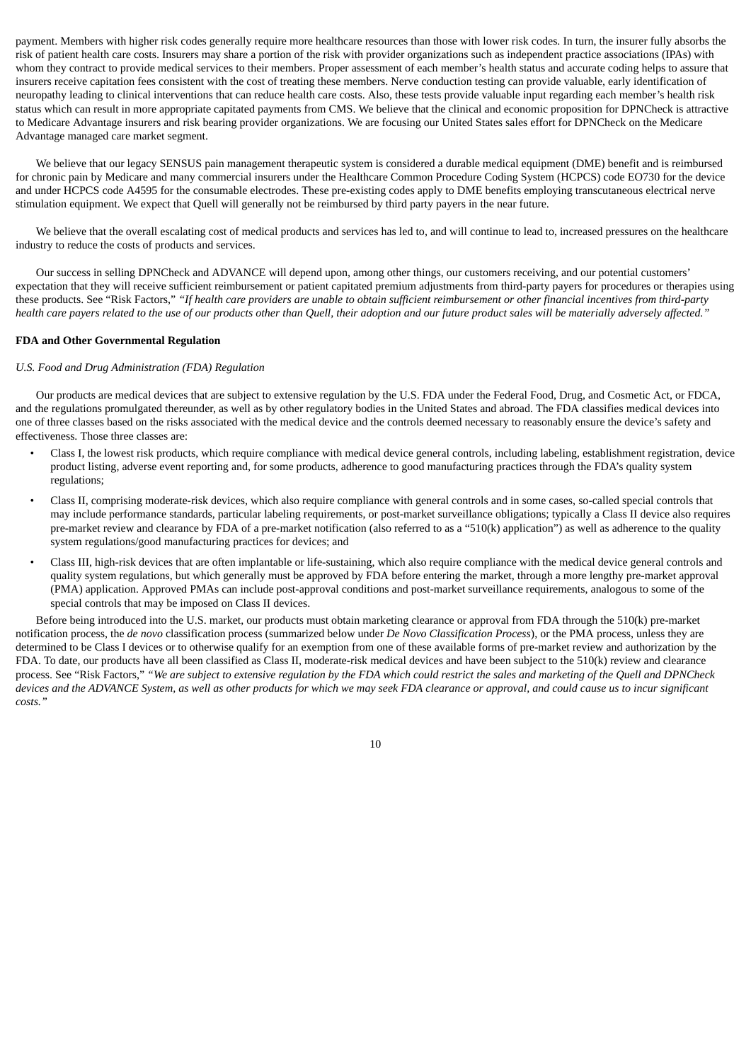payment. Members with higher risk codes generally require more healthcare resources than those with lower risk codes. In turn, the insurer fully absorbs the risk of patient health care costs. Insurers may share a portion of the risk with provider organizations such as independent practice associations (IPAs) with whom they contract to provide medical services to their members. Proper assessment of each member's health status and accurate coding helps to assure that insurers receive capitation fees consistent with the cost of treating these members. Nerve conduction testing can provide valuable, early identification of neuropathy leading to clinical interventions that can reduce health care costs. Also, these tests provide valuable input regarding each member's health risk status which can result in more appropriate capitated payments from CMS. We believe that the clinical and economic proposition for DPNCheck is attractive to Medicare Advantage insurers and risk bearing provider organizations. We are focusing our United States sales effort for DPNCheck on the Medicare Advantage managed care market segment.

We believe that our legacy SENSUS pain management therapeutic system is considered a durable medical equipment (DME) benefit and is reimbursed for chronic pain by Medicare and many commercial insurers under the Healthcare Common Procedure Coding System (HCPCS) code EO730 for the device and under HCPCS code A4595 for the consumable electrodes. These pre-existing codes apply to DME benefits employing transcutaneous electrical nerve stimulation equipment. We expect that Quell will generally not be reimbursed by third party payers in the near future.

We believe that the overall escalating cost of medical products and services has led to, and will continue to lead to, increased pressures on the healthcare industry to reduce the costs of products and services.

Our success in selling DPNCheck and ADVANCE will depend upon, among other things, our customers receiving, and our potential customers' expectation that they will receive sufficient reimbursement or patient capitated premium adjustments from third-party payers for procedures or therapies using these products. See "Risk Factors," "If health care providers are unable to obtain sufficient reimbursement or other financial incentives from third-party health care payers related to the use of our products other than Quell, their adoption and our future product sales will be materially adversely affected."

### **FDA and Other Governmental Regulation**

### *U.S. Food and Drug Administration (FDA) Regulation*

Our products are medical devices that are subject to extensive regulation by the U.S. FDA under the Federal Food, Drug, and Cosmetic Act, or FDCA, and the regulations promulgated thereunder, as well as by other regulatory bodies in the United States and abroad. The FDA classifies medical devices into one of three classes based on the risks associated with the medical device and the controls deemed necessary to reasonably ensure the device's safety and effectiveness. Those three classes are:

- Class I, the lowest risk products, which require compliance with medical device general controls, including labeling, establishment registration, device product listing, adverse event reporting and, for some products, adherence to good manufacturing practices through the FDA's quality system regulations;
- Class II, comprising moderate-risk devices, which also require compliance with general controls and in some cases, so-called special controls that may include performance standards, particular labeling requirements, or post-market surveillance obligations; typically a Class II device also requires pre-market review and clearance by FDA of a pre-market notification (also referred to as a "510(k) application") as well as adherence to the quality system regulations/good manufacturing practices for devices; and
- Class III, high-risk devices that are often implantable or life-sustaining, which also require compliance with the medical device general controls and quality system regulations, but which generally must be approved by FDA before entering the market, through a more lengthy pre-market approval (PMA) application. Approved PMAs can include post-approval conditions and post-market surveillance requirements, analogous to some of the special controls that may be imposed on Class II devices.

Before being introduced into the U.S. market, our products must obtain marketing clearance or approval from FDA through the 510(k) pre-market notification process, the *de novo* classification process (summarized below under *De Novo Classification Process*), or the PMA process, unless they are determined to be Class I devices or to otherwise qualify for an exemption from one of these available forms of pre-market review and authorization by the FDA. To date, our products have all been classified as Class II, moderate-risk medical devices and have been subject to the 510(k) review and clearance process. See "Risk Factors," "We are subject to extensive regulation by the FDA which could restrict the sales and marketing of the Quell and DPNCheck devices and the ADVANCE System, as well as other products for which we may seek FDA clearance or approval, and could cause us to incur significant *costs."*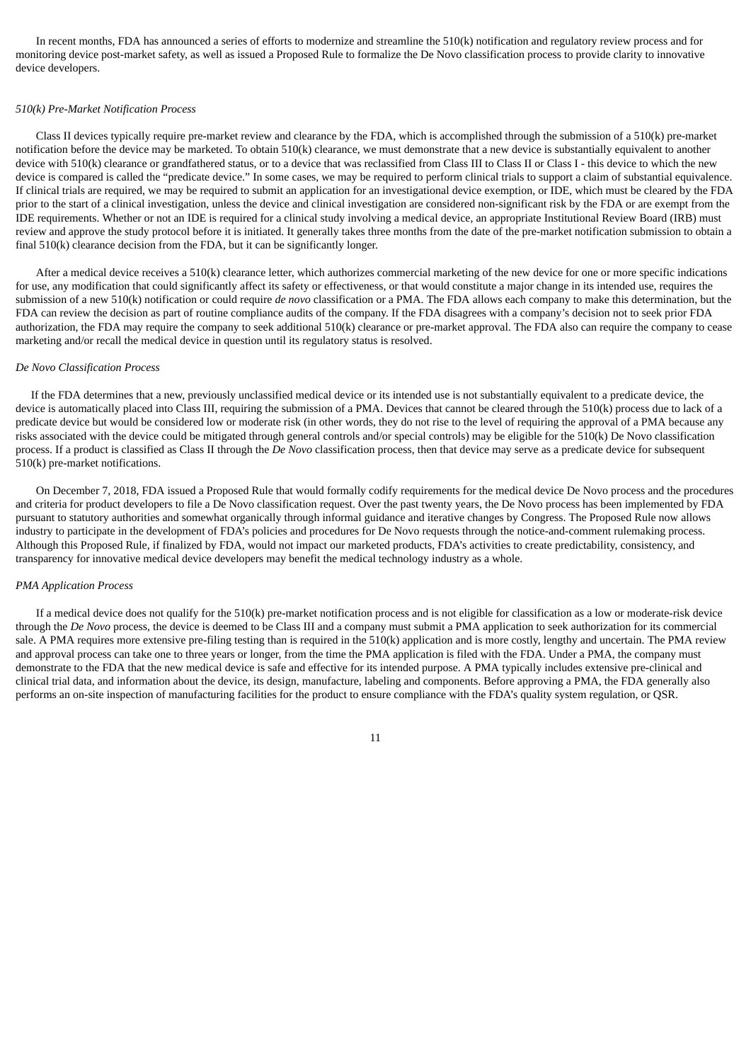In recent months, FDA has announced a series of efforts to modernize and streamline the 510(k) notification and regulatory review process and for monitoring device post-market safety, as well as issued a Proposed Rule to formalize the De Novo classification process to provide clarity to innovative device developers.

#### *510(k) Pre-Market Notification Process*

Class II devices typically require pre-market review and clearance by the FDA, which is accomplished through the submission of a 510(k) pre-market notification before the device may be marketed. To obtain 510(k) clearance, we must demonstrate that a new device is substantially equivalent to another device with 510(k) clearance or grandfathered status, or to a device that was reclassified from Class III to Class II or Class I - this device to which the new device is compared is called the "predicate device." In some cases, we may be required to perform clinical trials to support a claim of substantial equivalence. If clinical trials are required, we may be required to submit an application for an investigational device exemption, or IDE, which must be cleared by the FDA prior to the start of a clinical investigation, unless the device and clinical investigation are considered non-significant risk by the FDA or are exempt from the IDE requirements. Whether or not an IDE is required for a clinical study involving a medical device, an appropriate Institutional Review Board (IRB) must review and approve the study protocol before it is initiated. It generally takes three months from the date of the pre-market notification submission to obtain a final 510(k) clearance decision from the FDA, but it can be significantly longer.

After a medical device receives a 510(k) clearance letter, which authorizes commercial marketing of the new device for one or more specific indications for use, any modification that could significantly affect its safety or effectiveness, or that would constitute a major change in its intended use, requires the submission of a new 510(k) notification or could require *de novo* classification or a PMA. The FDA allows each company to make this determination, but the FDA can review the decision as part of routine compliance audits of the company. If the FDA disagrees with a company's decision not to seek prior FDA authorization, the FDA may require the company to seek additional 510(k) clearance or pre-market approval. The FDA also can require the company to cease marketing and/or recall the medical device in question until its regulatory status is resolved.

#### *De Novo Classification Process*

If the FDA determines that a new, previously unclassified medical device or its intended use is not substantially equivalent to a predicate device, the device is automatically placed into Class III, requiring the submission of a PMA. Devices that cannot be cleared through the 510(k) process due to lack of a predicate device but would be considered low or moderate risk (in other words, they do not rise to the level of requiring the approval of a PMA because any risks associated with the device could be mitigated through general controls and/or special controls) may be eligible for the 510(k) De Novo classification process. If a product is classified as Class II through the *De Novo* classification process, then that device may serve as a predicate device for subsequent 510(k) pre-market notifications.

On December 7, 2018, FDA issued a Proposed Rule that would formally codify requirements for the medical device De Novo process and the procedures and criteria for product developers to file a De Novo classification request. Over the past twenty years, the De Novo process has been implemented by FDA pursuant to statutory authorities and somewhat organically through informal guidance and iterative changes by Congress. The Proposed Rule now allows industry to participate in the development of FDA's policies and procedures for De Novo requests through the notice-and-comment rulemaking process. Although this Proposed Rule, if finalized by FDA, would not impact our marketed products, FDA's activities to create predictability, consistency, and transparency for innovative medical device developers may benefit the medical technology industry as a whole.

#### *PMA Application Process*

If a medical device does not qualify for the 510(k) pre-market notification process and is not eligible for classification as a low or moderate-risk device through the *De Novo* process, the device is deemed to be Class III and a company must submit a PMA application to seek authorization for its commercial sale. A PMA requires more extensive pre-filing testing than is required in the 510(k) application and is more costly, lengthy and uncertain. The PMA review and approval process can take one to three years or longer, from the time the PMA application is filed with the FDA. Under a PMA, the company must demonstrate to the FDA that the new medical device is safe and effective for its intended purpose. A PMA typically includes extensive pre-clinical and clinical trial data, and information about the device, its design, manufacture, labeling and components. Before approving a PMA, the FDA generally also performs an on-site inspection of manufacturing facilities for the product to ensure compliance with the FDA's quality system regulation, or QSR.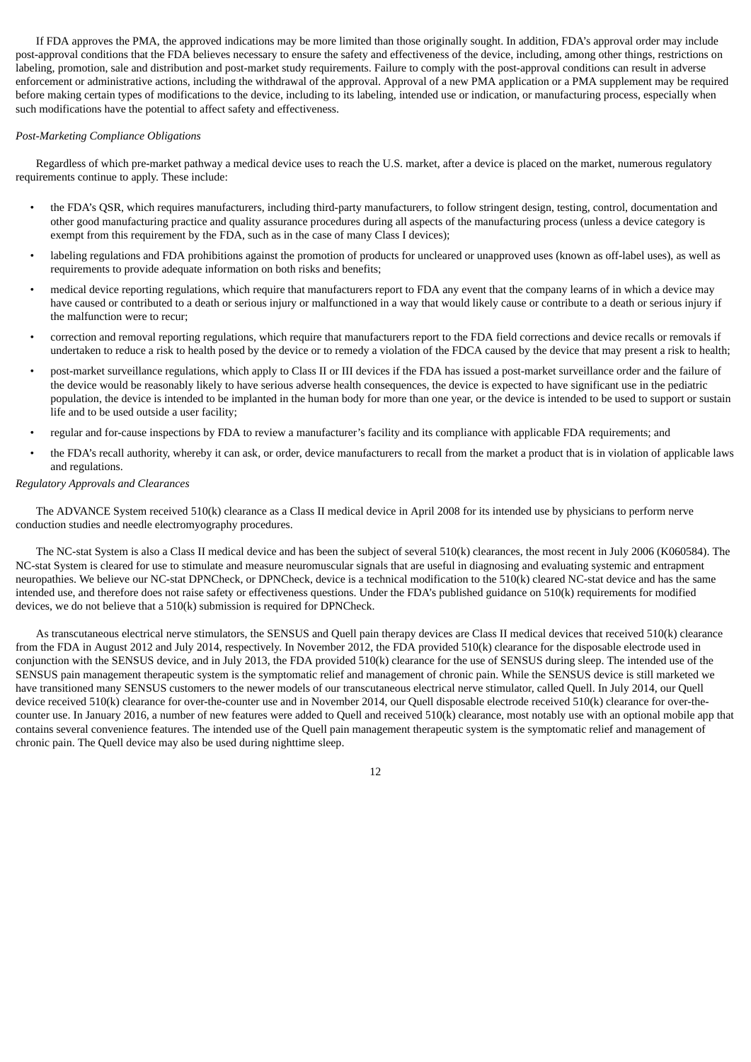If FDA approves the PMA, the approved indications may be more limited than those originally sought. In addition, FDA's approval order may include post-approval conditions that the FDA believes necessary to ensure the safety and effectiveness of the device, including, among other things, restrictions on labeling, promotion, sale and distribution and post-market study requirements. Failure to comply with the post-approval conditions can result in adverse enforcement or administrative actions, including the withdrawal of the approval. Approval of a new PMA application or a PMA supplement may be required before making certain types of modifications to the device, including to its labeling, intended use or indication, or manufacturing process, especially when such modifications have the potential to affect safety and effectiveness.

#### *Post-Marketing Compliance Obligations*

Regardless of which pre-market pathway a medical device uses to reach the U.S. market, after a device is placed on the market, numerous regulatory requirements continue to apply. These include:

- the FDA's QSR, which requires manufacturers, including third-party manufacturers, to follow stringent design, testing, control, documentation and other good manufacturing practice and quality assurance procedures during all aspects of the manufacturing process (unless a device category is exempt from this requirement by the FDA, such as in the case of many Class I devices);
- labeling regulations and FDA prohibitions against the promotion of products for uncleared or unapproved uses (known as off-label uses), as well as requirements to provide adequate information on both risks and benefits;
- medical device reporting regulations, which require that manufacturers report to FDA any event that the company learns of in which a device may have caused or contributed to a death or serious injury or malfunctioned in a way that would likely cause or contribute to a death or serious injury if the malfunction were to recur;
- correction and removal reporting regulations, which require that manufacturers report to the FDA field corrections and device recalls or removals if undertaken to reduce a risk to health posed by the device or to remedy a violation of the FDCA caused by the device that may present a risk to health;
- post-market surveillance regulations, which apply to Class II or III devices if the FDA has issued a post-market surveillance order and the failure of the device would be reasonably likely to have serious adverse health consequences, the device is expected to have significant use in the pediatric population, the device is intended to be implanted in the human body for more than one year, or the device is intended to be used to support or sustain life and to be used outside a user facility;
- regular and for-cause inspections by FDA to review a manufacturer's facility and its compliance with applicable FDA requirements; and
- the FDA's recall authority, whereby it can ask, or order, device manufacturers to recall from the market a product that is in violation of applicable laws and regulations.

#### *Regulatory Approvals and Clearances*

The ADVANCE System received 510(k) clearance as a Class II medical device in April 2008 for its intended use by physicians to perform nerve conduction studies and needle electromyography procedures.

The NC-stat System is also a Class II medical device and has been the subject of several 510(k) clearances, the most recent in July 2006 (K060584). The NC-stat System is cleared for use to stimulate and measure neuromuscular signals that are useful in diagnosing and evaluating systemic and entrapment neuropathies. We believe our NC-stat DPNCheck, or DPNCheck, device is a technical modification to the 510(k) cleared NC-stat device and has the same intended use, and therefore does not raise safety or effectiveness questions. Under the FDA's published guidance on 510(k) requirements for modified devices, we do not believe that a 510(k) submission is required for DPNCheck.

As transcutaneous electrical nerve stimulators, the SENSUS and Quell pain therapy devices are Class II medical devices that received 510(k) clearance from the FDA in August 2012 and July 2014, respectively. In November 2012, the FDA provided 510(k) clearance for the disposable electrode used in conjunction with the SENSUS device, and in July 2013, the FDA provided 510(k) clearance for the use of SENSUS during sleep. The intended use of the SENSUS pain management therapeutic system is the symptomatic relief and management of chronic pain. While the SENSUS device is still marketed we have transitioned many SENSUS customers to the newer models of our transcutaneous electrical nerve stimulator, called Quell. In July 2014, our Quell device received 510(k) clearance for over-the-counter use and in November 2014, our Quell disposable electrode received 510(k) clearance for over-thecounter use. In January 2016, a number of new features were added to Quell and received 510(k) clearance, most notably use with an optional mobile app that contains several convenience features. The intended use of the Quell pain management therapeutic system is the symptomatic relief and management of chronic pain. The Quell device may also be used during nighttime sleep.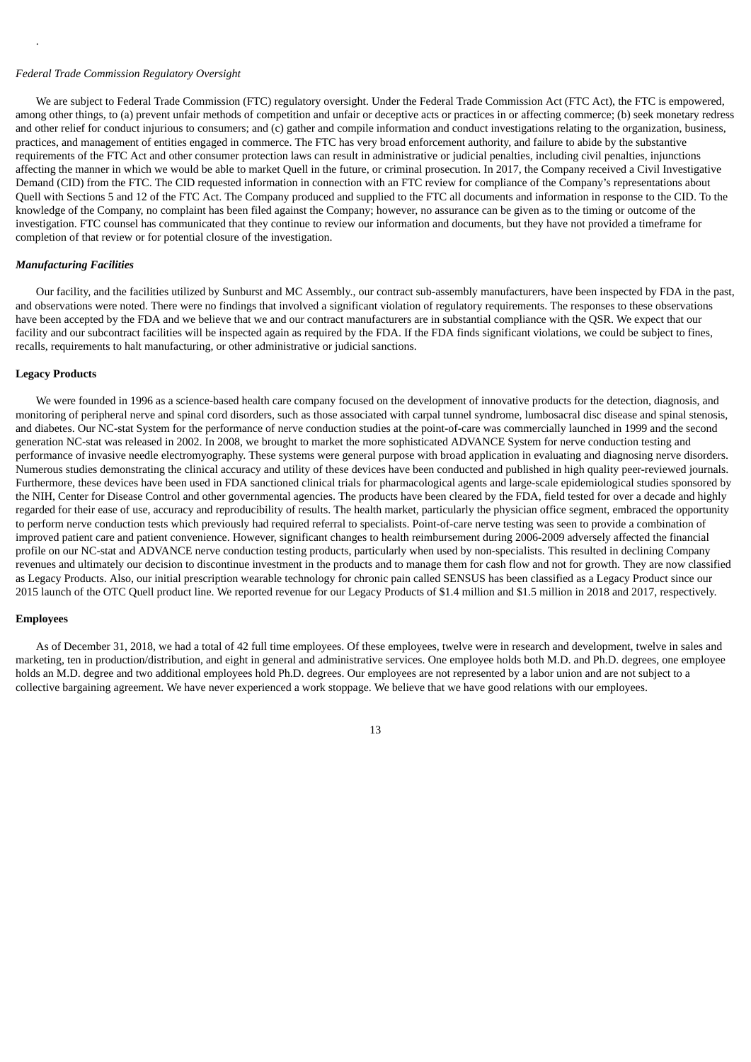### *Federal Trade Commission Regulatory Oversight*

We are subject to Federal Trade Commission (FTC) regulatory oversight. Under the Federal Trade Commission Act (FTC Act), the FTC is empowered, among other things, to (a) prevent unfair methods of competition and unfair or deceptive acts or practices in or affecting commerce; (b) seek monetary redress and other relief for conduct injurious to consumers; and (c) gather and compile information and conduct investigations relating to the organization, business, practices, and management of entities engaged in commerce. The FTC has very broad enforcement authority, and failure to abide by the substantive requirements of the FTC Act and other consumer protection laws can result in administrative or judicial penalties, including civil penalties, injunctions affecting the manner in which we would be able to market Quell in the future, or criminal prosecution. In 2017, the Company received a Civil Investigative Demand (CID) from the FTC. The CID requested information in connection with an FTC review for compliance of the Company's representations about Quell with Sections 5 and 12 of the FTC Act. The Company produced and supplied to the FTC all documents and information in response to the CID. To the knowledge of the Company, no complaint has been filed against the Company; however, no assurance can be given as to the timing or outcome of the investigation. FTC counsel has communicated that they continue to review our information and documents, but they have not provided a timeframe for completion of that review or for potential closure of the investigation.

#### *Manufacturing Facilities*

.

Our facility, and the facilities utilized by Sunburst and MC Assembly., our contract sub-assembly manufacturers, have been inspected by FDA in the past, and observations were noted. There were no findings that involved a significant violation of regulatory requirements. The responses to these observations have been accepted by the FDA and we believe that we and our contract manufacturers are in substantial compliance with the QSR. We expect that our facility and our subcontract facilities will be inspected again as required by the FDA. If the FDA finds significant violations, we could be subject to fines, recalls, requirements to halt manufacturing, or other administrative or judicial sanctions.

#### **Legacy Products**

We were founded in 1996 as a science-based health care company focused on the development of innovative products for the detection, diagnosis, and monitoring of peripheral nerve and spinal cord disorders, such as those associated with carpal tunnel syndrome, lumbosacral disc disease and spinal stenosis, and diabetes. Our NC-stat System for the performance of nerve conduction studies at the point-of-care was commercially launched in 1999 and the second generation NC-stat was released in 2002. In 2008, we brought to market the more sophisticated ADVANCE System for nerve conduction testing and performance of invasive needle electromyography. These systems were general purpose with broad application in evaluating and diagnosing nerve disorders. Numerous studies demonstrating the clinical accuracy and utility of these devices have been conducted and published in high quality peer-reviewed journals. Furthermore, these devices have been used in FDA sanctioned clinical trials for pharmacological agents and large-scale epidemiological studies sponsored by the NIH, Center for Disease Control and other governmental agencies. The products have been cleared by the FDA, field tested for over a decade and highly regarded for their ease of use, accuracy and reproducibility of results. The health market, particularly the physician office segment, embraced the opportunity to perform nerve conduction tests which previously had required referral to specialists. Point-of-care nerve testing was seen to provide a combination of improved patient care and patient convenience. However, significant changes to health reimbursement during 2006-2009 adversely affected the financial profile on our NC-stat and ADVANCE nerve conduction testing products, particularly when used by non-specialists. This resulted in declining Company revenues and ultimately our decision to discontinue investment in the products and to manage them for cash flow and not for growth. They are now classified as Legacy Products. Also, our initial prescription wearable technology for chronic pain called SENSUS has been classified as a Legacy Product since our 2015 launch of the OTC Quell product line. We reported revenue for our Legacy Products of \$1.4 million and \$1.5 million in 2018 and 2017, respectively.

#### **Employees**

As of December 31, 2018, we had a total of 42 full time employees. Of these employees, twelve were in research and development, twelve in sales and marketing, ten in production/distribution, and eight in general and administrative services. One employee holds both M.D. and Ph.D. degrees, one employee holds an M.D. degree and two additional employees hold Ph.D. degrees. Our employees are not represented by a labor union and are not subject to a collective bargaining agreement. We have never experienced a work stoppage. We believe that we have good relations with our employees.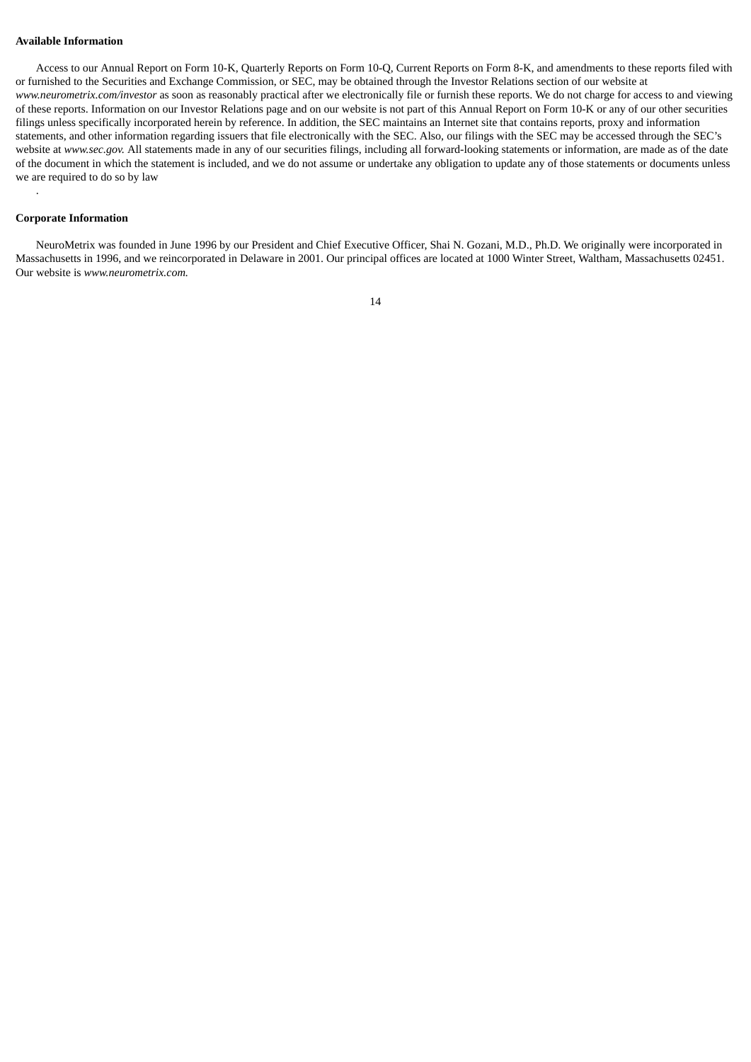#### **Available Information**

Access to our Annual Report on Form 10-K, Quarterly Reports on Form 10-Q, Current Reports on Form 8-K, and amendments to these reports filed with or furnished to the Securities and Exchange Commission, or SEC, may be obtained through the Investor Relations section of our website at *www.neurometrix.com/investor* as soon as reasonably practical after we electronically file or furnish these reports. We do not charge for access to and viewing of these reports. Information on our Investor Relations page and on our website is not part of this Annual Report on Form 10-K or any of our other securities filings unless specifically incorporated herein by reference. In addition, the SEC maintains an Internet site that contains reports, proxy and information statements, and other information regarding issuers that file electronically with the SEC. Also, our filings with the SEC may be accessed through the SEC's website at *www.sec.gov.* All statements made in any of our securities filings, including all forward-looking statements or information, are made as of the date of the document in which the statement is included, and we do not assume or undertake any obligation to update any of those statements or documents unless we are required to do so by law

#### **Corporate Information**

.

NeuroMetrix was founded in June 1996 by our President and Chief Executive Officer, Shai N. Gozani, M.D., Ph.D. We originally were incorporated in Massachusetts in 1996, and we reincorporated in Delaware in 2001. Our principal offices are located at 1000 Winter Street, Waltham, Massachusetts 02451. Our website is *www.neurometrix.com.*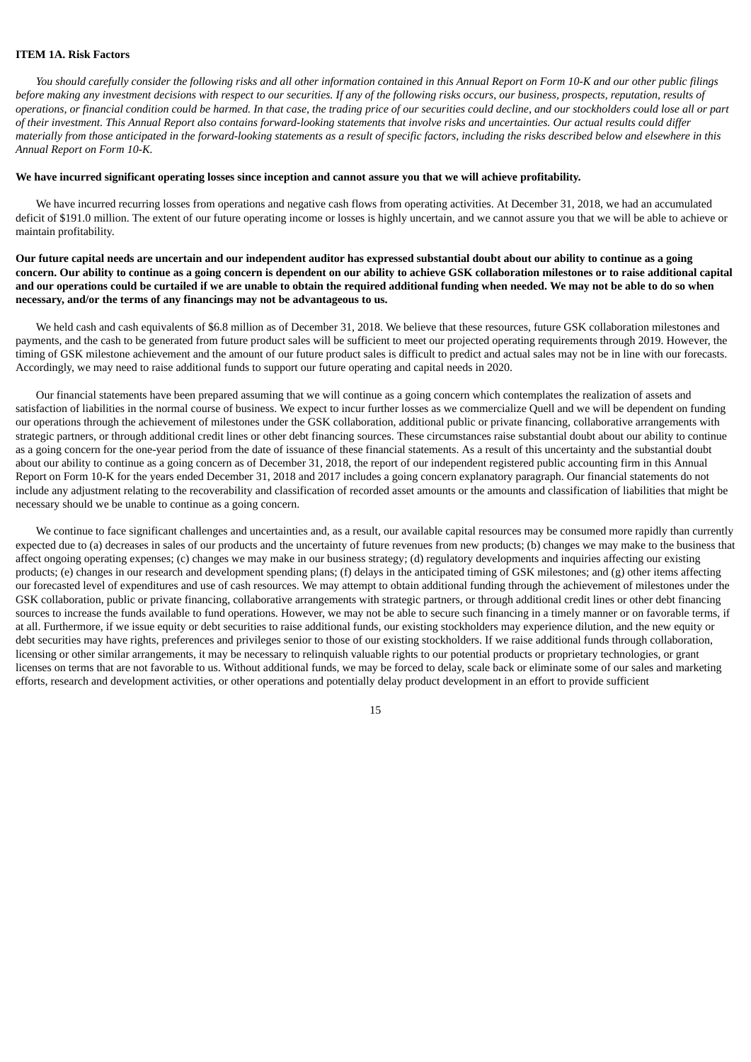#### <span id="page-17-0"></span>**ITEM 1A. Risk Factors**

You should carefully consider the followina risks and all other information contained in this Annual Report on Form 10-K and our other public filinas before making any investment decisions with respect to our securities. If any of the following risks occurs, our business, prospects, reputation, results of operations, or financial condition could be harmed. In that case, the trading price of our securities could decline, and our stockholders could lose all or part of their investment. This Annual Report also contains forward-looking statements that involve risks and uncertainties. Our actual results could differ materially from those anticipated in the forward-looking statements as a result of specific factors, including the risks described below and elsewhere in this *Annual Report on Form 10-K.*

### We have incurred significant operating losses since inception and cannot assure you that we will achieve profitability.

We have incurred recurring losses from operations and negative cash flows from operating activities. At December 31, 2018, we had an accumulated deficit of \$191.0 million. The extent of our future operating income or losses is highly uncertain, and we cannot assure you that we will be able to achieve or maintain profitability.

Our future capital needs are uncertain and our independent auditor has expressed substantial doubt about our ability to continue as a going concern. Our ability to continue as a going concern is dependent on our ability to achieve GSK collaboration milestones or to raise additional capital and our operations could be curtailed if we are unable to obtain the required additional funding when needed. We may not be able to do so when **necessary, and/or the terms of any financings may not be advantageous to us.**

We held cash and cash equivalents of \$6.8 million as of December 31, 2018. We believe that these resources, future GSK collaboration milestones and payments, and the cash to be generated from future product sales will be sufficient to meet our projected operating requirements through 2019. However, the timing of GSK milestone achievement and the amount of our future product sales is difficult to predict and actual sales may not be in line with our forecasts. Accordingly, we may need to raise additional funds to support our future operating and capital needs in 2020.

Our financial statements have been prepared assuming that we will continue as a going concern which contemplates the realization of assets and satisfaction of liabilities in the normal course of business. We expect to incur further losses as we commercialize Quell and we will be dependent on funding our operations through the achievement of milestones under the GSK collaboration, additional public or private financing, collaborative arrangements with strategic partners, or through additional credit lines or other debt financing sources. These circumstances raise substantial doubt about our ability to continue as a going concern for the one-year period from the date of issuance of these financial statements. As a result of this uncertainty and the substantial doubt about our ability to continue as a going concern as of December 31, 2018, the report of our independent registered public accounting firm in this Annual Report on Form 10-K for the years ended December 31, 2018 and 2017 includes a going concern explanatory paragraph. Our financial statements do not include any adjustment relating to the recoverability and classification of recorded asset amounts or the amounts and classification of liabilities that might be necessary should we be unable to continue as a going concern.

We continue to face significant challenges and uncertainties and, as a result, our available capital resources may be consumed more rapidly than currently expected due to (a) decreases in sales of our products and the uncertainty of future revenues from new products; (b) changes we may make to the business that affect ongoing operating expenses; (c) changes we may make in our business strategy; (d) regulatory developments and inquiries affecting our existing products; (e) changes in our research and development spending plans; (f) delays in the anticipated timing of GSK milestones; and (g) other items affecting our forecasted level of expenditures and use of cash resources. We may attempt to obtain additional funding through the achievement of milestones under the GSK collaboration, public or private financing, collaborative arrangements with strategic partners, or through additional credit lines or other debt financing sources to increase the funds available to fund operations. However, we may not be able to secure such financing in a timely manner or on favorable terms, if at all. Furthermore, if we issue equity or debt securities to raise additional funds, our existing stockholders may experience dilution, and the new equity or debt securities may have rights, preferences and privileges senior to those of our existing stockholders. If we raise additional funds through collaboration, licensing or other similar arrangements, it may be necessary to relinquish valuable rights to our potential products or proprietary technologies, or grant licenses on terms that are not favorable to us. Without additional funds, we may be forced to delay, scale back or eliminate some of our sales and marketing efforts, research and development activities, or other operations and potentially delay product development in an effort to provide sufficient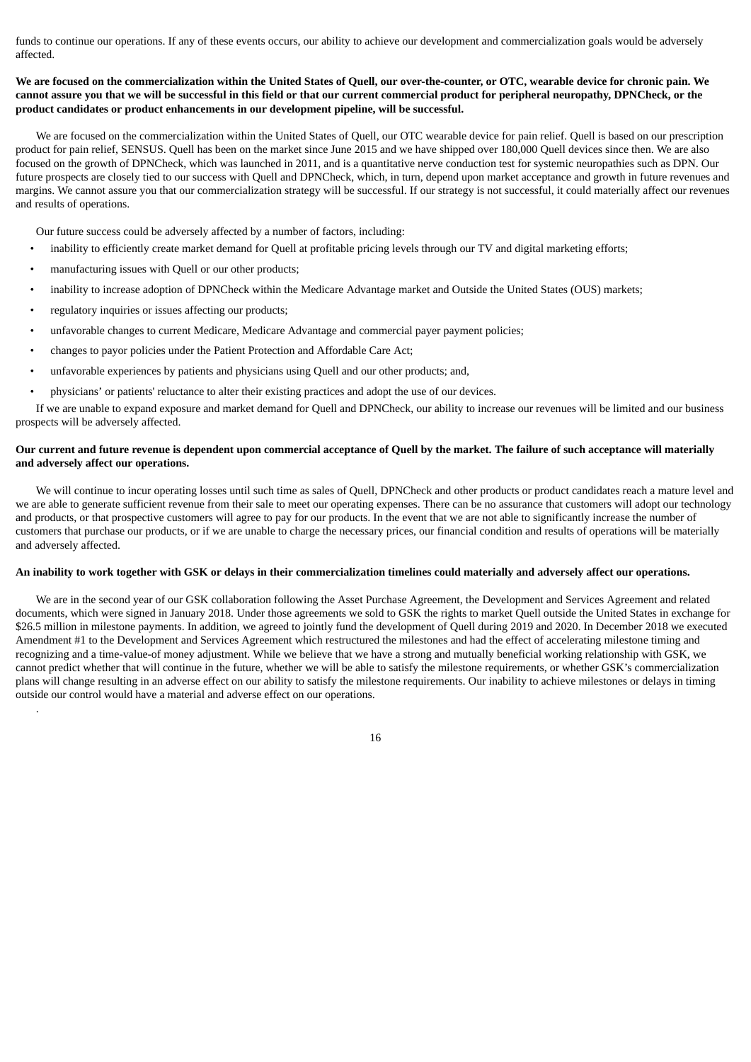funds to continue our operations. If any of these events occurs, our ability to achieve our development and commercialization goals would be adversely affected.

# We are focused on the commercialization within the United States of Ouell, our over-the-counter, or OTC, wearable device for chronic pain. We cannot assure you that we will be successful in this field or that our current commercial product for peripheral neuropathy, DPNCheck, or the **product candidates or product enhancements in our development pipeline, will be successful.**

We are focused on the commercialization within the United States of Quell, our OTC wearable device for pain relief. Quell is based on our prescription product for pain relief, SENSUS. Quell has been on the market since June 2015 and we have shipped over 180,000 Quell devices since then. We are also focused on the growth of DPNCheck, which was launched in 2011, and is a quantitative nerve conduction test for systemic neuropathies such as DPN. Our future prospects are closely tied to our success with Quell and DPNCheck, which, in turn, depend upon market acceptance and growth in future revenues and margins. We cannot assure you that our commercialization strategy will be successful. If our strategy is not successful, it could materially affect our revenues and results of operations.

Our future success could be adversely affected by a number of factors, including:

- inability to efficiently create market demand for Quell at profitable pricing levels through our TV and digital marketing efforts;
- manufacturing issues with Quell or our other products;
- inability to increase adoption of DPNCheck within the Medicare Advantage market and Outside the United States (OUS) markets;
- regulatory inquiries or issues affecting our products;

.

- unfavorable changes to current Medicare, Medicare Advantage and commercial payer payment policies;
- changes to payor policies under the Patient Protection and Affordable Care Act;
- unfavorable experiences by patients and physicians using Quell and our other products; and,
- physicians' or patients' reluctance to alter their existing practices and adopt the use of our devices.

If we are unable to expand exposure and market demand for Quell and DPNCheck, our ability to increase our revenues will be limited and our business prospects will be adversely affected.

# Our current and future revenue is dependent upon commercial acceptance of Quell by the market. The failure of such acceptance will materially **and adversely affect our operations.**

We will continue to incur operating losses until such time as sales of Quell, DPNCheck and other products or product candidates reach a mature level and we are able to generate sufficient revenue from their sale to meet our operating expenses. There can be no assurance that customers will adopt our technology and products, or that prospective customers will agree to pay for our products. In the event that we are not able to significantly increase the number of customers that purchase our products, or if we are unable to charge the necessary prices, our financial condition and results of operations will be materially and adversely affected.

### An inability to work together with GSK or delays in their commercialization timelines could materially and adversely affect our operations.

We are in the second year of our GSK collaboration following the Asset Purchase Agreement, the Development and Services Agreement and related documents, which were signed in January 2018. Under those agreements we sold to GSK the rights to market Quell outside the United States in exchange for \$26.5 million in milestone payments. In addition, we agreed to jointly fund the development of Quell during 2019 and 2020. In December 2018 we executed Amendment #1 to the Development and Services Agreement which restructured the milestones and had the effect of accelerating milestone timing and recognizing and a time-value-of money adjustment. While we believe that we have a strong and mutually beneficial working relationship with GSK, we cannot predict whether that will continue in the future, whether we will be able to satisfy the milestone requirements, or whether GSK's commercialization plans will change resulting in an adverse effect on our ability to satisfy the milestone requirements. Our inability to achieve milestones or delays in timing outside our control would have a material and adverse effect on our operations.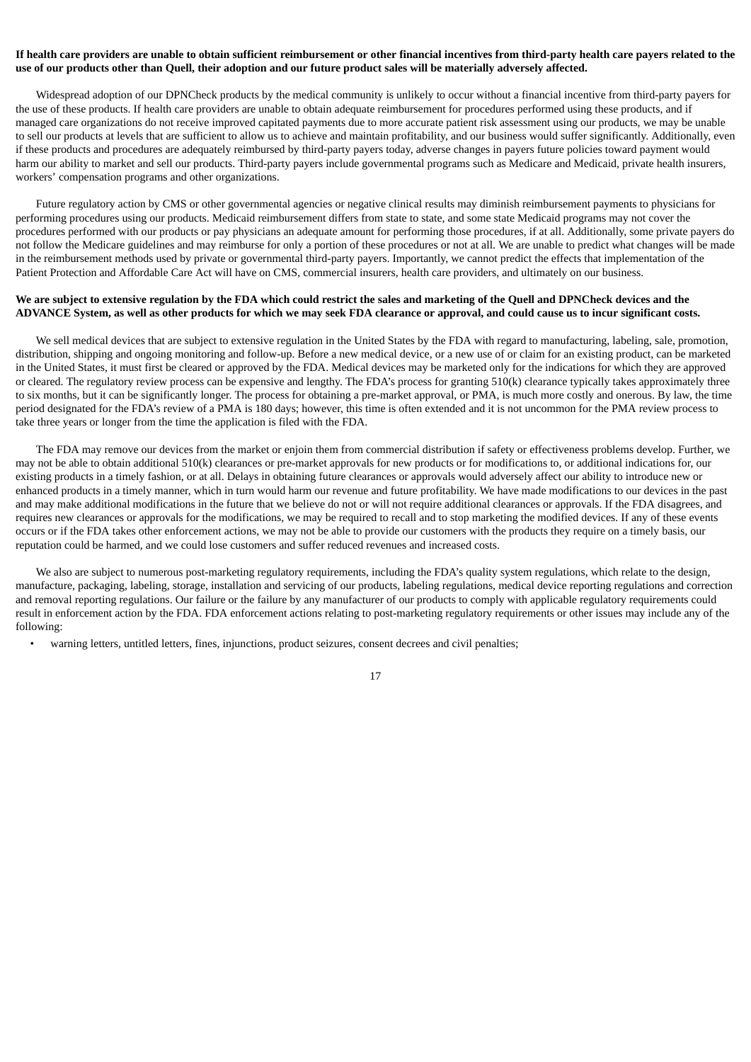# If health care providers are unable to obtain sufficient reimbursement or other financial incentives from third-party health care payers related to the use of our products other than Quell, their adoption and our future product sales will be materially adversely affected.

Widespread adoption of our DPNCheck products by the medical community is unlikely to occur without a financial incentive from third-party payers for the use of these products. If health care providers are unable to obtain adequate reimbursement for procedures performed using these products, and if managed care organizations do not receive improved capitated payments due to more accurate patient risk assessment using our products, we may be unable to sell our products at levels that are sufficient to allow us to achieve and maintain profitability, and our business would suffer significantly. Additionally, even if these products and procedures are adequately reimbursed by third-party payers today, adverse changes in payers future policies toward payment would harm our ability to market and sell our products. Third-party payers include governmental programs such as Medicare and Medicaid, private health insurers, workers' compensation programs and other organizations.

Future regulatory action by CMS or other governmental agencies or negative clinical results may diminish reimbursement payments to physicians for performing procedures using our products. Medicaid reimbursement differs from state to state, and some state Medicaid programs may not cover the procedures performed with our products or pay physicians an adequate amount for performing those procedures, if at all. Additionally, some private payers do not follow the Medicare guidelines and may reimburse for only a portion of these procedures or not at all. We are unable to predict what changes will be made in the reimbursement methods used by private or governmental third-party payers. Importantly, we cannot predict the effects that implementation of the Patient Protection and Affordable Care Act will have on CMS, commercial insurers, health care providers, and ultimately on our business.

### We are subject to extensive regulation by the FDA which could restrict the sales and marketing of the Quell and DPNCheck devices and the ADVANCE System, as well as other products for which we may seek FDA clearance or approval, and could cause us to incur significant costs.

We sell medical devices that are subject to extensive regulation in the United States by the FDA with regard to manufacturing, labeling, sale, promotion, distribution, shipping and ongoing monitoring and follow-up. Before a new medical device, or a new use of or claim for an existing product, can be marketed in the United States, it must first be cleared or approved by the FDA. Medical devices may be marketed only for the indications for which they are approved or cleared. The regulatory review process can be expensive and lengthy. The FDA's process for granting 510(k) clearance typically takes approximately three to six months, but it can be significantly longer. The process for obtaining a pre-market approval, or PMA, is much more costly and onerous. By law, the time period designated for the FDA's review of a PMA is 180 days; however, this time is often extended and it is not uncommon for the PMA review process to take three years or longer from the time the application is filed with the FDA.

The FDA may remove our devices from the market or enjoin them from commercial distribution if safety or effectiveness problems develop. Further, we may not be able to obtain additional 510(k) clearances or pre-market approvals for new products or for modifications to, or additional indications for, our existing products in a timely fashion, or at all. Delays in obtaining future clearances or approvals would adversely affect our ability to introduce new or enhanced products in a timely manner, which in turn would harm our revenue and future profitability. We have made modifications to our devices in the past and may make additional modifications in the future that we believe do not or will not require additional clearances or approvals. If the FDA disagrees, and requires new clearances or approvals for the modifications, we may be required to recall and to stop marketing the modified devices. If any of these events occurs or if the FDA takes other enforcement actions, we may not be able to provide our customers with the products they require on a timely basis, our reputation could be harmed, and we could lose customers and suffer reduced revenues and increased costs.

We also are subject to numerous post-marketing regulatory requirements, including the FDA's quality system regulations, which relate to the design, manufacture, packaging, labeling, storage, installation and servicing of our products, labeling regulations, medical device reporting regulations and correction and removal reporting regulations. Our failure or the failure by any manufacturer of our products to comply with applicable regulatory requirements could result in enforcement action by the FDA. FDA enforcement actions relating to post-marketing regulatory requirements or other issues may include any of the following:

• warning letters, untitled letters, fines, injunctions, product seizures, consent decrees and civil penalties;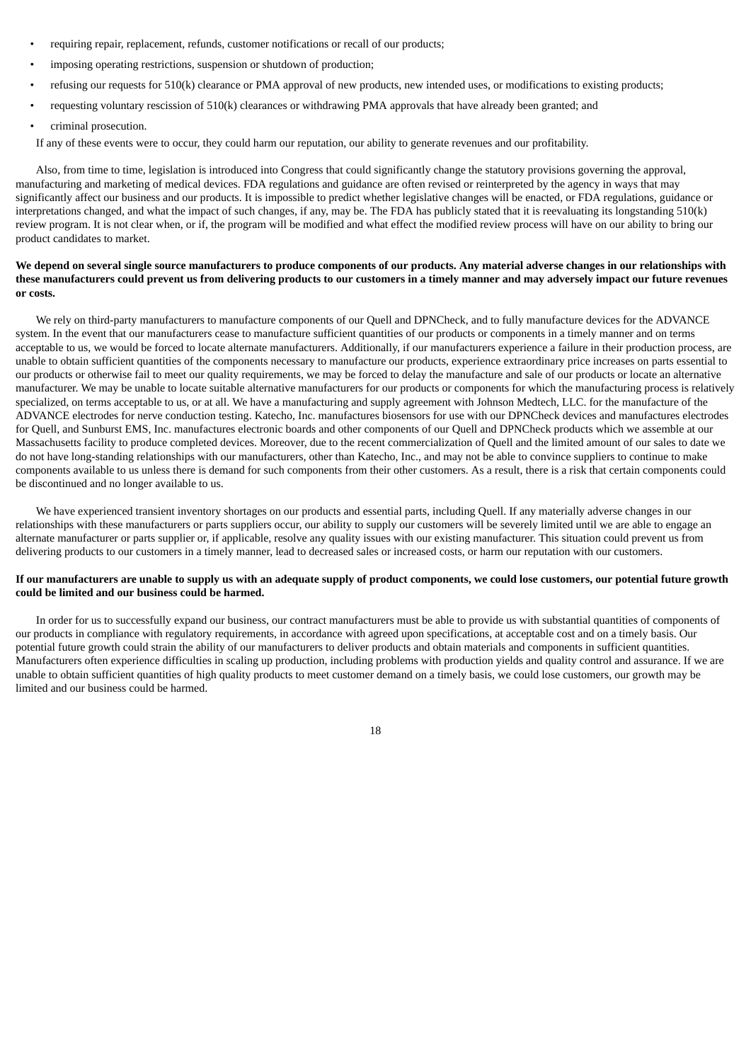- requiring repair, replacement, refunds, customer notifications or recall of our products;
- imposing operating restrictions, suspension or shutdown of production;
- refusing our requests for 510(k) clearance or PMA approval of new products, new intended uses, or modifications to existing products;
- requesting voluntary rescission of 510(k) clearances or withdrawing PMA approvals that have already been granted; and
- criminal prosecution.
- If any of these events were to occur, they could harm our reputation, our ability to generate revenues and our profitability.

Also, from time to time, legislation is introduced into Congress that could significantly change the statutory provisions governing the approval, manufacturing and marketing of medical devices. FDA regulations and guidance are often revised or reinterpreted by the agency in ways that may significantly affect our business and our products. It is impossible to predict whether legislative changes will be enacted, or FDA regulations, guidance or interpretations changed, and what the impact of such changes, if any, may be. The FDA has publicly stated that it is reevaluating its longstanding 510(k) review program. It is not clear when, or if, the program will be modified and what effect the modified review process will have on our ability to bring our product candidates to market.

### We depend on several single source manufacturers to produce components of our products. Any material adverse changes in our relationships with these manufacturers could prevent us from delivering products to our customers in a timely manner and may adversely impact our future revenues **or costs.**

We rely on third-party manufacturers to manufacture components of our Quell and DPNCheck, and to fully manufacture devices for the ADVANCE system. In the event that our manufacturers cease to manufacture sufficient quantities of our products or components in a timely manner and on terms acceptable to us, we would be forced to locate alternate manufacturers. Additionally, if our manufacturers experience a failure in their production process, are unable to obtain sufficient quantities of the components necessary to manufacture our products, experience extraordinary price increases on parts essential to our products or otherwise fail to meet our quality requirements, we may be forced to delay the manufacture and sale of our products or locate an alternative manufacturer. We may be unable to locate suitable alternative manufacturers for our products or components for which the manufacturing process is relatively specialized, on terms acceptable to us, or at all. We have a manufacturing and supply agreement with Johnson Medtech, LLC. for the manufacture of the ADVANCE electrodes for nerve conduction testing. Katecho, Inc. manufactures biosensors for use with our DPNCheck devices and manufactures electrodes for Quell, and Sunburst EMS, Inc. manufactures electronic boards and other components of our Quell and DPNCheck products which we assemble at our Massachusetts facility to produce completed devices. Moreover, due to the recent commercialization of Quell and the limited amount of our sales to date we do not have long-standing relationships with our manufacturers, other than Katecho, Inc., and may not be able to convince suppliers to continue to make components available to us unless there is demand for such components from their other customers. As a result, there is a risk that certain components could be discontinued and no longer available to us.

We have experienced transient inventory shortages on our products and essential parts, including Quell. If any materially adverse changes in our relationships with these manufacturers or parts suppliers occur, our ability to supply our customers will be severely limited until we are able to engage an alternate manufacturer or parts supplier or, if applicable, resolve any quality issues with our existing manufacturer. This situation could prevent us from delivering products to our customers in a timely manner, lead to decreased sales or increased costs, or harm our reputation with our customers.

# If our manufacturers are unable to supply us with an adequate supply of product components, we could lose customers, our potential future growth **could be limited and our business could be harmed.**

In order for us to successfully expand our business, our contract manufacturers must be able to provide us with substantial quantities of components of our products in compliance with regulatory requirements, in accordance with agreed upon specifications, at acceptable cost and on a timely basis. Our potential future growth could strain the ability of our manufacturers to deliver products and obtain materials and components in sufficient quantities. Manufacturers often experience difficulties in scaling up production, including problems with production yields and quality control and assurance. If we are unable to obtain sufficient quantities of high quality products to meet customer demand on a timely basis, we could lose customers, our growth may be limited and our business could be harmed.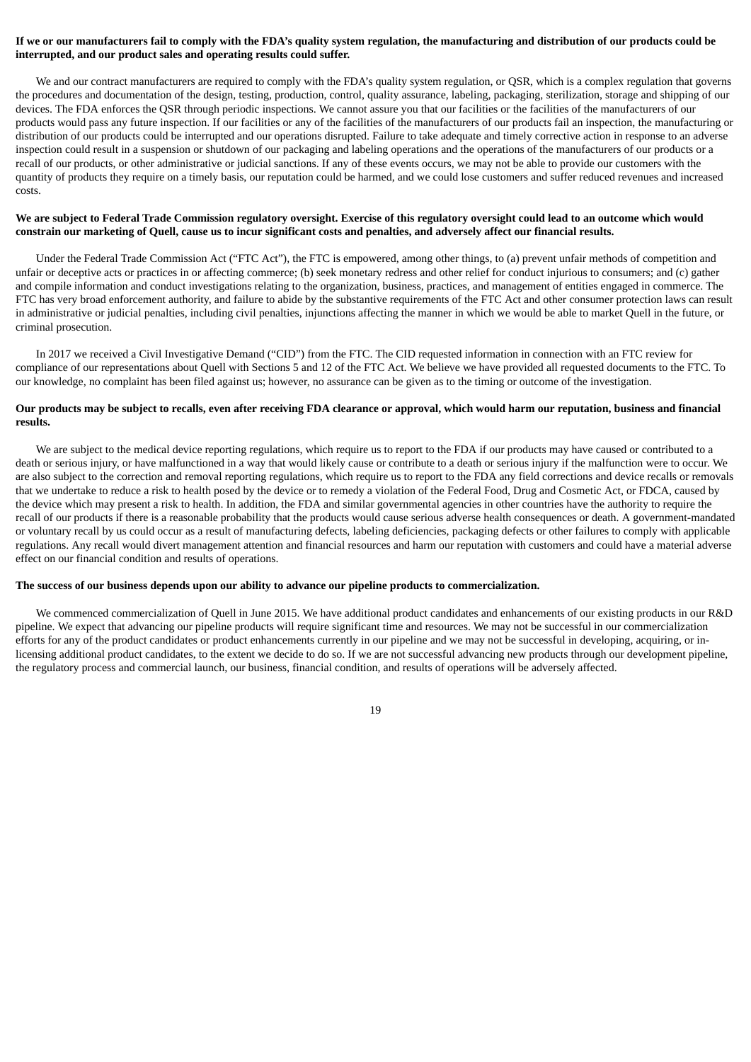# If we or our manufacturers fail to comply with the FDA's quality system regulation, the manufacturing and distribution of our products could be **interrupted, and our product sales and operating results could suffer.**

We and our contract manufacturers are required to comply with the FDA's quality system regulation, or OSR, which is a complex regulation that governs the procedures and documentation of the design, testing, production, control, quality assurance, labeling, packaging, sterilization, storage and shipping of our devices. The FDA enforces the QSR through periodic inspections. We cannot assure you that our facilities or the facilities of the manufacturers of our products would pass any future inspection. If our facilities or any of the facilities of the manufacturers of our products fail an inspection, the manufacturing or distribution of our products could be interrupted and our operations disrupted. Failure to take adequate and timely corrective action in response to an adverse inspection could result in a suspension or shutdown of our packaging and labeling operations and the operations of the manufacturers of our products or a recall of our products, or other administrative or judicial sanctions. If any of these events occurs, we may not be able to provide our customers with the quantity of products they require on a timely basis, our reputation could be harmed, and we could lose customers and suffer reduced revenues and increased costs.

### We are subject to Federal Trade Commission regulatory oversight. Exercise of this regulatory oversight could lead to an outcome which would constrain our marketing of Quell, cause us to incur significant costs and penalties, and adversely affect our financial results.

Under the Federal Trade Commission Act ("FTC Act"), the FTC is empowered, among other things, to (a) prevent unfair methods of competition and unfair or deceptive acts or practices in or affecting commerce; (b) seek monetary redress and other relief for conduct injurious to consumers; and (c) gather and compile information and conduct investigations relating to the organization, business, practices, and management of entities engaged in commerce. The FTC has very broad enforcement authority, and failure to abide by the substantive requirements of the FTC Act and other consumer protection laws can result in administrative or judicial penalties, including civil penalties, injunctions affecting the manner in which we would be able to market Quell in the future, or criminal prosecution.

In 2017 we received a Civil Investigative Demand ("CID") from the FTC. The CID requested information in connection with an FTC review for compliance of our representations about Quell with Sections 5 and 12 of the FTC Act. We believe we have provided all requested documents to the FTC. To our knowledge, no complaint has been filed against us; however, no assurance can be given as to the timing or outcome of the investigation.

### Our products may be subject to recalls, even after receiving FDA clearance or approval, which would harm our reputation, business and financial **results.**

We are subject to the medical device reporting regulations, which require us to report to the FDA if our products may have caused or contributed to a death or serious injury, or have malfunctioned in a way that would likely cause or contribute to a death or serious injury if the malfunction were to occur. We are also subject to the correction and removal reporting regulations, which require us to report to the FDA any field corrections and device recalls or removals that we undertake to reduce a risk to health posed by the device or to remedy a violation of the Federal Food, Drug and Cosmetic Act, or FDCA, caused by the device which may present a risk to health. In addition, the FDA and similar governmental agencies in other countries have the authority to require the recall of our products if there is a reasonable probability that the products would cause serious adverse health consequences or death. A government-mandated or voluntary recall by us could occur as a result of manufacturing defects, labeling deficiencies, packaging defects or other failures to comply with applicable regulations. Any recall would divert management attention and financial resources and harm our reputation with customers and could have a material adverse effect on our financial condition and results of operations.

#### **The success of our business depends upon our ability to advance our pipeline products to commercialization.**

We commenced commercialization of Quell in June 2015. We have additional product candidates and enhancements of our existing products in our R&D pipeline. We expect that advancing our pipeline products will require significant time and resources. We may not be successful in our commercialization efforts for any of the product candidates or product enhancements currently in our pipeline and we may not be successful in developing, acquiring, or inlicensing additional product candidates, to the extent we decide to do so. If we are not successful advancing new products through our development pipeline, the regulatory process and commercial launch, our business, financial condition, and results of operations will be adversely affected.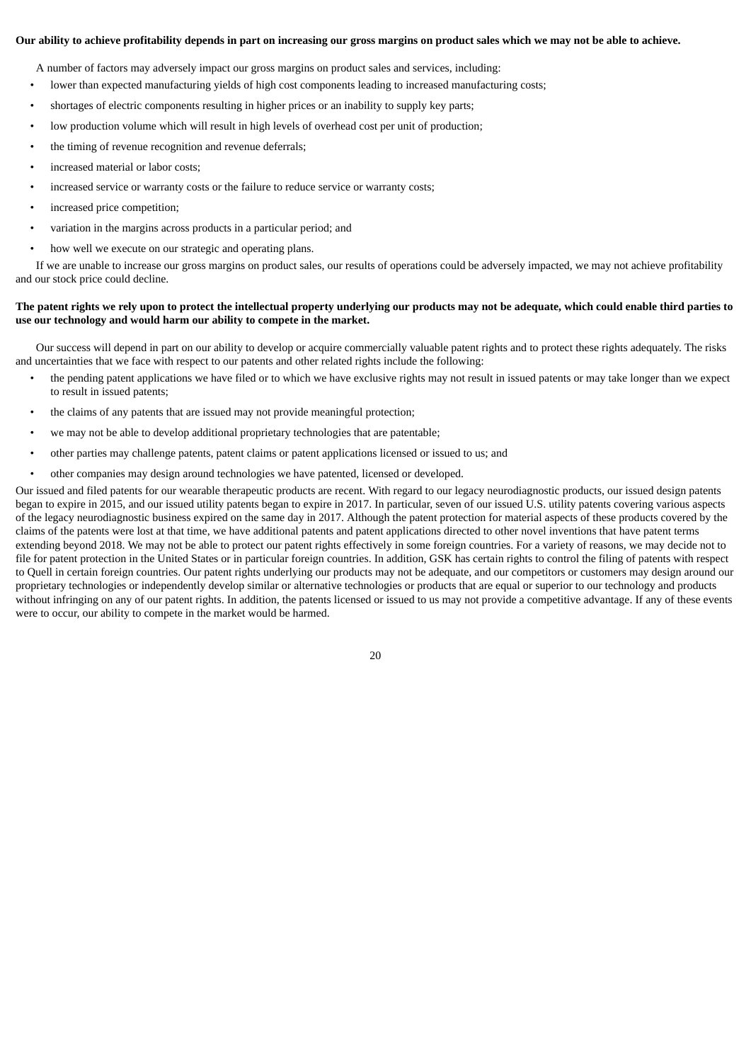### Our ability to achieve profitability depends in part on increasing our gross margins on product sales which we may not be able to achieve.

A number of factors may adversely impact our gross margins on product sales and services, including:

- lower than expected manufacturing yields of high cost components leading to increased manufacturing costs;
- shortages of electric components resulting in higher prices or an inability to supply key parts;
- low production volume which will result in high levels of overhead cost per unit of production;
- the timing of revenue recognition and revenue deferrals;
- increased material or labor costs:
- increased service or warranty costs or the failure to reduce service or warranty costs;
- increased price competition;
- variation in the margins across products in a particular period; and
- how well we execute on our strategic and operating plans.

If we are unable to increase our gross margins on product sales, our results of operations could be adversely impacted, we may not achieve profitability and our stock price could decline.

# The patent rights we rely upon to protect the intellectual property underlying our products may not be adequate, which could enable third parties to **use our technology and would harm our ability to compete in the market.**

Our success will depend in part on our ability to develop or acquire commercially valuable patent rights and to protect these rights adequately. The risks and uncertainties that we face with respect to our patents and other related rights include the following:

- the pending patent applications we have filed or to which we have exclusive rights may not result in issued patents or may take longer than we expect to result in issued patents;
- the claims of any patents that are issued may not provide meaningful protection;
- we may not be able to develop additional proprietary technologies that are patentable;
- other parties may challenge patents, patent claims or patent applications licensed or issued to us; and
- other companies may design around technologies we have patented, licensed or developed.

Our issued and filed patents for our wearable therapeutic products are recent. With regard to our legacy neurodiagnostic products, our issued design patents began to expire in 2015, and our issued utility patents began to expire in 2017. In particular, seven of our issued U.S. utility patents covering various aspects of the legacy neurodiagnostic business expired on the same day in 2017. Although the patent protection for material aspects of these products covered by the claims of the patents were lost at that time, we have additional patents and patent applications directed to other novel inventions that have patent terms extending beyond 2018. We may not be able to protect our patent rights effectively in some foreign countries. For a variety of reasons, we may decide not to file for patent protection in the United States or in particular foreign countries. In addition, GSK has certain rights to control the filing of patents with respect to Quell in certain foreign countries. Our patent rights underlying our products may not be adequate, and our competitors or customers may design around our proprietary technologies or independently develop similar or alternative technologies or products that are equal or superior to our technology and products without infringing on any of our patent rights. In addition, the patents licensed or issued to us may not provide a competitive advantage. If any of these events were to occur, our ability to compete in the market would be harmed.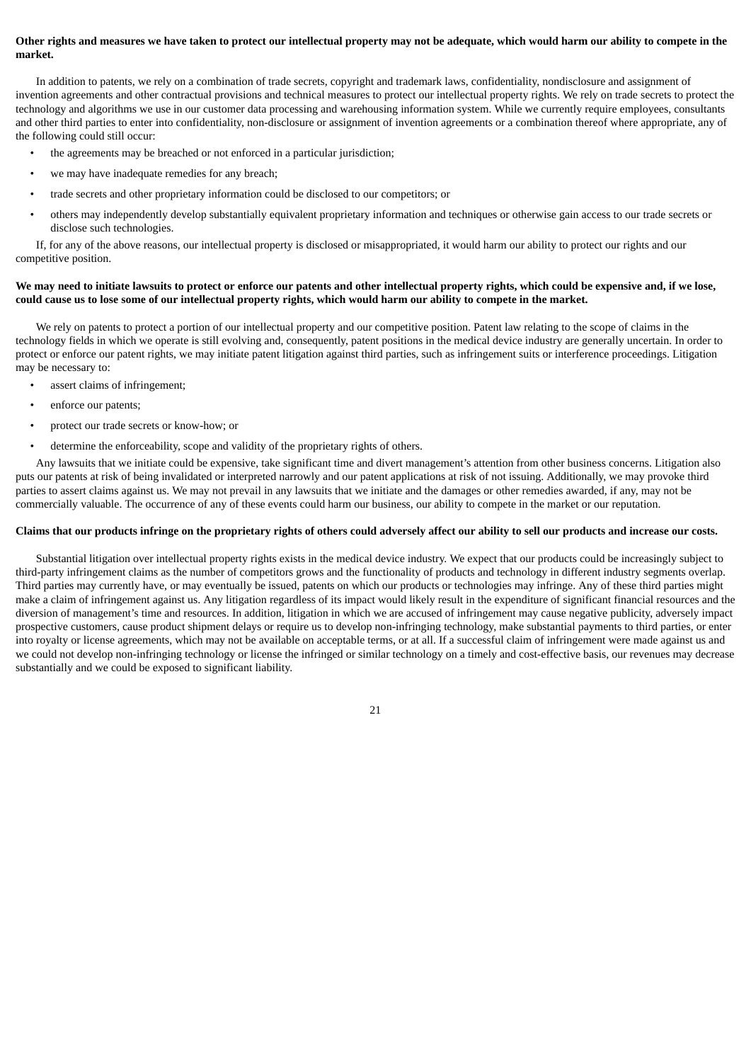# Other rights and measures we have taken to protect our intellectual property may not be adequate, which would harm our ability to compete in the **market.**

In addition to patents, we rely on a combination of trade secrets, copyright and trademark laws, confidentiality, nondisclosure and assignment of invention agreements and other contractual provisions and technical measures to protect our intellectual property rights. We rely on trade secrets to protect the technology and algorithms we use in our customer data processing and warehousing information system. While we currently require employees, consultants and other third parties to enter into confidentiality, non-disclosure or assignment of invention agreements or a combination thereof where appropriate, any of the following could still occur:

- the agreements may be breached or not enforced in a particular jurisdiction;
- we may have inadequate remedies for any breach;
- trade secrets and other proprietary information could be disclosed to our competitors; or
- others may independently develop substantially equivalent proprietary information and techniques or otherwise gain access to our trade secrets or disclose such technologies.

If, for any of the above reasons, our intellectual property is disclosed or misappropriated, it would harm our ability to protect our rights and our competitive position.

# We may need to initiate lawsuits to protect or enforce our patents and other intellectual property rights, which could be expensive and, if we lose, could cause us to lose some of our intellectual property rights, which would harm our ability to compete in the market.

We rely on patents to protect a portion of our intellectual property and our competitive position. Patent law relating to the scope of claims in the technology fields in which we operate is still evolving and, consequently, patent positions in the medical device industry are generally uncertain. In order to protect or enforce our patent rights, we may initiate patent litigation against third parties, such as infringement suits or interference proceedings. Litigation may be necessary to:

- assert claims of infringement;
- enforce our patents;
- protect our trade secrets or know-how; or
- determine the enforceability, scope and validity of the proprietary rights of others.

Any lawsuits that we initiate could be expensive, take significant time and divert management's attention from other business concerns. Litigation also puts our patents at risk of being invalidated or interpreted narrowly and our patent applications at risk of not issuing. Additionally, we may provoke third parties to assert claims against us. We may not prevail in any lawsuits that we initiate and the damages or other remedies awarded, if any, may not be commercially valuable. The occurrence of any of these events could harm our business, our ability to compete in the market or our reputation.

# Claims that our products infringe on the proprietary rights of others could adversely affect our ability to sell our products and increase our costs.

Substantial litigation over intellectual property rights exists in the medical device industry. We expect that our products could be increasingly subject to third-party infringement claims as the number of competitors grows and the functionality of products and technology in different industry segments overlap. Third parties may currently have, or may eventually be issued, patents on which our products or technologies may infringe. Any of these third parties might make a claim of infringement against us. Any litigation regardless of its impact would likely result in the expenditure of significant financial resources and the diversion of management's time and resources. In addition, litigation in which we are accused of infringement may cause negative publicity, adversely impact prospective customers, cause product shipment delays or require us to develop non-infringing technology, make substantial payments to third parties, or enter into royalty or license agreements, which may not be available on acceptable terms, or at all. If a successful claim of infringement were made against us and we could not develop non-infringing technology or license the infringed or similar technology on a timely and cost-effective basis, our revenues may decrease substantially and we could be exposed to significant liability.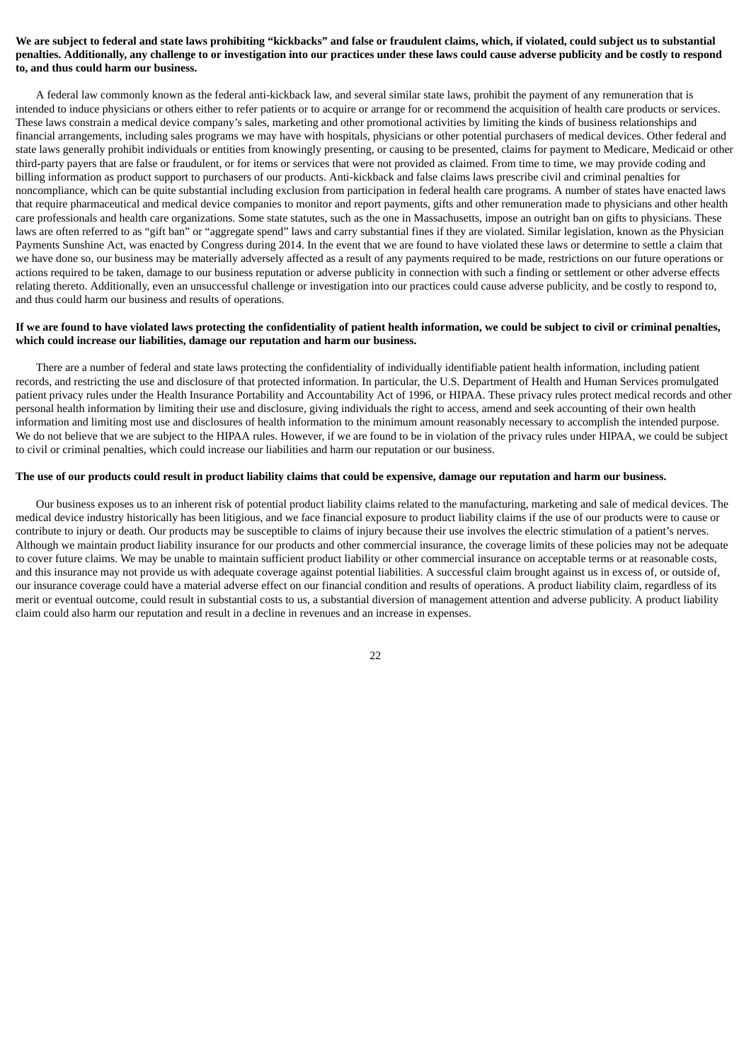### We are subject to federal and state laws prohibiting "kickbacks" and false or fraudulent claims, which, if violated, could subject us to substantial penalties. Additionally, any challenge to or investigation into our practices under these laws could cause adverse publicity and be costly to respond **to, and thus could harm our business.**

A federal law commonly known as the federal anti-kickback law, and several similar state laws, prohibit the payment of any remuneration that is intended to induce physicians or others either to refer patients or to acquire or arrange for or recommend the acquisition of health care products or services. These laws constrain a medical device company's sales, marketing and other promotional activities by limiting the kinds of business relationships and financial arrangements, including sales programs we may have with hospitals, physicians or other potential purchasers of medical devices. Other federal and state laws generally prohibit individuals or entities from knowingly presenting, or causing to be presented, claims for payment to Medicare, Medicaid or other third-party payers that are false or fraudulent, or for items or services that were not provided as claimed. From time to time, we may provide coding and billing information as product support to purchasers of our products. Anti-kickback and false claims laws prescribe civil and criminal penalties for noncompliance, which can be quite substantial including exclusion from participation in federal health care programs. A number of states have enacted laws that require pharmaceutical and medical device companies to monitor and report payments, gifts and other remuneration made to physicians and other health care professionals and health care organizations. Some state statutes, such as the one in Massachusetts, impose an outright ban on gifts to physicians. These laws are often referred to as "gift ban" or "aggregate spend" laws and carry substantial fines if they are violated. Similar legislation, known as the Physician Payments Sunshine Act, was enacted by Congress during 2014. In the event that we are found to have violated these laws or determine to settle a claim that we have done so, our business may be materially adversely affected as a result of any payments required to be made, restrictions on our future operations or actions required to be taken, damage to our business reputation or adverse publicity in connection with such a finding or settlement or other adverse effects relating thereto. Additionally, even an unsuccessful challenge or investigation into our practices could cause adverse publicity, and be costly to respond to, and thus could harm our business and results of operations.

### If we are found to have violated laws protecting the confidentiality of patient health information, we could be subject to civil or criminal penalties, **which could increase our liabilities, damage our reputation and harm our business.**

There are a number of federal and state laws protecting the confidentiality of individually identifiable patient health information, including patient records, and restricting the use and disclosure of that protected information. In particular, the U.S. Department of Health and Human Services promulgated patient privacy rules under the Health Insurance Portability and Accountability Act of 1996, or HIPAA. These privacy rules protect medical records and other personal health information by limiting their use and disclosure, giving individuals the right to access, amend and seek accounting of their own health information and limiting most use and disclosures of health information to the minimum amount reasonably necessary to accomplish the intended purpose. We do not believe that we are subject to the HIPAA rules. However, if we are found to be in violation of the privacy rules under HIPAA, we could be subject to civil or criminal penalties, which could increase our liabilities and harm our reputation or our business.

#### The use of our products could result in product liability claims that could be expensive, damage our reputation and harm our business.

Our business exposes us to an inherent risk of potential product liability claims related to the manufacturing, marketing and sale of medical devices. The medical device industry historically has been litigious, and we face financial exposure to product liability claims if the use of our products were to cause or contribute to injury or death. Our products may be susceptible to claims of injury because their use involves the electric stimulation of a patient's nerves. Although we maintain product liability insurance for our products and other commercial insurance, the coverage limits of these policies may not be adequate to cover future claims. We may be unable to maintain sufficient product liability or other commercial insurance on acceptable terms or at reasonable costs, and this insurance may not provide us with adequate coverage against potential liabilities. A successful claim brought against us in excess of, or outside of, our insurance coverage could have a material adverse effect on our financial condition and results of operations. A product liability claim, regardless of its merit or eventual outcome, could result in substantial costs to us, a substantial diversion of management attention and adverse publicity. A product liability claim could also harm our reputation and result in a decline in revenues and an increase in expenses.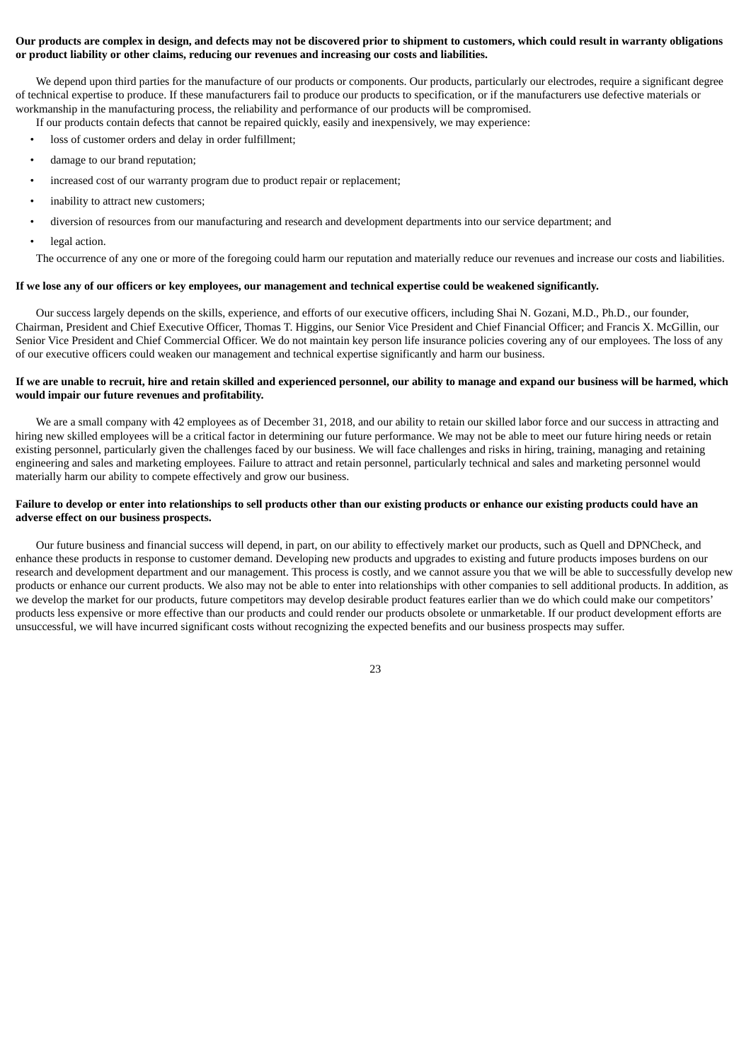# Our products are complex in design, and defects may not be discovered prior to shipment to customers, which could result in warranty obligations **or product liability or other claims, reducing our revenues and increasing our costs and liabilities.**

We depend upon third parties for the manufacture of our products or components. Our products, particularly our electrodes, require a significant degree of technical expertise to produce. If these manufacturers fail to produce our products to specification, or if the manufacturers use defective materials or workmanship in the manufacturing process, the reliability and performance of our products will be compromised.

- If our products contain defects that cannot be repaired quickly, easily and inexpensively, we may experience:
- loss of customer orders and delay in order fulfillment;
- damage to our brand reputation;
- increased cost of our warranty program due to product repair or replacement;
- inability to attract new customers;
- diversion of resources from our manufacturing and research and development departments into our service department; and
- legal action.

The occurrence of any one or more of the foregoing could harm our reputation and materially reduce our revenues and increase our costs and liabilities.

### If we lose any of our officers or key employees, our management and technical expertise could be weakened significantly.

Our success largely depends on the skills, experience, and efforts of our executive officers, including Shai N. Gozani, M.D., Ph.D., our founder, Chairman, President and Chief Executive Officer, Thomas T. Higgins, our Senior Vice President and Chief Financial Officer; and Francis X. McGillin, our Senior Vice President and Chief Commercial Officer. We do not maintain key person life insurance policies covering any of our employees. The loss of any of our executive officers could weaken our management and technical expertise significantly and harm our business.

### If we are unable to recruit, hire and retain skilled and experienced personnel, our ability to manage and expand our business will be harmed, which **would impair our future revenues and profitability.**

We are a small company with 42 employees as of December 31, 2018, and our ability to retain our skilled labor force and our success in attracting and hiring new skilled employees will be a critical factor in determining our future performance. We may not be able to meet our future hiring needs or retain existing personnel, particularly given the challenges faced by our business. We will face challenges and risks in hiring, training, managing and retaining engineering and sales and marketing employees. Failure to attract and retain personnel, particularly technical and sales and marketing personnel would materially harm our ability to compete effectively and grow our business.

# Failure to develop or enter into relationships to sell products other than our existing products or enhance our existing products could have an **adverse effect on our business prospects.**

Our future business and financial success will depend, in part, on our ability to effectively market our products, such as Quell and DPNCheck, and enhance these products in response to customer demand. Developing new products and upgrades to existing and future products imposes burdens on our research and development department and our management. This process is costly, and we cannot assure you that we will be able to successfully develop new products or enhance our current products. We also may not be able to enter into relationships with other companies to sell additional products. In addition, as we develop the market for our products, future competitors may develop desirable product features earlier than we do which could make our competitors' products less expensive or more effective than our products and could render our products obsolete or unmarketable. If our product development efforts are unsuccessful, we will have incurred significant costs without recognizing the expected benefits and our business prospects may suffer.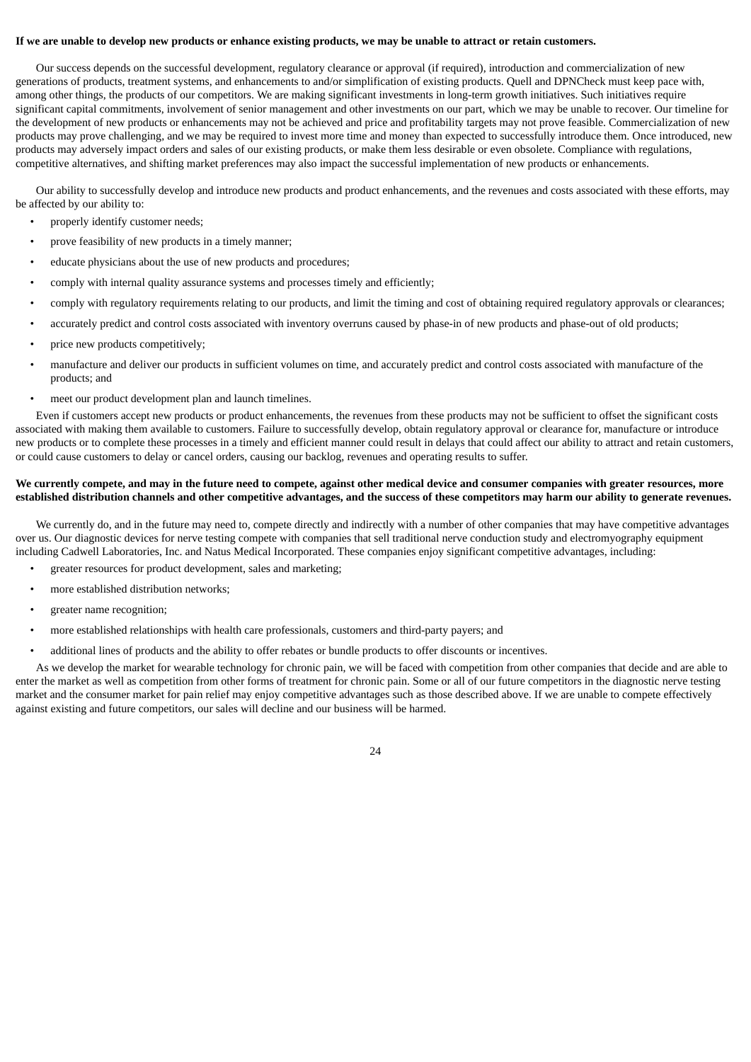### If we are unable to develop new products or enhance existing products, we may be unable to attract or retain customers.

Our success depends on the successful development, regulatory clearance or approval (if required), introduction and commercialization of new generations of products, treatment systems, and enhancements to and/or simplification of existing products. Quell and DPNCheck must keep pace with, among other things, the products of our competitors. We are making significant investments in long-term growth initiatives. Such initiatives require significant capital commitments, involvement of senior management and other investments on our part, which we may be unable to recover. Our timeline for the development of new products or enhancements may not be achieved and price and profitability targets may not prove feasible. Commercialization of new products may prove challenging, and we may be required to invest more time and money than expected to successfully introduce them. Once introduced, new products may adversely impact orders and sales of our existing products, or make them less desirable or even obsolete. Compliance with regulations, competitive alternatives, and shifting market preferences may also impact the successful implementation of new products or enhancements.

Our ability to successfully develop and introduce new products and product enhancements, and the revenues and costs associated with these efforts, may be affected by our ability to:

- properly identify customer needs;
- prove feasibility of new products in a timely manner;
- educate physicians about the use of new products and procedures;
- comply with internal quality assurance systems and processes timely and efficiently;
- comply with regulatory requirements relating to our products, and limit the timing and cost of obtaining required regulatory approvals or clearances;
- accurately predict and control costs associated with inventory overruns caused by phase-in of new products and phase-out of old products;
- price new products competitively;
- manufacture and deliver our products in sufficient volumes on time, and accurately predict and control costs associated with manufacture of the products; and
- meet our product development plan and launch timelines.

Even if customers accept new products or product enhancements, the revenues from these products may not be sufficient to offset the significant costs associated with making them available to customers. Failure to successfully develop, obtain regulatory approval or clearance for, manufacture or introduce new products or to complete these processes in a timely and efficient manner could result in delays that could affect our ability to attract and retain customers, or could cause customers to delay or cancel orders, causing our backlog, revenues and operating results to suffer.

### We currently compete, and may in the future need to compete, against other medical device and consumer companies with greater resources, more established distribution channels and other competitive advantages, and the success of these competitors may harm our ability to generate revenues.

We currently do, and in the future may need to, compete directly and indirectly with a number of other companies that may have competitive advantages over us. Our diagnostic devices for nerve testing compete with companies that sell traditional nerve conduction study and electromyography equipment including Cadwell Laboratories, Inc. and Natus Medical Incorporated. These companies enjoy significant competitive advantages, including:

- greater resources for product development, sales and marketing;
- more established distribution networks;
- greater name recognition;
- more established relationships with health care professionals, customers and third-party payers; and
- additional lines of products and the ability to offer rebates or bundle products to offer discounts or incentives.

As we develop the market for wearable technology for chronic pain, we will be faced with competition from other companies that decide and are able to enter the market as well as competition from other forms of treatment for chronic pain. Some or all of our future competitors in the diagnostic nerve testing market and the consumer market for pain relief may enjoy competitive advantages such as those described above. If we are unable to compete effectively against existing and future competitors, our sales will decline and our business will be harmed.

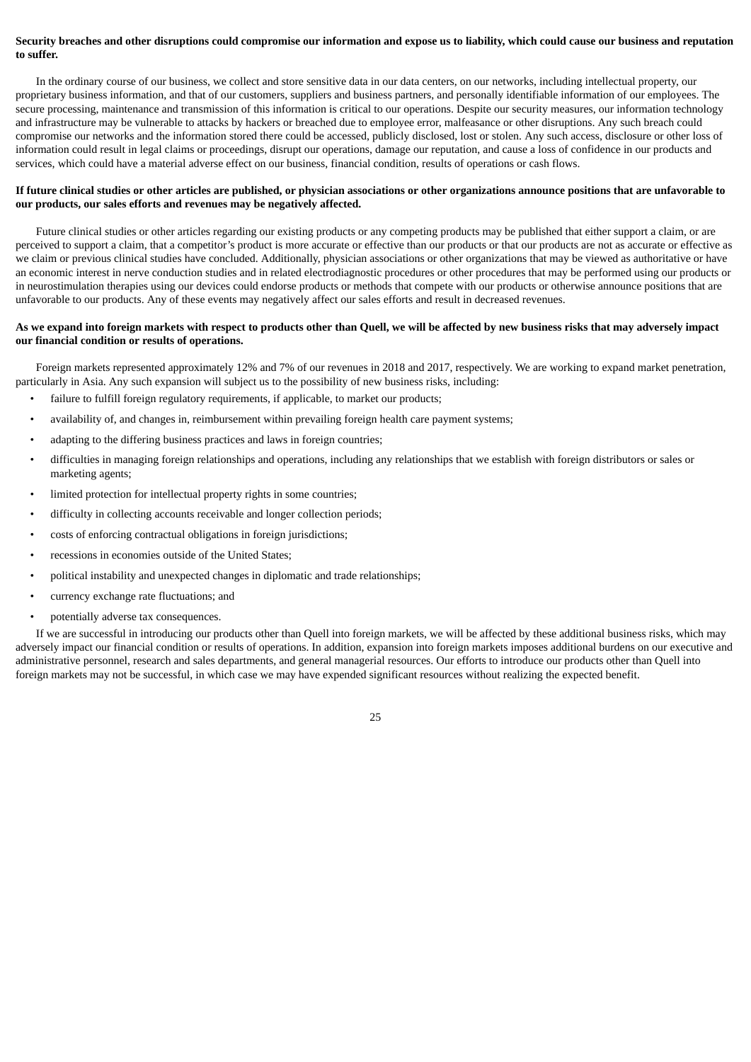# Security breaches and other disruptions could compromise our information and expose us to liability, which could cause our business and reputation **to suffer.**

In the ordinary course of our business, we collect and store sensitive data in our data centers, on our networks, including intellectual property, our proprietary business information, and that of our customers, suppliers and business partners, and personally identifiable information of our employees. The secure processing, maintenance and transmission of this information is critical to our operations. Despite our security measures, our information technology and infrastructure may be vulnerable to attacks by hackers or breached due to employee error, malfeasance or other disruptions. Any such breach could compromise our networks and the information stored there could be accessed, publicly disclosed, lost or stolen. Any such access, disclosure or other loss of information could result in legal claims or proceedings, disrupt our operations, damage our reputation, and cause a loss of confidence in our products and services, which could have a material adverse effect on our business, financial condition, results of operations or cash flows.

# If future clinical studies or other articles are published, or physician associations or other organizations announce positions that are unfavorable to **our products, our sales efforts and revenues may be negatively affected.**

Future clinical studies or other articles regarding our existing products or any competing products may be published that either support a claim, or are perceived to support a claim, that a competitor's product is more accurate or effective than our products or that our products are not as accurate or effective as we claim or previous clinical studies have concluded. Additionally, physician associations or other organizations that may be viewed as authoritative or have an economic interest in nerve conduction studies and in related electrodiagnostic procedures or other procedures that may be performed using our products or in neurostimulation therapies using our devices could endorse products or methods that compete with our products or otherwise announce positions that are unfavorable to our products. Any of these events may negatively affect our sales efforts and result in decreased revenues.

# As we expand into foreign markets with respect to products other than Quell, we will be affected by new business risks that may adversely impact **our financial condition or results of operations.**

Foreign markets represented approximately 12% and 7% of our revenues in 2018 and 2017, respectively. We are working to expand market penetration, particularly in Asia. Any such expansion will subject us to the possibility of new business risks, including:

- failure to fulfill foreign regulatory requirements, if applicable, to market our products;
- availability of, and changes in, reimbursement within prevailing foreign health care payment systems;
- adapting to the differing business practices and laws in foreign countries;
- difficulties in managing foreign relationships and operations, including any relationships that we establish with foreign distributors or sales or marketing agents;
- limited protection for intellectual property rights in some countries;
- difficulty in collecting accounts receivable and longer collection periods;
- costs of enforcing contractual obligations in foreign jurisdictions;
- recessions in economies outside of the United States;
- political instability and unexpected changes in diplomatic and trade relationships;
- currency exchange rate fluctuations; and
- potentially adverse tax consequences.

If we are successful in introducing our products other than Quell into foreign markets, we will be affected by these additional business risks, which may adversely impact our financial condition or results of operations. In addition, expansion into foreign markets imposes additional burdens on our executive and administrative personnel, research and sales departments, and general managerial resources. Our efforts to introduce our products other than Quell into foreign markets may not be successful, in which case we may have expended significant resources without realizing the expected benefit.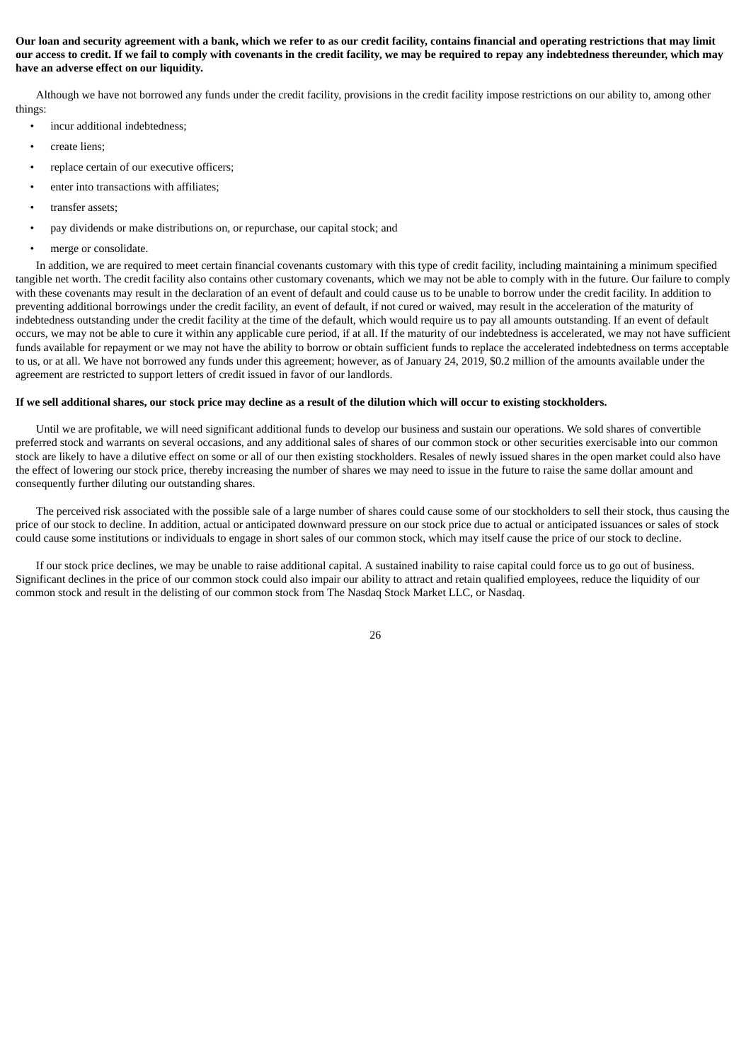Our loan and security agreement with a bank, which we refer to as our credit facility, contains financial and operating restrictions that may limit our access to credit. If we fail to comply with covenants in the credit facility, we may be required to repay any indebtedness thereunder, which may **have an adverse effect on our liquidity.**

Although we have not borrowed any funds under the credit facility, provisions in the credit facility impose restrictions on our ability to, among other things:

- incur additional indebtedness;
- create liens;
- replace certain of our executive officers;
- enter into transactions with affiliates;
- transfer assets;
- pay dividends or make distributions on, or repurchase, our capital stock; and
- merge or consolidate.

In addition, we are required to meet certain financial covenants customary with this type of credit facility, including maintaining a minimum specified tangible net worth. The credit facility also contains other customary covenants, which we may not be able to comply with in the future. Our failure to comply with these covenants may result in the declaration of an event of default and could cause us to be unable to borrow under the credit facility. In addition to preventing additional borrowings under the credit facility, an event of default, if not cured or waived, may result in the acceleration of the maturity of indebtedness outstanding under the credit facility at the time of the default, which would require us to pay all amounts outstanding. If an event of default occurs, we may not be able to cure it within any applicable cure period, if at all. If the maturity of our indebtedness is accelerated, we may not have sufficient funds available for repayment or we may not have the ability to borrow or obtain sufficient funds to replace the accelerated indebtedness on terms acceptable to us, or at all. We have not borrowed any funds under this agreement; however, as of January 24, 2019, \$0.2 million of the amounts available under the agreement are restricted to support letters of credit issued in favor of our landlords.

#### If we sell additional shares, our stock price may decline as a result of the dilution which will occur to existing stockholders.

Until we are profitable, we will need significant additional funds to develop our business and sustain our operations. We sold shares of convertible preferred stock and warrants on several occasions, and any additional sales of shares of our common stock or other securities exercisable into our common stock are likely to have a dilutive effect on some or all of our then existing stockholders. Resales of newly issued shares in the open market could also have the effect of lowering our stock price, thereby increasing the number of shares we may need to issue in the future to raise the same dollar amount and consequently further diluting our outstanding shares.

The perceived risk associated with the possible sale of a large number of shares could cause some of our stockholders to sell their stock, thus causing the price of our stock to decline. In addition, actual or anticipated downward pressure on our stock price due to actual or anticipated issuances or sales of stock could cause some institutions or individuals to engage in short sales of our common stock, which may itself cause the price of our stock to decline.

If our stock price declines, we may be unable to raise additional capital. A sustained inability to raise capital could force us to go out of business. Significant declines in the price of our common stock could also impair our ability to attract and retain qualified employees, reduce the liquidity of our common stock and result in the delisting of our common stock from The Nasdaq Stock Market LLC, or Nasdaq.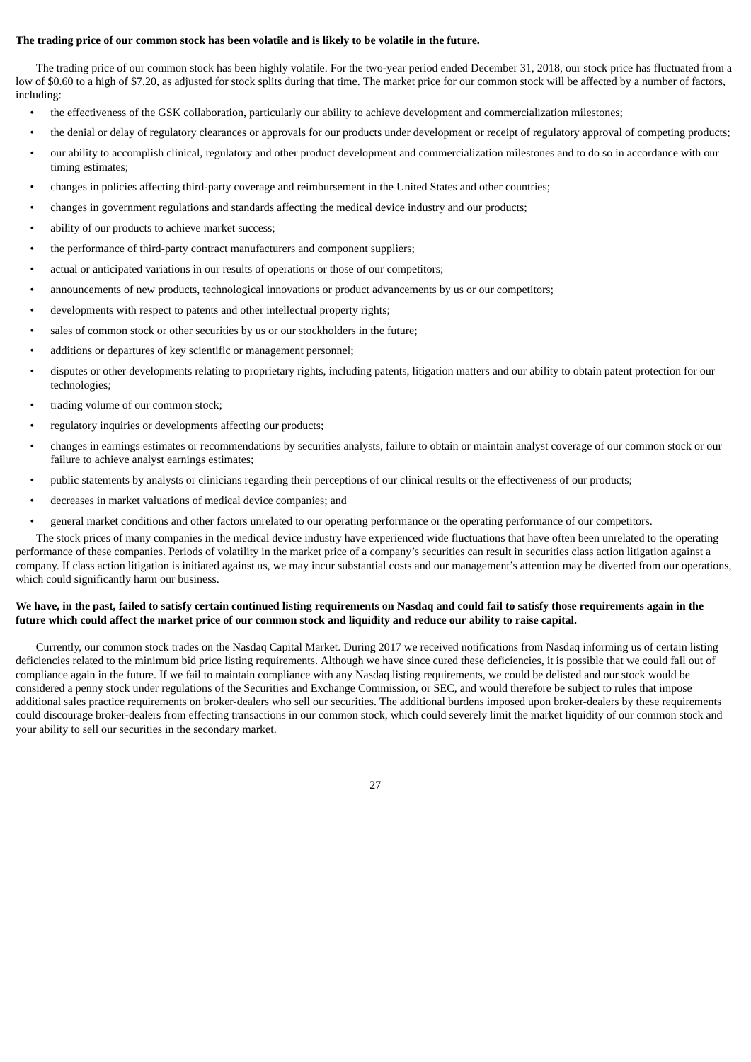#### The trading price of our common stock has been volatile and is likely to be volatile in the future.

The trading price of our common stock has been highly volatile. For the two-year period ended December 31, 2018, our stock price has fluctuated from a low of \$0.60 to a high of \$7.20, as adjusted for stock splits during that time. The market price for our common stock will be affected by a number of factors, including:

- the effectiveness of the GSK collaboration, particularly our ability to achieve development and commercialization milestones;
- the denial or delay of regulatory clearances or approvals for our products under development or receipt of regulatory approval of competing products;
- our ability to accomplish clinical, regulatory and other product development and commercialization milestones and to do so in accordance with our timing estimates;
- changes in policies affecting third-party coverage and reimbursement in the United States and other countries;
- changes in government regulations and standards affecting the medical device industry and our products;
- ability of our products to achieve market success;
- the performance of third-party contract manufacturers and component suppliers;
- actual or anticipated variations in our results of operations or those of our competitors;
- announcements of new products, technological innovations or product advancements by us or our competitors;
- developments with respect to patents and other intellectual property rights;
- sales of common stock or other securities by us or our stockholders in the future;
- additions or departures of key scientific or management personnel;
- disputes or other developments relating to proprietary rights, including patents, litigation matters and our ability to obtain patent protection for our technologies;
- trading volume of our common stock;
- regulatory inquiries or developments affecting our products;
- changes in earnings estimates or recommendations by securities analysts, failure to obtain or maintain analyst coverage of our common stock or our failure to achieve analyst earnings estimates;
- public statements by analysts or clinicians regarding their perceptions of our clinical results or the effectiveness of our products;
- decreases in market valuations of medical device companies; and
- general market conditions and other factors unrelated to our operating performance or the operating performance of our competitors.

The stock prices of many companies in the medical device industry have experienced wide fluctuations that have often been unrelated to the operating performance of these companies. Periods of volatility in the market price of a company's securities can result in securities class action litigation against a company. If class action litigation is initiated against us, we may incur substantial costs and our management's attention may be diverted from our operations, which could significantly harm our business.

# We have, in the past, failed to satisfy certain continued listing requirements on Nasdaq and could fail to satisfy those requirements again in the future which could affect the market price of our common stock and liquidity and reduce our ability to raise capital.

Currently, our common stock trades on the Nasdaq Capital Market. During 2017 we received notifications from Nasdaq informing us of certain listing deficiencies related to the minimum bid price listing requirements. Although we have since cured these deficiencies, it is possible that we could fall out of compliance again in the future. If we fail to maintain compliance with any Nasdaq listing requirements, we could be delisted and our stock would be considered a penny stock under regulations of the Securities and Exchange Commission, or SEC, and would therefore be subject to rules that impose additional sales practice requirements on broker-dealers who sell our securities. The additional burdens imposed upon broker-dealers by these requirements could discourage broker-dealers from effecting transactions in our common stock, which could severely limit the market liquidity of our common stock and your ability to sell our securities in the secondary market.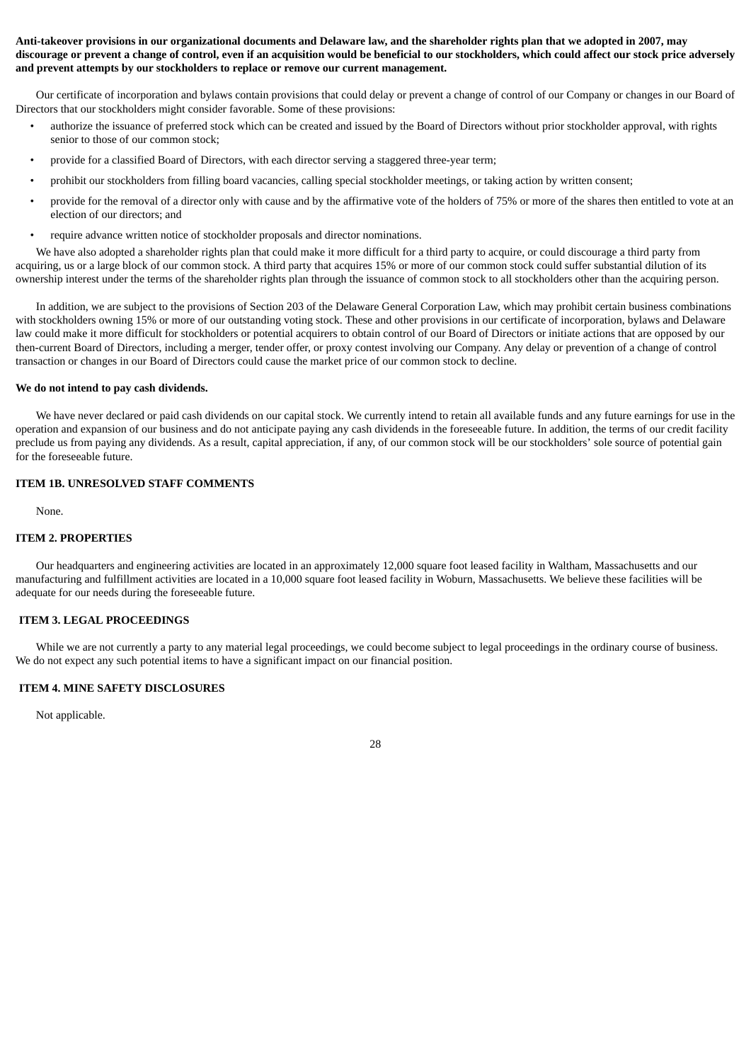Anti-takeover provisions in our organizational documents and Delaware law, and the shareholder rights plan that we adopted in 2007, may discourage or prevent a change of control, even if an acquisition would be beneficial to our stockholders, which could affect our stock price adversely **and prevent attempts by our stockholders to replace or remove our current management.**

Our certificate of incorporation and bylaws contain provisions that could delay or prevent a change of control of our Company or changes in our Board of Directors that our stockholders might consider favorable. Some of these provisions:

- authorize the issuance of preferred stock which can be created and issued by the Board of Directors without prior stockholder approval, with rights senior to those of our common stock;
- provide for a classified Board of Directors, with each director serving a staggered three-year term;
- prohibit our stockholders from filling board vacancies, calling special stockholder meetings, or taking action by written consent;
- provide for the removal of a director only with cause and by the affirmative vote of the holders of 75% or more of the shares then entitled to vote at an election of our directors; and
- require advance written notice of stockholder proposals and director nominations.

We have also adopted a shareholder rights plan that could make it more difficult for a third party to acquire, or could discourage a third party from acquiring, us or a large block of our common stock. A third party that acquires 15% or more of our common stock could suffer substantial dilution of its ownership interest under the terms of the shareholder rights plan through the issuance of common stock to all stockholders other than the acquiring person.

In addition, we are subject to the provisions of Section 203 of the Delaware General Corporation Law, which may prohibit certain business combinations with stockholders owning 15% or more of our outstanding voting stock. These and other provisions in our certificate of incorporation, bylaws and Delaware law could make it more difficult for stockholders or potential acquirers to obtain control of our Board of Directors or initiate actions that are opposed by our then-current Board of Directors, including a merger, tender offer, or proxy contest involving our Company. Any delay or prevention of a change of control transaction or changes in our Board of Directors could cause the market price of our common stock to decline.

#### **We do not intend to pay cash dividends.**

We have never declared or paid cash dividends on our capital stock. We currently intend to retain all available funds and any future earnings for use in the operation and expansion of our business and do not anticipate paying any cash dividends in the foreseeable future. In addition, the terms of our credit facility preclude us from paying any dividends. As a result, capital appreciation, if any, of our common stock will be our stockholders' sole source of potential gain for the foreseeable future.

#### <span id="page-30-0"></span>**ITEM 1B. UNRESOLVED STAFF COMMENTS**

None.

### <span id="page-30-1"></span>**ITEM 2. PROPERTIES**

Our headquarters and engineering activities are located in an approximately 12,000 square foot leased facility in Waltham, Massachusetts and our manufacturing and fulfillment activities are located in a 10,000 square foot leased facility in Woburn, Massachusetts. We believe these facilities will be adequate for our needs during the foreseeable future.

### <span id="page-30-2"></span>**ITEM 3. LEGAL PROCEEDINGS**

While we are not currently a party to any material legal proceedings, we could become subject to legal proceedings in the ordinary course of business. We do not expect any such potential items to have a significant impact on our financial position.

# <span id="page-30-3"></span>**ITEM 4. MINE SAFETY DISCLOSURES**

Not applicable.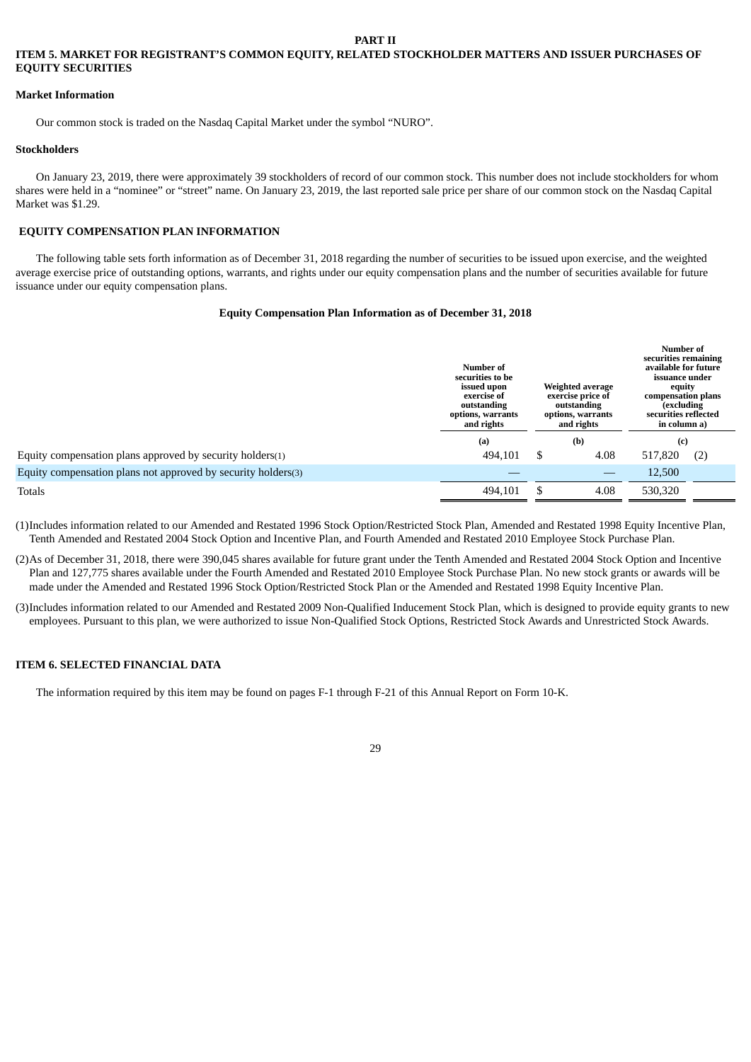# <span id="page-31-0"></span>**ITEM 5. MARKET FOR REGISTRANT'S COMMON EQUITY, RELATED STOCKHOLDER MATTERS AND ISSUER PURCHASES OF EQUITY SECURITIES**

#### **Market Information**

Our common stock is traded on the Nasdaq Capital Market under the symbol "NURO".

#### **Stockholders**

On January 23, 2019, there were approximately 39 stockholders of record of our common stock. This number does not include stockholders for whom shares were held in a "nominee" or "street" name. On January 23, 2019, the last reported sale price per share of our common stock on the Nasdaq Capital Market was \$1.29.

# **EQUITY COMPENSATION PLAN INFORMATION**

The following table sets forth information as of December 31, 2018 regarding the number of securities to be issued upon exercise, and the weighted average exercise price of outstanding options, warrants, and rights under our equity compensation plans and the number of securities available for future issuance under our equity compensation plans.

#### **Equity Compensation Plan Information as of December 31, 2018**

|                                                               | Number of<br>securities to be<br>issued upon<br>exercise of<br>outstanding<br>options, warrants<br>and rights | Weighted average<br>exercise price of<br>outstanding<br>options, warrants<br>and rights | <b>Number of</b><br>securities remaining<br>available for future<br>issuance under<br>equity<br>compensation plans<br>(excluding<br>securities reflected<br>in column a) |     |  |
|---------------------------------------------------------------|---------------------------------------------------------------------------------------------------------------|-----------------------------------------------------------------------------------------|--------------------------------------------------------------------------------------------------------------------------------------------------------------------------|-----|--|
|                                                               | (a)                                                                                                           | (b)                                                                                     | (c)                                                                                                                                                                      |     |  |
| Equity compensation plans approved by security holders(1)     | 494,101                                                                                                       | 4.08                                                                                    | 517,820                                                                                                                                                                  | (2) |  |
| Equity compensation plans not approved by security holders(3) |                                                                                                               |                                                                                         | 12,500                                                                                                                                                                   |     |  |
| <b>Totals</b>                                                 | 494,101                                                                                                       | 4.08                                                                                    | 530,320                                                                                                                                                                  |     |  |

(1)Includes information related to our Amended and Restated 1996 Stock Option/Restricted Stock Plan, Amended and Restated 1998 Equity Incentive Plan, Tenth Amended and Restated 2004 Stock Option and Incentive Plan, and Fourth Amended and Restated 2010 Employee Stock Purchase Plan.

(2)As of December 31, 2018, there were 390,045 shares available for future grant under the Tenth Amended and Restated 2004 Stock Option and Incentive Plan and 127,775 shares available under the Fourth Amended and Restated 2010 Employee Stock Purchase Plan. No new stock grants or awards will be made under the Amended and Restated 1996 Stock Option/Restricted Stock Plan or the Amended and Restated 1998 Equity Incentive Plan.

(3)Includes information related to our Amended and Restated 2009 Non-Qualified Inducement Stock Plan, which is designed to provide equity grants to new employees. Pursuant to this plan, we were authorized to issue Non-Qualified Stock Options, Restricted Stock Awards and Unrestricted Stock Awards.

#### <span id="page-31-1"></span>**ITEM 6. SELECTED FINANCIAL DATA**

The information required by this item may be found on pages F-1 through F-21 of this Annual Report on Form 10-K.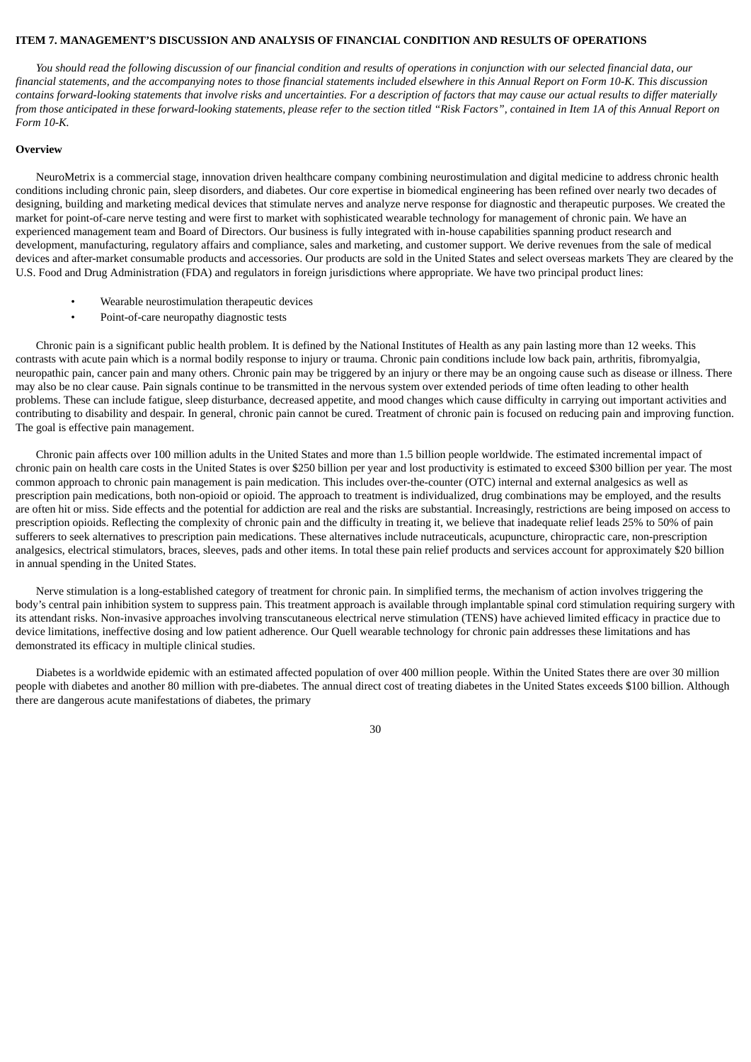### <span id="page-32-0"></span>**ITEM 7. MANAGEMENT'S DISCUSSION AND ANALYSIS OF FINANCIAL CONDITION AND RESULTS OF OPERATIONS**

You should read the following discussion of our financial condition and results of operations in conjunction with our selected financial data, our financial statements, and the accompanyina notes to those financial statements included elsewhere in this Annual Report on Form 10-K. This discussion contains forward-looking statements that involve risks and uncertainties. For a description of factors that may cause our actual results to differ materially from those anticipated in these forward-looking statements, please refer to the section titled "Risk Factors", contained in Item 1A of this Annual Report on *Form 10-K.*

#### **Overview**

NeuroMetrix is a commercial stage, innovation driven healthcare company combining neurostimulation and digital medicine to address chronic health conditions including chronic pain, sleep disorders, and diabetes. Our core expertise in biomedical engineering has been refined over nearly two decades of designing, building and marketing medical devices that stimulate nerves and analyze nerve response for diagnostic and therapeutic purposes. We created the market for point-of-care nerve testing and were first to market with sophisticated wearable technology for management of chronic pain. We have an experienced management team and Board of Directors. Our business is fully integrated with in-house capabilities spanning product research and development, manufacturing, regulatory affairs and compliance, sales and marketing, and customer support. We derive revenues from the sale of medical devices and after-market consumable products and accessories. Our products are sold in the United States and select overseas markets They are cleared by the U.S. Food and Drug Administration (FDA) and regulators in foreign jurisdictions where appropriate. We have two principal product lines:

- Wearable neurostimulation therapeutic devices
- Point-of-care neuropathy diagnostic tests

Chronic pain is a significant public health problem. It is defined by the National Institutes of Health as any pain lasting more than 12 weeks. This contrasts with acute pain which is a normal bodily response to injury or trauma. Chronic pain conditions include low back pain, arthritis, fibromyalgia, neuropathic pain, cancer pain and many others. Chronic pain may be triggered by an injury or there may be an ongoing cause such as disease or illness. There may also be no clear cause. Pain signals continue to be transmitted in the nervous system over extended periods of time often leading to other health problems. These can include fatigue, sleep disturbance, decreased appetite, and mood changes which cause difficulty in carrying out important activities and contributing to disability and despair. In general, chronic pain cannot be cured. Treatment of chronic pain is focused on reducing pain and improving function. The goal is effective pain management.

Chronic pain affects over 100 million adults in the United States and more than 1.5 billion people worldwide. The estimated incremental impact of chronic pain on health care costs in the United States is over \$250 billion per year and lost productivity is estimated to exceed \$300 billion per year. The most common approach to chronic pain management is pain medication. This includes over-the-counter (OTC) internal and external analgesics as well as prescription pain medications, both non-opioid or opioid. The approach to treatment is individualized, drug combinations may be employed, and the results are often hit or miss. Side effects and the potential for addiction are real and the risks are substantial. Increasingly, restrictions are being imposed on access to prescription opioids. Reflecting the complexity of chronic pain and the difficulty in treating it, we believe that inadequate relief leads 25% to 50% of pain sufferers to seek alternatives to prescription pain medications. These alternatives include nutraceuticals, acupuncture, chiropractic care, non-prescription analgesics, electrical stimulators, braces, sleeves, pads and other items. In total these pain relief products and services account for approximately \$20 billion in annual spending in the United States.

Nerve stimulation is a long-established category of treatment for chronic pain. In simplified terms, the mechanism of action involves triggering the body's central pain inhibition system to suppress pain. This treatment approach is available through implantable spinal cord stimulation requiring surgery with its attendant risks. Non-invasive approaches involving transcutaneous electrical nerve stimulation (TENS) have achieved limited efficacy in practice due to device limitations, ineffective dosing and low patient adherence. Our Quell wearable technology for chronic pain addresses these limitations and has demonstrated its efficacy in multiple clinical studies.

Diabetes is a worldwide epidemic with an estimated affected population of over 400 million people. Within the United States there are over 30 million people with diabetes and another 80 million with pre-diabetes. The annual direct cost of treating diabetes in the United States exceeds \$100 billion. Although there are dangerous acute manifestations of diabetes, the primary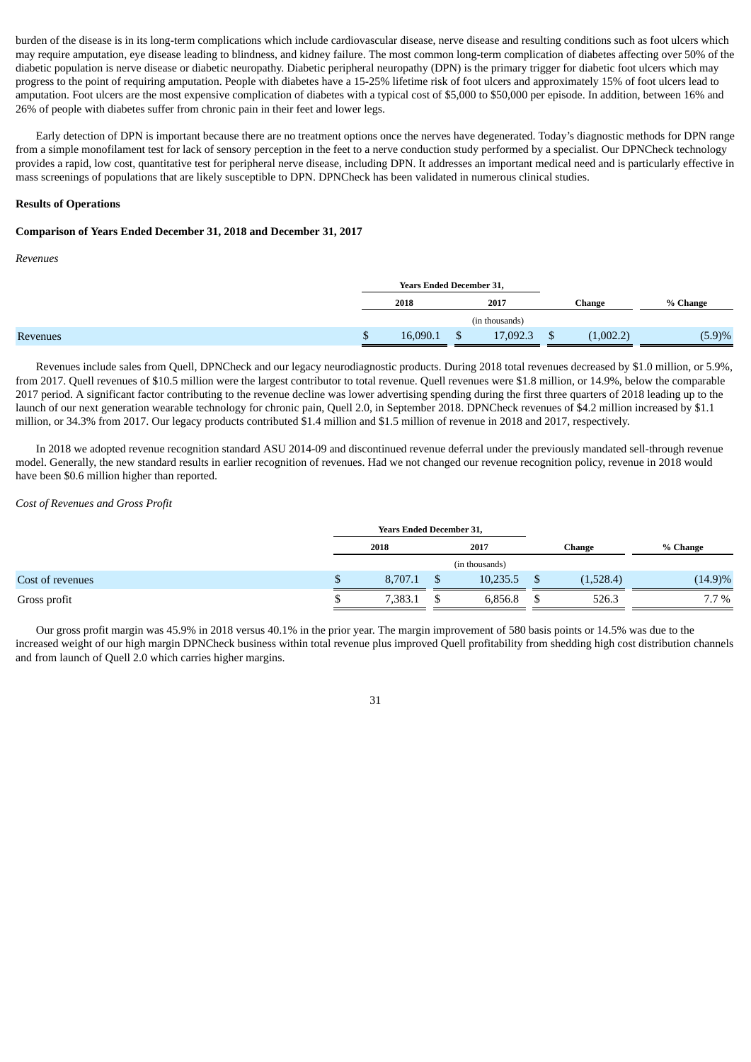burden of the disease is in its long-term complications which include cardiovascular disease, nerve disease and resulting conditions such as foot ulcers which may require amputation, eye disease leading to blindness, and kidney failure. The most common long-term complication of diabetes affecting over 50% of the diabetic population is nerve disease or diabetic neuropathy. Diabetic peripheral neuropathy (DPN) is the primary trigger for diabetic foot ulcers which may progress to the point of requiring amputation. People with diabetes have a 15-25% lifetime risk of foot ulcers and approximately 15% of foot ulcers lead to amputation. Foot ulcers are the most expensive complication of diabetes with a typical cost of \$5,000 to \$50,000 per episode. In addition, between 16% and 26% of people with diabetes suffer from chronic pain in their feet and lower legs.

Early detection of DPN is important because there are no treatment options once the nerves have degenerated. Today's diagnostic methods for DPN range from a simple monofilament test for lack of sensory perception in the feet to a nerve conduction study performed by a specialist. Our DPNCheck technology provides a rapid, low cost, quantitative test for peripheral nerve disease, including DPN. It addresses an important medical need and is particularly effective in mass screenings of populations that are likely susceptible to DPN. DPNCheck has been validated in numerous clinical studies.

#### **Results of Operations**

### **Comparison of Years Ended December 31, 2018 and December 31, 2017**

*Revenues*

|          | <b>Years Ended December 31,</b> |          |  |                |           |          |
|----------|---------------------------------|----------|--|----------------|-----------|----------|
|          |                                 | 2018     |  | 2017           | Change    | % Change |
|          |                                 |          |  | (in thousands) |           |          |
| Revenues |                                 | 16,090.1 |  | 17,092.3       | (1,002.2) | (5.9)%   |
|          |                                 |          |  |                |           |          |

Revenues include sales from Quell, DPNCheck and our legacy neurodiagnostic products. During 2018 total revenues decreased by \$1.0 million, or 5.9%, from 2017. Quell revenues of \$10.5 million were the largest contributor to total revenue. Quell revenues were \$1.8 million, or 14.9%, below the comparable 2017 period. A significant factor contributing to the revenue decline was lower advertising spending during the first three quarters of 2018 leading up to the launch of our next generation wearable technology for chronic pain, Quell 2.0, in September 2018. DPNCheck revenues of \$4.2 million increased by \$1.1 million, or 34.3% from 2017. Our legacy products contributed \$1.4 million and \$1.5 million of revenue in 2018 and 2017, respectively.

In 2018 we adopted revenue recognition standard ASU 2014-09 and discontinued revenue deferral under the previously mandated sell-through revenue model. Generally, the new standard results in earlier recognition of revenues. Had we not changed our revenue recognition policy, revenue in 2018 would have been \$0.6 million higher than reported.

### *Cost of Revenues and Gross Profit*

|                  |   | <b>Years Ended December 31,</b> |  |                |           |            |
|------------------|---|---------------------------------|--|----------------|-----------|------------|
|                  |   | 2018<br>2017                    |  |                | Change    | % Change   |
|                  |   |                                 |  | (in thousands) |           |            |
| Cost of revenues | Φ | 8,707.1                         |  | 10,235.5       | (1,528.4) | $(14.9)\%$ |
| Gross profit     |   | 7,383.1                         |  | 6,856.8        | 526.3     | 7.7%       |

Our gross profit margin was 45.9% in 2018 versus 40.1% in the prior year. The margin improvement of 580 basis points or 14.5% was due to the increased weight of our high margin DPNCheck business within total revenue plus improved Quell profitability from shedding high cost distribution channels and from launch of Quell 2.0 which carries higher margins.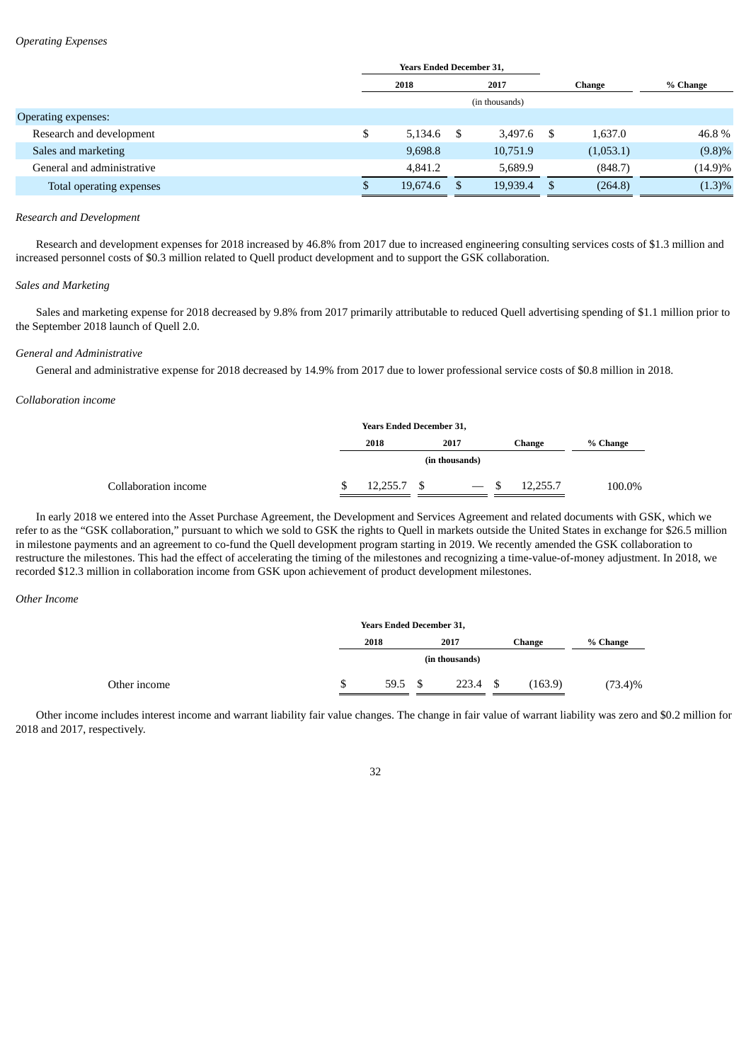#### *Operating Expenses*

|                            | <b>Years Ended December 31,</b> |  |          |      |           |            |
|----------------------------|---------------------------------|--|----------|------|-----------|------------|
|                            | 2018                            |  | 2017     |      | Change    | % Change   |
|                            | (in thousands)                  |  |          |      |           |            |
| Operating expenses:        |                                 |  |          |      |           |            |
| Research and development   | \$<br>5,134.6                   |  | 3,497.6  | - \$ | 1,637.0   | 46.8%      |
| Sales and marketing        | 9,698.8                         |  | 10,751.9 |      | (1,053.1) | (9.8)%     |
| General and administrative | 4.841.2                         |  | 5,689.9  |      | (848.7)   | $(14.9)\%$ |
| Total operating expenses   | 19,674.6                        |  | 19,939.4 | -\$  | (264.8)   | $(1.3)\%$  |

### *Research and Development*

Research and development expenses for 2018 increased by 46.8% from 2017 due to increased engineering consulting services costs of \$1.3 million and increased personnel costs of \$0.3 million related to Quell product development and to support the GSK collaboration.

#### *Sales and Marketing*

Sales and marketing expense for 2018 decreased by 9.8% from 2017 primarily attributable to reduced Quell advertising spending of \$1.1 million prior to the September 2018 launch of Quell 2.0.

### *General and Administrative*

General and administrative expense for 2018 decreased by 14.9% from 2017 due to lower professional service costs of \$0.8 million in 2018.

### *Collaboration income*

|                      | <b>Years Ended December 31,</b> |      |        |  |          |        |  |  |  |
|----------------------|---------------------------------|------|--------|--|----------|--------|--|--|--|
|                      | 2018<br>2017<br>Change          |      |        |  | % Change |        |  |  |  |
|                      | (in thousands)                  |      |        |  |          |        |  |  |  |
| Collaboration income | 12,255.7                        | - \$ | $-$ \$ |  | 12,255.7 | 100.0% |  |  |  |

In early 2018 we entered into the Asset Purchase Agreement, the Development and Services Agreement and related documents with GSK, which we refer to as the "GSK collaboration," pursuant to which we sold to GSK the rights to Quell in markets outside the United States in exchange for \$26.5 million in milestone payments and an agreement to co-fund the Quell development program starting in 2019. We recently amended the GSK collaboration to restructure the milestones. This had the effect of accelerating the timing of the milestones and recognizing a time-value-of-money adjustment. In 2018, we recorded \$12.3 million in collaboration income from GSK upon achievement of product development milestones.

### *Other Income*

|              |   | <b>Years Ended December 31,</b> |      |          |  |          |            |  |  |
|--------------|---|---------------------------------|------|----------|--|----------|------------|--|--|
|              |   | 2018<br>2017                    |      | Change   |  | % Change |            |  |  |
|              |   |                                 |      |          |  |          |            |  |  |
| Other income | S | 59.5                            | - \$ | 223.4 \$ |  | (163.9)  | $(73.4)\%$ |  |  |

Other income includes interest income and warrant liability fair value changes. The change in fair value of warrant liability was zero and \$0.2 million for 2018 and 2017, respectively.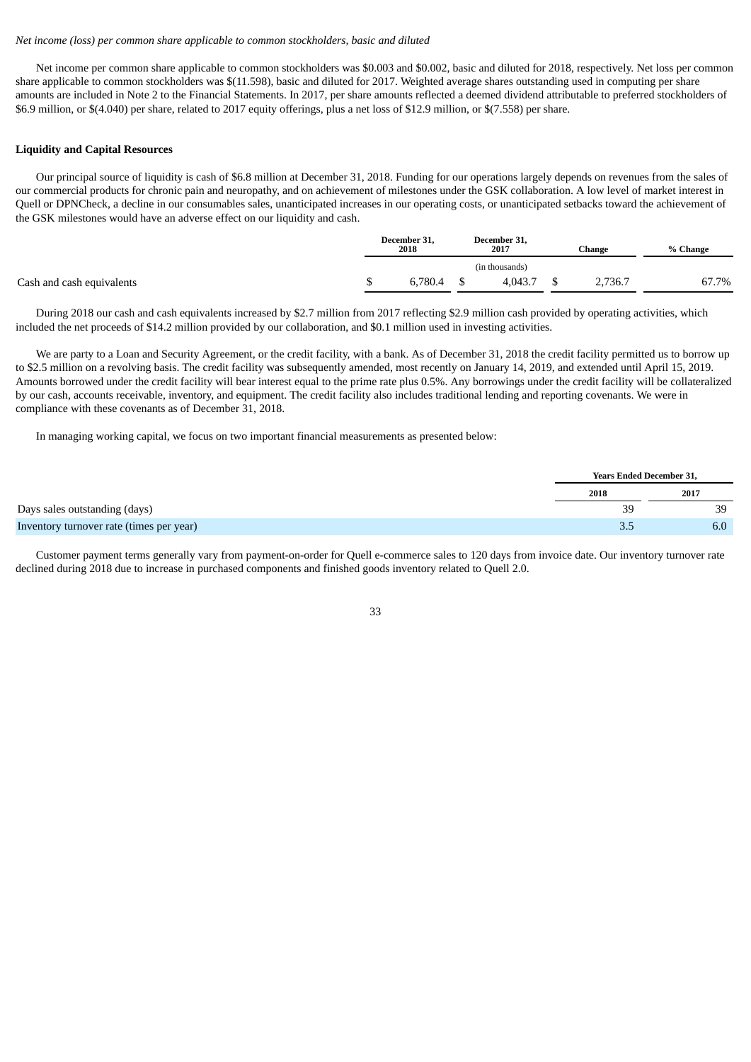#### *Net income (loss) per common share applicable to common stockholders, basic and diluted*

Net income per common share applicable to common stockholders was \$0.003 and \$0.002, basic and diluted for 2018, respectively. Net loss per common share applicable to common stockholders was \$(11.598), basic and diluted for 2017. Weighted average shares outstanding used in computing per share amounts are included in Note 2 to the Financial Statements. In 2017, per share amounts reflected a deemed dividend attributable to preferred stockholders of \$6.9 million, or \$(4.040) per share, related to 2017 equity offerings, plus a net loss of \$12.9 million, or \$(7.558) per share.

#### **Liquidity and Capital Resources**

Our principal source of liquidity is cash of \$6.8 million at December 31, 2018. Funding for our operations largely depends on revenues from the sales of our commercial products for chronic pain and neuropathy, and on achievement of milestones under the GSK collaboration. A low level of market interest in Quell or DPNCheck, a decline in our consumables sales, unanticipated increases in our operating costs, or unanticipated setbacks toward the achievement of the GSK milestones would have an adverse effect on our liquidity and cash.

|                           | December 31,<br>2018 | December 31,<br>2017 |  | <b>Change</b> | % Change |
|---------------------------|----------------------|----------------------|--|---------------|----------|
|                           |                      | (in thousands)       |  |               |          |
| Cash and cash equivalents | 6.780.4              | 4.043.7              |  | 2,736.7       | 67.7%    |

During 2018 our cash and cash equivalents increased by \$2.7 million from 2017 reflecting \$2.9 million cash provided by operating activities, which included the net proceeds of \$14.2 million provided by our collaboration, and \$0.1 million used in investing activities.

We are party to a Loan and Security Agreement, or the credit facility, with a bank. As of December 31, 2018 the credit facility permitted us to borrow up to \$2.5 million on a revolving basis. The credit facility was subsequently amended, most recently on January 14, 2019, and extended until April 15, 2019. Amounts borrowed under the credit facility will bear interest equal to the prime rate plus 0.5%. Any borrowings under the credit facility will be collateralized by our cash, accounts receivable, inventory, and equipment. The credit facility also includes traditional lending and reporting covenants. We were in compliance with these covenants as of December 31, 2018.

In managing working capital, we focus on two important financial measurements as presented below:

|                                          | <b>Years Ended December 31,</b> |      |
|------------------------------------------|---------------------------------|------|
|                                          | 2018                            | 2017 |
| Days sales outstanding (days)            | 39                              | 39   |
| Inventory turnover rate (times per year) | 3.5                             | 6.0  |

Customer payment terms generally vary from payment-on-order for Quell e-commerce sales to 120 days from invoice date. Our inventory turnover rate declined during 2018 due to increase in purchased components and finished goods inventory related to Quell 2.0.

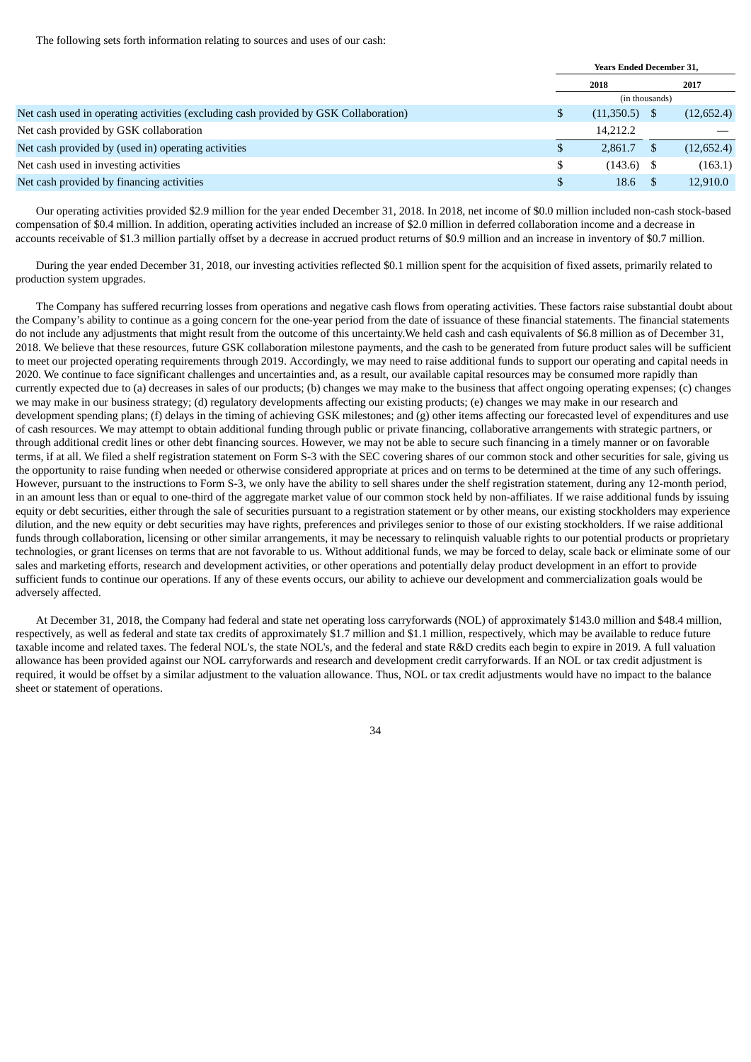The following sets forth information relating to sources and uses of our cash:

|                                                                                      | <b>Years Ended December 31,</b> |                |            |
|--------------------------------------------------------------------------------------|---------------------------------|----------------|------------|
|                                                                                      | 2018                            |                | 2017       |
|                                                                                      |                                 | (in thousands) |            |
| Net cash used in operating activities (excluding cash provided by GSK Collaboration) | \$<br>(11,350.5)                |                | (12,652.4) |
| Net cash provided by GSK collaboration                                               | 14.212.2                        |                |            |
| Net cash provided by (used in) operating activities                                  | \$<br>2.861.7                   | <sup>\$</sup>  | (12,652.4) |
| Net cash used in investing activities                                                | \$<br>(143.6)                   |                | (163.1)    |
| Net cash provided by financing activities                                            | \$<br>18.6                      |                | 12,910.0   |
|                                                                                      |                                 |                |            |

Our operating activities provided \$2.9 million for the year ended December 31, 2018. In 2018, net income of \$0.0 million included non-cash stock-based compensation of \$0.4 million. In addition, operating activities included an increase of \$2.0 million in deferred collaboration income and a decrease in accounts receivable of \$1.3 million partially offset by a decrease in accrued product returns of \$0.9 million and an increase in inventory of \$0.7 million.

During the year ended December 31, 2018, our investing activities reflected \$0.1 million spent for the acquisition of fixed assets, primarily related to production system upgrades.

The Company has suffered recurring losses from operations and negative cash flows from operating activities. These factors raise substantial doubt about the Company's ability to continue as a going concern for the one-year period from the date of issuance of these financial statements. The financial statements do not include any adjustments that might result from the outcome of this uncertainty.We held cash and cash equivalents of \$6.8 million as of December 31, 2018. We believe that these resources, future GSK collaboration milestone payments, and the cash to be generated from future product sales will be sufficient to meet our projected operating requirements through 2019. Accordingly, we may need to raise additional funds to support our operating and capital needs in 2020. We continue to face significant challenges and uncertainties and, as a result, our available capital resources may be consumed more rapidly than currently expected due to (a) decreases in sales of our products; (b) changes we may make to the business that affect ongoing operating expenses; (c) changes we may make in our business strategy; (d) regulatory developments affecting our existing products; (e) changes we may make in our research and development spending plans; (f) delays in the timing of achieving GSK milestones; and (g) other items affecting our forecasted level of expenditures and use of cash resources. We may attempt to obtain additional funding through public or private financing, collaborative arrangements with strategic partners, or through additional credit lines or other debt financing sources. However, we may not be able to secure such financing in a timely manner or on favorable terms, if at all. We filed a shelf registration statement on Form S-3 with the SEC covering shares of our common stock and other securities for sale, giving us the opportunity to raise funding when needed or otherwise considered appropriate at prices and on terms to be determined at the time of any such offerings. However, pursuant to the instructions to Form S-3, we only have the ability to sell shares under the shelf registration statement, during any 12-month period, in an amount less than or equal to one-third of the aggregate market value of our common stock held by non-affiliates. If we raise additional funds by issuing equity or debt securities, either through the sale of securities pursuant to a registration statement or by other means, our existing stockholders may experience dilution, and the new equity or debt securities may have rights, preferences and privileges senior to those of our existing stockholders. If we raise additional funds through collaboration, licensing or other similar arrangements, it may be necessary to relinquish valuable rights to our potential products or proprietary technologies, or grant licenses on terms that are not favorable to us. Without additional funds, we may be forced to delay, scale back or eliminate some of our sales and marketing efforts, research and development activities, or other operations and potentially delay product development in an effort to provide sufficient funds to continue our operations. If any of these events occurs, our ability to achieve our development and commercialization goals would be adversely affected.

At December 31, 2018, the Company had federal and state net operating loss carryforwards (NOL) of approximately \$143.0 million and \$48.4 million, respectively, as well as federal and state tax credits of approximately \$1.7 million and \$1.1 million, respectively, which may be available to reduce future taxable income and related taxes. The federal NOL's, the state NOL's, and the federal and state R&D credits each begin to expire in 2019. A full valuation allowance has been provided against our NOL carryforwards and research and development credit carryforwards. If an NOL or tax credit adjustment is required, it would be offset by a similar adjustment to the valuation allowance. Thus, NOL or tax credit adjustments would have no impact to the balance sheet or statement of operations.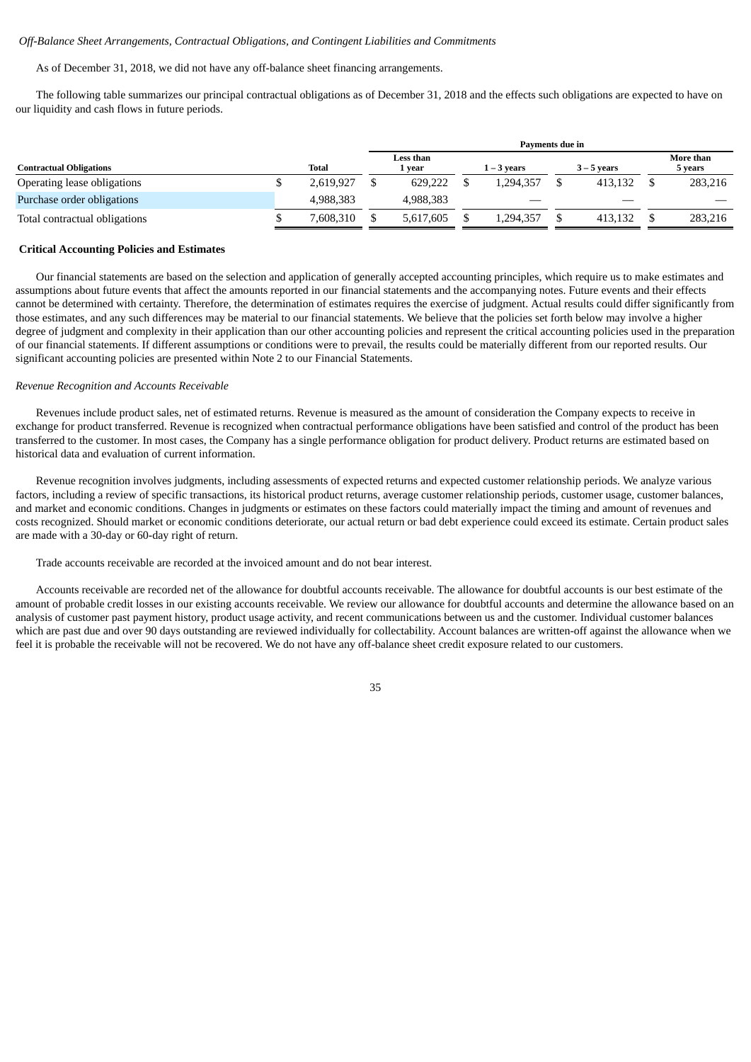### *Off-Balance Sheet Arrangements, Contractual Obligations, and Contingent Liabilities and Commitments*

## As of December 31, 2018, we did not have any off-balance sheet financing arrangements.

The following table summarizes our principal contractual obligations as of December 31, 2018 and the effects such obligations are expected to have on our liquidity and cash flows in future periods.

|                                |              | Payments due in |                     |  |             |  |               |  |                      |
|--------------------------------|--------------|-----------------|---------------------|--|-------------|--|---------------|--|----------------------|
| <b>Contractual Obligations</b> | <b>Total</b> |                 | Less than<br>1 vear |  | 1 – 3 vears |  | $3 - 5$ years |  | More than<br>5 years |
| Operating lease obligations    | 2.619.927    |                 | 629,222             |  | 1,294,357   |  | 413.132       |  | 283,216              |
| Purchase order obligations     | 4.988.383    |                 | 4,988,383           |  |             |  |               |  |                      |
| Total contractual obligations  | 7.608.310    |                 | 5,617,605           |  | 1,294,357   |  | 413.132       |  | 283,216              |

#### **Critical Accounting Policies and Estimates**

Our financial statements are based on the selection and application of generally accepted accounting principles, which require us to make estimates and assumptions about future events that affect the amounts reported in our financial statements and the accompanying notes. Future events and their effects cannot be determined with certainty. Therefore, the determination of estimates requires the exercise of judgment. Actual results could differ significantly from those estimates, and any such differences may be material to our financial statements. We believe that the policies set forth below may involve a higher degree of judgment and complexity in their application than our other accounting policies and represent the critical accounting policies used in the preparation of our financial statements. If different assumptions or conditions were to prevail, the results could be materially different from our reported results. Our significant accounting policies are presented within Note 2 to our Financial Statements.

### *Revenue Recognition and Accounts Receivable*

Revenues include product sales, net of estimated returns. Revenue is measured as the amount of consideration the Company expects to receive in exchange for product transferred. Revenue is recognized when contractual performance obligations have been satisfied and control of the product has been transferred to the customer. In most cases, the Company has a single performance obligation for product delivery. Product returns are estimated based on historical data and evaluation of current information.

Revenue recognition involves judgments, including assessments of expected returns and expected customer relationship periods. We analyze various factors, including a review of specific transactions, its historical product returns, average customer relationship periods, customer usage, customer balances, and market and economic conditions. Changes in judgments or estimates on these factors could materially impact the timing and amount of revenues and costs recognized. Should market or economic conditions deteriorate, our actual return or bad debt experience could exceed its estimate. Certain product sales are made with a 30-day or 60-day right of return.

Trade accounts receivable are recorded at the invoiced amount and do not bear interest.

Accounts receivable are recorded net of the allowance for doubtful accounts receivable. The allowance for doubtful accounts is our best estimate of the amount of probable credit losses in our existing accounts receivable. We review our allowance for doubtful accounts and determine the allowance based on an analysis of customer past payment history, product usage activity, and recent communications between us and the customer. Individual customer balances which are past due and over 90 days outstanding are reviewed individually for collectability. Account balances are written-off against the allowance when we feel it is probable the receivable will not be recovered. We do not have any off-balance sheet credit exposure related to our customers.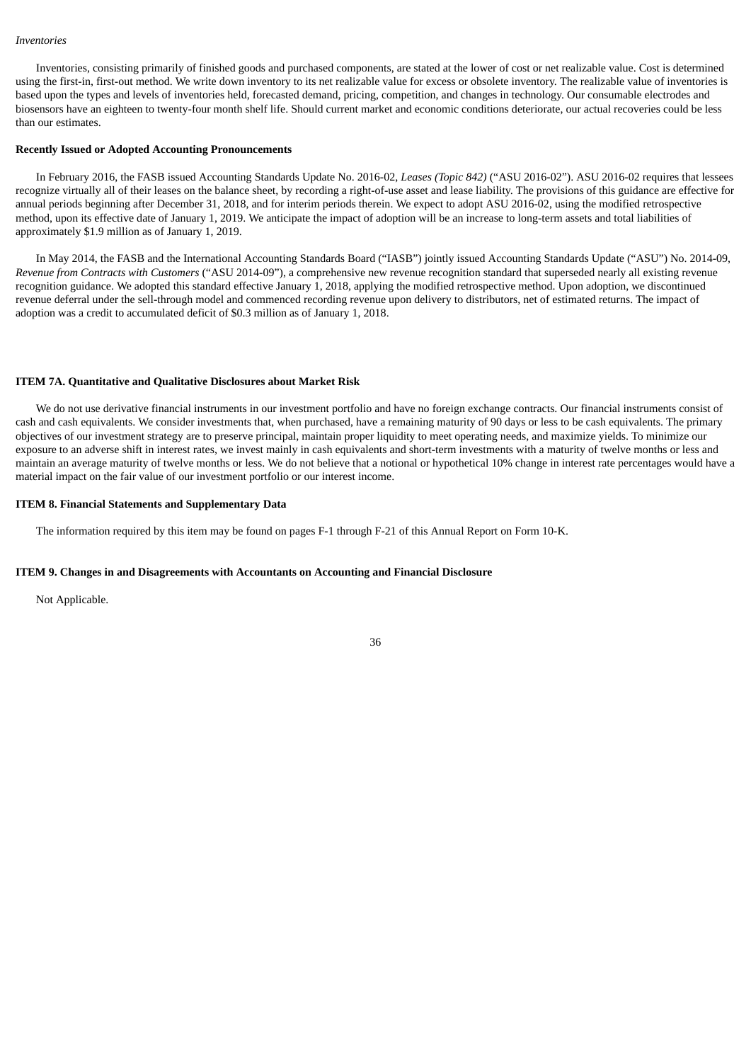#### *Inventories*

Inventories, consisting primarily of finished goods and purchased components, are stated at the lower of cost or net realizable value. Cost is determined using the first-in, first-out method. We write down inventory to its net realizable value for excess or obsolete inventory. The realizable value of inventories is based upon the types and levels of inventories held, forecasted demand, pricing, competition, and changes in technology. Our consumable electrodes and biosensors have an eighteen to twenty-four month shelf life. Should current market and economic conditions deteriorate, our actual recoveries could be less than our estimates.

## **Recently Issued or Adopted Accounting Pronouncements**

In February 2016, the FASB issued Accounting Standards Update No. 2016-02, *Leases (Topic 842)* ("ASU 2016-02"). ASU 2016-02 requires that lessees recognize virtually all of their leases on the balance sheet, by recording a right-of-use asset and lease liability. The provisions of this guidance are effective for annual periods beginning after December 31, 2018, and for interim periods therein. We expect to adopt ASU 2016-02, using the modified retrospective method, upon its effective date of January 1, 2019. We anticipate the impact of adoption will be an increase to long-term assets and total liabilities of approximately \$1.9 million as of January 1, 2019.

In May 2014, the FASB and the International Accounting Standards Board ("IASB") jointly issued Accounting Standards Update ("ASU") No. 2014-09, *Revenue from Contracts with Customers* ("ASU 2014-09"), a comprehensive new revenue recognition standard that superseded nearly all existing revenue recognition guidance. We adopted this standard effective January 1, 2018, applying the modified retrospective method. Upon adoption, we discontinued revenue deferral under the sell-through model and commenced recording revenue upon delivery to distributors, net of estimated returns. The impact of adoption was a credit to accumulated deficit of \$0.3 million as of January 1, 2018.

#### **ITEM 7A. Quantitative and Qualitative Disclosures about Market Risk**

We do not use derivative financial instruments in our investment portfolio and have no foreign exchange contracts. Our financial instruments consist of cash and cash equivalents. We consider investments that, when purchased, have a remaining maturity of 90 days or less to be cash equivalents. The primary objectives of our investment strategy are to preserve principal, maintain proper liquidity to meet operating needs, and maximize yields. To minimize our exposure to an adverse shift in interest rates, we invest mainly in cash equivalents and short-term investments with a maturity of twelve months or less and maintain an average maturity of twelve months or less. We do not believe that a notional or hypothetical 10% change in interest rate percentages would have a material impact on the fair value of our investment portfolio or our interest income.

### **ITEM 8. Financial Statements and Supplementary Data**

The information required by this item may be found on pages F-1 through F-21 of this Annual Report on Form 10-K.

### **ITEM 9. Changes in and Disagreements with Accountants on Accounting and Financial Disclosure**

Not Applicable.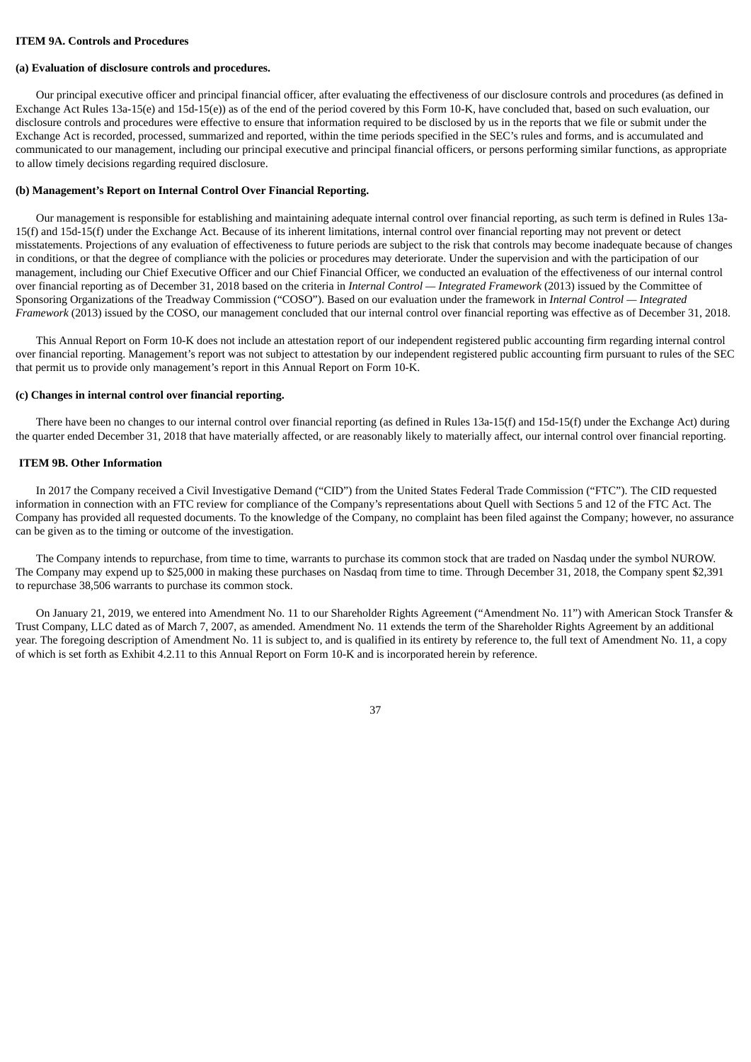### **ITEM 9A. Controls and Procedures**

## **(a) Evaluation of disclosure controls and procedures.**

Our principal executive officer and principal financial officer, after evaluating the effectiveness of our disclosure controls and procedures (as defined in Exchange Act Rules 13a-15(e) and 15d-15(e)) as of the end of the period covered by this Form 10-K, have concluded that, based on such evaluation, our disclosure controls and procedures were effective to ensure that information required to be disclosed by us in the reports that we file or submit under the Exchange Act is recorded, processed, summarized and reported, within the time periods specified in the SEC's rules and forms, and is accumulated and communicated to our management, including our principal executive and principal financial officers, or persons performing similar functions, as appropriate to allow timely decisions regarding required disclosure.

## **(b) Management's Report on Internal Control Over Financial Reporting.**

Our management is responsible for establishing and maintaining adequate internal control over financial reporting, as such term is defined in Rules 13a-15(f) and 15d-15(f) under the Exchange Act. Because of its inherent limitations, internal control over financial reporting may not prevent or detect misstatements. Projections of any evaluation of effectiveness to future periods are subject to the risk that controls may become inadequate because of changes in conditions, or that the degree of compliance with the policies or procedures may deteriorate. Under the supervision and with the participation of our management, including our Chief Executive Officer and our Chief Financial Officer, we conducted an evaluation of the effectiveness of our internal control over financial reporting as of December 31, 2018 based on the criteria in *Internal Control — Integrated Framework* (2013) issued by the Committee of Sponsoring Organizations of the Treadway Commission ("COSO"). Based on our evaluation under the framework in *Internal Control — Integrated Framework* (2013) issued by the COSO, our management concluded that our internal control over financial reporting was effective as of December 31, 2018.

This Annual Report on Form 10-K does not include an attestation report of our independent registered public accounting firm regarding internal control over financial reporting. Management's report was not subject to attestation by our independent registered public accounting firm pursuant to rules of the SEC that permit us to provide only management's report in this Annual Report on Form 10-K.

### **(c) Changes in internal control over financial reporting.**

There have been no changes to our internal control over financial reporting (as defined in Rules 13a-15(f) and 15d-15(f) under the Exchange Act) during the quarter ended December 31, 2018 that have materially affected, or are reasonably likely to materially affect, our internal control over financial reporting.

### **ITEM 9B. Other Information**

In 2017 the Company received a Civil Investigative Demand ("CID") from the United States Federal Trade Commission ("FTC"). The CID requested information in connection with an FTC review for compliance of the Company's representations about Quell with Sections 5 and 12 of the FTC Act. The Company has provided all requested documents. To the knowledge of the Company, no complaint has been filed against the Company; however, no assurance can be given as to the timing or outcome of the investigation.

The Company intends to repurchase, from time to time, warrants to purchase its common stock that are traded on Nasdaq under the symbol NUROW. The Company may expend up to \$25,000 in making these purchases on Nasdaq from time to time. Through December 31, 2018, the Company spent \$2,391 to repurchase 38,506 warrants to purchase its common stock.

On January 21, 2019, we entered into Amendment No. 11 to our Shareholder Rights Agreement ("Amendment No. 11") with American Stock Transfer & Trust Company, LLC dated as of March 7, 2007, as amended. Amendment No. 11 extends the term of the Shareholder Rights Agreement by an additional year. The foregoing description of Amendment No. 11 is subject to, and is qualified in its entirety by reference to, the full text of Amendment No. 11, a copy of which is set forth as Exhibit 4.2.11 to this Annual Report on Form 10-K and is incorporated herein by reference.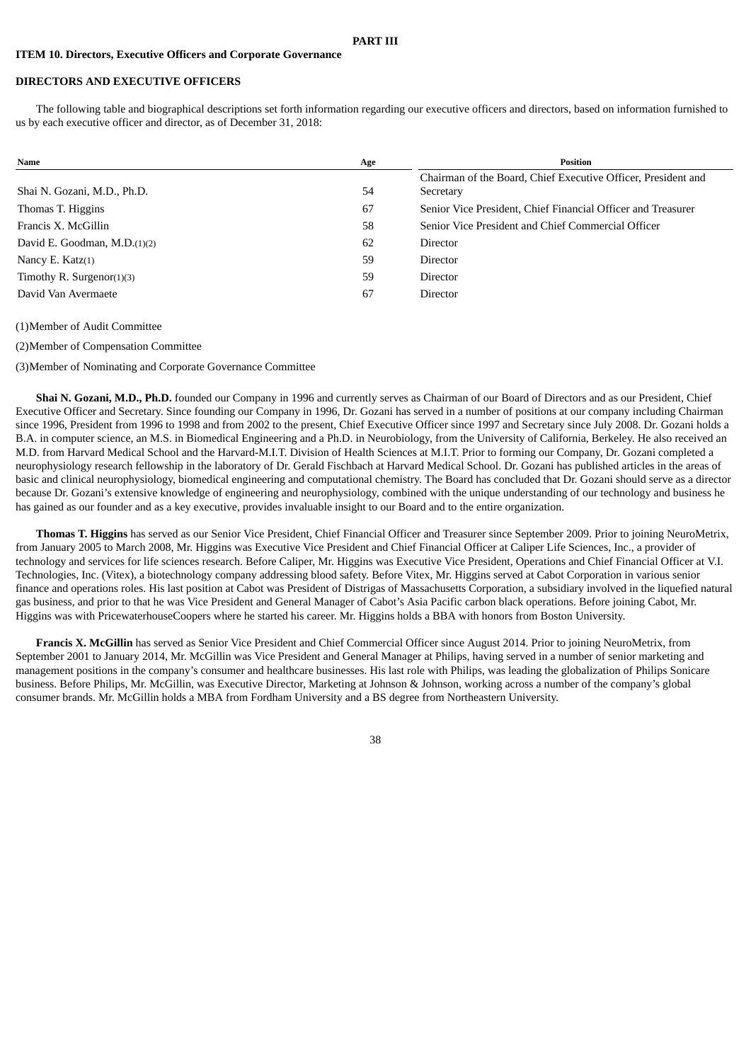#### **ITEM 10. Directors, Executive Officers and Corporate Governance**

# **DIRECTORS AND EXECUTIVE OFFICERS**

The following table and biographical descriptions set forth information regarding our executive officers and directors, based on information furnished to us by each executive officer and director, as of December 31, 2018:

| Name<br>Age                           | <b>Position</b>                                               |
|---------------------------------------|---------------------------------------------------------------|
|                                       | Chairman of the Board, Chief Executive Officer, President and |
| Shai N. Gozani, M.D., Ph.D.<br>54     | Secretary                                                     |
| 67<br>Thomas T. Higgins               | Senior Vice President, Chief Financial Officer and Treasurer  |
| 58<br>Francis X. McGillin             | Senior Vice President and Chief Commercial Officer            |
| 62<br>David E. Goodman, M.D. $(1)(2)$ | Director                                                      |
| 59<br>Nancy E. Katz $(1)$             | <b>Director</b>                                               |
| 59<br>Timothy R. Surgenor $(1)(3)$    | Director                                                      |
| 67<br>David Van Avermaete             | <b>Director</b>                                               |

(1)Member of Audit Committee

(2)Member of Compensation Committee

(3)Member of Nominating and Corporate Governance Committee

**Shai N. Gozani, M.D., Ph.D.** founded our Company in 1996 and currently serves as Chairman of our Board of Directors and as our President, Chief Executive Officer and Secretary. Since founding our Company in 1996, Dr. Gozani has served in a number of positions at our company including Chairman since 1996, President from 1996 to 1998 and from 2002 to the present, Chief Executive Officer since 1997 and Secretary since July 2008. Dr. Gozani holds a B.A. in computer science, an M.S. in Biomedical Engineering and a Ph.D. in Neurobiology, from the University of California, Berkeley. He also received an M.D. from Harvard Medical School and the Harvard-M.I.T. Division of Health Sciences at M.I.T. Prior to forming our Company, Dr. Gozani completed a neurophysiology research fellowship in the laboratory of Dr. Gerald Fischbach at Harvard Medical School. Dr. Gozani has published articles in the areas of basic and clinical neurophysiology, biomedical engineering and computational chemistry. The Board has concluded that Dr. Gozani should serve as a director because Dr. Gozani's extensive knowledge of engineering and neurophysiology, combined with the unique understanding of our technology and business he has gained as our founder and as a key executive, provides invaluable insight to our Board and to the entire organization.

**Thomas T. Higgins** has served as our Senior Vice President, Chief Financial Officer and Treasurer since September 2009. Prior to joining NeuroMetrix, from January 2005 to March 2008, Mr. Higgins was Executive Vice President and Chief Financial Officer at Caliper Life Sciences, Inc., a provider of technology and services for life sciences research. Before Caliper, Mr. Higgins was Executive Vice President, Operations and Chief Financial Officer at V.I. Technologies, Inc. (Vitex), a biotechnology company addressing blood safety. Before Vitex, Mr. Higgins served at Cabot Corporation in various senior finance and operations roles. His last position at Cabot was President of Distrigas of Massachusetts Corporation, a subsidiary involved in the liquefied natural gas business, and prior to that he was Vice President and General Manager of Cabot's Asia Pacific carbon black operations. Before joining Cabot, Mr. Higgins was with PricewaterhouseCoopers where he started his career. Mr. Higgins holds a BBA with honors from Boston University.

**Francis X. McGillin** has served as Senior Vice President and Chief Commercial Officer since August 2014. Prior to joining NeuroMetrix, from September 2001 to January 2014, Mr. McGillin was Vice President and General Manager at Philips, having served in a number of senior marketing and management positions in the company's consumer and healthcare businesses. His last role with Philips, was leading the globalization of Philips Sonicare business. Before Philips, Mr. McGillin, was Executive Director, Marketing at Johnson & Johnson, working across a number of the company's global consumer brands. Mr. McGillin holds a MBA from Fordham University and a BS degree from Northeastern University.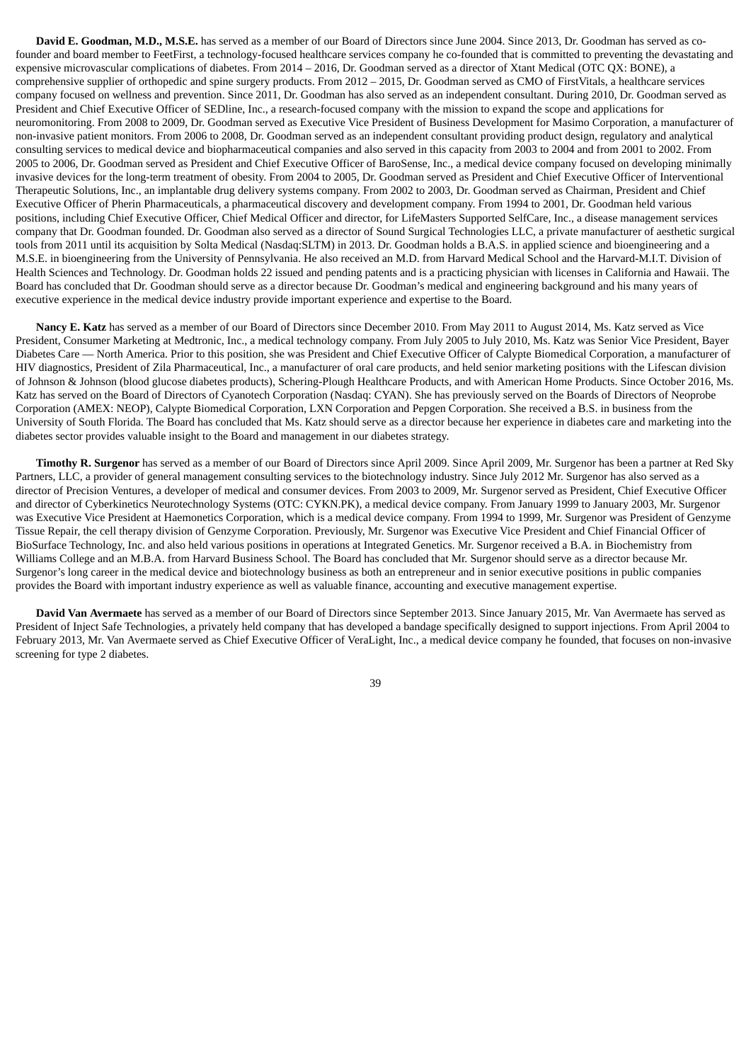**David E. Goodman, M.D., M.S.E.** has served as a member of our Board of Directors since June 2004. Since 2013, Dr. Goodman has served as cofounder and board member to FeetFirst, a technology-focused healthcare services company he co-founded that is committed to preventing the devastating and expensive microvascular complications of diabetes. From 2014 – 2016, Dr. Goodman served as a director of Xtant Medical (OTC QX: BONE), a comprehensive supplier of orthopedic and spine surgery products. From 2012 – 2015, Dr. Goodman served as CMO of FirstVitals, a healthcare services company focused on wellness and prevention. Since 2011, Dr. Goodman has also served as an independent consultant. During 2010, Dr. Goodman served as President and Chief Executive Officer of SEDline, Inc., a research-focused company with the mission to expand the scope and applications for neuromonitoring. From 2008 to 2009, Dr. Goodman served as Executive Vice President of Business Development for Masimo Corporation, a manufacturer of non-invasive patient monitors. From 2006 to 2008, Dr. Goodman served as an independent consultant providing product design, regulatory and analytical consulting services to medical device and biopharmaceutical companies and also served in this capacity from 2003 to 2004 and from 2001 to 2002. From 2005 to 2006, Dr. Goodman served as President and Chief Executive Officer of BaroSense, Inc., a medical device company focused on developing minimally invasive devices for the long-term treatment of obesity. From 2004 to 2005, Dr. Goodman served as President and Chief Executive Officer of Interventional Therapeutic Solutions, Inc., an implantable drug delivery systems company. From 2002 to 2003, Dr. Goodman served as Chairman, President and Chief Executive Officer of Pherin Pharmaceuticals, a pharmaceutical discovery and development company. From 1994 to 2001, Dr. Goodman held various positions, including Chief Executive Officer, Chief Medical Officer and director, for LifeMasters Supported SelfCare, Inc., a disease management services company that Dr. Goodman founded. Dr. Goodman also served as a director of Sound Surgical Technologies LLC, a private manufacturer of aesthetic surgical tools from 2011 until its acquisition by Solta Medical (Nasdaq:SLTM) in 2013. Dr. Goodman holds a B.A.S. in applied science and bioengineering and a M.S.E. in bioengineering from the University of Pennsylvania. He also received an M.D. from Harvard Medical School and the Harvard-M.I.T. Division of Health Sciences and Technology. Dr. Goodman holds 22 issued and pending patents and is a practicing physician with licenses in California and Hawaii. The Board has concluded that Dr. Goodman should serve as a director because Dr. Goodman's medical and engineering background and his many years of executive experience in the medical device industry provide important experience and expertise to the Board.

**Nancy E. Katz** has served as a member of our Board of Directors since December 2010. From May 2011 to August 2014, Ms. Katz served as Vice President, Consumer Marketing at Medtronic, Inc., a medical technology company. From July 2005 to July 2010, Ms. Katz was Senior Vice President, Bayer Diabetes Care — North America. Prior to this position, she was President and Chief Executive Officer of Calypte Biomedical Corporation, a manufacturer of HIV diagnostics, President of Zila Pharmaceutical, Inc., a manufacturer of oral care products, and held senior marketing positions with the Lifescan division of Johnson & Johnson (blood glucose diabetes products), Schering-Plough Healthcare Products, and with American Home Products. Since October 2016, Ms. Katz has served on the Board of Directors of Cyanotech Corporation (Nasdaq: CYAN). She has previously served on the Boards of Directors of Neoprobe Corporation (AMEX: NEOP), Calypte Biomedical Corporation, LXN Corporation and Pepgen Corporation. She received a B.S. in business from the University of South Florida. The Board has concluded that Ms. Katz should serve as a director because her experience in diabetes care and marketing into the diabetes sector provides valuable insight to the Board and management in our diabetes strategy.

**Timothy R. Surgenor** has served as a member of our Board of Directors since April 2009. Since April 2009, Mr. Surgenor has been a partner at Red Sky Partners, LLC, a provider of general management consulting services to the biotechnology industry. Since July 2012 Mr. Surgenor has also served as a director of Precision Ventures, a developer of medical and consumer devices. From 2003 to 2009, Mr. Surgenor served as President, Chief Executive Officer and director of Cyberkinetics Neurotechnology Systems (OTC: CYKN.PK), a medical device company. From January 1999 to January 2003, Mr. Surgenor was Executive Vice President at Haemonetics Corporation, which is a medical device company. From 1994 to 1999, Mr. Surgenor was President of Genzyme Tissue Repair, the cell therapy division of Genzyme Corporation. Previously, Mr. Surgenor was Executive Vice President and Chief Financial Officer of BioSurface Technology, Inc. and also held various positions in operations at Integrated Genetics. Mr. Surgenor received a B.A. in Biochemistry from Williams College and an M.B.A. from Harvard Business School. The Board has concluded that Mr. Surgenor should serve as a director because Mr. Surgenor's long career in the medical device and biotechnology business as both an entrepreneur and in senior executive positions in public companies provides the Board with important industry experience as well as valuable finance, accounting and executive management expertise.

**David Van Avermaete** has served as a member of our Board of Directors since September 2013. Since January 2015, Mr. Van Avermaete has served as President of Inject Safe Technologies, a privately held company that has developed a bandage specifically designed to support injections. From April 2004 to February 2013, Mr. Van Avermaete served as Chief Executive Officer of VeraLight, Inc., a medical device company he founded, that focuses on non-invasive screening for type 2 diabetes.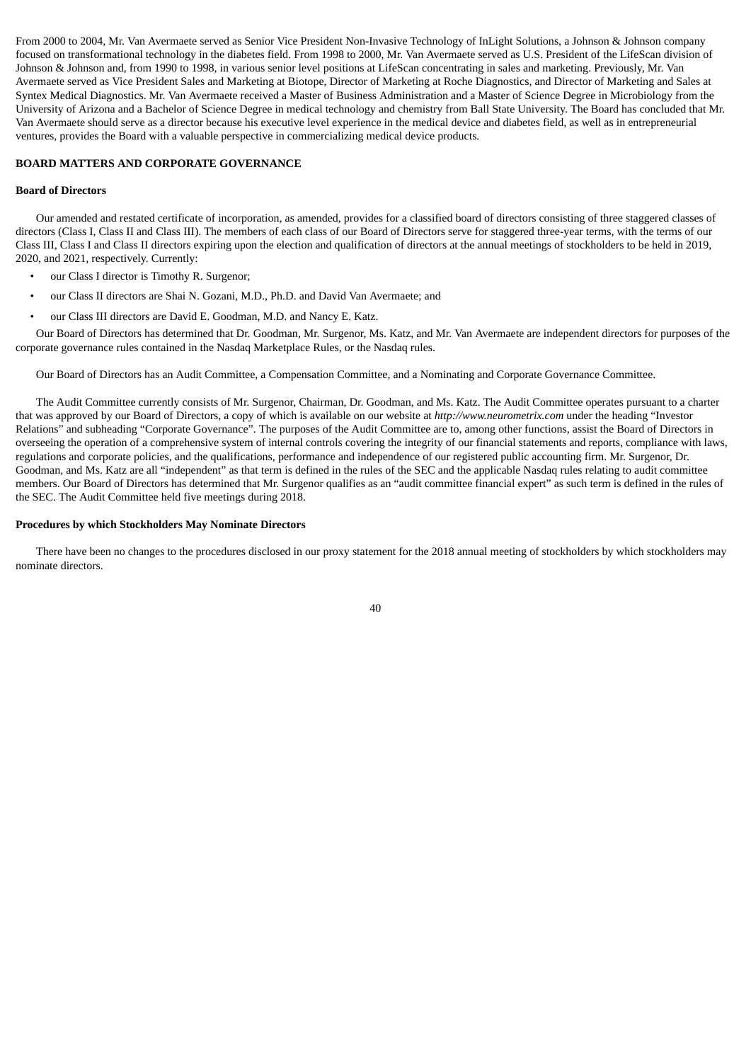From 2000 to 2004, Mr. Van Avermaete served as Senior Vice President Non-Invasive Technology of InLight Solutions, a Johnson & Johnson company focused on transformational technology in the diabetes field. From 1998 to 2000, Mr. Van Avermaete served as U.S. President of the LifeScan division of Johnson & Johnson and, from 1990 to 1998, in various senior level positions at LifeScan concentrating in sales and marketing. Previously, Mr. Van Avermaete served as Vice President Sales and Marketing at Biotope, Director of Marketing at Roche Diagnostics, and Director of Marketing and Sales at Syntex Medical Diagnostics. Mr. Van Avermaete received a Master of Business Administration and a Master of Science Degree in Microbiology from the University of Arizona and a Bachelor of Science Degree in medical technology and chemistry from Ball State University. The Board has concluded that Mr. Van Avermaete should serve as a director because his executive level experience in the medical device and diabetes field, as well as in entrepreneurial ventures, provides the Board with a valuable perspective in commercializing medical device products.

# **BOARD MATTERS AND CORPORATE GOVERNANCE**

### **Board of Directors**

Our amended and restated certificate of incorporation, as amended, provides for a classified board of directors consisting of three staggered classes of directors (Class I, Class II and Class III). The members of each class of our Board of Directors serve for staggered three-year terms, with the terms of our Class III, Class I and Class II directors expiring upon the election and qualification of directors at the annual meetings of stockholders to be held in 2019, 2020, and 2021, respectively. Currently:

- our Class I director is Timothy R. Surgenor;
- our Class II directors are Shai N. Gozani, M.D., Ph.D. and David Van Avermaete; and
- our Class III directors are David E. Goodman, M.D. and Nancy E. Katz.

Our Board of Directors has determined that Dr. Goodman, Mr. Surgenor, Ms. Katz, and Mr. Van Avermaete are independent directors for purposes of the corporate governance rules contained in the Nasdaq Marketplace Rules, or the Nasdaq rules.

Our Board of Directors has an Audit Committee, a Compensation Committee, and a Nominating and Corporate Governance Committee.

The Audit Committee currently consists of Mr. Surgenor, Chairman, Dr. Goodman, and Ms. Katz. The Audit Committee operates pursuant to a charter that was approved by our Board of Directors, a copy of which is available on our website at *http://www.neurometrix.com* under the heading "Investor Relations" and subheading "Corporate Governance". The purposes of the Audit Committee are to, among other functions, assist the Board of Directors in overseeing the operation of a comprehensive system of internal controls covering the integrity of our financial statements and reports, compliance with laws, regulations and corporate policies, and the qualifications, performance and independence of our registered public accounting firm. Mr. Surgenor, Dr. Goodman, and Ms. Katz are all "independent" as that term is defined in the rules of the SEC and the applicable Nasdaq rules relating to audit committee members. Our Board of Directors has determined that Mr. Surgenor qualifies as an "audit committee financial expert" as such term is defined in the rules of the SEC. The Audit Committee held five meetings during 2018.

#### **Procedures by which Stockholders May Nominate Directors**

There have been no changes to the procedures disclosed in our proxy statement for the 2018 annual meeting of stockholders by which stockholders may nominate directors.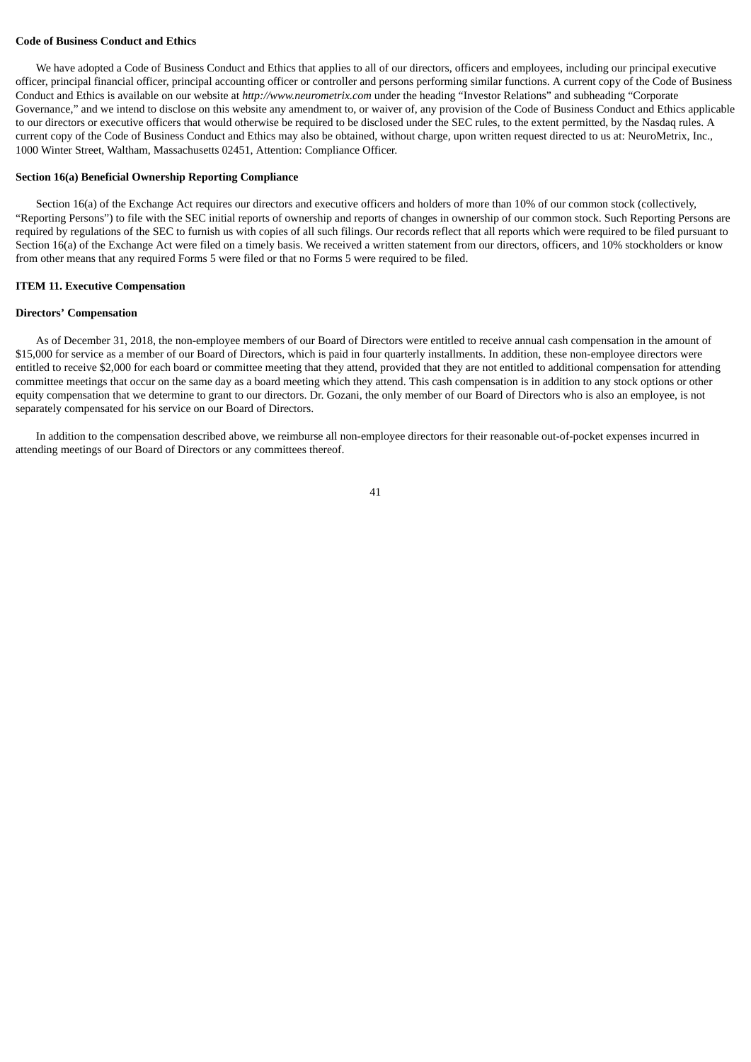## **Code of Business Conduct and Ethics**

We have adopted a Code of Business Conduct and Ethics that applies to all of our directors, officers and employees, including our principal executive officer, principal financial officer, principal accounting officer or controller and persons performing similar functions. A current copy of the Code of Business Conduct and Ethics is available on our website at *http://www.neurometrix.com* under the heading "Investor Relations" and subheading "Corporate Governance," and we intend to disclose on this website any amendment to, or waiver of, any provision of the Code of Business Conduct and Ethics applicable to our directors or executive officers that would otherwise be required to be disclosed under the SEC rules, to the extent permitted, by the Nasdaq rules. A current copy of the Code of Business Conduct and Ethics may also be obtained, without charge, upon written request directed to us at: NeuroMetrix, Inc., 1000 Winter Street, Waltham, Massachusetts 02451, Attention: Compliance Officer.

# **Section 16(a) Beneficial Ownership Reporting Compliance**

Section 16(a) of the Exchange Act requires our directors and executive officers and holders of more than 10% of our common stock (collectively, "Reporting Persons") to file with the SEC initial reports of ownership and reports of changes in ownership of our common stock. Such Reporting Persons are required by regulations of the SEC to furnish us with copies of all such filings. Our records reflect that all reports which were required to be filed pursuant to Section 16(a) of the Exchange Act were filed on a timely basis. We received a written statement from our directors, officers, and 10% stockholders or know from other means that any required Forms 5 were filed or that no Forms 5 were required to be filed.

#### **ITEM 11. Executive Compensation**

### **Directors' Compensation**

As of December 31, 2018, the non-employee members of our Board of Directors were entitled to receive annual cash compensation in the amount of \$15,000 for service as a member of our Board of Directors, which is paid in four quarterly installments. In addition, these non-employee directors were entitled to receive \$2,000 for each board or committee meeting that they attend, provided that they are not entitled to additional compensation for attending committee meetings that occur on the same day as a board meeting which they attend. This cash compensation is in addition to any stock options or other equity compensation that we determine to grant to our directors. Dr. Gozani, the only member of our Board of Directors who is also an employee, is not separately compensated for his service on our Board of Directors.

In addition to the compensation described above, we reimburse all non-employee directors for their reasonable out-of-pocket expenses incurred in attending meetings of our Board of Directors or any committees thereof.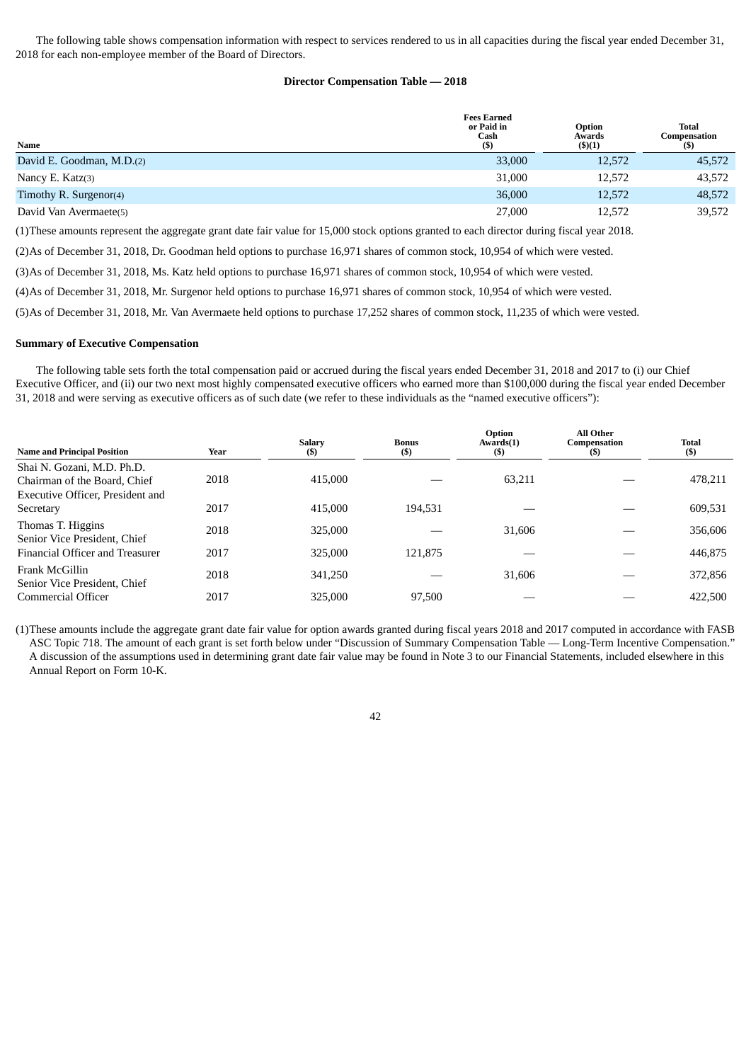The following table shows compensation information with respect to services rendered to us in all capacities during the fiscal year ended December 31, 2018 for each non-employee member of the Board of Directors.

# **Director Compensation Table — 2018**

| Name                      | <b>Fees Earned</b><br>or Paid in<br>Cash<br>(S) | Option<br>Awards<br>$($ \$ $)(1)$ | Total<br>Compensation<br>$(5)$ |
|---------------------------|-------------------------------------------------|-----------------------------------|--------------------------------|
| David E. Goodman, M.D.(2) | 33,000                                          | 12,572                            | 45,572                         |
| Nancy E. Katz(3)          | 31,000                                          | 12,572                            | 43,572                         |
| Timothy R. Surgenor(4)    | 36,000                                          | 12,572                            | 48,572                         |
| David Van Avermaete(5)    | 27,000                                          | 12,572                            | 39,572                         |

(1)These amounts represent the aggregate grant date fair value for 15,000 stock options granted to each director during fiscal year 2018.

(2)As of December 31, 2018, Dr. Goodman held options to purchase 16,971 shares of common stock, 10,954 of which were vested.

(3)As of December 31, 2018, Ms. Katz held options to purchase 16,971 shares of common stock, 10,954 of which were vested.

(4)As of December 31, 2018, Mr. Surgenor held options to purchase 16,971 shares of common stock, 10,954 of which were vested.

(5)As of December 31, 2018, Mr. Van Avermaete held options to purchase 17,252 shares of common stock, 11,235 of which were vested.

# **Summary of Executive Compensation**

The following table sets forth the total compensation paid or accrued during the fiscal years ended December 31, 2018 and 2017 to (i) our Chief Executive Officer, and (ii) our two next most highly compensated executive officers who earned more than \$100,000 during the fiscal year ended December 31, 2018 and were serving as executive officers as of such date (we refer to these individuals as the "named executive officers"):

| <b>Name and Principal Position</b>                                                             | Year | <b>Salary</b><br>$($)$ | <b>Bonus</b><br>$($)$ | <b>Option</b><br>Awards(1)<br>$($)$ | <b>All Other</b><br>Compensation<br>(\$) | Total<br>$($)$ |
|------------------------------------------------------------------------------------------------|------|------------------------|-----------------------|-------------------------------------|------------------------------------------|----------------|
| Shai N. Gozani, M.D. Ph.D.<br>Chairman of the Board, Chief<br>Executive Officer, President and | 2018 | 415,000                |                       | 63.211                              |                                          | 478,211        |
| Secretary                                                                                      | 2017 | 415,000                | 194.531               |                                     |                                          | 609,531        |
| Thomas T. Higgins<br>Senior Vice President, Chief                                              | 2018 | 325,000                |                       | 31,606                              |                                          | 356,606        |
| <b>Financial Officer and Treasurer</b>                                                         | 2017 | 325,000                | 121,875               |                                     |                                          | 446,875        |
| Frank McGillin<br>Senior Vice President, Chief                                                 | 2018 | 341,250                |                       | 31,606                              |                                          | 372,856        |
| Commercial Officer                                                                             | 2017 | 325,000                | 97,500                |                                     |                                          | 422,500        |

(1)These amounts include the aggregate grant date fair value for option awards granted during fiscal years 2018 and 2017 computed in accordance with FASB ASC Topic 718. The amount of each grant is set forth below under "Discussion of Summary Compensation Table — Long-Term Incentive Compensation." A discussion of the assumptions used in determining grant date fair value may be found in Note 3 to our Financial Statements, included elsewhere in this Annual Report on Form 10-K.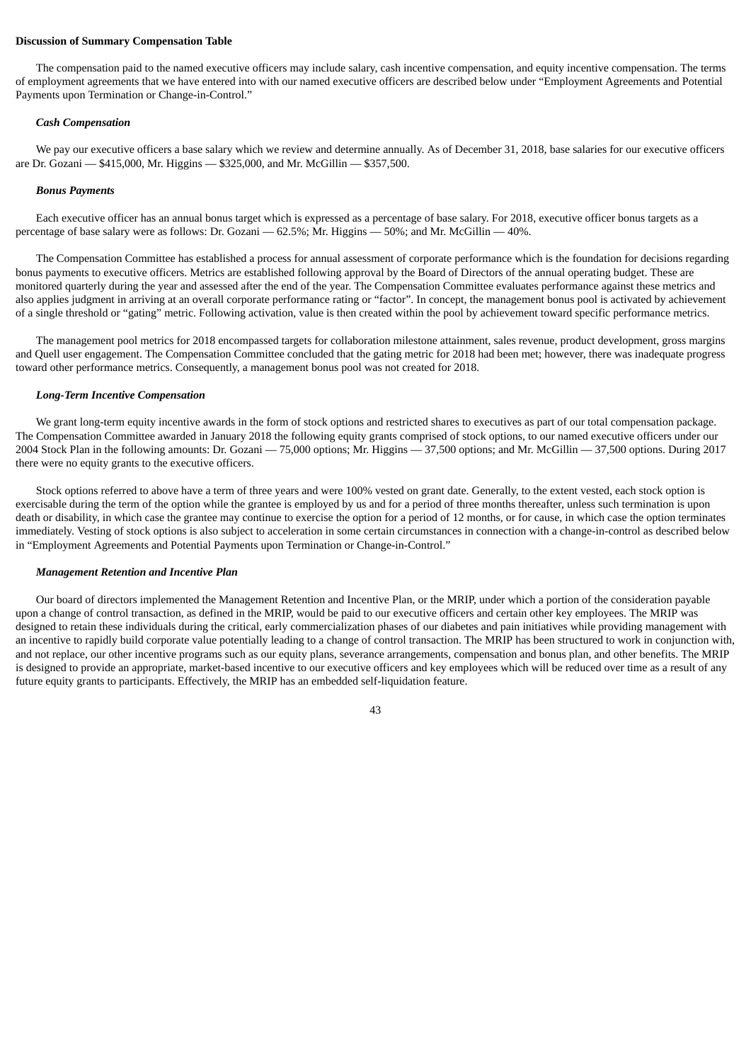### **Discussion of Summary Compensation Table**

The compensation paid to the named executive officers may include salary, cash incentive compensation, and equity incentive compensation. The terms of employment agreements that we have entered into with our named executive officers are described below under "Employment Agreements and Potential Payments upon Termination or Change-in-Control."

#### *Cash Compensation*

We pay our executive officers a base salary which we review and determine annually. As of December 31, 2018, base salaries for our executive officers are Dr. Gozani — \$415,000, Mr. Higgins — \$325,000, and Mr. McGillin — \$357,500.

### *Bonus Payments*

Each executive officer has an annual bonus target which is expressed as a percentage of base salary. For 2018, executive officer bonus targets as a percentage of base salary were as follows: Dr. Gozani — 62.5%; Mr. Higgins — 50%; and Mr. McGillin — 40%.

The Compensation Committee has established a process for annual assessment of corporate performance which is the foundation for decisions regarding bonus payments to executive officers. Metrics are established following approval by the Board of Directors of the annual operating budget. These are monitored quarterly during the year and assessed after the end of the year. The Compensation Committee evaluates performance against these metrics and also applies judgment in arriving at an overall corporate performance rating or "factor". In concept, the management bonus pool is activated by achievement of a single threshold or "gating" metric. Following activation, value is then created within the pool by achievement toward specific performance metrics.

The management pool metrics for 2018 encompassed targets for collaboration milestone attainment, sales revenue, product development, gross margins and Quell user engagement. The Compensation Committee concluded that the gating metric for 2018 had been met; however, there was inadequate progress toward other performance metrics. Consequently, a management bonus pool was not created for 2018.

### *Long-Term Incentive Compensation*

We grant long-term equity incentive awards in the form of stock options and restricted shares to executives as part of our total compensation package. The Compensation Committee awarded in January 2018 the following equity grants comprised of stock options, to our named executive officers under our 2004 Stock Plan in the following amounts: Dr. Gozani — 75,000 options; Mr. Higgins — 37,500 options; and Mr. McGillin — 37,500 options. During 2017 there were no equity grants to the executive officers.

Stock options referred to above have a term of three years and were 100% vested on grant date. Generally, to the extent vested, each stock option is exercisable during the term of the option while the grantee is employed by us and for a period of three months thereafter, unless such termination is upon death or disability, in which case the grantee may continue to exercise the option for a period of 12 months, or for cause, in which case the option terminates immediately. Vesting of stock options is also subject to acceleration in some certain circumstances in connection with a change-in-control as described below in "Employment Agreements and Potential Payments upon Termination or Change-in-Control."

#### *Management Retention and Incentive Plan*

Our board of directors implemented the Management Retention and Incentive Plan, or the MRIP, under which a portion of the consideration payable upon a change of control transaction, as defined in the MRIP, would be paid to our executive officers and certain other key employees. The MRIP was designed to retain these individuals during the critical, early commercialization phases of our diabetes and pain initiatives while providing management with an incentive to rapidly build corporate value potentially leading to a change of control transaction. The MRIP has been structured to work in conjunction with, and not replace, our other incentive programs such as our equity plans, severance arrangements, compensation and bonus plan, and other benefits. The MRIP is designed to provide an appropriate, market-based incentive to our executive officers and key employees which will be reduced over time as a result of any future equity grants to participants. Effectively, the MRIP has an embedded self-liquidation feature.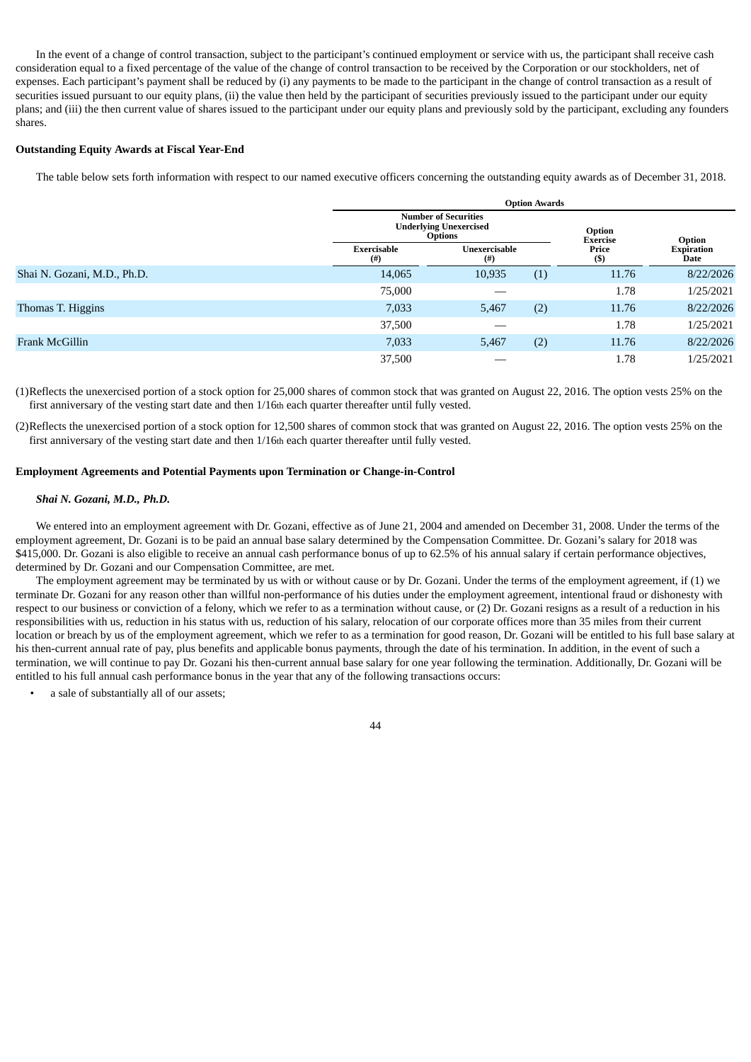In the event of a change of control transaction, subject to the participant's continued employment or service with us, the participant shall receive cash consideration equal to a fixed percentage of the value of the change of control transaction to be received by the Corporation or our stockholders, net of expenses. Each participant's payment shall be reduced by (i) any payments to be made to the participant in the change of control transaction as a result of securities issued pursuant to our equity plans, (ii) the value then held by the participant of securities previously issued to the participant under our equity plans; and (iii) the then current value of shares issued to the participant under our equity plans and previously sold by the participant, excluding any founders shares.

# **Outstanding Equity Awards at Fiscal Year-End**

The table below sets forth information with respect to our named executive officers concerning the outstanding equity awards as of December 31, 2018.

|                             |                            | <b>Option Awards</b>                                                           |     |                           |                           |  |  |
|-----------------------------|----------------------------|--------------------------------------------------------------------------------|-----|---------------------------|---------------------------|--|--|
|                             |                            | <b>Number of Securities</b><br><b>Underlying Unexercised</b><br><b>Options</b> |     | Option<br><b>Exercise</b> | <b>Option</b>             |  |  |
|                             | <b>Exercisable</b><br>(# ) | Unexercisable<br>(# )                                                          |     | Price<br>$($)$            | <b>Expiration</b><br>Date |  |  |
| Shai N. Gozani, M.D., Ph.D. | 14,065                     | 10,935                                                                         | (1) | 11.76                     | 8/22/2026                 |  |  |
|                             | 75,000                     |                                                                                |     | 1.78                      | 1/25/2021                 |  |  |
| Thomas T. Higgins           | 7,033                      | 5,467                                                                          | (2) | 11.76                     | 8/22/2026                 |  |  |
|                             | 37,500                     |                                                                                |     | 1.78                      | 1/25/2021                 |  |  |
| Frank McGillin              | 7,033                      | 5,467                                                                          | (2) | 11.76                     | 8/22/2026                 |  |  |
|                             | 37,500                     |                                                                                |     | 1.78                      | 1/25/2021                 |  |  |

(1)Reflects the unexercised portion of a stock option for 25,000 shares of common stock that was granted on August 22, 2016. The option vests 25% on the first anniversary of the vesting start date and then 1/16th each quarter thereafter until fully vested.

(2)Reflects the unexercised portion of a stock option for 12,500 shares of common stock that was granted on August 22, 2016. The option vests 25% on the first anniversary of the vesting start date and then 1/16th each quarter thereafter until fully vested.

# **Employment Agreements and Potential Payments upon Termination or Change-in-Control**

### *Shai N. Gozani, M.D., Ph.D.*

We entered into an employment agreement with Dr. Gozani, effective as of June 21, 2004 and amended on December 31, 2008. Under the terms of the employment agreement, Dr. Gozani is to be paid an annual base salary determined by the Compensation Committee. Dr. Gozani's salary for 2018 was \$415,000. Dr. Gozani is also eligible to receive an annual cash performance bonus of up to 62.5% of his annual salary if certain performance objectives, determined by Dr. Gozani and our Compensation Committee, are met.

The employment agreement may be terminated by us with or without cause or by Dr. Gozani. Under the terms of the employment agreement, if (1) we terminate Dr. Gozani for any reason other than willful non-performance of his duties under the employment agreement, intentional fraud or dishonesty with respect to our business or conviction of a felony, which we refer to as a termination without cause, or (2) Dr. Gozani resigns as a result of a reduction in his responsibilities with us, reduction in his status with us, reduction of his salary, relocation of our corporate offices more than 35 miles from their current location or breach by us of the employment agreement, which we refer to as a termination for good reason, Dr. Gozani will be entitled to his full base salary at his then-current annual rate of pay, plus benefits and applicable bonus payments, through the date of his termination. In addition, in the event of such a termination, we will continue to pay Dr. Gozani his then-current annual base salary for one year following the termination. Additionally, Dr. Gozani will be entitled to his full annual cash performance bonus in the year that any of the following transactions occurs:

a sale of substantially all of our assets;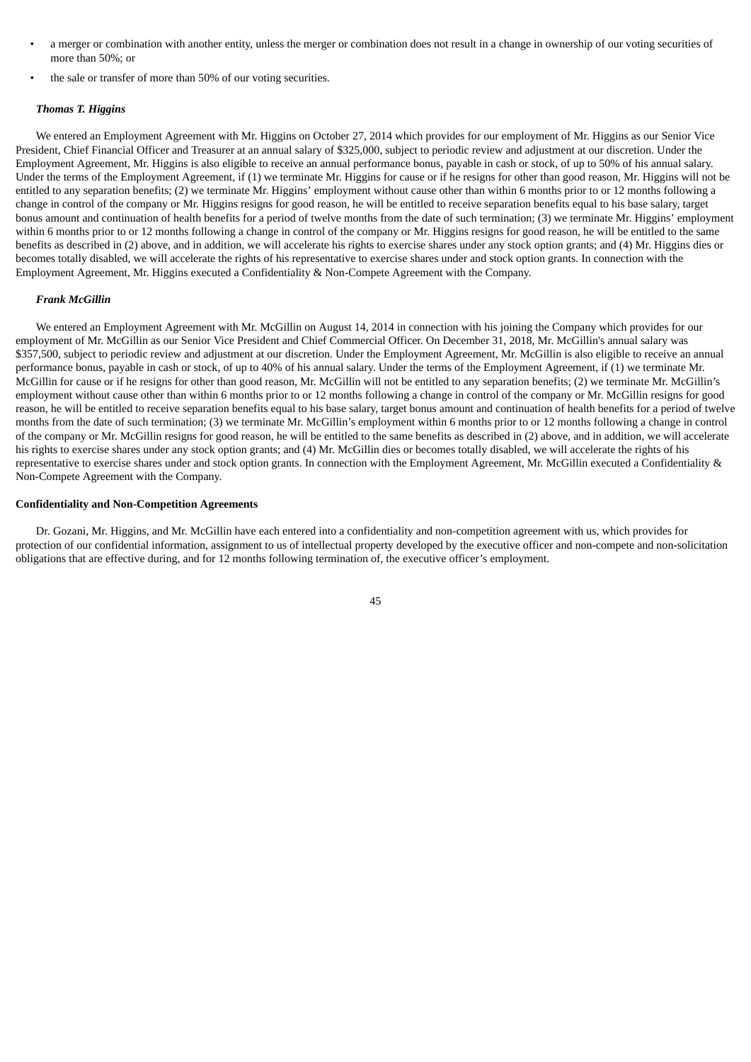- a merger or combination with another entity, unless the merger or combination does not result in a change in ownership of our voting securities of more than 50%; or
- the sale or transfer of more than 50% of our voting securities.

#### *Thomas T. Higgins*

We entered an Employment Agreement with Mr. Higgins on October 27, 2014 which provides for our employment of Mr. Higgins as our Senior Vice President, Chief Financial Officer and Treasurer at an annual salary of \$325,000, subject to periodic review and adjustment at our discretion. Under the Employment Agreement, Mr. Higgins is also eligible to receive an annual performance bonus, payable in cash or stock, of up to 50% of his annual salary. Under the terms of the Employment Agreement, if (1) we terminate Mr. Higgins for cause or if he resigns for other than good reason, Mr. Higgins will not be entitled to any separation benefits; (2) we terminate Mr. Higgins' employment without cause other than within 6 months prior to or 12 months following a change in control of the company or Mr. Higgins resigns for good reason, he will be entitled to receive separation benefits equal to his base salary, target bonus amount and continuation of health benefits for a period of twelve months from the date of such termination; (3) we terminate Mr. Higgins' employment within 6 months prior to or 12 months following a change in control of the company or Mr. Higgins resigns for good reason, he will be entitled to the same benefits as described in (2) above, and in addition, we will accelerate his rights to exercise shares under any stock option grants; and (4) Mr. Higgins dies or becomes totally disabled, we will accelerate the rights of his representative to exercise shares under and stock option grants. In connection with the Employment Agreement, Mr. Higgins executed a Confidentiality & Non-Compete Agreement with the Company.

### *Frank McGillin*

We entered an Employment Agreement with Mr. McGillin on August 14, 2014 in connection with his joining the Company which provides for our employment of Mr. McGillin as our Senior Vice President and Chief Commercial Officer. On December 31, 2018, Mr. McGillin's annual salary was \$357,500, subject to periodic review and adjustment at our discretion. Under the Employment Agreement, Mr. McGillin is also eligible to receive an annual performance bonus, payable in cash or stock, of up to 40% of his annual salary. Under the terms of the Employment Agreement, if (1) we terminate Mr. McGillin for cause or if he resigns for other than good reason, Mr. McGillin will not be entitled to any separation benefits; (2) we terminate Mr. McGillin's employment without cause other than within 6 months prior to or 12 months following a change in control of the company or Mr. McGillin resigns for good reason, he will be entitled to receive separation benefits equal to his base salary, target bonus amount and continuation of health benefits for a period of twelve months from the date of such termination; (3) we terminate Mr. McGillin's employment within 6 months prior to or 12 months following a change in control of the company or Mr. McGillin resigns for good reason, he will be entitled to the same benefits as described in (2) above, and in addition, we will accelerate his rights to exercise shares under any stock option grants; and (4) Mr. McGillin dies or becomes totally disabled, we will accelerate the rights of his representative to exercise shares under and stock option grants. In connection with the Employment Agreement, Mr. McGillin executed a Confidentiality & Non-Compete Agreement with the Company.

## **Confidentiality and Non-Competition Agreements**

Dr. Gozani, Mr. Higgins, and Mr. McGillin have each entered into a confidentiality and non-competition agreement with us, which provides for protection of our confidential information, assignment to us of intellectual property developed by the executive officer and non-compete and non-solicitation obligations that are effective during, and for 12 months following termination of, the executive officer's employment.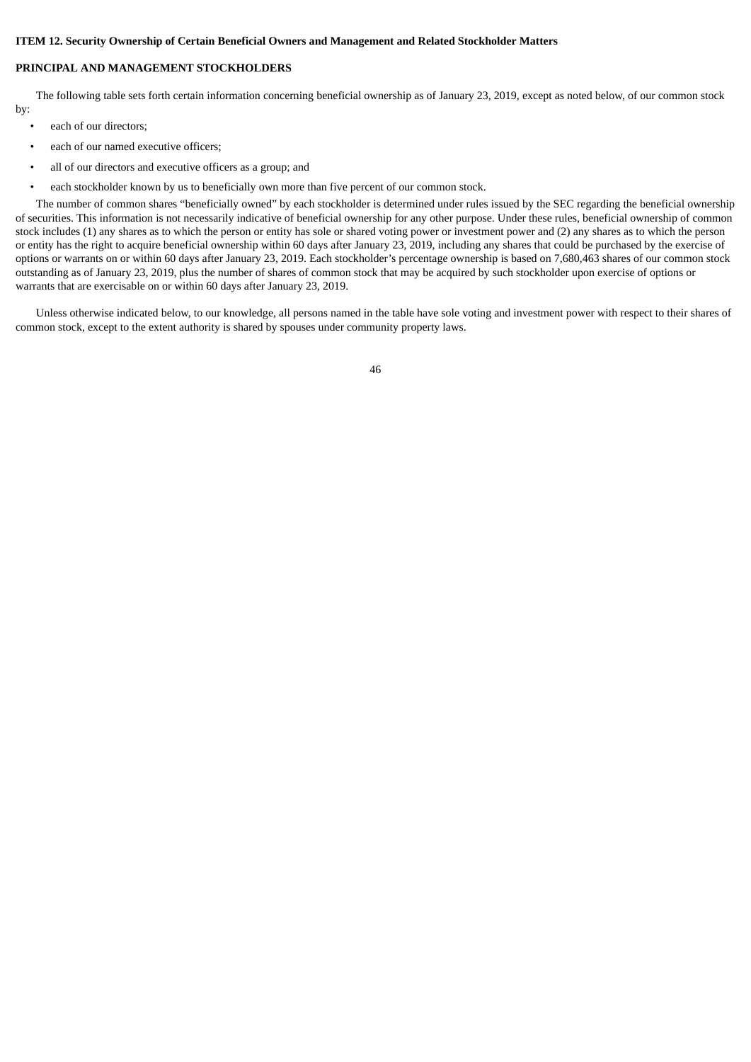# **ITEM 12. Security Ownership of Certain Beneficial Owners and Management and Related Stockholder Matters**

# **PRINCIPAL AND MANAGEMENT STOCKHOLDERS**

The following table sets forth certain information concerning beneficial ownership as of January 23, 2019, except as noted below, of our common stock by:

- each of our directors;
- each of our named executive officers;
- all of our directors and executive officers as a group; and
- each stockholder known by us to beneficially own more than five percent of our common stock.

The number of common shares "beneficially owned" by each stockholder is determined under rules issued by the SEC regarding the beneficial ownership of securities. This information is not necessarily indicative of beneficial ownership for any other purpose. Under these rules, beneficial ownership of common stock includes (1) any shares as to which the person or entity has sole or shared voting power or investment power and (2) any shares as to which the person or entity has the right to acquire beneficial ownership within 60 days after January 23, 2019, including any shares that could be purchased by the exercise of options or warrants on or within 60 days after January 23, 2019. Each stockholder's percentage ownership is based on 7,680,463 shares of our common stock outstanding as of January 23, 2019, plus the number of shares of common stock that may be acquired by such stockholder upon exercise of options or warrants that are exercisable on or within 60 days after January 23, 2019.

Unless otherwise indicated below, to our knowledge, all persons named in the table have sole voting and investment power with respect to their shares of common stock, except to the extent authority is shared by spouses under community property laws.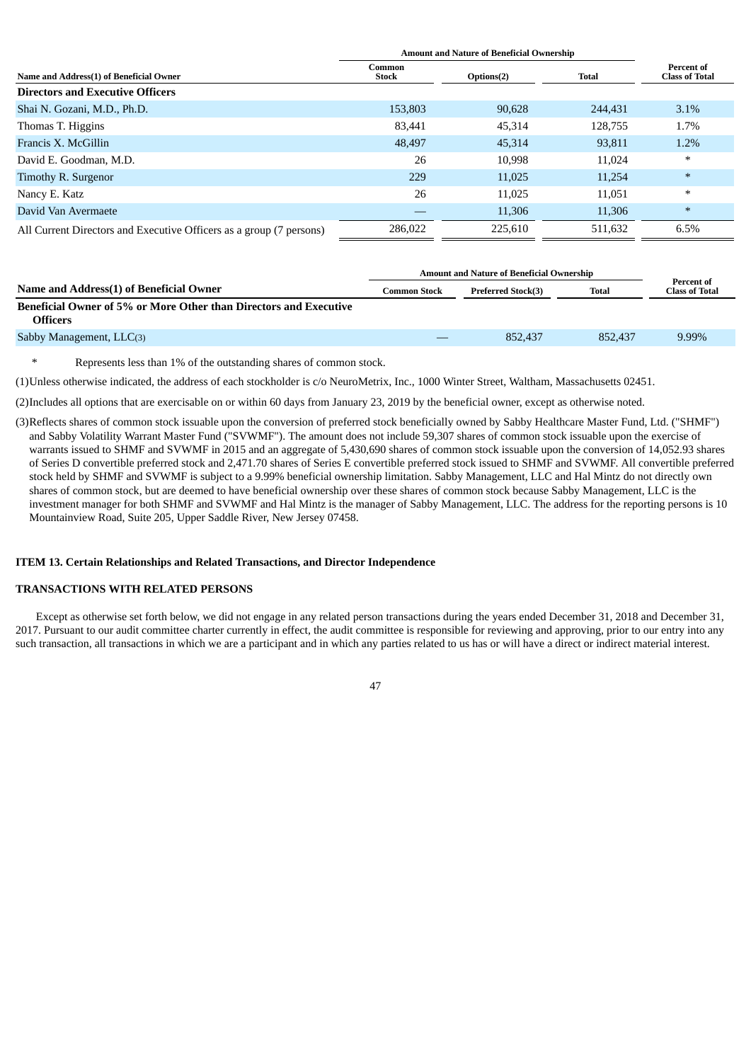|                                                                     | <b>Amount and Nature of Beneficial Ownership</b> |            |         |                                            |
|---------------------------------------------------------------------|--------------------------------------------------|------------|---------|--------------------------------------------|
| Name and Address(1) of Beneficial Owner                             | Common<br>Stock                                  | Options(2) | Total   | <b>Percent of</b><br><b>Class of Total</b> |
| <b>Directors and Executive Officers</b>                             |                                                  |            |         |                                            |
| Shai N. Gozani, M.D., Ph.D.                                         | 153,803                                          | 90,628     | 244,431 | 3.1%                                       |
| Thomas T. Higgins                                                   | 83,441                                           | 45,314     | 128,755 | 1.7%                                       |
| Francis X. McGillin                                                 | 48,497                                           | 45.314     | 93.811  | 1.2%                                       |
| David E. Goodman, M.D.                                              | 26                                               | 10,998     | 11,024  | $\ast$                                     |
| Timothy R. Surgenor                                                 | 229                                              | 11,025     | 11,254  | $\ast$                                     |
| Nancy E. Katz                                                       | 26                                               | 11.025     | 11.051  | $\ast$                                     |
| David Van Avermaete                                                 |                                                  | 11,306     | 11,306  | $\ast$                                     |
| All Current Directors and Executive Officers as a group (7 persons) | 286,022                                          | 225,610    | 511,632 | 6.5%                                       |

|                                                                                             | <b>Amount and Nature of Beneficial Ownership</b> |                           |         |                                            |
|---------------------------------------------------------------------------------------------|--------------------------------------------------|---------------------------|---------|--------------------------------------------|
| Name and Address(1) of Beneficial Owner                                                     | Common Stock                                     | <b>Preferred Stock(3)</b> | Total   | <b>Percent of</b><br><b>Class of Total</b> |
| <b>Beneficial Owner of 5% or More Other than Directors and Executive</b><br><b>Officers</b> |                                                  |                           |         |                                            |
| Sabby Management, LLC(3)                                                                    |                                                  | 852,437                   | 852,437 | 9.99%                                      |

Represents less than 1% of the outstanding shares of common stock.

(1)Unless otherwise indicated, the address of each stockholder is c/o NeuroMetrix, Inc., 1000 Winter Street, Waltham, Massachusetts 02451.

(2)Includes all options that are exercisable on or within 60 days from January 23, 2019 by the beneficial owner, except as otherwise noted.

(3)Reflects shares of common stock issuable upon the conversion of preferred stock beneficially owned by Sabby Healthcare Master Fund, Ltd. ("SHMF") and Sabby Volatility Warrant Master Fund ("SVWMF"). The amount does not include 59,307 shares of common stock issuable upon the exercise of warrants issued to SHMF and SVWMF in 2015 and an aggregate of 5,430,690 shares of common stock issuable upon the conversion of 14,052.93 shares of Series D convertible preferred stock and 2,471.70 shares of Series E convertible preferred stock issued to SHMF and SVWMF. All convertible preferred stock held by SHMF and SVWMF is subject to a 9.99% beneficial ownership limitation. Sabby Management, LLC and Hal Mintz do not directly own shares of common stock, but are deemed to have beneficial ownership over these shares of common stock because Sabby Management, LLC is the investment manager for both SHMF and SVWMF and Hal Mintz is the manager of Sabby Management, LLC. The address for the reporting persons is 10 Mountainview Road, Suite 205, Upper Saddle River, New Jersey 07458.

## **ITEM 13. Certain Relationships and Related Transactions, and Director Independence**

# **TRANSACTIONS WITH RELATED PERSONS**

Except as otherwise set forth below, we did not engage in any related person transactions during the years ended December 31, 2018 and December 31, 2017. Pursuant to our audit committee charter currently in effect, the audit committee is responsible for reviewing and approving, prior to our entry into any such transaction, all transactions in which we are a participant and in which any parties related to us has or will have a direct or indirect material interest.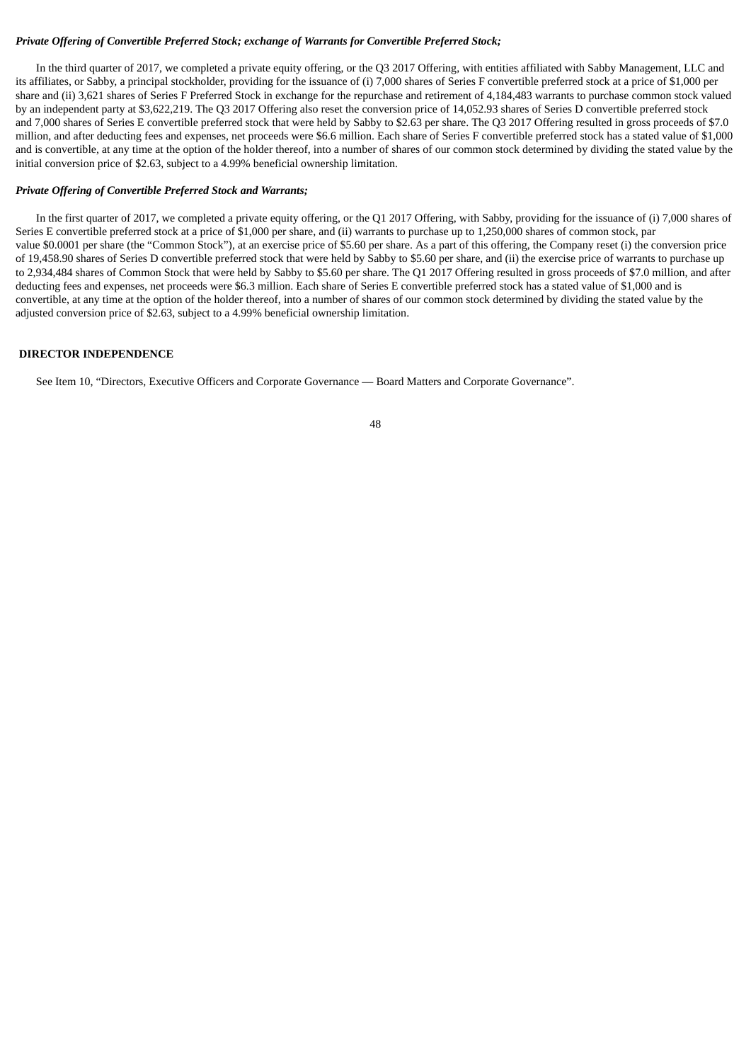# *Private Offering of Convertible Preferred Stock; exchange of Warrants for Convertible Preferred Stock;*

In the third quarter of 2017, we completed a private equity offering, or the Q3 2017 Offering, with entities affiliated with Sabby Management, LLC and its affiliates, or Sabby, a principal stockholder, providing for the issuance of (i) 7,000 shares of Series F convertible preferred stock at a price of \$1,000 per share and (ii) 3,621 shares of Series F Preferred Stock in exchange for the repurchase and retirement of 4,184,483 warrants to purchase common stock valued by an independent party at \$3,622,219. The Q3 2017 Offering also reset the conversion price of 14,052.93 shares of Series D convertible preferred stock and 7,000 shares of Series E convertible preferred stock that were held by Sabby to \$2.63 per share. The Q3 2017 Offering resulted in gross proceeds of \$7.0 million, and after deducting fees and expenses, net proceeds were \$6.6 million. Each share of Series F convertible preferred stock has a stated value of \$1,000 and is convertible, at any time at the option of the holder thereof, into a number of shares of our common stock determined by dividing the stated value by the initial conversion price of \$2.63, subject to a 4.99% beneficial ownership limitation.

### *Private Offering of Convertible Preferred Stock and Warrants;*

In the first quarter of 2017, we completed a private equity offering, or the Q1 2017 Offering, with Sabby, providing for the issuance of (i) 7,000 shares of Series E convertible preferred stock at a price of \$1,000 per share, and (ii) warrants to purchase up to 1,250,000 shares of common stock, par value \$0.0001 per share (the "Common Stock"), at an exercise price of \$5.60 per share. As a part of this offering, the Company reset (i) the conversion price of 19,458.90 shares of Series D convertible preferred stock that were held by Sabby to \$5.60 per share, and (ii) the exercise price of warrants to purchase up to 2,934,484 shares of Common Stock that were held by Sabby to \$5.60 per share. The Q1 2017 Offering resulted in gross proceeds of \$7.0 million, and after deducting fees and expenses, net proceeds were \$6.3 million. Each share of Series E convertible preferred stock has a stated value of \$1,000 and is convertible, at any time at the option of the holder thereof, into a number of shares of our common stock determined by dividing the stated value by the adjusted conversion price of \$2.63, subject to a 4.99% beneficial ownership limitation.

# **DIRECTOR INDEPENDENCE**

See Item 10, "Directors, Executive Officers and Corporate Governance — Board Matters and Corporate Governance".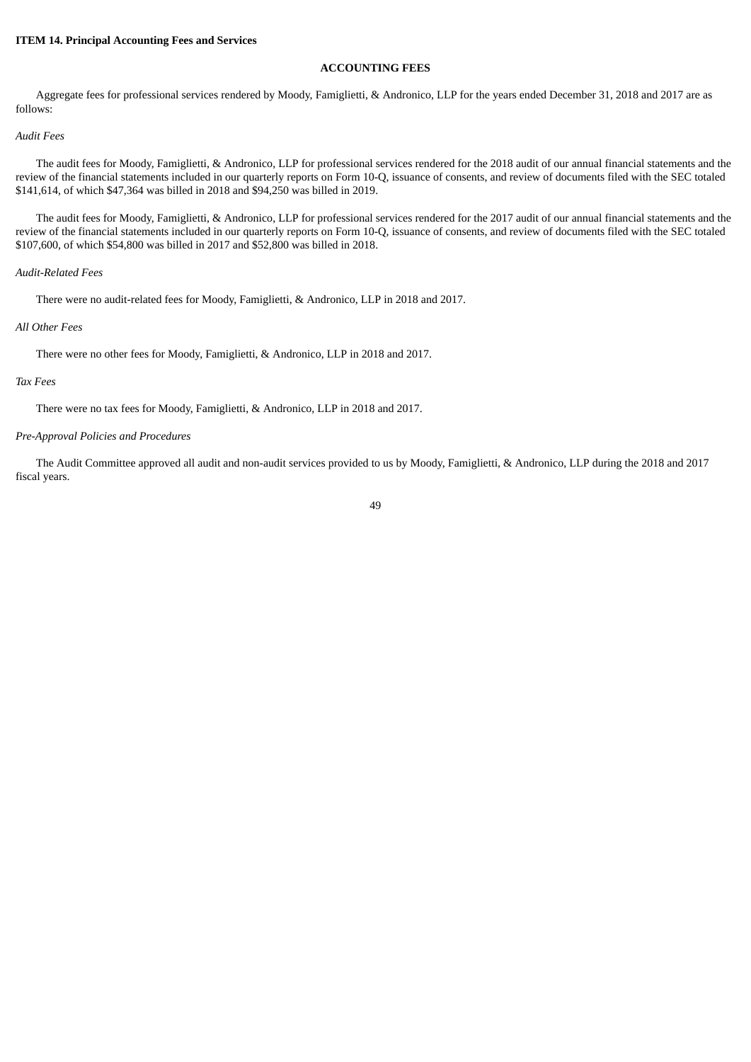### **ITEM 14. Principal Accounting Fees and Services**

# **ACCOUNTING FEES**

Aggregate fees for professional services rendered by Moody, Famiglietti, & Andronico, LLP for the years ended December 31, 2018 and 2017 are as follows:

# *Audit Fees*

The audit fees for Moody, Famiglietti, & Andronico, LLP for professional services rendered for the 2018 audit of our annual financial statements and the review of the financial statements included in our quarterly reports on Form 10-Q, issuance of consents, and review of documents filed with the SEC totaled \$141,614, of which \$47,364 was billed in 2018 and \$94,250 was billed in 2019.

The audit fees for Moody, Famiglietti, & Andronico, LLP for professional services rendered for the 2017 audit of our annual financial statements and the review of the financial statements included in our quarterly reports on Form 10-Q, issuance of consents, and review of documents filed with the SEC totaled \$107,600, of which \$54,800 was billed in 2017 and \$52,800 was billed in 2018.

## *Audit-Related Fees*

There were no audit-related fees for Moody, Famiglietti, & Andronico, LLP in 2018 and 2017.

### *All Other Fees*

There were no other fees for Moody, Famiglietti, & Andronico, LLP in 2018 and 2017.

### *Tax Fees*

There were no tax fees for Moody, Famiglietti, & Andronico, LLP in 2018 and 2017.

## *Pre-Approval Policies and Procedures*

The Audit Committee approved all audit and non-audit services provided to us by Moody, Famiglietti, & Andronico, LLP during the 2018 and 2017 fiscal years.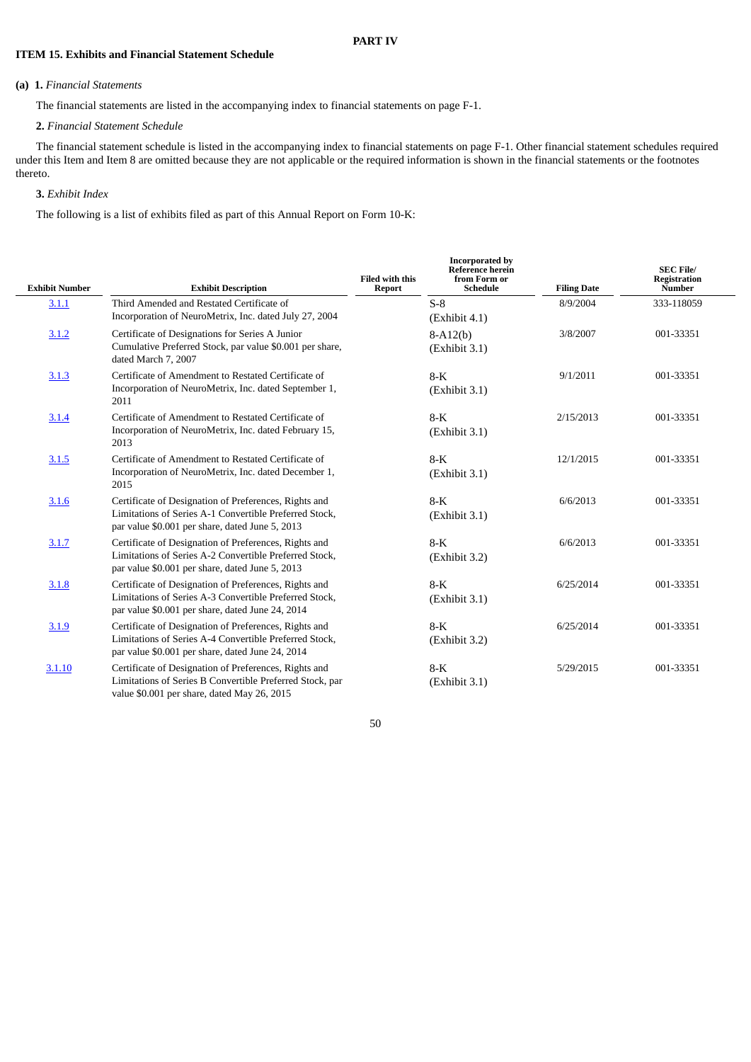# **PART IV**

# **ITEM 15. Exhibits and Financial Statement Schedule**

# **(a) 1.** *Financial Statements*

The financial statements are listed in the accompanying index to financial statements on page F-1.

# **2.** *Financial Statement Schedule*

The financial statement schedule is listed in the accompanying index to financial statements on page F-1. Other financial statement schedules required under this Item and Item 8 are omitted because they are not applicable or the required information is shown in the financial statements or the footnotes thereto.

# **3.** *Exhibit Index*

 $\overline{\phantom{0}}$ 

The following is a list of exhibits filed as part of this Annual Report on Form 10-K:

| <b>Exhibit Number</b> | <b>Exhibit Description</b>                                                                                                                                          | <b>Filed with this</b><br><b>Report</b> | <b>Incorporated by</b><br><b>Reference herein</b><br>from Form or<br><b>Schedule</b> | <b>Filing Date</b> | <b>SEC File/</b><br><b>Registration</b><br>Number |
|-----------------------|---------------------------------------------------------------------------------------------------------------------------------------------------------------------|-----------------------------------------|--------------------------------------------------------------------------------------|--------------------|---------------------------------------------------|
| 3.1.1                 | Third Amended and Restated Certificate of<br>Incorporation of NeuroMetrix, Inc. dated July 27, 2004                                                                 |                                         | $S-8$<br>(Exhibit 4.1)                                                               | 8/9/2004           | 333-118059                                        |
| 3.1.2                 | Certificate of Designations for Series A Junior<br>Cumulative Preferred Stock, par value \$0.001 per share,<br>dated March 7, 2007                                  |                                         | $8 - A12(b)$<br>(Exhibit 3.1)                                                        | 3/8/2007           | 001-33351                                         |
| 3.1.3                 | Certificate of Amendment to Restated Certificate of<br>Incorporation of NeuroMetrix, Inc. dated September 1,<br>2011                                                |                                         | $8-K$<br>(Exhibit 3.1)                                                               | 9/1/2011           | 001-33351                                         |
| 3.1.4                 | Certificate of Amendment to Restated Certificate of<br>Incorporation of NeuroMetrix, Inc. dated February 15,<br>2013                                                |                                         | $8-K$<br>(Exhibit 3.1)                                                               | 2/15/2013          | 001-33351                                         |
| 3.1.5                 | Certificate of Amendment to Restated Certificate of<br>Incorporation of NeuroMetrix, Inc. dated December 1,<br>2015                                                 |                                         | $8-K$<br>(Exhibit 3.1)                                                               | 12/1/2015          | 001-33351                                         |
| 3.1.6                 | Certificate of Designation of Preferences, Rights and<br>Limitations of Series A-1 Convertible Preferred Stock.<br>par value \$0.001 per share, dated June 5, 2013  |                                         | $8-K$<br>(Exhibit 3.1)                                                               | 6/6/2013           | 001-33351                                         |
| 3.1.7                 | Certificate of Designation of Preferences, Rights and<br>Limitations of Series A-2 Convertible Preferred Stock,<br>par value \$0.001 per share, dated June 5, 2013  |                                         | $8-K$<br>(Exhibit 3.2)                                                               | 6/6/2013           | 001-33351                                         |
| 3.1.8                 | Certificate of Designation of Preferences, Rights and<br>Limitations of Series A-3 Convertible Preferred Stock.<br>par value \$0.001 per share, dated June 24, 2014 |                                         | $8-K$<br>(Exhibit 3.1)                                                               | 6/25/2014          | 001-33351                                         |
| 3.1.9                 | Certificate of Designation of Preferences, Rights and<br>Limitations of Series A-4 Convertible Preferred Stock,<br>par value \$0.001 per share, dated June 24, 2014 |                                         | $8-K$<br>(Exhibit 3.2)                                                               | 6/25/2014          | 001-33351                                         |
| 3.1.10                | Certificate of Designation of Preferences, Rights and<br>Limitations of Series B Convertible Preferred Stock, par<br>value \$0.001 per share, dated May 26, 2015    |                                         | $8-K$<br>(Exhibit 3.1)                                                               | 5/29/2015          | 001-33351                                         |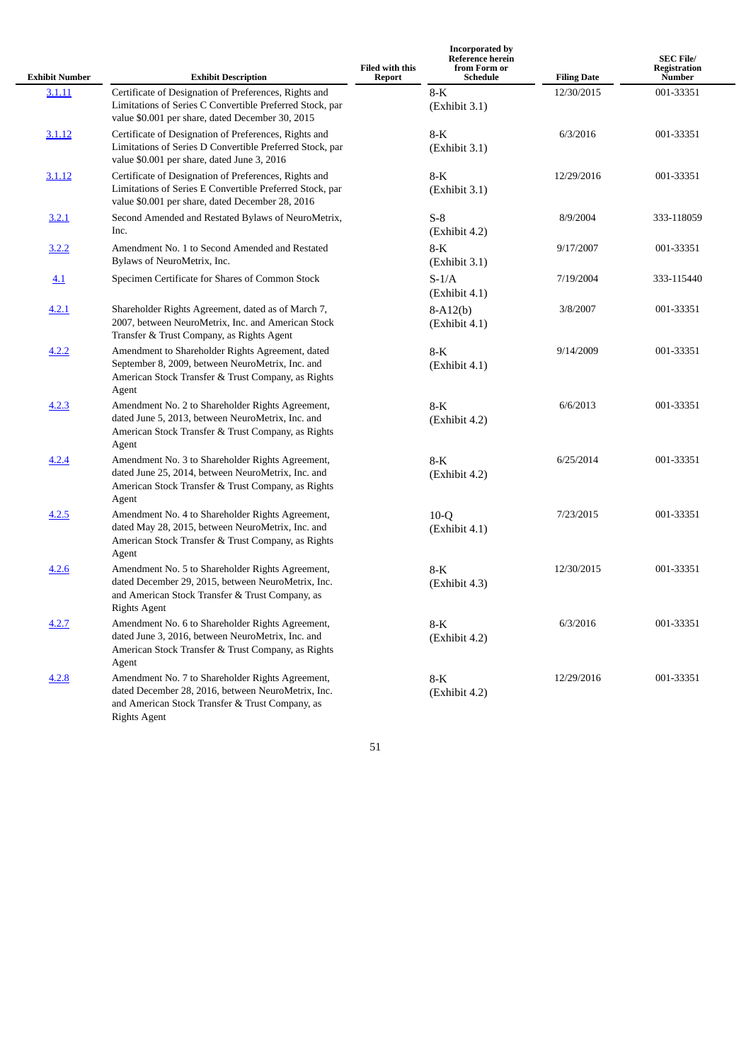|                       |                                                                                                                                                                                  | <b>Filed with this</b> | <b>Incorporated by</b><br><b>Reference herein</b><br>from Form or |                    | <b>SEC File/</b><br>Registration |
|-----------------------|----------------------------------------------------------------------------------------------------------------------------------------------------------------------------------|------------------------|-------------------------------------------------------------------|--------------------|----------------------------------|
| <b>Exhibit Number</b> | <b>Exhibit Description</b>                                                                                                                                                       | Report                 | <b>Schedule</b>                                                   | <b>Filing Date</b> | <b>Number</b>                    |
| 3.1.11                | Certificate of Designation of Preferences, Rights and<br>Limitations of Series C Convertible Preferred Stock, par<br>value \$0.001 per share, dated December 30, 2015            |                        | $8-K$<br>(Exhibit 3.1)                                            | 12/30/2015         | 001-33351                        |
| 3.1.12                | Certificate of Designation of Preferences, Rights and<br>Limitations of Series D Convertible Preferred Stock, par<br>value \$0.001 per share, dated June 3, 2016                 |                        | $8-K$<br>(Exhibit 3.1)                                            | 6/3/2016           | 001-33351                        |
| <u>3.1.12</u>         | Certificate of Designation of Preferences, Rights and<br>Limitations of Series E Convertible Preferred Stock, par<br>value \$0.001 per share, dated December 28, 2016            |                        | $8-K$<br>(Exhibit 3.1)                                            | 12/29/2016         | 001-33351                        |
| 3.2.1                 | Second Amended and Restated Bylaws of NeuroMetrix,<br>Inc.                                                                                                                       |                        | $S-8$<br>(Exhibit 4.2)                                            | 8/9/2004           | 333-118059                       |
| 3.2.2                 | Amendment No. 1 to Second Amended and Restated<br>Bylaws of NeuroMetrix, Inc.                                                                                                    |                        | $8-K$<br>(Exhibit 3.1)                                            | 9/17/2007          | 001-33351                        |
| 4.1                   | Specimen Certificate for Shares of Common Stock                                                                                                                                  |                        | $S-1/A$<br>(Exhibit 4.1)                                          | 7/19/2004          | 333-115440                       |
| <u>4.2.1</u>          | Shareholder Rights Agreement, dated as of March 7,<br>2007, between NeuroMetrix, Inc. and American Stock<br>Transfer & Trust Company, as Rights Agent                            |                        | $8 - A12(b)$<br>(Exhibit 4.1)                                     | 3/8/2007           | 001-33351                        |
| 4.2.2                 | Amendment to Shareholder Rights Agreement, dated<br>September 8, 2009, between NeuroMetrix, Inc. and<br>American Stock Transfer & Trust Company, as Rights<br>Agent              |                        | $8-K$<br>(Exhibit 4.1)                                            | 9/14/2009          | 001-33351                        |
| 4.2.3                 | Amendment No. 2 to Shareholder Rights Agreement,<br>dated June 5, 2013, between NeuroMetrix, Inc. and<br>American Stock Transfer & Trust Company, as Rights<br>Agent             |                        | $8-K$<br>(Exhibit 4.2)                                            | 6/6/2013           | 001-33351                        |
| 4.2.4                 | Amendment No. 3 to Shareholder Rights Agreement,<br>dated June 25, 2014, between NeuroMetrix, Inc. and<br>American Stock Transfer & Trust Company, as Rights<br>Agent            |                        | $8-K$<br>(Exhibit 4.2)                                            | 6/25/2014          | 001-33351                        |
| 4.2.5                 | Amendment No. 4 to Shareholder Rights Agreement,<br>dated May 28, 2015, between NeuroMetrix, Inc. and<br>American Stock Transfer & Trust Company, as Rights<br>Agent             |                        | $10-Q$<br>(Exhibit 4.1)                                           | 7/23/2015          | 001-33351                        |
| 4.2.6                 | Amendment No. 5 to Shareholder Rights Agreement,<br>dated December 29, 2015, between NeuroMetrix, Inc.<br>and American Stock Transfer & Trust Company, as<br><b>Rights Agent</b> |                        | $8-K$<br>(Exhibit 4.3)                                            | 12/30/2015         | 001-33351                        |
| 4.2.7                 | Amendment No. 6 to Shareholder Rights Agreement,<br>dated June 3, 2016, between NeuroMetrix, Inc. and<br>American Stock Transfer & Trust Company, as Rights<br>Agent             |                        | 8-K<br>(Exhibit 4.2)                                              | 6/3/2016           | 001-33351                        |
| 4.2.8                 | Amendment No. 7 to Shareholder Rights Agreement,<br>dated December 28, 2016, between NeuroMetrix, Inc.<br>and American Stock Transfer & Trust Company, as                        |                        | $8-K$<br>(Exhibit 4.2)                                            | 12/29/2016         | 001-33351                        |

 $\overline{\phantom{0}}$ 

51

Rights Agent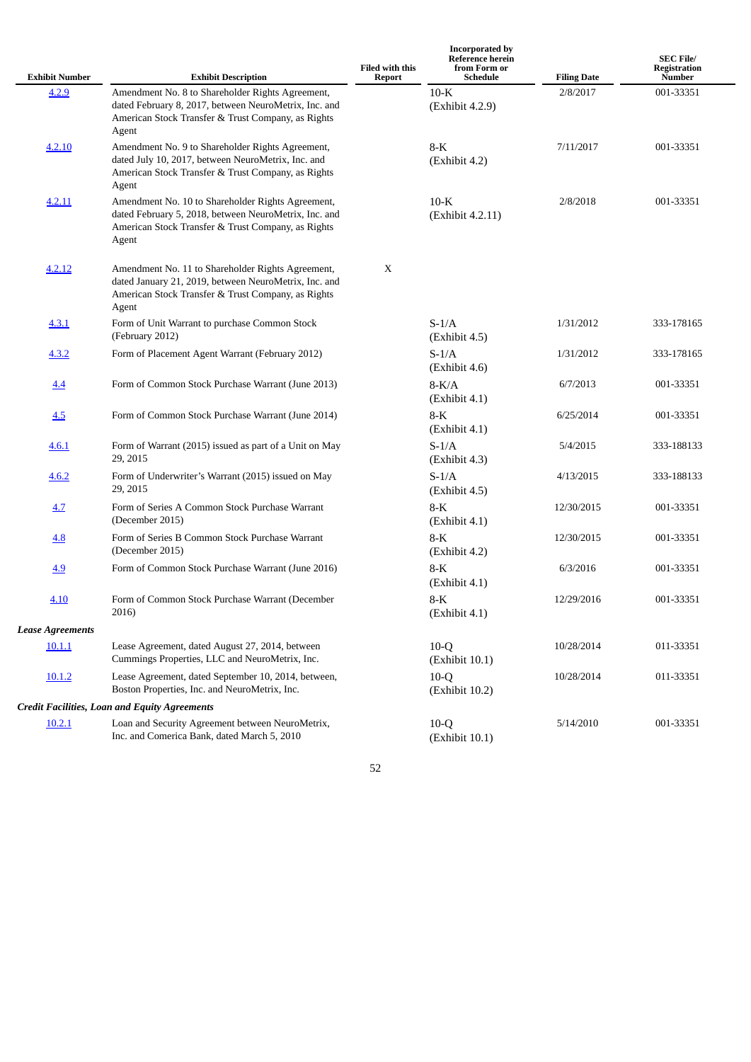| <b>Exhibit Number</b> | <b>Exhibit Description</b>                                                                                                                                                | <b>Filed with this</b><br>Report | <b>Incorporated by</b><br>Reference herein<br>from Form or<br>Schedule | <b>Filing Date</b> | <b>SEC File/</b><br>Registration<br>Number |
|-----------------------|---------------------------------------------------------------------------------------------------------------------------------------------------------------------------|----------------------------------|------------------------------------------------------------------------|--------------------|--------------------------------------------|
| 4.2.9                 | Amendment No. 8 to Shareholder Rights Agreement,<br>dated February 8, 2017, between NeuroMetrix, Inc. and<br>American Stock Transfer & Trust Company, as Rights<br>Agent  |                                  | $10-K$<br>(Exhibit 4.2.9)                                              | 2/8/2017           | 001-33351                                  |
| 4.2.10                | Amendment No. 9 to Shareholder Rights Agreement,<br>dated July 10, 2017, between NeuroMetrix, Inc. and<br>American Stock Transfer & Trust Company, as Rights<br>Agent     |                                  | $8-K$<br>(Exhibit 4.2)                                                 | 7/11/2017          | 001-33351                                  |
| 4.2.11                | Amendment No. 10 to Shareholder Rights Agreement,<br>dated February 5, 2018, between NeuroMetrix, Inc. and<br>American Stock Transfer & Trust Company, as Rights<br>Agent |                                  | $10-K$<br>(Exhibit 4.2.11)                                             | 2/8/2018           | 001-33351                                  |
| 4.2.12                | Amendment No. 11 to Shareholder Rights Agreement,<br>dated January 21, 2019, between NeuroMetrix, Inc. and<br>American Stock Transfer & Trust Company, as Rights<br>Agent | X                                |                                                                        |                    |                                            |
| 4.3.1                 | Form of Unit Warrant to purchase Common Stock<br>(February 2012)                                                                                                          |                                  | $S-1/A$<br>(Exhibit 4.5)                                               | 1/31/2012          | 333-178165                                 |
| 4.3.2                 | Form of Placement Agent Warrant (February 2012)                                                                                                                           |                                  | $S-1/A$<br>(Exhibit 4.6)                                               | 1/31/2012          | 333-178165                                 |
| <u>4.4</u>            | Form of Common Stock Purchase Warrant (June 2013)                                                                                                                         |                                  | $8-K/A$<br>(Exhibit 4.1)                                               | 6/7/2013           | 001-33351                                  |
| 4.5                   | Form of Common Stock Purchase Warrant (June 2014)                                                                                                                         |                                  | $8-K$<br>(Exhibit 4.1)                                                 | 6/25/2014          | 001-33351                                  |
| <u>4.6.1</u>          | Form of Warrant (2015) issued as part of a Unit on May<br>29, 2015                                                                                                        |                                  | $S-1/A$<br>(Exhibit 4.3)                                               | 5/4/2015           | 333-188133                                 |
| 4.6.2                 | Form of Underwriter's Warrant (2015) issued on May<br>29, 2015                                                                                                            |                                  | $S-1/A$<br>(Exhibit 4.5)                                               | 4/13/2015          | 333-188133                                 |
| <u>4.7</u>            | Form of Series A Common Stock Purchase Warrant<br>(December 2015)                                                                                                         |                                  | $8-K$<br>(Exhibit 4.1)                                                 | 12/30/2015         | 001-33351                                  |
| <u>4.8</u>            | Form of Series B Common Stock Purchase Warrant<br>(December 2015)                                                                                                         |                                  | $8-K$<br>(Exhibit 4.2)                                                 | 12/30/2015         | 001-33351                                  |
| 4.9                   | Form of Common Stock Purchase Warrant (June 2016)                                                                                                                         |                                  | $8-K$<br>(Exhibit 4.1)                                                 | 6/3/2016           | 001-33351                                  |
| 4.10                  | Form of Common Stock Purchase Warrant (December<br>2016)                                                                                                                  |                                  | $8-K$<br>(Exhibit 4.1)                                                 | 12/29/2016         | 001-33351                                  |
| Lease Agreements      |                                                                                                                                                                           |                                  |                                                                        |                    |                                            |
| 10.1.1                | Lease Agreement, dated August 27, 2014, between<br>Cummings Properties, LLC and NeuroMetrix, Inc.                                                                         |                                  | $10-Q$<br>(Exhibit 10.1)                                               | 10/28/2014         | 011-33351                                  |
| 10.1.2                | Lease Agreement, dated September 10, 2014, between,<br>Boston Properties, Inc. and NeuroMetrix, Inc.                                                                      |                                  | $10-Q$<br>(Exhibit 10.2)                                               | 10/28/2014         | 011-33351                                  |
|                       | <b>Credit Facilities, Loan and Equity Agreements</b>                                                                                                                      |                                  |                                                                        |                    |                                            |
| 10.2.1                | Loan and Security Agreement between NeuroMetrix,<br>Inc. and Comerica Bank, dated March 5, 2010                                                                           |                                  | $10-Q$<br>(Exhibit 10.1)                                               | 5/14/2010          | 001-33351                                  |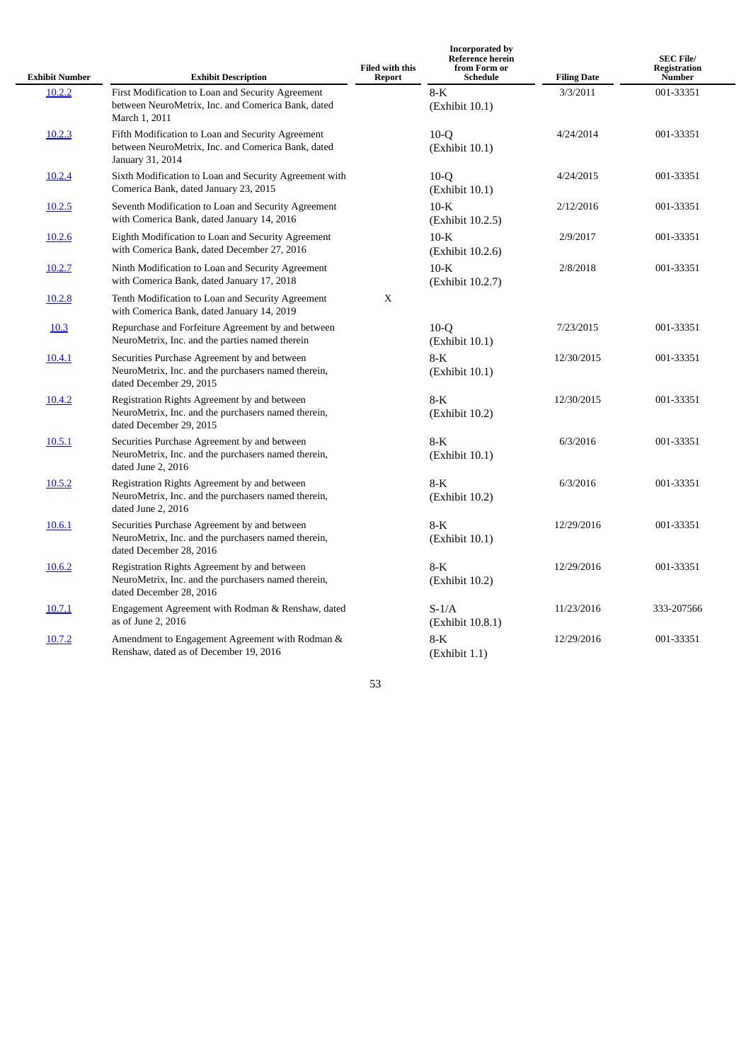| <b>Exhibit Number</b> | <b>Exhibit Description</b>                                                                                                     | <b>Filed with this</b><br><b>Report</b> | <b>Incorporated by</b><br>Reference herein<br>from Form or<br><b>Schedule</b> | <b>Filing Date</b> | <b>SEC File/</b><br>Registration<br><b>Number</b> |
|-----------------------|--------------------------------------------------------------------------------------------------------------------------------|-----------------------------------------|-------------------------------------------------------------------------------|--------------------|---------------------------------------------------|
| 10.2.2                | First Modification to Loan and Security Agreement<br>between NeuroMetrix, Inc. and Comerica Bank, dated<br>March 1, 2011       |                                         | $8-K$<br>(Exhibit 10.1)                                                       | 3/3/2011           | 001-33351                                         |
| 10.2.3                | Fifth Modification to Loan and Security Agreement<br>between NeuroMetrix, Inc. and Comerica Bank, dated<br>January 31, 2014    |                                         | $10-o$<br>(Exhibit 10.1)                                                      | 4/24/2014          | 001-33351                                         |
| 10.2.4                | Sixth Modification to Loan and Security Agreement with<br>Comerica Bank, dated January 23, 2015                                |                                         | $10-Q$<br>(Exhibit 10.1)                                                      | 4/24/2015          | 001-33351                                         |
| 10.2.5                | Seventh Modification to Loan and Security Agreement<br>with Comerica Bank, dated January 14, 2016                              |                                         | $10-K$<br>(Exhibit 10.2.5)                                                    | 2/12/2016          | 001-33351                                         |
| 10.2.6                | Eighth Modification to Loan and Security Agreement<br>with Comerica Bank, dated December 27, 2016                              |                                         | $10-K$<br>(Exhibit 10.2.6)                                                    | 2/9/2017           | 001-33351                                         |
| 10.2.7                | Ninth Modification to Loan and Security Agreement<br>with Comerica Bank, dated January 17, 2018                                |                                         | $10-K$<br>(Exhibit 10.2.7)                                                    | 2/8/2018           | 001-33351                                         |
| 10.2.8                | Tenth Modification to Loan and Security Agreement<br>with Comerica Bank, dated January 14, 2019                                | X                                       |                                                                               |                    |                                                   |
| 10.3                  | Repurchase and Forfeiture Agreement by and between<br>NeuroMetrix, Inc. and the parties named therein                          |                                         | $10-Q$<br>(Exhibit 10.1)                                                      | 7/23/2015          | 001-33351                                         |
| 10.4.1                | Securities Purchase Agreement by and between<br>NeuroMetrix, Inc. and the purchasers named therein,<br>dated December 29, 2015 |                                         | $8-K$<br>(Exhibit 10.1)                                                       | 12/30/2015         | 001-33351                                         |
| 10.4.2                | Registration Rights Agreement by and between<br>NeuroMetrix, Inc. and the purchasers named therein,<br>dated December 29, 2015 |                                         | 8-K<br>(Exhibit 10.2)                                                         | 12/30/2015         | 001-33351                                         |
| 10.5.1                | Securities Purchase Agreement by and between<br>NeuroMetrix, Inc. and the purchasers named therein,<br>dated June 2, 2016      |                                         | 8-K<br>(Exhibit 10.1)                                                         | 6/3/2016           | 001-33351                                         |
| 10.5.2                | Registration Rights Agreement by and between<br>NeuroMetrix, Inc. and the purchasers named therein,<br>dated June 2, 2016      |                                         | 8-K<br>(Exhibit 10.2)                                                         | 6/3/2016           | 001-33351                                         |
| 10.6.1                | Securities Purchase Agreement by and between<br>NeuroMetrix, Inc. and the purchasers named therein,<br>dated December 28, 2016 |                                         | 8-K<br>(Exhibit 10.1)                                                         | 12/29/2016         | 001-33351                                         |
| 10.6.2                | Registration Rights Agreement by and between<br>NeuroMetrix, Inc. and the purchasers named therein,<br>dated December 28, 2016 |                                         | $8-K$<br>(Exhibit 10.2)                                                       | 12/29/2016         | 001-33351                                         |
| 10.7.1                | Engagement Agreement with Rodman & Renshaw, dated<br>as of June 2, 2016                                                        |                                         | $S-1/A$<br>(Exhibit 10.8.1)                                                   | 11/23/2016         | 333-207566                                        |
| 10.7.2                | Amendment to Engagement Agreement with Rodman &<br>Renshaw, dated as of December 19, 2016                                      |                                         | $8-K$<br>(Exhibit 1.1)                                                        | 12/29/2016         | 001-33351                                         |

 $\overline{\phantom{0}}$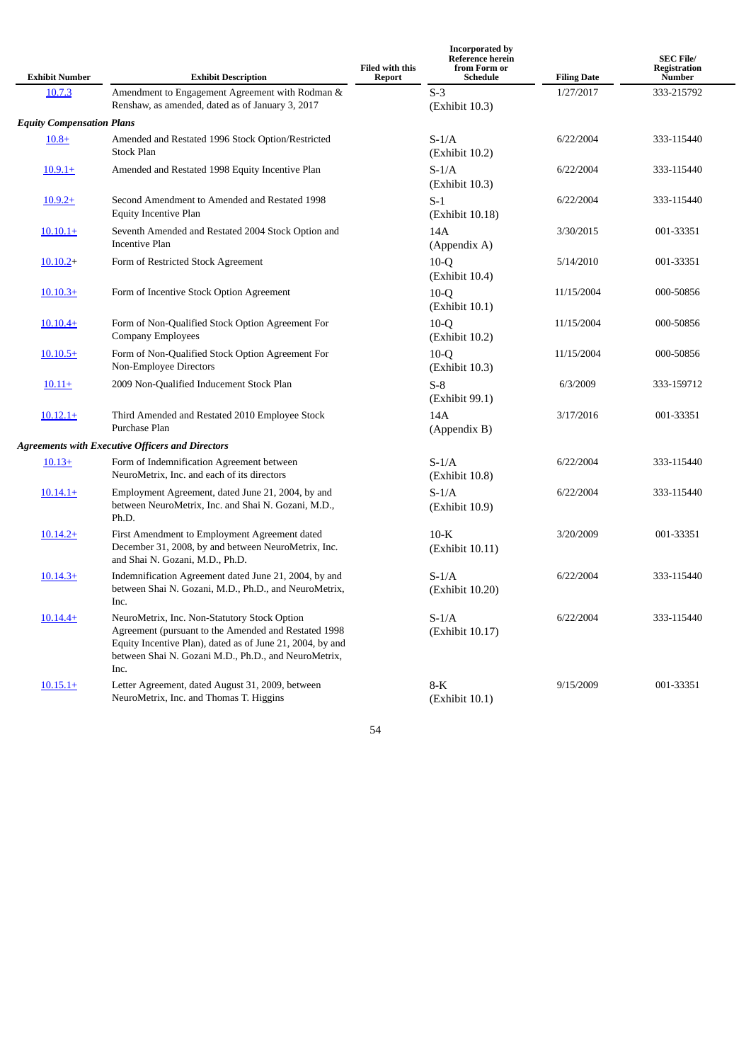| <b>Exhibit Number</b>            | <b>Exhibit Description</b>                                                                                                                                                                                                        | <b>Filed with this</b><br>Report | <b>Incorporated by</b><br>Reference herein<br>from Form or<br>Schedule | <b>Filing Date</b> | <b>SEC File/</b><br><b>Registration</b><br>Number |
|----------------------------------|-----------------------------------------------------------------------------------------------------------------------------------------------------------------------------------------------------------------------------------|----------------------------------|------------------------------------------------------------------------|--------------------|---------------------------------------------------|
| 10.7.3                           | Amendment to Engagement Agreement with Rodman &                                                                                                                                                                                   |                                  | $S-3$                                                                  | 1/27/2017          | 333-215792                                        |
|                                  | Renshaw, as amended, dated as of January 3, 2017                                                                                                                                                                                  |                                  | (Exhibit 10.3)                                                         |                    |                                                   |
| <b>Equity Compensation Plans</b> |                                                                                                                                                                                                                                   |                                  |                                                                        |                    |                                                   |
| $10.8+$                          | Amended and Restated 1996 Stock Option/Restricted<br><b>Stock Plan</b>                                                                                                                                                            |                                  | $S-1/A$<br>(Exhibit 10.2)                                              | 6/22/2004          | 333-115440                                        |
| $10.9.1+$                        | Amended and Restated 1998 Equity Incentive Plan                                                                                                                                                                                   |                                  | $S-1/A$<br>(Exhibit 10.3)                                              | 6/22/2004          | 333-115440                                        |
| $10.9.2+$                        | Second Amendment to Amended and Restated 1998<br><b>Equity Incentive Plan</b>                                                                                                                                                     |                                  | $S-1$<br>(Exhibit 10.18)                                               | 6/22/2004          | 333-115440                                        |
| $10.10.1+$                       | Seventh Amended and Restated 2004 Stock Option and<br><b>Incentive Plan</b>                                                                                                                                                       |                                  | 14A<br>(Appendix A)                                                    | 3/30/2015          | 001-33351                                         |
| $10.10.2+$                       | Form of Restricted Stock Agreement                                                                                                                                                                                                |                                  | $10-Q$<br>(Exhibit 10.4)                                               | 5/14/2010          | 001-33351                                         |
| $10.10.3+$                       | Form of Incentive Stock Option Agreement                                                                                                                                                                                          |                                  | $10-Q$<br>(Exhibit 10.1)                                               | 11/15/2004         | 000-50856                                         |
| $10.10.4+$                       | Form of Non-Qualified Stock Option Agreement For<br>Company Employees                                                                                                                                                             |                                  | $10-Q$<br>(Exhibit 10.2)                                               | 11/15/2004         | 000-50856                                         |
| $10.10.5+$                       | Form of Non-Qualified Stock Option Agreement For<br>Non-Employee Directors                                                                                                                                                        |                                  | $10-Q$<br>(Exhibit 10.3)                                               | 11/15/2004         | 000-50856                                         |
| $10.11+$                         | 2009 Non-Qualified Inducement Stock Plan                                                                                                                                                                                          |                                  | $S-8$<br>(Exhibit 99.1)                                                | 6/3/2009           | 333-159712                                        |
| $10.12.1+$                       | Third Amended and Restated 2010 Employee Stock<br>Purchase Plan                                                                                                                                                                   |                                  | 14A<br>(Appendix B)                                                    | 3/17/2016          | 001-33351                                         |
|                                  | <b>Agreements with Executive Officers and Directors</b>                                                                                                                                                                           |                                  |                                                                        |                    |                                                   |
| $10.13+$                         | Form of Indemnification Agreement between<br>NeuroMetrix, Inc. and each of its directors                                                                                                                                          |                                  | $S-1/A$<br>(Exhibit 10.8)                                              | 6/22/2004          | 333-115440                                        |
| $10.14.1+$                       | Employment Agreement, dated June 21, 2004, by and<br>between NeuroMetrix, Inc. and Shai N. Gozani, M.D.,<br>Ph.D.                                                                                                                 |                                  | $S-1/A$<br>(Exhibit 10.9)                                              | 6/22/2004          | 333-115440                                        |
| $10.14.2+$                       | First Amendment to Employment Agreement dated<br>December 31, 2008, by and between NeuroMetrix, Inc.<br>and Shai N. Gozani, M.D., Ph.D.                                                                                           |                                  | $10-K$<br>(Exhibit 10.11)                                              | 3/20/2009          | 001-33351                                         |
| $10.14.3+$                       | Indemnification Agreement dated June 21, 2004, by and<br>between Shai N. Gozani, M.D., Ph.D., and NeuroMetrix,<br>Inc.                                                                                                            |                                  | $S-1/A$<br>(Exhibit 10.20)                                             | 6/22/2004          | 333-115440                                        |
| $10.14.4+$                       | NeuroMetrix, Inc. Non-Statutory Stock Option<br>Agreement (pursuant to the Amended and Restated 1998<br>Equity Incentive Plan), dated as of June 21, 2004, by and<br>between Shai N. Gozani M.D., Ph.D., and NeuroMetrix,<br>Inc. |                                  | $S-1/A$<br>(Exhibit 10.17)                                             | 6/22/2004          | 333-115440                                        |
| $10.15.1+$                       | Letter Agreement, dated August 31, 2009, between<br>NeuroMetrix, Inc. and Thomas T. Higgins                                                                                                                                       |                                  | $8-K$<br>(Exhibit 10.1)                                                | 9/15/2009          | 001-33351                                         |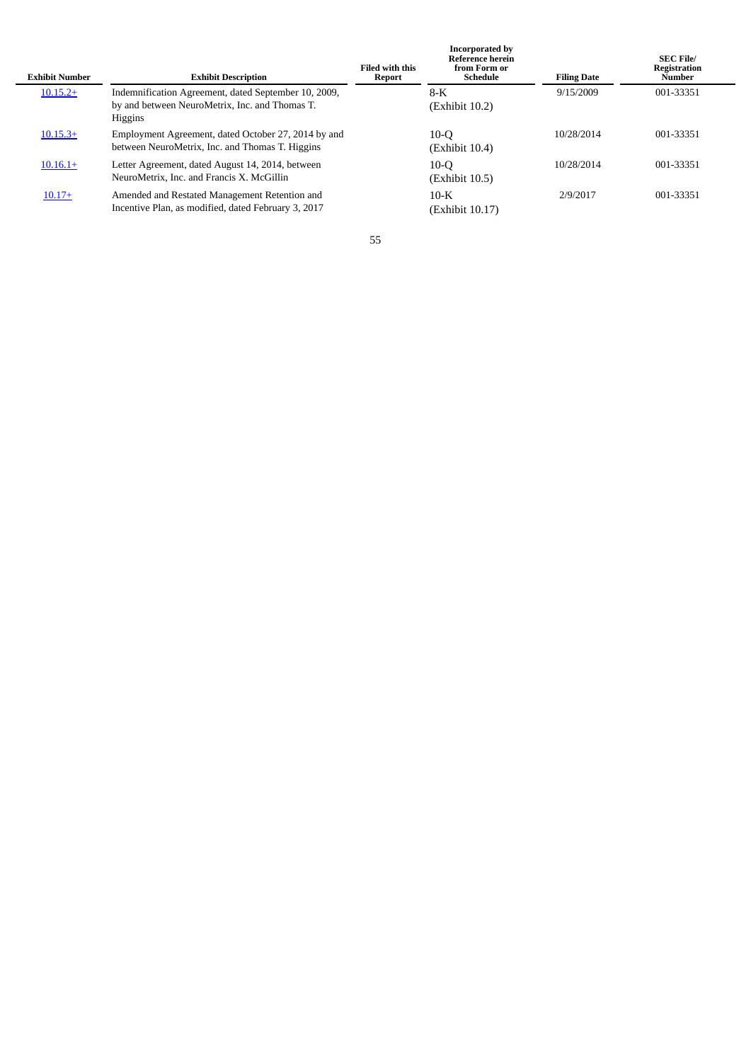| <b>Exhibit Number</b> | <b>Exhibit Description</b>                                                                             | <b>Filed with this</b><br>Report | <b>Incorporated by</b><br><b>Reference herein</b><br>from Form or<br>Schedule | <b>Filing Date</b> | <b>SEC File</b><br>Registration<br><b>Number</b> |
|-----------------------|--------------------------------------------------------------------------------------------------------|----------------------------------|-------------------------------------------------------------------------------|--------------------|--------------------------------------------------|
| $10.15.2+$            | Indemnification Agreement, dated September 10, 2009,                                                   |                                  | $8-K$                                                                         | 9/15/2009          | 001-33351                                        |
|                       | by and between NeuroMetrix, Inc. and Thomas T.<br>Higgins                                              |                                  | (Exhibit 10.2)                                                                |                    |                                                  |
| $10.15.3+$            | Employment Agreement, dated October 27, 2014 by and<br>between NeuroMetrix, Inc. and Thomas T. Higgins |                                  | $10-°$<br>(Exhibit 10.4)                                                      | 10/28/2014         | 001-33351                                        |
| $10.16.1+$            | Letter Agreement, dated August 14, 2014, between<br>NeuroMetrix, Inc. and Francis X. McGillin          |                                  | $10-°$<br>(Exhibit 10.5)                                                      | 10/28/2014         | 001-33351                                        |
| $10.17+$              | Amended and Restated Management Retention and<br>Incentive Plan, as modified, dated February 3, 2017   |                                  | $10-K$<br>(Exhibit 10.17)                                                     | 2/9/2017           | 001-33351                                        |

÷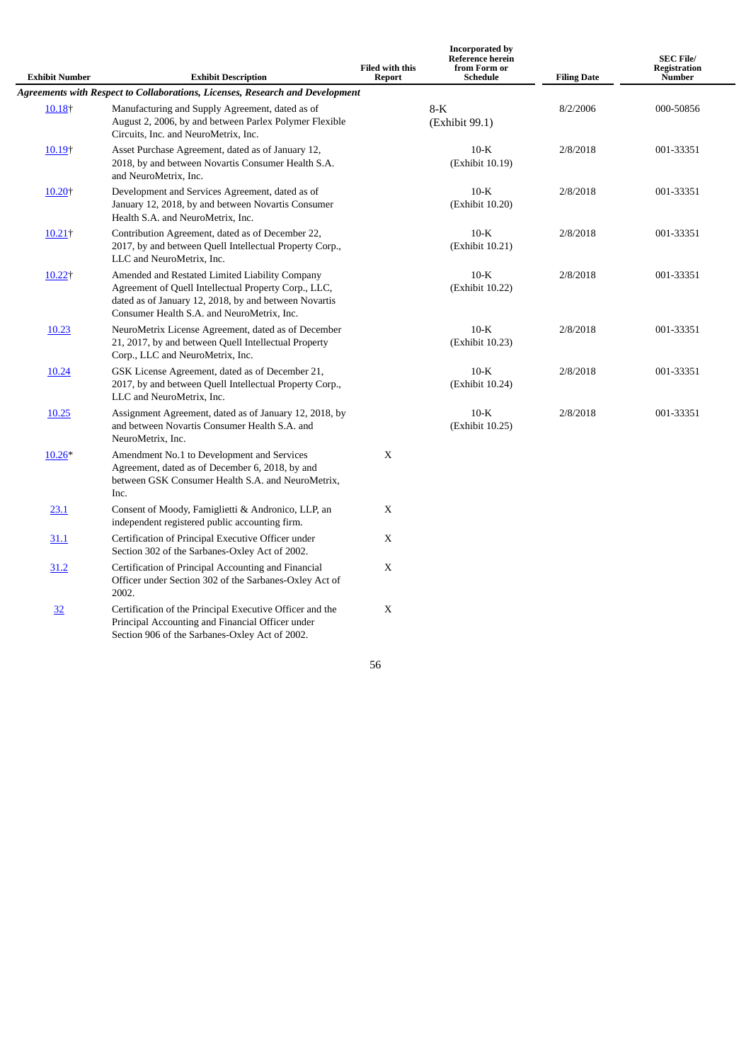| <b>Exhibit Number</b> | <b>Exhibit Description</b>                                                                                                                                                                                    | Filed with this<br><b>Report</b> | <b>Incorporated by</b><br><b>Reference herein</b><br>from Form or<br><b>Schedule</b> | <b>Filing Date</b> | <b>SEC File/</b><br><b>Registration</b><br><b>Number</b> |
|-----------------------|---------------------------------------------------------------------------------------------------------------------------------------------------------------------------------------------------------------|----------------------------------|--------------------------------------------------------------------------------------|--------------------|----------------------------------------------------------|
|                       | Agreements with Respect to Collaborations, Licenses, Research and Development                                                                                                                                 |                                  |                                                                                      |                    |                                                          |
| 10.18+                | Manufacturing and Supply Agreement, dated as of<br>August 2, 2006, by and between Parlex Polymer Flexible<br>Circuits, Inc. and NeuroMetrix, Inc.                                                             |                                  | $8-K$<br>(Exhibit 99.1)                                                              | 8/2/2006           | 000-50856                                                |
| 10.19 <sup>+</sup>    | Asset Purchase Agreement, dated as of January 12,<br>2018, by and between Novartis Consumer Health S.A.<br>and NeuroMetrix, Inc.                                                                              |                                  | $10-K$<br>(Exhibit 10.19)                                                            | 2/8/2018           | 001-33351                                                |
| $10.20$ <sup>+</sup>  | Development and Services Agreement, dated as of<br>January 12, 2018, by and between Novartis Consumer<br>Health S.A. and NeuroMetrix, Inc.                                                                    |                                  | $10-K$<br>(Exhibit 10.20)                                                            | 2/8/2018           | 001-33351                                                |
| 10.21+                | Contribution Agreement, dated as of December 22,<br>2017, by and between Quell Intellectual Property Corp.,<br>LLC and NeuroMetrix, Inc.                                                                      |                                  | $10-K$<br>(Exhibit 10.21)                                                            | 2/8/2018           | 001-33351                                                |
| $10.22$ <sup>+</sup>  | Amended and Restated Limited Liability Company<br>Agreement of Quell Intellectual Property Corp., LLC,<br>dated as of January 12, 2018, by and between Novartis<br>Consumer Health S.A. and NeuroMetrix, Inc. |                                  | $10-K$<br>(Exhibit 10.22)                                                            | 2/8/2018           | 001-33351                                                |
| 10.23                 | NeuroMetrix License Agreement, dated as of December<br>21, 2017, by and between Quell Intellectual Property<br>Corp., LLC and NeuroMetrix, Inc.                                                               |                                  | $10-K$<br>(Exhibit 10.23)                                                            | 2/8/2018           | 001-33351                                                |
| 10.24                 | GSK License Agreement, dated as of December 21,<br>2017, by and between Quell Intellectual Property Corp.,<br>LLC and NeuroMetrix, Inc.                                                                       |                                  | $10-K$<br>(Exhibit 10.24)                                                            | 2/8/2018           | 001-33351                                                |
| 10.25                 | Assignment Agreement, dated as of January 12, 2018, by<br>and between Novartis Consumer Health S.A. and<br>NeuroMetrix, Inc.                                                                                  |                                  | $10-K$<br>(Exhibit 10.25)                                                            | 2/8/2018           | 001-33351                                                |
| $10.26*$              | Amendment No.1 to Development and Services<br>Agreement, dated as of December 6, 2018, by and<br>between GSK Consumer Health S.A. and NeuroMetrix,<br>Inc.                                                    | X                                |                                                                                      |                    |                                                          |
| 23.1                  | Consent of Moody, Famiglietti & Andronico, LLP, an<br>independent registered public accounting firm.                                                                                                          | X                                |                                                                                      |                    |                                                          |
| <u>31.1</u>           | Certification of Principal Executive Officer under<br>Section 302 of the Sarbanes-Oxley Act of 2002.                                                                                                          | X                                |                                                                                      |                    |                                                          |
| 31.2                  | Certification of Principal Accounting and Financial<br>Officer under Section 302 of the Sarbanes-Oxley Act of<br>2002.                                                                                        | X                                |                                                                                      |                    |                                                          |
| 32                    | Certification of the Principal Executive Officer and the<br>Principal Accounting and Financial Officer under<br>Section 906 of the Sarbanes-Oxley Act of 2002.                                                | X                                |                                                                                      |                    |                                                          |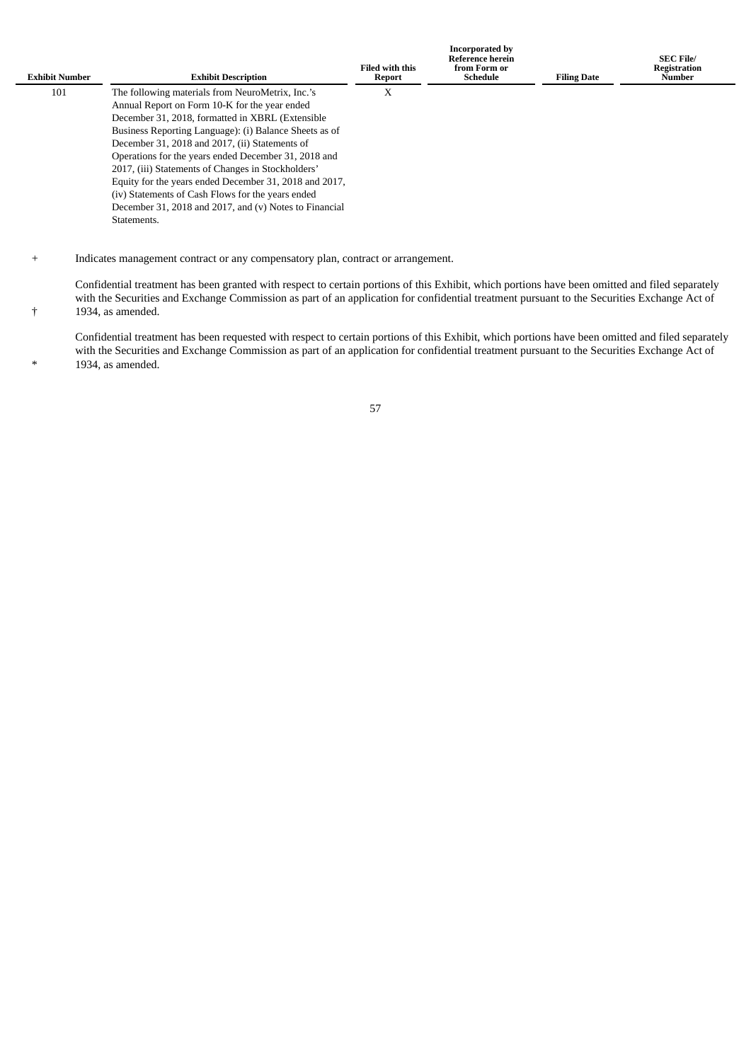| <b>Exhibit Number</b> | <b>Exhibit Description</b>                             | <b>Filed with this</b><br><b>Report</b> | Incorporated by<br><b>Reference herein</b><br>from Form or<br>Schedule | <b>Filing Date</b> | <b>SEC File</b><br><b>Registration</b><br><b>Number</b> |
|-----------------------|--------------------------------------------------------|-----------------------------------------|------------------------------------------------------------------------|--------------------|---------------------------------------------------------|
| 101                   | The following materials from NeuroMetrix, Inc.'s       | X                                       |                                                                        |                    |                                                         |
|                       | Annual Report on Form 10-K for the year ended          |                                         |                                                                        |                    |                                                         |
|                       | December 31, 2018, formatted in XBRL (Extensible       |                                         |                                                                        |                    |                                                         |
|                       | Business Reporting Language): (i) Balance Sheets as of |                                         |                                                                        |                    |                                                         |
|                       | December 31, 2018 and 2017, (ii) Statements of         |                                         |                                                                        |                    |                                                         |
|                       | Operations for the years ended December 31, 2018 and   |                                         |                                                                        |                    |                                                         |
|                       | 2017, (iii) Statements of Changes in Stockholders'     |                                         |                                                                        |                    |                                                         |
|                       | Equity for the years ended December 31, 2018 and 2017, |                                         |                                                                        |                    |                                                         |
|                       | (iv) Statements of Cash Flows for the years ended      |                                         |                                                                        |                    |                                                         |
|                       | December 31, 2018 and 2017, and (v) Notes to Financial |                                         |                                                                        |                    |                                                         |
|                       | Statements.                                            |                                         |                                                                        |                    |                                                         |
|                       |                                                        |                                         |                                                                        |                    |                                                         |

+ Indicates management contract or any compensatory plan, contract or arrangement.

Confidential treatment has been granted with respect to certain portions of this Exhibit, which portions have been omitted and filed separately with the Securities and Exchange Commission as part of an application for confidential treatment pursuant to the Securities Exchange Act of 1934, as amended.

†

\*

Confidential treatment has been requested with respect to certain portions of this Exhibit, which portions have been omitted and filed separately with the Securities and Exchange Commission as part of an application for confidential treatment pursuant to the Securities Exchange Act of 1934, as amended.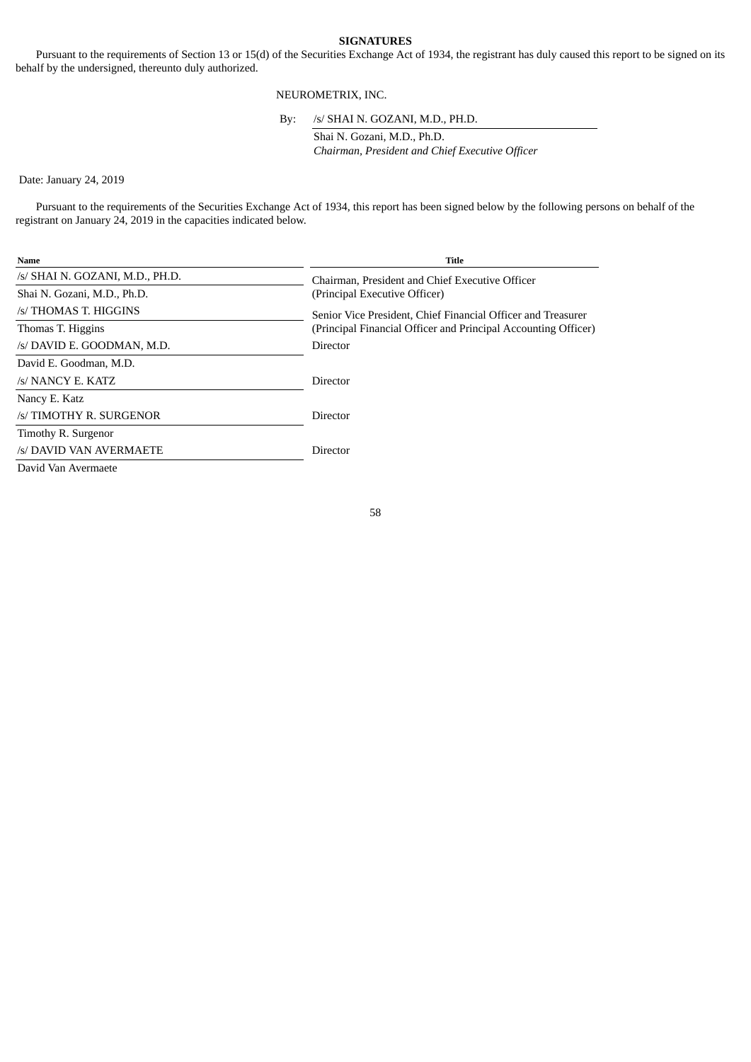# **SIGNATURES**

Pursuant to the requirements of Section 13 or 15(d) of the Securities Exchange Act of 1934, the registrant has duly caused this report to be signed on its behalf by the undersigned, thereunto duly authorized.

# NEUROMETRIX, INC.

By: /s/ SHAI N. GOZANI, M.D., PH.D.

Shai N. Gozani, M.D., Ph.D. *Chairman, President and Chief Executive Officer*

Date: January 24, 2019

Pursuant to the requirements of the Securities Exchange Act of 1934, this report has been signed below by the following persons on behalf of the registrant on January 24, 2019 in the capacities indicated below.

| Name                            | Title                                                          |
|---------------------------------|----------------------------------------------------------------|
| /s/ SHAI N. GOZANI, M.D., PH.D. | Chairman, President and Chief Executive Officer                |
| Shai N. Gozani, M.D., Ph.D.     | (Principal Executive Officer)                                  |
| /s/ THOMAS T. HIGGINS           | Senior Vice President, Chief Financial Officer and Treasurer   |
| Thomas T. Higgins               | (Principal Financial Officer and Principal Accounting Officer) |
| /s/ DAVID E. GOODMAN, M.D.      | Director                                                       |
| David E. Goodman, M.D.          |                                                                |
| /s/ NANCY E. KATZ               | Director                                                       |
| Nancy E. Katz                   |                                                                |
| /s/ TIMOTHY R. SURGENOR         | Director                                                       |
| Timothy R. Surgenor             |                                                                |
| /s/ DAVID VAN AVERMAETE         | Director                                                       |
| David Van Avermaete             |                                                                |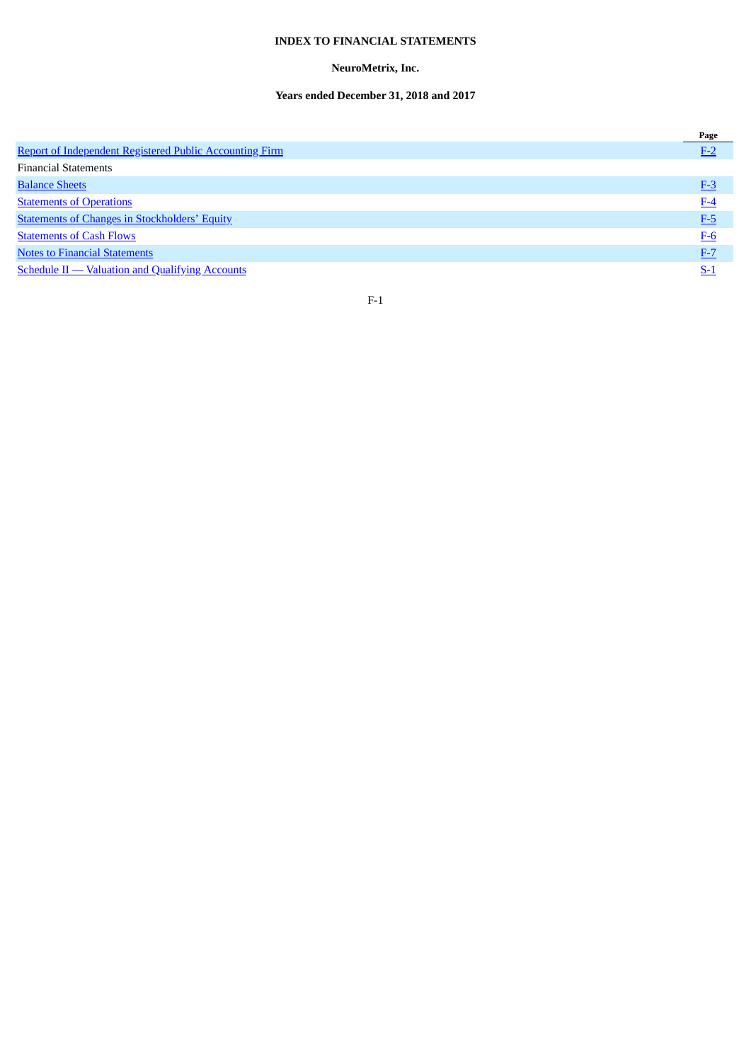# **INDEX TO FINANCIAL STATEMENTS**

# **NeuroMetrix, Inc.**

# **Years ended December 31, 2018 and 2017**

|                                                                | Page       |
|----------------------------------------------------------------|------------|
| <b>Report of Independent Registered Public Accounting Firm</b> | $F-2$      |
| <b>Financial Statements</b>                                    |            |
| <b>Balance Sheets</b>                                          | $F-3$      |
| <b>Statements of Operations</b>                                | $F-4$      |
| <b>Statements of Changes in Stockholders' Equity</b>           | $F-5$      |
| <b>Statements of Cash Flows</b>                                | $F-6$      |
| <b>Notes to Financial Statements</b>                           | $E-7$      |
| <b>Schedule II — Valuation and Qualifying Accounts</b>         | <u>S-1</u> |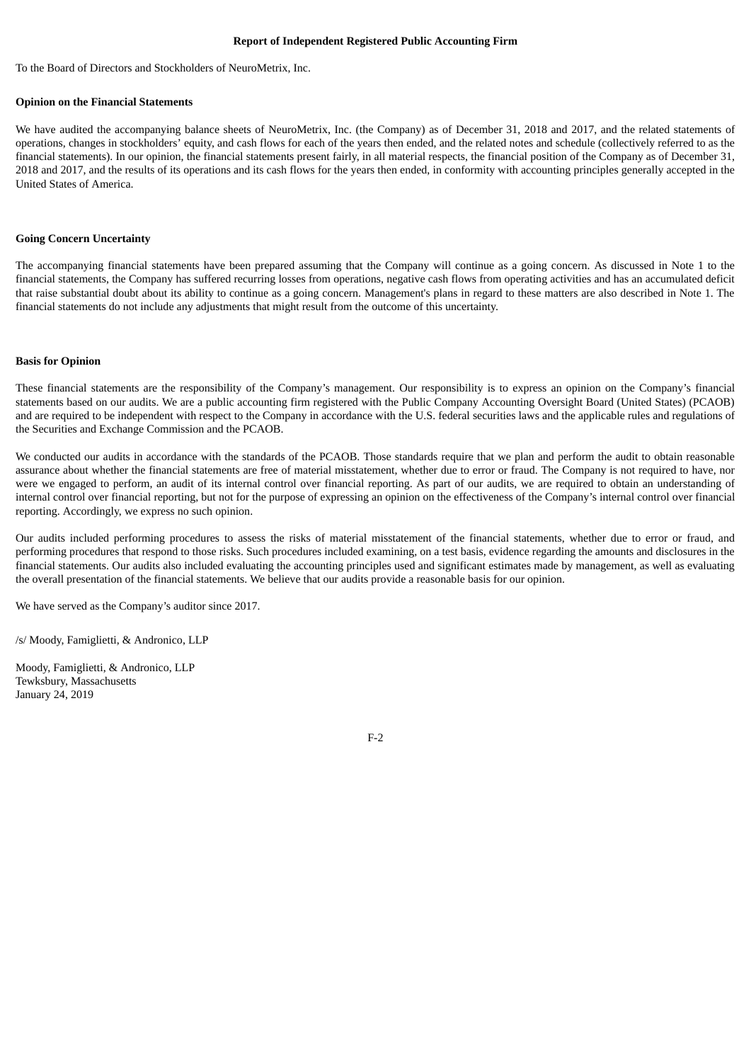### **Report of Independent Registered Public Accounting Firm**

<span id="page-62-0"></span>To the Board of Directors and Stockholders of NeuroMetrix, Inc.

## **Opinion on the Financial Statements**

We have audited the accompanying balance sheets of NeuroMetrix, Inc. (the Company) as of December 31, 2018 and 2017, and the related statements of operations, changes in stockholders' equity, and cash flows for each of the years then ended, and the related notes and schedule (collectively referred to as the financial statements). In our opinion, the financial statements present fairly, in all material respects, the financial position of the Company as of December 31, 2018 and 2017, and the results of its operations and its cash flows for the years then ended, in conformity with accounting principles generally accepted in the United States of America.

# **Going Concern Uncertainty**

The accompanying financial statements have been prepared assuming that the Company will continue as a going concern. As discussed in Note 1 to the financial statements, the Company has suffered recurring losses from operations, negative cash flows from operating activities and has an accumulated deficit that raise substantial doubt about its ability to continue as a going concern. Management's plans in regard to these matters are also described in Note 1. The financial statements do not include any adjustments that might result from the outcome of this uncertainty.

### **Basis for Opinion**

These financial statements are the responsibility of the Company's management. Our responsibility is to express an opinion on the Company's financial statements based on our audits. We are a public accounting firm registered with the Public Company Accounting Oversight Board (United States) (PCAOB) and are required to be independent with respect to the Company in accordance with the U.S. federal securities laws and the applicable rules and regulations of the Securities and Exchange Commission and the PCAOB.

We conducted our audits in accordance with the standards of the PCAOB. Those standards require that we plan and perform the audit to obtain reasonable assurance about whether the financial statements are free of material misstatement, whether due to error or fraud. The Company is not required to have, nor were we engaged to perform, an audit of its internal control over financial reporting. As part of our audits, we are required to obtain an understanding of internal control over financial reporting, but not for the purpose of expressing an opinion on the effectiveness of the Company's internal control over financial reporting. Accordingly, we express no such opinion.

Our audits included performing procedures to assess the risks of material misstatement of the financial statements, whether due to error or fraud, and performing procedures that respond to those risks. Such procedures included examining, on a test basis, evidence regarding the amounts and disclosures in the financial statements. Our audits also included evaluating the accounting principles used and significant estimates made by management, as well as evaluating the overall presentation of the financial statements. We believe that our audits provide a reasonable basis for our opinion.

We have served as the Company's auditor since 2017.

/s/ Moody, Famiglietti, & Andronico, LLP

Moody, Famiglietti, & Andronico, LLP Tewksbury, Massachusetts January 24, 2019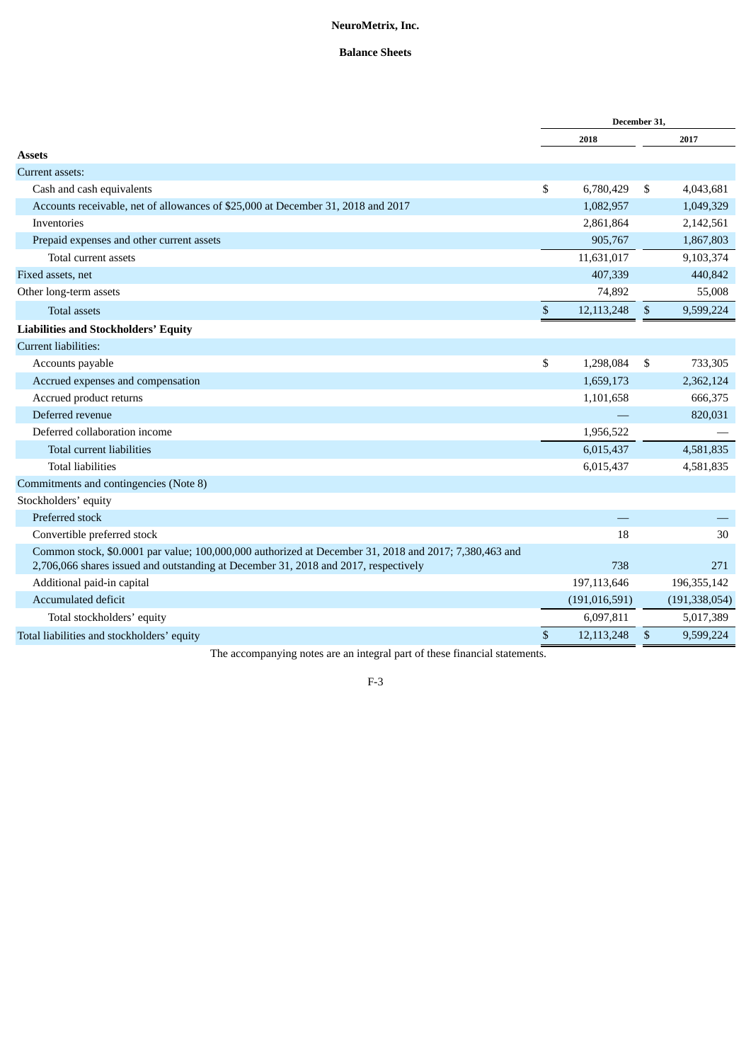# **Balance Sheets**

<span id="page-63-0"></span>

|                                                                                                                                                                                              | December 31, |                 |    |                 |
|----------------------------------------------------------------------------------------------------------------------------------------------------------------------------------------------|--------------|-----------------|----|-----------------|
|                                                                                                                                                                                              |              | 2018            |    | 2017            |
| <b>Assets</b>                                                                                                                                                                                |              |                 |    |                 |
| Current assets:                                                                                                                                                                              |              |                 |    |                 |
| Cash and cash equivalents                                                                                                                                                                    | \$           | 6,780,429       | \$ | 4,043,681       |
| Accounts receivable, net of allowances of \$25,000 at December 31, 2018 and 2017                                                                                                             |              | 1,082,957       |    | 1,049,329       |
| Inventories                                                                                                                                                                                  |              | 2,861,864       |    | 2,142,561       |
| Prepaid expenses and other current assets                                                                                                                                                    |              | 905,767         |    | 1,867,803       |
| Total current assets                                                                                                                                                                         |              | 11,631,017      |    | 9,103,374       |
| Fixed assets, net                                                                                                                                                                            |              | 407,339         |    | 440,842         |
| Other long-term assets                                                                                                                                                                       |              | 74,892          |    | 55,008          |
| <b>Total assets</b>                                                                                                                                                                          | $\$$         | 12,113,248      | \$ | 9,599,224       |
| <b>Liabilities and Stockholders' Equity</b>                                                                                                                                                  |              |                 |    |                 |
| Current liabilities:                                                                                                                                                                         |              |                 |    |                 |
| Accounts payable                                                                                                                                                                             | \$           | 1,298,084       | \$ | 733,305         |
| Accrued expenses and compensation                                                                                                                                                            |              | 1,659,173       |    | 2,362,124       |
| Accrued product returns                                                                                                                                                                      |              | 1,101,658       |    | 666,375         |
| Deferred revenue                                                                                                                                                                             |              |                 |    | 820,031         |
| Deferred collaboration income                                                                                                                                                                |              | 1,956,522       |    |                 |
| Total current liabilities                                                                                                                                                                    |              | 6,015,437       |    | 4,581,835       |
| <b>Total liabilities</b>                                                                                                                                                                     |              | 6,015,437       |    | 4,581,835       |
| Commitments and contingencies (Note 8)                                                                                                                                                       |              |                 |    |                 |
| Stockholders' equity                                                                                                                                                                         |              |                 |    |                 |
| Preferred stock                                                                                                                                                                              |              |                 |    |                 |
| Convertible preferred stock                                                                                                                                                                  |              | 18              |    | 30              |
| Common stock, \$0.0001 par value; 100,000,000 authorized at December 31, 2018 and 2017; 7,380,463 and<br>2,706,066 shares issued and outstanding at December 31, 2018 and 2017, respectively |              | 738             |    | 271             |
| Additional paid-in capital                                                                                                                                                                   |              | 197,113,646     |    | 196, 355, 142   |
| Accumulated deficit                                                                                                                                                                          |              | (191, 016, 591) |    | (191, 338, 054) |
| Total stockholders' equity                                                                                                                                                                   |              | 6,097,811       |    | 5,017,389       |
| Total liabilities and stockholders' equity                                                                                                                                                   | \$           | 12,113,248      | \$ | 9,599,224       |

The accompanying notes are an integral part of these financial statements.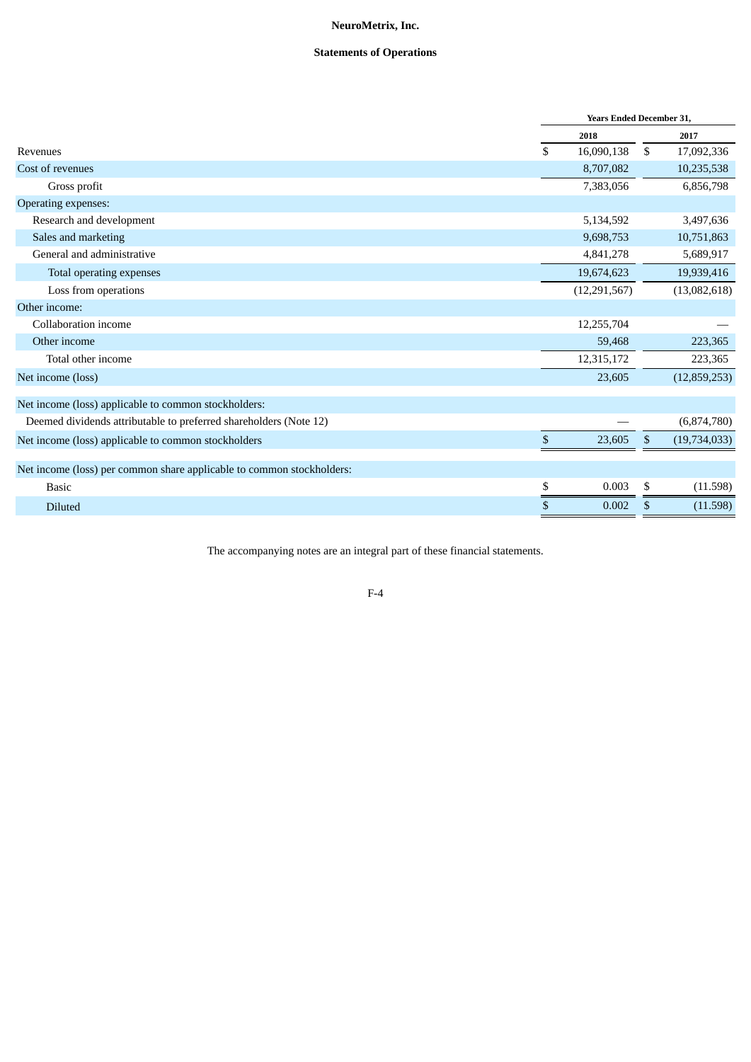# **Statements of Operations**

<span id="page-64-0"></span>

|                                                                       | <b>Years Ended December 31,</b> |                |    |              |
|-----------------------------------------------------------------------|---------------------------------|----------------|----|--------------|
|                                                                       |                                 | 2018           |    | 2017         |
| Revenues                                                              | \$                              | 16,090,138     | \$ | 17,092,336   |
| Cost of revenues                                                      |                                 | 8,707,082      |    | 10,235,538   |
| Gross profit                                                          |                                 | 7,383,056      |    | 6,856,798    |
| Operating expenses:                                                   |                                 |                |    |              |
| Research and development                                              |                                 | 5,134,592      |    | 3,497,636    |
| Sales and marketing                                                   |                                 | 9,698,753      |    | 10,751,863   |
| General and administrative                                            |                                 | 4,841,278      |    | 5,689,917    |
| Total operating expenses                                              |                                 | 19,674,623     |    | 19,939,416   |
| Loss from operations                                                  |                                 | (12, 291, 567) |    | (13,082,618) |
| Other income:                                                         |                                 |                |    |              |
| Collaboration income                                                  |                                 | 12,255,704     |    |              |
| Other income                                                          |                                 | 59,468         |    | 223,365      |
| Total other income                                                    |                                 | 12,315,172     |    | 223,365      |
| Net income (loss)                                                     |                                 | 23,605         |    | (12,859,253) |
| Net income (loss) applicable to common stockholders:                  |                                 |                |    |              |
| Deemed dividends attributable to preferred shareholders (Note 12)     |                                 |                |    | (6,874,780)  |
| Net income (loss) applicable to common stockholders                   | $\mathbb{S}$                    | 23,605         | \$ | (19,734,033) |
| Net income (loss) per common share applicable to common stockholders: |                                 |                |    |              |
| <b>Basic</b>                                                          | \$                              | 0.003          | \$ | (11.598)     |
| <b>Diluted</b>                                                        | S                               | 0.002          | \$ | (11.598)     |

The accompanying notes are an integral part of these financial statements.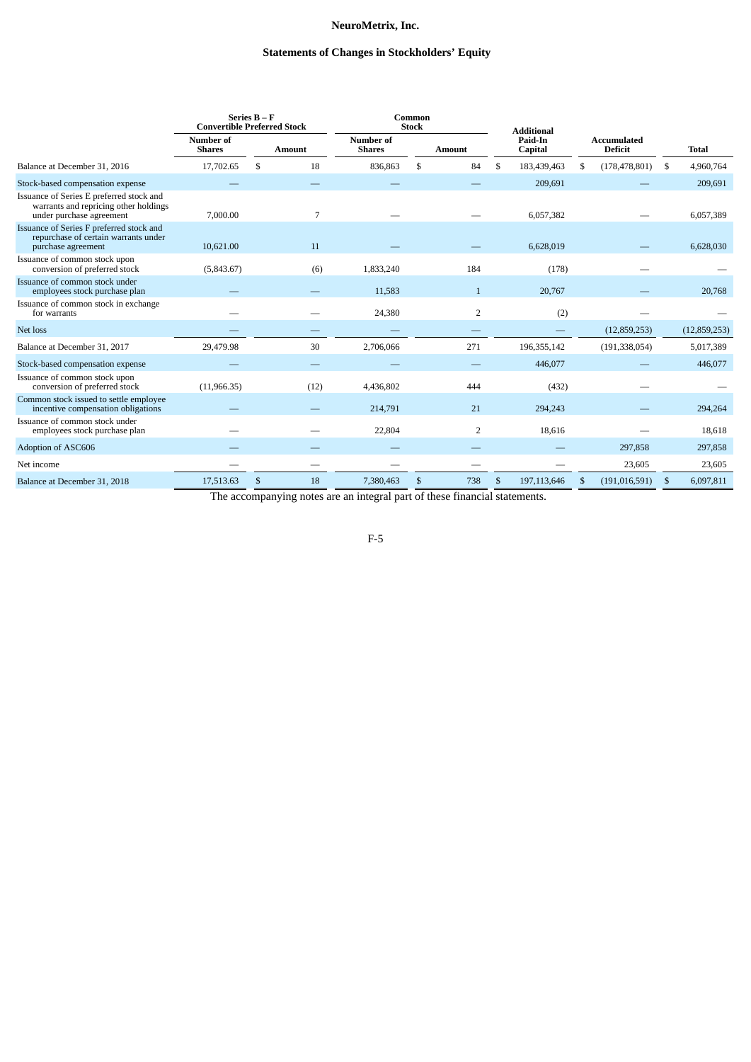# **Statements of Changes in Stockholders' Equity**

<span id="page-65-0"></span>

|                                                                                                               |                                   | Series B - F<br><b>Convertible Preferred Stock</b> |                                   | Common<br><b>Stock</b> | <b>Additional</b>  |                                      |                             |
|---------------------------------------------------------------------------------------------------------------|-----------------------------------|----------------------------------------------------|-----------------------------------|------------------------|--------------------|--------------------------------------|-----------------------------|
|                                                                                                               | <b>Number of</b><br><b>Shares</b> | <b>Amount</b>                                      | <b>Number of</b><br><b>Shares</b> | <b>Amount</b>          | Paid-In<br>Capital | <b>Accumulated</b><br><b>Deficit</b> | <b>Total</b>                |
| Balance at December 31, 2016                                                                                  | 17,702.65                         | 18<br>\$                                           | 836,863                           | \$<br>84               | \$<br>183,439,463  | (178, 478, 801)<br>\$                | -S<br>4,960,764             |
| Stock-based compensation expense                                                                              |                                   |                                                    |                                   |                        | 209,691            |                                      | 209,691                     |
| Issuance of Series E preferred stock and<br>warrants and repricing other holdings<br>under purchase agreement | 7,000.00                          | 7                                                  |                                   |                        | 6,057,382          |                                      | 6,057,389                   |
| Issuance of Series F preferred stock and<br>repurchase of certain warrants under<br>purchase agreement        | 10,621.00                         | 11                                                 |                                   |                        | 6,628,019          |                                      | 6,628,030                   |
| Issuance of common stock upon<br>conversion of preferred stock                                                | (5,843.67)                        | (6)                                                | 1,833,240                         | 184                    | (178)              |                                      |                             |
| Issuance of common stock under<br>employees stock purchase plan                                               |                                   |                                                    | 11,583                            | $\mathbf{1}$           | 20,767             |                                      | 20,768                      |
| Issuance of common stock in exchange<br>for warrants                                                          |                                   |                                                    | 24,380                            | 2                      | (2)                |                                      |                             |
| Net loss                                                                                                      |                                   |                                                    |                                   |                        |                    | (12,859,253)                         | (12, 859, 253)              |
| Balance at December 31, 2017                                                                                  | 29,479.98                         | 30                                                 | 2,706,066                         | 271                    | 196, 355, 142      | (191, 338, 054)                      | 5,017,389                   |
| Stock-based compensation expense                                                                              |                                   |                                                    |                                   |                        | 446,077            |                                      | 446,077                     |
| Issuance of common stock upon<br>conversion of preferred stock                                                | (11,966.35)                       | (12)                                               | 4,436,802                         | 444                    | (432)              |                                      |                             |
| Common stock issued to settle employee<br>incentive compensation obligations                                  |                                   |                                                    | 214,791                           | 21                     | 294,243            |                                      | 294,264                     |
| Issuance of common stock under<br>employees stock purchase plan                                               |                                   |                                                    | 22,804                            | 2                      | 18,616             |                                      | 18,618                      |
| Adoption of ASC606                                                                                            |                                   |                                                    |                                   |                        |                    | 297,858                              | 297,858                     |
| Net income                                                                                                    |                                   |                                                    |                                   |                        |                    | 23,605                               | 23,605                      |
| Balance at December 31, 2018                                                                                  | 17,513.63                         | 18<br>\$                                           | 7,380,463                         | 738<br>\$              | 197,113,646<br>\$  | (191, 016, 591)                      | 6,097,811<br>$\mathfrak{S}$ |

The accompanying notes are an integral part of these financial statements.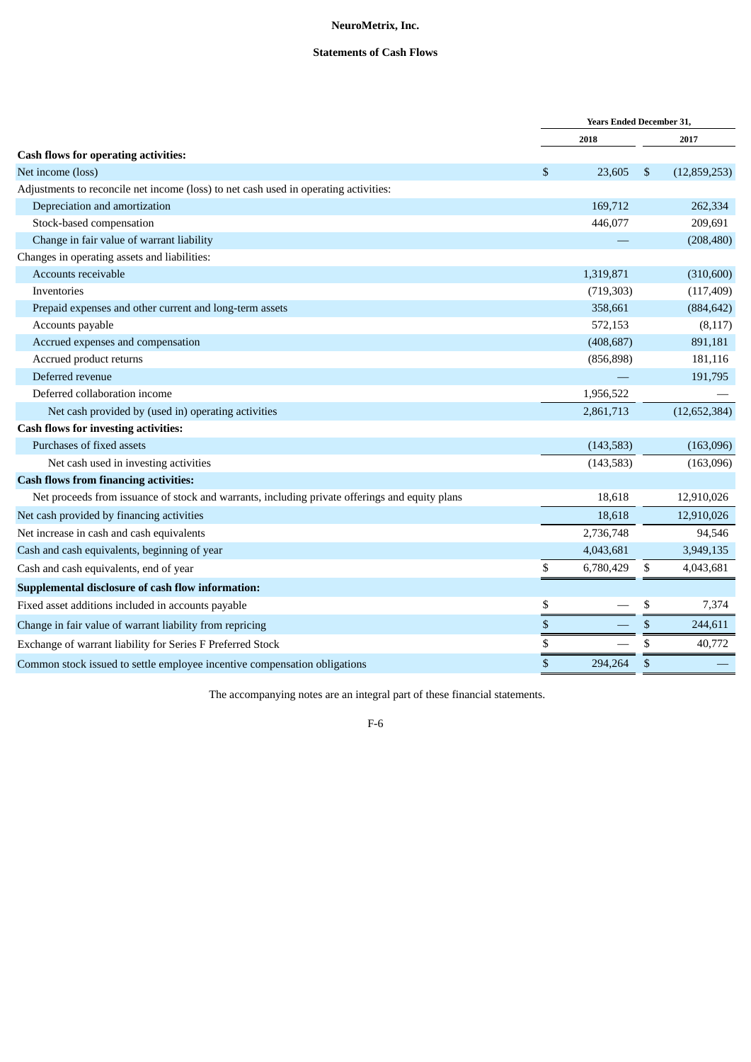# **Statements of Cash Flows**

<span id="page-66-0"></span>

|                                                                                                | <b>Years Ended December 31,</b> |            |    |                |
|------------------------------------------------------------------------------------------------|---------------------------------|------------|----|----------------|
|                                                                                                |                                 | 2018       |    | 2017           |
| <b>Cash flows for operating activities:</b>                                                    |                                 |            |    |                |
| Net income (loss)                                                                              | \$                              | 23,605     | \$ | (12, 859, 253) |
| Adjustments to reconcile net income (loss) to net cash used in operating activities:           |                                 |            |    |                |
| Depreciation and amortization                                                                  |                                 | 169,712    |    | 262,334        |
| Stock-based compensation                                                                       |                                 | 446,077    |    | 209,691        |
| Change in fair value of warrant liability                                                      |                                 |            |    | (208, 480)     |
| Changes in operating assets and liabilities:                                                   |                                 |            |    |                |
| Accounts receivable                                                                            |                                 | 1,319,871  |    | (310,600)      |
| Inventories                                                                                    |                                 | (719, 303) |    | (117, 409)     |
| Prepaid expenses and other current and long-term assets                                        |                                 | 358,661    |    | (884, 642)     |
| Accounts payable                                                                               |                                 | 572,153    |    | (8, 117)       |
| Accrued expenses and compensation                                                              |                                 | (408, 687) |    | 891,181        |
| Accrued product returns                                                                        |                                 | (856, 898) |    | 181,116        |
| Deferred revenue                                                                               |                                 |            |    | 191,795        |
| Deferred collaboration income                                                                  |                                 | 1,956,522  |    |                |
| Net cash provided by (used in) operating activities                                            |                                 | 2,861,713  |    | (12, 652, 384) |
| <b>Cash flows for investing activities:</b>                                                    |                                 |            |    |                |
| Purchases of fixed assets                                                                      |                                 | (143, 583) |    | (163,096)      |
| Net cash used in investing activities                                                          |                                 | (143, 583) |    | (163,096)      |
| <b>Cash flows from financing activities:</b>                                                   |                                 |            |    |                |
| Net proceeds from issuance of stock and warrants, including private offerings and equity plans |                                 | 18,618     |    | 12,910,026     |
| Net cash provided by financing activities                                                      |                                 | 18,618     |    | 12,910,026     |
| Net increase in cash and cash equivalents                                                      |                                 | 2,736,748  |    | 94,546         |
| Cash and cash equivalents, beginning of year                                                   |                                 | 4,043,681  |    | 3,949,135      |
| Cash and cash equivalents, end of year                                                         | \$                              | 6,780,429  | \$ | 4,043,681      |
| Supplemental disclosure of cash flow information:                                              |                                 |            |    |                |
| Fixed asset additions included in accounts payable                                             | \$                              |            | \$ | 7,374          |
| Change in fair value of warrant liability from repricing                                       | \$                              |            | \$ | 244,611        |
| Exchange of warrant liability for Series F Preferred Stock                                     | \$                              |            | \$ | 40,772         |
| Common stock issued to settle employee incentive compensation obligations                      | \$                              | 294,264    | \$ |                |

The accompanying notes are an integral part of these financial statements.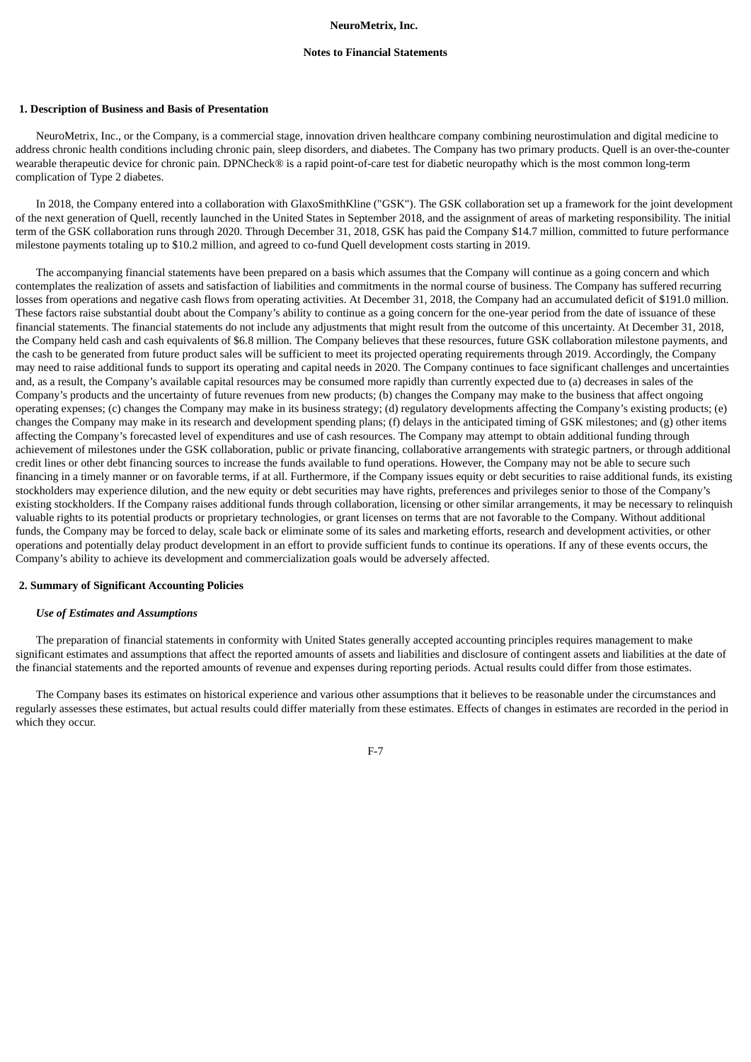### **Notes to Financial Statements**

#### <span id="page-67-0"></span>**1. Description of Business and Basis of Presentation**

NeuroMetrix, Inc., or the Company, is a commercial stage, innovation driven healthcare company combining neurostimulation and digital medicine to address chronic health conditions including chronic pain, sleep disorders, and diabetes. The Company has two primary products. Quell is an over-the-counter wearable therapeutic device for chronic pain. DPNCheck® is a rapid point-of-care test for diabetic neuropathy which is the most common long-term complication of Type 2 diabetes.

In 2018, the Company entered into a collaboration with GlaxoSmithKline ("GSK"). The GSK collaboration set up a framework for the joint development of the next generation of Quell, recently launched in the United States in September 2018, and the assignment of areas of marketing responsibility. The initial term of the GSK collaboration runs through 2020. Through December 31, 2018, GSK has paid the Company \$14.7 million, committed to future performance milestone payments totaling up to \$10.2 million, and agreed to co-fund Quell development costs starting in 2019.

The accompanying financial statements have been prepared on a basis which assumes that the Company will continue as a going concern and which contemplates the realization of assets and satisfaction of liabilities and commitments in the normal course of business. The Company has suffered recurring losses from operations and negative cash flows from operating activities. At December 31, 2018, the Company had an accumulated deficit of \$191.0 million. These factors raise substantial doubt about the Company's ability to continue as a going concern for the one-year period from the date of issuance of these financial statements. The financial statements do not include any adjustments that might result from the outcome of this uncertainty. At December 31, 2018, the Company held cash and cash equivalents of \$6.8 million. The Company believes that these resources, future GSK collaboration milestone payments, and the cash to be generated from future product sales will be sufficient to meet its projected operating requirements through 2019. Accordingly, the Company may need to raise additional funds to support its operating and capital needs in 2020. The Company continues to face significant challenges and uncertainties and, as a result, the Company's available capital resources may be consumed more rapidly than currently expected due to (a) decreases in sales of the Company's products and the uncertainty of future revenues from new products; (b) changes the Company may make to the business that affect ongoing operating expenses; (c) changes the Company may make in its business strategy; (d) regulatory developments affecting the Company's existing products; (e) changes the Company may make in its research and development spending plans; (f) delays in the anticipated timing of GSK milestones; and (g) other items affecting the Company's forecasted level of expenditures and use of cash resources. The Company may attempt to obtain additional funding through achievement of milestones under the GSK collaboration, public or private financing, collaborative arrangements with strategic partners, or through additional credit lines or other debt financing sources to increase the funds available to fund operations. However, the Company may not be able to secure such financing in a timely manner or on favorable terms, if at all. Furthermore, if the Company issues equity or debt securities to raise additional funds, its existing stockholders may experience dilution, and the new equity or debt securities may have rights, preferences and privileges senior to those of the Company's existing stockholders. If the Company raises additional funds through collaboration, licensing or other similar arrangements, it may be necessary to relinquish valuable rights to its potential products or proprietary technologies, or grant licenses on terms that are not favorable to the Company. Without additional funds, the Company may be forced to delay, scale back or eliminate some of its sales and marketing efforts, research and development activities, or other operations and potentially delay product development in an effort to provide sufficient funds to continue its operations. If any of these events occurs, the Company's ability to achieve its development and commercialization goals would be adversely affected.

#### **2. Summary of Significant Accounting Policies**

### *Use of Estimates and Assumptions*

The preparation of financial statements in conformity with United States generally accepted accounting principles requires management to make significant estimates and assumptions that affect the reported amounts of assets and liabilities and disclosure of contingent assets and liabilities at the date of the financial statements and the reported amounts of revenue and expenses during reporting periods. Actual results could differ from those estimates.

The Company bases its estimates on historical experience and various other assumptions that it believes to be reasonable under the circumstances and regularly assesses these estimates, but actual results could differ materially from these estimates. Effects of changes in estimates are recorded in the period in which they occur.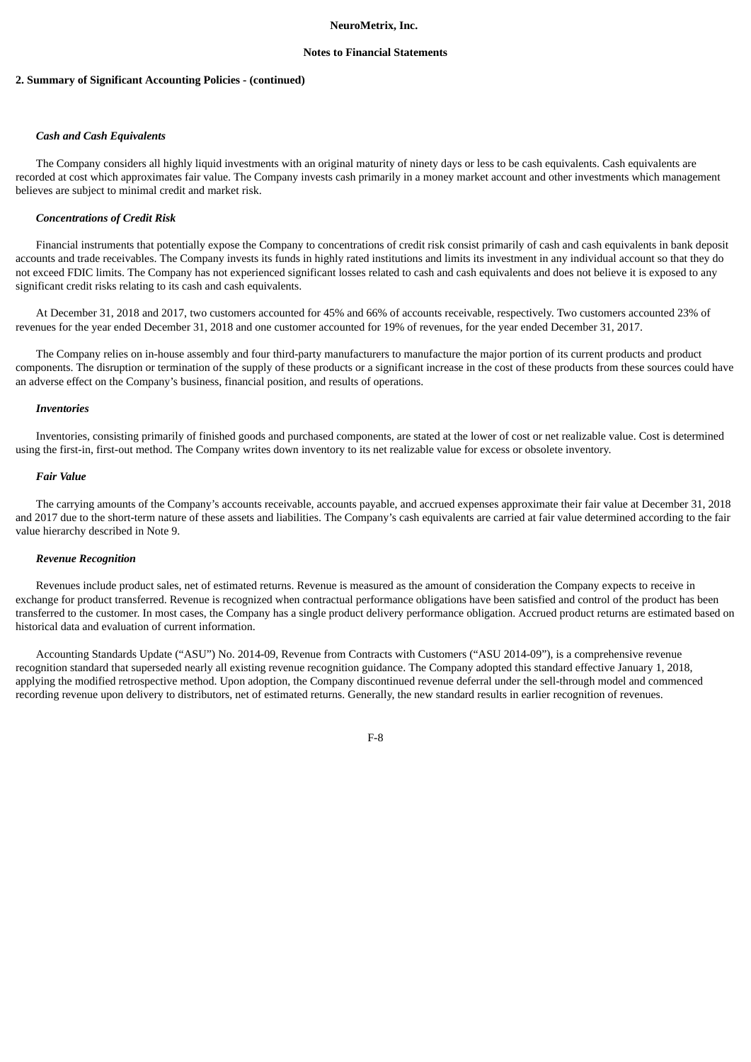#### **Notes to Financial Statements**

#### **2. Summary of Significant Accounting Policies - (continued)**

#### *Cash and Cash Equivalents*

The Company considers all highly liquid investments with an original maturity of ninety days or less to be cash equivalents. Cash equivalents are recorded at cost which approximates fair value. The Company invests cash primarily in a money market account and other investments which management believes are subject to minimal credit and market risk.

### *Concentrations of Credit Risk*

Financial instruments that potentially expose the Company to concentrations of credit risk consist primarily of cash and cash equivalents in bank deposit accounts and trade receivables. The Company invests its funds in highly rated institutions and limits its investment in any individual account so that they do not exceed FDIC limits. The Company has not experienced significant losses related to cash and cash equivalents and does not believe it is exposed to any significant credit risks relating to its cash and cash equivalents.

At December 31, 2018 and 2017, two customers accounted for 45% and 66% of accounts receivable, respectively. Two customers accounted 23% of revenues for the year ended December 31, 2018 and one customer accounted for 19% of revenues, for the year ended December 31, 2017.

The Company relies on in-house assembly and four third-party manufacturers to manufacture the major portion of its current products and product components. The disruption or termination of the supply of these products or a significant increase in the cost of these products from these sources could have an adverse effect on the Company's business, financial position, and results of operations.

### *Inventories*

Inventories, consisting primarily of finished goods and purchased components, are stated at the lower of cost or net realizable value. Cost is determined using the first-in, first-out method. The Company writes down inventory to its net realizable value for excess or obsolete inventory.

#### *Fair Value*

The carrying amounts of the Company's accounts receivable, accounts payable, and accrued expenses approximate their fair value at December 31, 2018 and 2017 due to the short-term nature of these assets and liabilities. The Company's cash equivalents are carried at fair value determined according to the fair value hierarchy described in Note 9.

## *Revenue Recognition*

Revenues include product sales, net of estimated returns. Revenue is measured as the amount of consideration the Company expects to receive in exchange for product transferred. Revenue is recognized when contractual performance obligations have been satisfied and control of the product has been transferred to the customer. In most cases, the Company has a single product delivery performance obligation. Accrued product returns are estimated based on historical data and evaluation of current information.

Accounting Standards Update ("ASU") No. 2014-09, Revenue from Contracts with Customers ("ASU 2014-09"), is a comprehensive revenue recognition standard that superseded nearly all existing revenue recognition guidance. The Company adopted this standard effective January 1, 2018, applying the modified retrospective method. Upon adoption, the Company discontinued revenue deferral under the sell-through model and commenced recording revenue upon delivery to distributors, net of estimated returns. Generally, the new standard results in earlier recognition of revenues.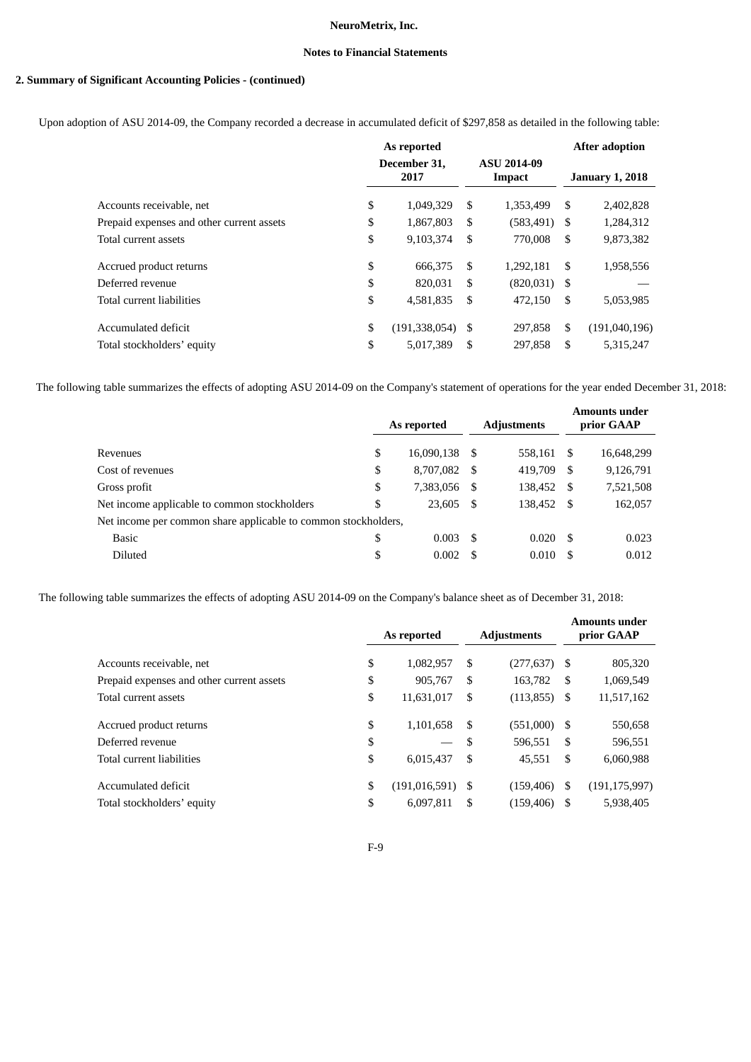## **Notes to Financial Statements**

# **2. Summary of Significant Accounting Policies - (continued)**

Upon adoption of ASU 2014-09, the Company recorded a decrease in accumulated deficit of \$297,858 as detailed in the following table:

|                                           | As reported          |                    |    |                              |     | <b>After adoption</b>  |  |  |
|-------------------------------------------|----------------------|--------------------|----|------------------------------|-----|------------------------|--|--|
|                                           | December 31,<br>2017 |                    |    | <b>ASU 2014-09</b><br>Impact |     | <b>January 1, 2018</b> |  |  |
| Accounts receivable, net                  | \$                   | 1,049,329          | \$ | 1,353,499                    | -S  | 2,402,828              |  |  |
| Prepaid expenses and other current assets | \$                   | 1,867,803          | \$ | (583, 491)                   | S   | 1,284,312              |  |  |
| Total current assets                      | \$                   | 9,103,374          | \$ | 770,008                      | \$  | 9,873,382              |  |  |
| Accrued product returns                   | \$                   | 666.375            | \$ | 1,292,181                    | £.  | 1,958,556              |  |  |
| Deferred revenue                          | \$                   | 820.031            | \$ | (820, 031)                   | -S  |                        |  |  |
| Total current liabilities                 | \$                   | 4,581,835          | \$ | 472.150                      | \$. | 5,053,985              |  |  |
| Accumulated deficit                       | \$                   | $(191,338,054)$ \$ |    | 297,858                      | \$. | (191,040,196)          |  |  |
| Total stockholders' equity                | \$                   | 5,017,389          | \$ | 297,858                      | \$  | 5,315,247              |  |  |

The following table summarizes the effects of adopting ASU 2014-09 on the Company's statement of operations for the year ended December 31, 2018:

|                                                                |    | As reported | <b>Adjustments</b> |         |      | Amounts under<br>prior GAAP |  |  |
|----------------------------------------------------------------|----|-------------|--------------------|---------|------|-----------------------------|--|--|
| Revenues                                                       | \$ | 16,090,138  | - S                | 558,161 | -\$  | 16,648,299                  |  |  |
| Cost of revenues                                               | \$ | 8,707,082   | - \$               | 419,709 | -S   | 9,126,791                   |  |  |
| Gross profit                                                   | \$ | 7,383,056   | - \$               | 138,452 | -S   | 7,521,508                   |  |  |
| Net income applicable to common stockholders                   | \$ | 23,605      | - \$               | 138,452 | -\$  | 162,057                     |  |  |
| Net income per common share applicable to common stockholders, |    |             |                    |         |      |                             |  |  |
| Basic                                                          | \$ | 0.003       | - \$               | 0.020   | - \$ | 0.023                       |  |  |
| <b>Diluted</b>                                                 | \$ | 0.002       | -S                 | 0.010   | .S   | 0.012                       |  |  |

The following table summarizes the effects of adopting ASU 2014-09 on the Company's balance sheet as of December 31, 2018:

|                                           | As reported |                      | <b>Adjustments</b> |                 | Amounts under<br>prior GAAP |                 |
|-------------------------------------------|-------------|----------------------|--------------------|-----------------|-----------------------------|-----------------|
| Accounts receivable, net                  | \$          | 1,082,957            | \$                 | $(277, 637)$ \$ |                             | 805,320         |
| Prepaid expenses and other current assets | \$          | 905,767              | S                  | 163.782         | -S                          | 1,069,549       |
| Total current assets                      | \$          | 11,631,017           | S                  | (113, 855)      | -S                          | 11,517,162      |
| Accrued product returns                   | \$          | 1,101,658            | \$                 | $(551,000)$ \$  |                             | 550,658         |
| Deferred revenue                          | \$          |                      | \$                 | 596,551         | S                           | 596,551         |
| Total current liabilities                 | \$          | 6,015,437            | \$                 | 45,551          | S                           | 6,060,988       |
| Accumulated deficit                       | \$          | $(191, 016, 591)$ \$ |                    | (159, 406)      | S                           | (191, 175, 997) |
| Total stockholders' equity                | \$          | 6,097,811            | S                  | (159, 406)      | \$                          | 5.938.405       |
|                                           |             |                      |                    |                 |                             |                 |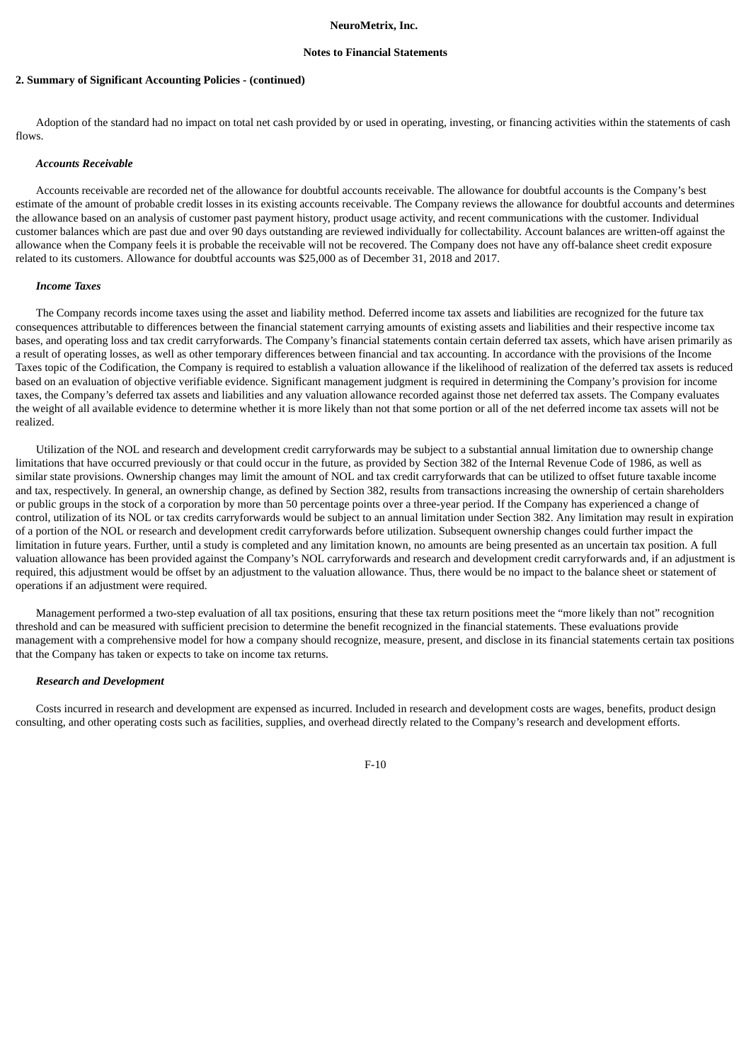### **Notes to Financial Statements**

### **2. Summary of Significant Accounting Policies - (continued)**

Adoption of the standard had no impact on total net cash provided by or used in operating, investing, or financing activities within the statements of cash flows.

### *Accounts Receivable*

Accounts receivable are recorded net of the allowance for doubtful accounts receivable. The allowance for doubtful accounts is the Company's best estimate of the amount of probable credit losses in its existing accounts receivable. The Company reviews the allowance for doubtful accounts and determines the allowance based on an analysis of customer past payment history, product usage activity, and recent communications with the customer. Individual customer balances which are past due and over 90 days outstanding are reviewed individually for collectability. Account balances are written-off against the allowance when the Company feels it is probable the receivable will not be recovered. The Company does not have any off-balance sheet credit exposure related to its customers. Allowance for doubtful accounts was \$25,000 as of December 31, 2018 and 2017.

### *Income Taxes*

The Company records income taxes using the asset and liability method. Deferred income tax assets and liabilities are recognized for the future tax consequences attributable to differences between the financial statement carrying amounts of existing assets and liabilities and their respective income tax bases, and operating loss and tax credit carryforwards. The Company's financial statements contain certain deferred tax assets, which have arisen primarily as a result of operating losses, as well as other temporary differences between financial and tax accounting. In accordance with the provisions of the Income Taxes topic of the Codification, the Company is required to establish a valuation allowance if the likelihood of realization of the deferred tax assets is reduced based on an evaluation of objective verifiable evidence. Significant management judgment is required in determining the Company's provision for income taxes, the Company's deferred tax assets and liabilities and any valuation allowance recorded against those net deferred tax assets. The Company evaluates the weight of all available evidence to determine whether it is more likely than not that some portion or all of the net deferred income tax assets will not be realized.

Utilization of the NOL and research and development credit carryforwards may be subject to a substantial annual limitation due to ownership change limitations that have occurred previously or that could occur in the future, as provided by Section 382 of the Internal Revenue Code of 1986, as well as similar state provisions. Ownership changes may limit the amount of NOL and tax credit carryforwards that can be utilized to offset future taxable income and tax, respectively. In general, an ownership change, as defined by Section 382, results from transactions increasing the ownership of certain shareholders or public groups in the stock of a corporation by more than 50 percentage points over a three-year period. If the Company has experienced a change of control, utilization of its NOL or tax credits carryforwards would be subject to an annual limitation under Section 382. Any limitation may result in expiration of a portion of the NOL or research and development credit carryforwards before utilization. Subsequent ownership changes could further impact the limitation in future years. Further, until a study is completed and any limitation known, no amounts are being presented as an uncertain tax position. A full valuation allowance has been provided against the Company's NOL carryforwards and research and development credit carryforwards and, if an adjustment is required, this adjustment would be offset by an adjustment to the valuation allowance. Thus, there would be no impact to the balance sheet or statement of operations if an adjustment were required.

Management performed a two-step evaluation of all tax positions, ensuring that these tax return positions meet the "more likely than not" recognition threshold and can be measured with sufficient precision to determine the benefit recognized in the financial statements. These evaluations provide management with a comprehensive model for how a company should recognize, measure, present, and disclose in its financial statements certain tax positions that the Company has taken or expects to take on income tax returns.

### *Research and Development*

Costs incurred in research and development are expensed as incurred. Included in research and development costs are wages, benefits, product design consulting, and other operating costs such as facilities, supplies, and overhead directly related to the Company's research and development efforts.

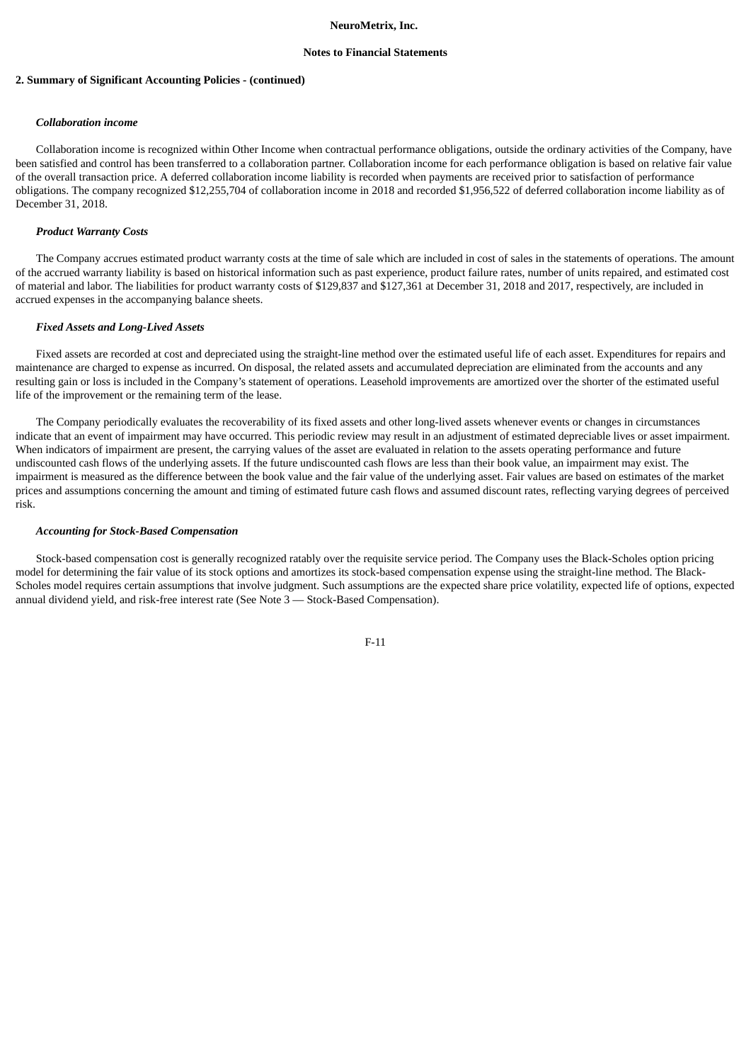#### **Notes to Financial Statements**

### **2. Summary of Significant Accounting Policies - (continued)**

#### *Collaboration income*

Collaboration income is recognized within Other Income when contractual performance obligations, outside the ordinary activities of the Company, have been satisfied and control has been transferred to a collaboration partner. Collaboration income for each performance obligation is based on relative fair value of the overall transaction price. A deferred collaboration income liability is recorded when payments are received prior to satisfaction of performance obligations. The company recognized \$12,255,704 of collaboration income in 2018 and recorded \$1,956,522 of deferred collaboration income liability as of December 31, 2018.

#### *Product Warranty Costs*

The Company accrues estimated product warranty costs at the time of sale which are included in cost of sales in the statements of operations. The amount of the accrued warranty liability is based on historical information such as past experience, product failure rates, number of units repaired, and estimated cost of material and labor. The liabilities for product warranty costs of \$129,837 and \$127,361 at December 31, 2018 and 2017, respectively, are included in accrued expenses in the accompanying balance sheets.

#### *Fixed Assets and Long-Lived Assets*

Fixed assets are recorded at cost and depreciated using the straight-line method over the estimated useful life of each asset. Expenditures for repairs and maintenance are charged to expense as incurred. On disposal, the related assets and accumulated depreciation are eliminated from the accounts and any resulting gain or loss is included in the Company's statement of operations. Leasehold improvements are amortized over the shorter of the estimated useful life of the improvement or the remaining term of the lease.

The Company periodically evaluates the recoverability of its fixed assets and other long-lived assets whenever events or changes in circumstances indicate that an event of impairment may have occurred. This periodic review may result in an adjustment of estimated depreciable lives or asset impairment. When indicators of impairment are present, the carrying values of the asset are evaluated in relation to the assets operating performance and future undiscounted cash flows of the underlying assets. If the future undiscounted cash flows are less than their book value, an impairment may exist. The impairment is measured as the difference between the book value and the fair value of the underlying asset. Fair values are based on estimates of the market prices and assumptions concerning the amount and timing of estimated future cash flows and assumed discount rates, reflecting varying degrees of perceived risk.

### *Accounting for Stock-Based Compensation*

Stock-based compensation cost is generally recognized ratably over the requisite service period. The Company uses the Black-Scholes option pricing model for determining the fair value of its stock options and amortizes its stock-based compensation expense using the straight-line method. The Black-Scholes model requires certain assumptions that involve judgment. Such assumptions are the expected share price volatility, expected life of options, expected annual dividend yield, and risk-free interest rate (See Note 3 — Stock-Based Compensation).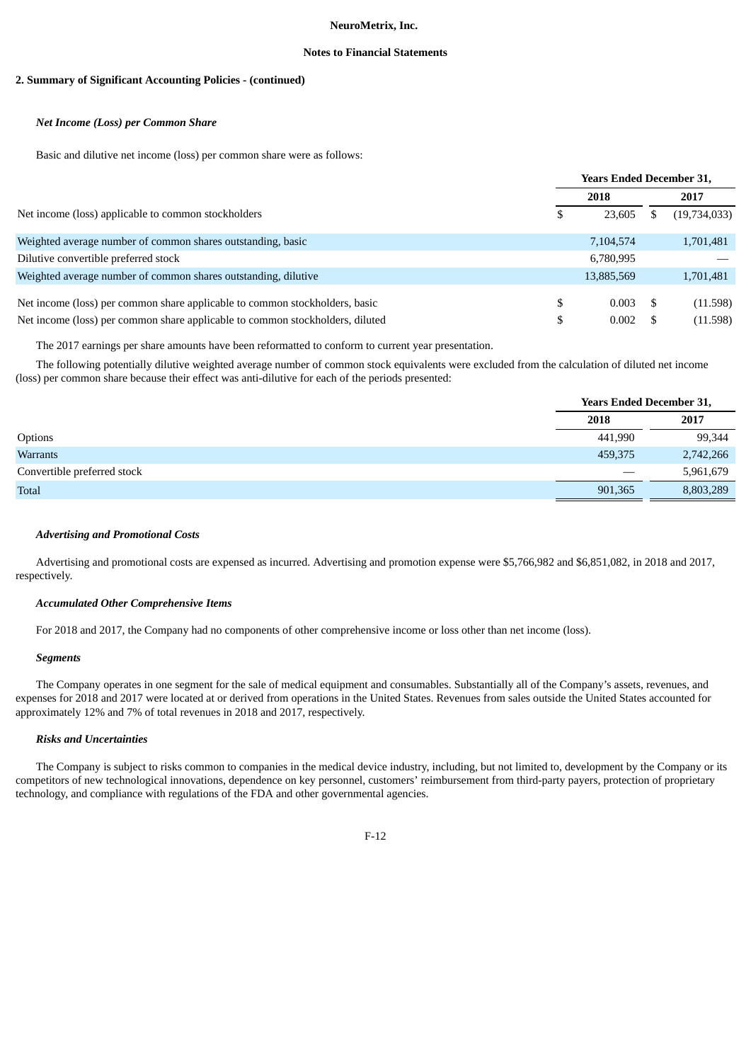## **Notes to Financial Statements**

#### **2. Summary of Significant Accounting Policies - (continued)**

#### *Net Income (Loss) per Common Share*

Basic and dilutive net income (loss) per common share were as follows:

|                                                                               | <b>Years Ended December 31,</b> |            |    |              |
|-------------------------------------------------------------------------------|---------------------------------|------------|----|--------------|
|                                                                               |                                 | 2018       |    | 2017         |
| Net income (loss) applicable to common stockholders                           | S                               | 23,605     | S. | (19,734,033) |
| Weighted average number of common shares outstanding, basic                   |                                 | 7,104,574  |    | 1,701,481    |
| Dilutive convertible preferred stock                                          |                                 | 6,780,995  |    |              |
| Weighted average number of common shares outstanding, dilutive                |                                 | 13,885,569 |    | 1,701,481    |
| Net income (loss) per common share applicable to common stockholders, basic   | S                               | 0.003      | -S | (11.598)     |
| Net income (loss) per common share applicable to common stockholders, diluted | S                               | 0.002      | Ж, | (11.598)     |

The 2017 earnings per share amounts have been reformatted to conform to current year presentation.

The following potentially dilutive weighted average number of common stock equivalents were excluded from the calculation of diluted net income (loss) per common share because their effect was anti-dilutive for each of the periods presented:

|                             | <b>Years Ended December 31,</b> |           |
|-----------------------------|---------------------------------|-----------|
|                             | 2018                            | 2017      |
| Options                     | 441,990                         | 99,344    |
| <b>Warrants</b>             | 459,375                         | 2,742,266 |
| Convertible preferred stock |                                 | 5,961,679 |
| <b>Total</b>                | 901,365                         | 8,803,289 |

## *Advertising and Promotional Costs*

Advertising and promotional costs are expensed as incurred. Advertising and promotion expense were \$5,766,982 and \$6,851,082, in 2018 and 2017, respectively.

### *Accumulated Other Comprehensive Items*

For 2018 and 2017, the Company had no components of other comprehensive income or loss other than net income (loss).

#### *Segments*

The Company operates in one segment for the sale of medical equipment and consumables. Substantially all of the Company's assets, revenues, and expenses for 2018 and 2017 were located at or derived from operations in the United States. Revenues from sales outside the United States accounted for approximately 12% and 7% of total revenues in 2018 and 2017, respectively.

## *Risks and Uncertainties*

The Company is subject to risks common to companies in the medical device industry, including, but not limited to, development by the Company or its competitors of new technological innovations, dependence on key personnel, customers' reimbursement from third-party payers, protection of proprietary technology, and compliance with regulations of the FDA and other governmental agencies.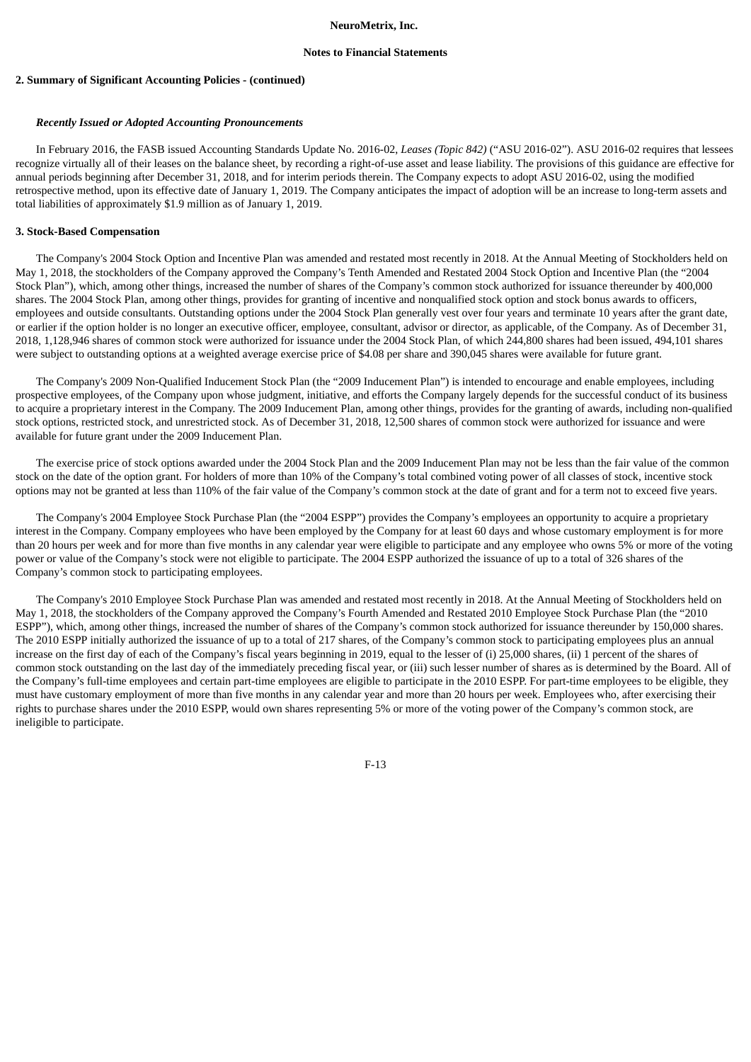#### **Notes to Financial Statements**

#### **2. Summary of Significant Accounting Policies - (continued)**

#### *Recently Issued or Adopted Accounting Pronouncements*

In February 2016, the FASB issued Accounting Standards Update No. 2016-02, *Leases (Topic 842)* ("ASU 2016-02"). ASU 2016-02 requires that lessees recognize virtually all of their leases on the balance sheet, by recording a right-of-use asset and lease liability. The provisions of this guidance are effective for annual periods beginning after December 31, 2018, and for interim periods therein. The Company expects to adopt ASU 2016-02, using the modified retrospective method, upon its effective date of January 1, 2019. The Company anticipates the impact of adoption will be an increase to long-term assets and total liabilities of approximately \$1.9 million as of January 1, 2019.

#### **3. Stock-Based Compensation**

The Company's 2004 Stock Option and Incentive Plan was amended and restated most recently in 2018. At the Annual Meeting of Stockholders held on May 1, 2018, the stockholders of the Company approved the Company's Tenth Amended and Restated 2004 Stock Option and Incentive Plan (the "2004 Stock Plan"), which, among other things, increased the number of shares of the Company's common stock authorized for issuance thereunder by 400,000 shares. The 2004 Stock Plan, among other things, provides for granting of incentive and nonqualified stock option and stock bonus awards to officers, employees and outside consultants. Outstanding options under the 2004 Stock Plan generally vest over four years and terminate 10 years after the grant date, or earlier if the option holder is no longer an executive officer, employee, consultant, advisor or director, as applicable, of the Company. As of December 31, 2018, 1,128,946 shares of common stock were authorized for issuance under the 2004 Stock Plan, of which 244,800 shares had been issued, 494,101 shares were subject to outstanding options at a weighted average exercise price of \$4.08 per share and 390,045 shares were available for future grant.

The Company's 2009 Non-Qualified Inducement Stock Plan (the "2009 Inducement Plan") is intended to encourage and enable employees, including prospective employees, of the Company upon whose judgment, initiative, and efforts the Company largely depends for the successful conduct of its business to acquire a proprietary interest in the Company. The 2009 Inducement Plan, among other things, provides for the granting of awards, including non-qualified stock options, restricted stock, and unrestricted stock. As of December 31, 2018, 12,500 shares of common stock were authorized for issuance and were available for future grant under the 2009 Inducement Plan.

The exercise price of stock options awarded under the 2004 Stock Plan and the 2009 Inducement Plan may not be less than the fair value of the common stock on the date of the option grant. For holders of more than 10% of the Company's total combined voting power of all classes of stock, incentive stock options may not be granted at less than 110% of the fair value of the Company's common stock at the date of grant and for a term not to exceed five years.

The Company's 2004 Employee Stock Purchase Plan (the "2004 ESPP") provides the Company's employees an opportunity to acquire a proprietary interest in the Company. Company employees who have been employed by the Company for at least 60 days and whose customary employment is for more than 20 hours per week and for more than five months in any calendar year were eligible to participate and any employee who owns 5% or more of the voting power or value of the Company's stock were not eligible to participate. The 2004 ESPP authorized the issuance of up to a total of 326 shares of the Company's common stock to participating employees.

The Company's 2010 Employee Stock Purchase Plan was amended and restated most recently in 2018. At the Annual Meeting of Stockholders held on May 1, 2018, the stockholders of the Company approved the Company's Fourth Amended and Restated 2010 Employee Stock Purchase Plan (the "2010 ESPP"), which, among other things, increased the number of shares of the Company's common stock authorized for issuance thereunder by 150,000 shares. The 2010 ESPP initially authorized the issuance of up to a total of 217 shares, of the Company's common stock to participating employees plus an annual increase on the first day of each of the Company's fiscal years beginning in 2019, equal to the lesser of (i) 25,000 shares, (ii) 1 percent of the shares of common stock outstanding on the last day of the immediately preceding fiscal year, or (iii) such lesser number of shares as is determined by the Board. All of the Company's full-time employees and certain part-time employees are eligible to participate in the 2010 ESPP. For part-time employees to be eligible, they must have customary employment of more than five months in any calendar year and more than 20 hours per week. Employees who, after exercising their rights to purchase shares under the 2010 ESPP, would own shares representing 5% or more of the voting power of the Company's common stock, are ineligible to participate.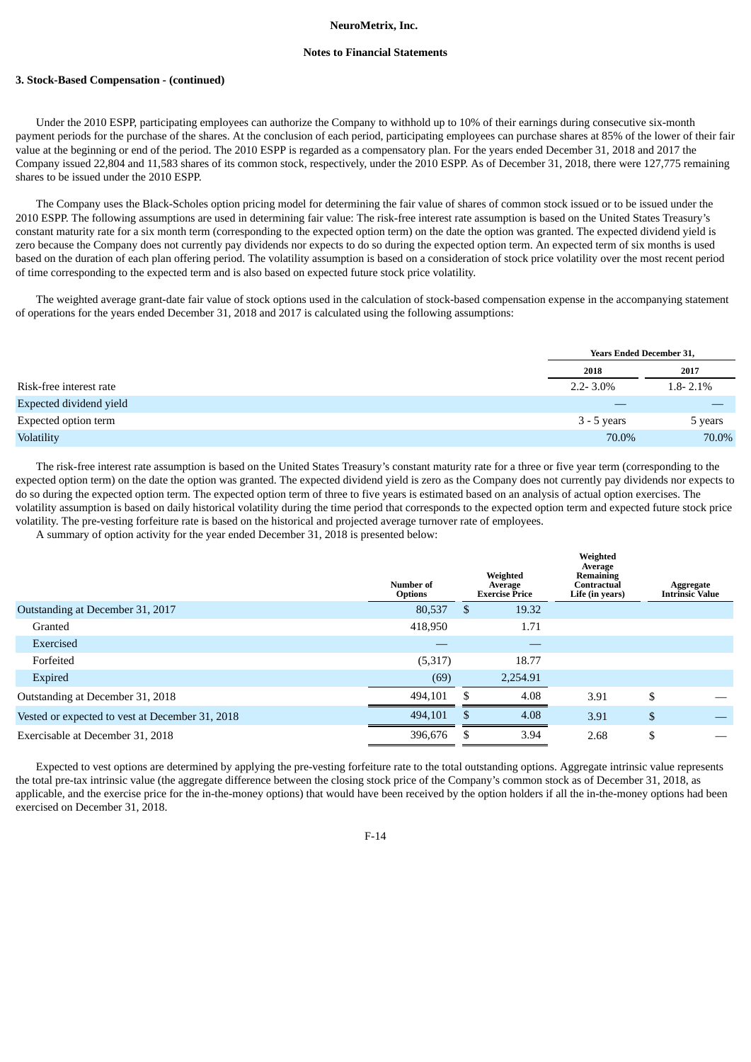### **Notes to Financial Statements**

#### **3. Stock-Based Compensation - (continued)**

Under the 2010 ESPP, participating employees can authorize the Company to withhold up to 10% of their earnings during consecutive six-month payment periods for the purchase of the shares. At the conclusion of each period, participating employees can purchase shares at 85% of the lower of their fair value at the beginning or end of the period. The 2010 ESPP is regarded as a compensatory plan. For the years ended December 31, 2018 and 2017 the Company issued 22,804 and 11,583 shares of its common stock, respectively, under the 2010 ESPP. As of December 31, 2018, there were 127,775 remaining shares to be issued under the 2010 ESPP.

The Company uses the Black-Scholes option pricing model for determining the fair value of shares of common stock issued or to be issued under the 2010 ESPP. The following assumptions are used in determining fair value: The risk-free interest rate assumption is based on the United States Treasury's constant maturity rate for a six month term (corresponding to the expected option term) on the date the option was granted. The expected dividend yield is zero because the Company does not currently pay dividends nor expects to do so during the expected option term. An expected term of six months is used based on the duration of each plan offering period. The volatility assumption is based on a consideration of stock price volatility over the most recent period of time corresponding to the expected term and is also based on expected future stock price volatility.

The weighted average grant-date fair value of stock options used in the calculation of stock-based compensation expense in the accompanying statement of operations for the years ended December 31, 2018 and 2017 is calculated using the following assumptions:

|                         | <b>Years Ended December 31,</b> |               |
|-------------------------|---------------------------------|---------------|
|                         | 2018                            | 2017          |
| Risk-free interest rate | $2.2 - 3.0\%$                   | $1.8 - 2.1\%$ |
| Expected dividend yield |                                 |               |
| Expected option term    | $3 - 5$ years                   | 5 years       |
| Volatility              | 70.0%                           | 70.0%         |

The risk-free interest rate assumption is based on the United States Treasury's constant maturity rate for a three or five year term (corresponding to the expected option term) on the date the option was granted. The expected dividend yield is zero as the Company does not currently pay dividends nor expects to do so during the expected option term. The expected option term of three to five years is estimated based on an analysis of actual option exercises. The volatility assumption is based on daily historical volatility during the time period that corresponds to the expected option term and expected future stock price volatility. The pre-vesting forfeiture rate is based on the historical and projected average turnover rate of employees.

A summary of option activity for the year ended December 31, 2018 is presented below:

|                                                 | Number of<br><b>Options</b> |    | Weighted<br>Average<br><b>Exercise Price</b> | Weighted<br>Average<br>Remaining<br>Contractual<br>Life (in years) | Aggregate<br><b>Intrinsic Value</b> |
|-------------------------------------------------|-----------------------------|----|----------------------------------------------|--------------------------------------------------------------------|-------------------------------------|
| Outstanding at December 31, 2017                | 80,537                      | S  | 19.32                                        |                                                                    |                                     |
| Granted                                         | 418,950                     |    | 1.71                                         |                                                                    |                                     |
| Exercised                                       |                             |    |                                              |                                                                    |                                     |
| Forfeited                                       | (5,317)                     |    | 18.77                                        |                                                                    |                                     |
| Expired                                         | (69)                        |    | 2,254.91                                     |                                                                    |                                     |
| Outstanding at December 31, 2018                | 494,101                     | .S | 4.08                                         | 3.91                                                               | \$                                  |
| Vested or expected to vest at December 31, 2018 | 494,101                     |    | 4.08                                         | 3.91                                                               | \$                                  |
| Exercisable at December 31, 2018                | 396,676                     | .S | 3.94                                         | 2.68                                                               | \$                                  |

Expected to vest options are determined by applying the pre-vesting forfeiture rate to the total outstanding options. Aggregate intrinsic value represents the total pre-tax intrinsic value (the aggregate difference between the closing stock price of the Company's common stock as of December 31, 2018, as applicable, and the exercise price for the in-the-money options) that would have been received by the option holders if all the in-the-money options had been exercised on December 31, 2018.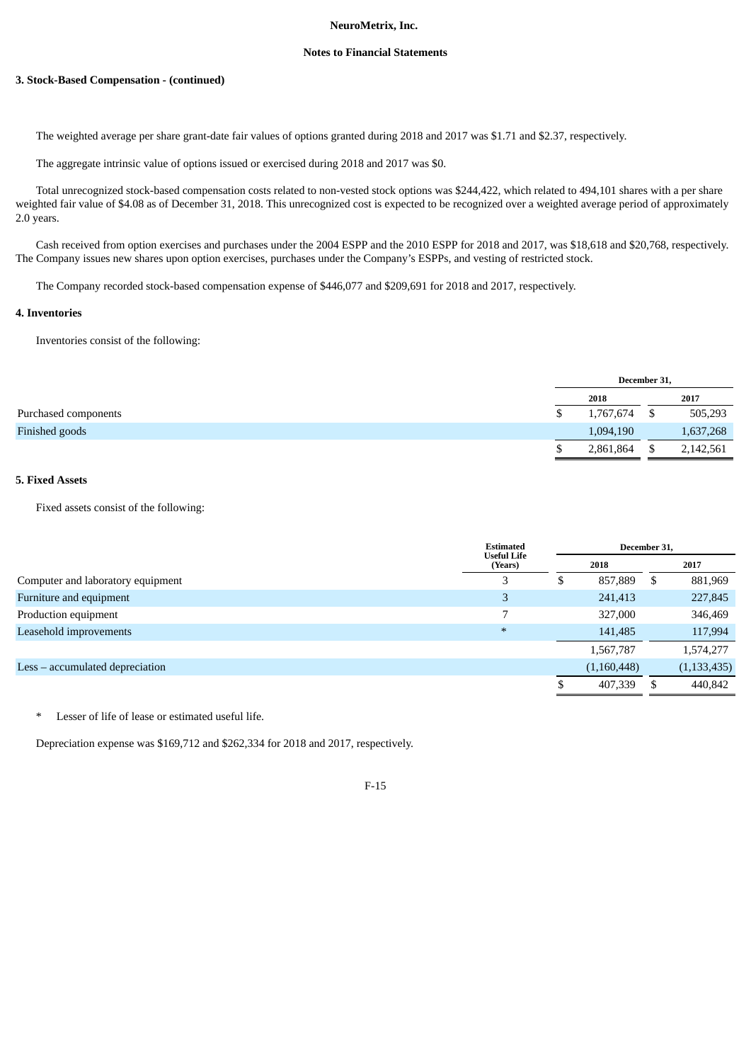#### **Notes to Financial Statements**

## **3. Stock-Based Compensation - (continued)**

The weighted average per share grant-date fair values of options granted during 2018 and 2017 was \$1.71 and \$2.37, respectively.

The aggregate intrinsic value of options issued or exercised during 2018 and 2017 was \$0.

Total unrecognized stock-based compensation costs related to non-vested stock options was \$244,422, which related to 494,101 shares with a per share weighted fair value of \$4.08 as of December 31, 2018. This unrecognized cost is expected to be recognized over a weighted average period of approximately 2.0 years.

Cash received from option exercises and purchases under the 2004 ESPP and the 2010 ESPP for 2018 and 2017, was \$18,618 and \$20,768, respectively. The Company issues new shares upon option exercises, purchases under the Company's ESPPs, and vesting of restricted stock.

The Company recorded stock-based compensation expense of \$446,077 and \$209,691 for 2018 and 2017, respectively.

## **4. Inventories**

Inventories consist of the following:

|                      | December 31, |           |    |           |
|----------------------|--------------|-----------|----|-----------|
|                      |              | 2018      |    | 2017      |
| Purchased components |              | 1,767,674 | \$ | 505,293   |
| Finished goods       |              | 1,094,190 |    | 1,637,268 |
|                      |              | 2,861,864 |    | 2,142,561 |

## **5. Fixed Assets**

Fixed assets consist of the following:

|                                   | <b>Estimated</b> | December 31, |             |    |               |  |
|-----------------------------------|------------------|--------------|-------------|----|---------------|--|
| <b>Useful Life</b><br>(Years)     |                  |              | 2018        |    | 2017          |  |
| Computer and laboratory equipment |                  | J            | 857,889     | -S | 881,969       |  |
| Furniture and equipment           |                  |              | 241,413     |    | 227,845       |  |
| Production equipment              |                  |              | 327,000     |    | 346,469       |  |
| Leasehold improvements            | $\ast$           |              | 141,485     |    | 117,994       |  |
|                                   |                  |              | 1,567,787   |    | 1,574,277     |  |
| Less – accumulated depreciation   |                  |              | (1,160,448) |    | (1, 133, 435) |  |
|                                   |                  |              | 407,339     |    | 440,842       |  |

Lesser of life of lease or estimated useful life.

Depreciation expense was \$169,712 and \$262,334 for 2018 and 2017, respectively.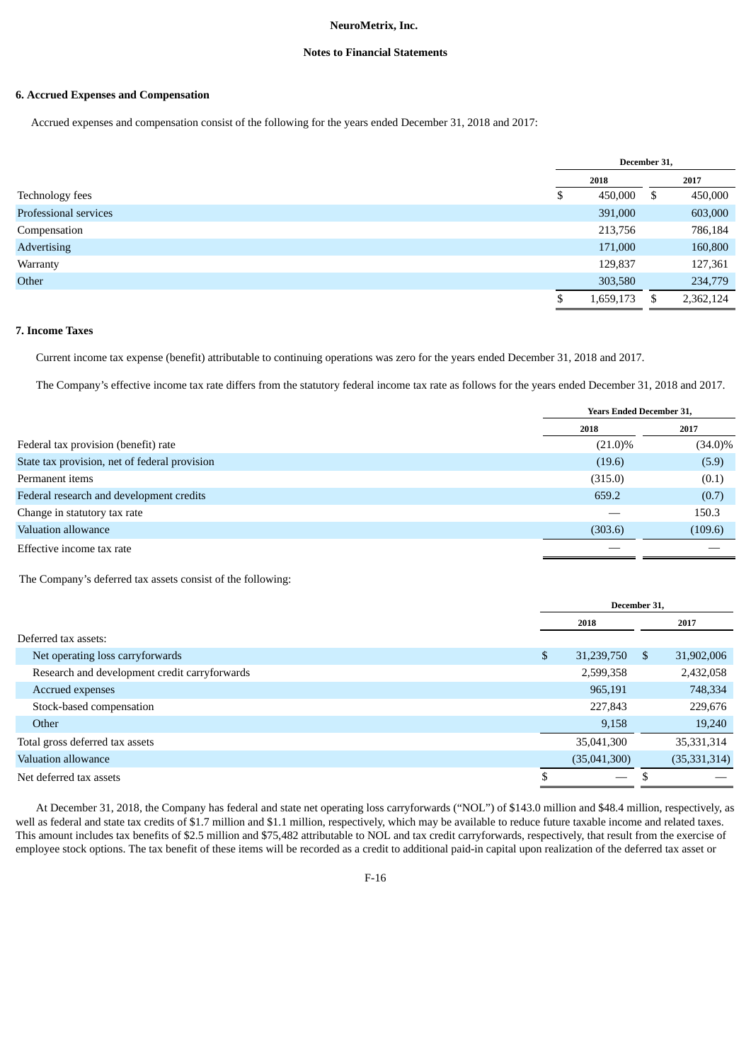## **Notes to Financial Statements**

## **6. Accrued Expenses and Compensation**

Accrued expenses and compensation consist of the following for the years ended December 31, 2018 and 2017:

|                       | December 31, |           |    |           |
|-----------------------|--------------|-----------|----|-----------|
|                       |              | 2018      |    | 2017      |
| Technology fees       | S            | 450,000   | \$ | 450,000   |
| Professional services |              | 391,000   |    | 603,000   |
| Compensation          |              | 213,756   |    | 786,184   |
| <b>Advertising</b>    |              | 171,000   |    | 160,800   |
| Warranty              |              | 129,837   |    | 127,361   |
| Other                 |              | 303,580   |    | 234,779   |
|                       | S            | 1,659,173 | S  | 2,362,124 |

# **7. Income Taxes**

Current income tax expense (benefit) attributable to continuing operations was zero for the years ended December 31, 2018 and 2017.

The Company's effective income tax rate differs from the statutory federal income tax rate as follows for the years ended December 31, 2018 and 2017.

|                                               | <b>Years Ended December 31,</b> |            |
|-----------------------------------------------|---------------------------------|------------|
|                                               | 2018                            | 2017       |
| Federal tax provision (benefit) rate          | $(21.0)\%$                      | $(34.0)\%$ |
| State tax provision, net of federal provision | (19.6)                          | (5.9)      |
| Permanent items                               | (315.0)                         | (0.1)      |
| Federal research and development credits      | 659.2                           | (0.7)      |
| Change in statutory tax rate                  |                                 | 150.3      |
| Valuation allowance                           | (303.6)                         | (109.6)    |
| Effective income tax rate                     |                                 |            |

The Company's deferred tax assets consist of the following:

|                                               | December 31, |              |    |                |
|-----------------------------------------------|--------------|--------------|----|----------------|
|                                               |              | 2018         |    | 2017           |
| Deferred tax assets:                          |              |              |    |                |
| Net operating loss carryforwards              | \$           | 31,239,750   | -S | 31,902,006     |
| Research and development credit carryforwards |              | 2,599,358    |    | 2,432,058      |
| Accrued expenses                              |              | 965,191      |    | 748,334        |
| Stock-based compensation                      |              | 227,843      |    | 229,676        |
| Other                                         |              | 9,158        |    | 19,240         |
| Total gross deferred tax assets               |              | 35,041,300   |    | 35,331,314     |
| Valuation allowance                           |              | (35,041,300) |    | (35, 331, 314) |
| Net deferred tax assets                       |              |              |    |                |

At December 31, 2018, the Company has federal and state net operating loss carryforwards ("NOL") of \$143.0 million and \$48.4 million, respectively, as well as federal and state tax credits of \$1.7 million and \$1.1 million, respectively, which may be available to reduce future taxable income and related taxes. This amount includes tax benefits of \$2.5 million and \$75,482 attributable to NOL and tax credit carryforwards, respectively, that result from the exercise of employee stock options. The tax benefit of these items will be recorded as a credit to additional paid-in capital upon realization of the deferred tax asset or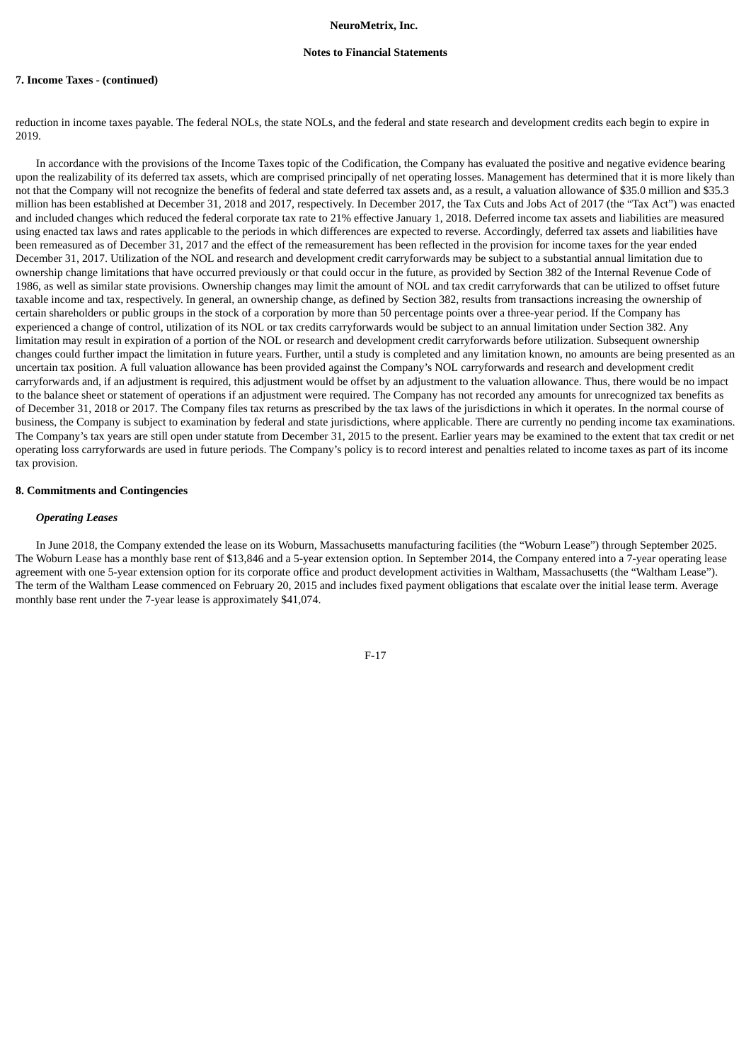## **Notes to Financial Statements**

### **7. Income Taxes - (continued)**

reduction in income taxes payable. The federal NOLs, the state NOLs, and the federal and state research and development credits each begin to expire in 2019.

In accordance with the provisions of the Income Taxes topic of the Codification, the Company has evaluated the positive and negative evidence bearing upon the realizability of its deferred tax assets, which are comprised principally of net operating losses. Management has determined that it is more likely than not that the Company will not recognize the benefits of federal and state deferred tax assets and, as a result, a valuation allowance of \$35.0 million and \$35.3 million has been established at December 31, 2018 and 2017, respectively. In December 2017, the Tax Cuts and Jobs Act of 2017 (the "Tax Act") was enacted and included changes which reduced the federal corporate tax rate to 21% effective January 1, 2018. Deferred income tax assets and liabilities are measured using enacted tax laws and rates applicable to the periods in which differences are expected to reverse. Accordingly, deferred tax assets and liabilities have been remeasured as of December 31, 2017 and the effect of the remeasurement has been reflected in the provision for income taxes for the year ended December 31, 2017. Utilization of the NOL and research and development credit carryforwards may be subject to a substantial annual limitation due to ownership change limitations that have occurred previously or that could occur in the future, as provided by Section 382 of the Internal Revenue Code of 1986, as well as similar state provisions. Ownership changes may limit the amount of NOL and tax credit carryforwards that can be utilized to offset future taxable income and tax, respectively. In general, an ownership change, as defined by Section 382, results from transactions increasing the ownership of certain shareholders or public groups in the stock of a corporation by more than 50 percentage points over a three-year period. If the Company has experienced a change of control, utilization of its NOL or tax credits carryforwards would be subject to an annual limitation under Section 382. Any limitation may result in expiration of a portion of the NOL or research and development credit carryforwards before utilization. Subsequent ownership changes could further impact the limitation in future years. Further, until a study is completed and any limitation known, no amounts are being presented as an uncertain tax position. A full valuation allowance has been provided against the Company's NOL carryforwards and research and development credit carryforwards and, if an adjustment is required, this adjustment would be offset by an adjustment to the valuation allowance. Thus, there would be no impact to the balance sheet or statement of operations if an adjustment were required. The Company has not recorded any amounts for unrecognized tax benefits as of December 31, 2018 or 2017. The Company files tax returns as prescribed by the tax laws of the jurisdictions in which it operates. In the normal course of business, the Company is subject to examination by federal and state jurisdictions, where applicable. There are currently no pending income tax examinations. The Company's tax years are still open under statute from December 31, 2015 to the present. Earlier years may be examined to the extent that tax credit or net operating loss carryforwards are used in future periods. The Company's policy is to record interest and penalties related to income taxes as part of its income tax provision.

#### **8. Commitments and Contingencies**

#### *Operating Leases*

In June 2018, the Company extended the lease on its Woburn, Massachusetts manufacturing facilities (the "Woburn Lease") through September 2025. The Woburn Lease has a monthly base rent of \$13,846 and a 5-year extension option. In September 2014, the Company entered into a 7-year operating lease agreement with one 5-year extension option for its corporate office and product development activities in Waltham, Massachusetts (the "Waltham Lease"). The term of the Waltham Lease commenced on February 20, 2015 and includes fixed payment obligations that escalate over the initial lease term. Average monthly base rent under the 7-year lease is approximately \$41,074.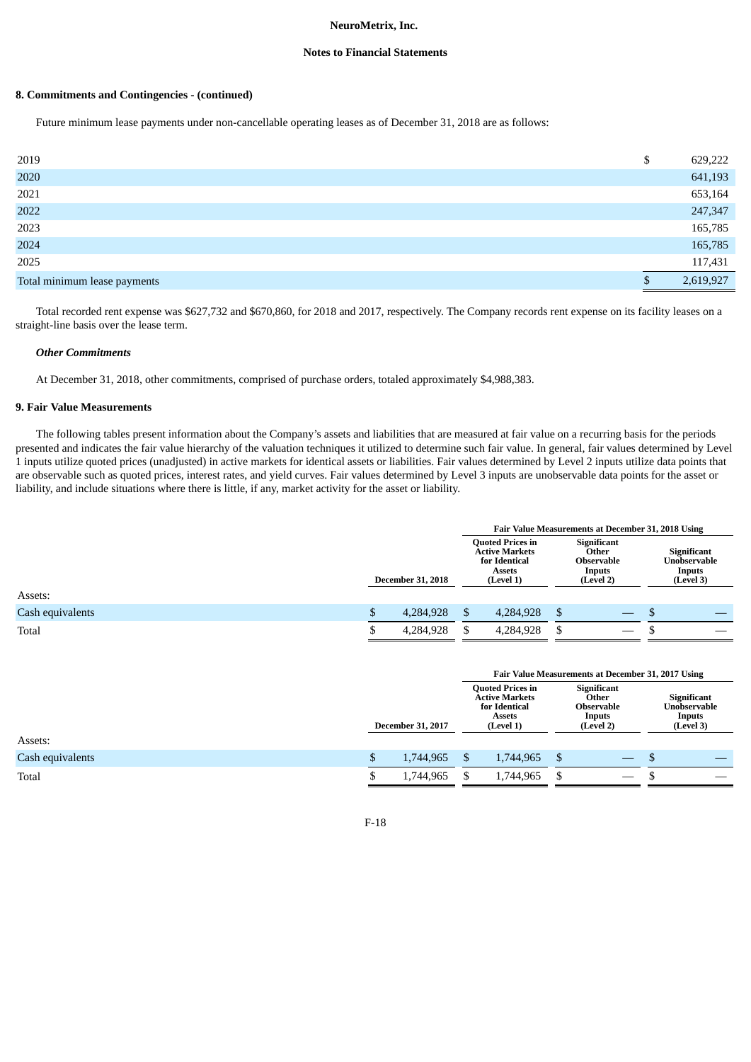#### **Notes to Financial Statements**

## **8. Commitments and Contingencies - (continued)**

Future minimum lease payments under non-cancellable operating leases as of December 31, 2018 are as follows:

| 2019                         | \$<br>629,222 |
|------------------------------|---------------|
| 2020                         | 641,193       |
| 2021                         | 653,164       |
| 2022                         | 247,347       |
| 2023                         | 165,785       |
| 2024                         | 165,785       |
| 2025                         | 117,431       |
| Total minimum lease payments | 2,619,927     |

Total recorded rent expense was \$627,732 and \$670,860, for 2018 and 2017, respectively. The Company records rent expense on its facility leases on a straight-line basis over the lease term.

## *Other Commitments*

At December 31, 2018, other commitments, comprised of purchase orders, totaled approximately \$4,988,383.

## **9. Fair Value Measurements**

The following tables present information about the Company's assets and liabilities that are measured at fair value on a recurring basis for the periods presented and indicates the fair value hierarchy of the valuation techniques it utilized to determine such fair value. In general, fair values determined by Level 1 inputs utilize quoted prices (unadjusted) in active markets for identical assets or liabilities. Fair values determined by Level 2 inputs utilize data points that are observable such as quoted prices, interest rates, and yield curves. Fair values determined by Level 3 inputs are unobservable data points for the asset or liability, and include situations where there is little, if any, market activity for the asset or liability.

|                  |                          | Fair Value Measurements at December 31, 2018 Using                                              |                                                                                                 |    |                                                                                |    |                                                           |
|------------------|--------------------------|-------------------------------------------------------------------------------------------------|-------------------------------------------------------------------------------------------------|----|--------------------------------------------------------------------------------|----|-----------------------------------------------------------|
| Assets:          | <b>December 31, 2018</b> | <b>Quoted Prices in</b><br><b>Active Markets</b><br>for Identical<br><b>Assets</b><br>(Level 1) |                                                                                                 |    | <b>Significant</b><br>Other<br><b>Observable</b><br><b>Inputs</b><br>(Level 2) |    | <b>Significant</b><br>Unobservable<br>Inputs<br>(Level 3) |
| Cash equivalents | \$<br>4,284,928          | \$.                                                                                             | 4,284,928                                                                                       | \$ |                                                                                | \$ |                                                           |
| Total            | 4,284,928                | \$.                                                                                             | 4,284,928                                                                                       | \$ |                                                                                | \$ |                                                           |
|                  |                          |                                                                                                 |                                                                                                 |    | Fair Value Measurements at December 31, 2017 Using                             |    |                                                           |
|                  | <b>December 31, 2017</b> |                                                                                                 | <b>Quoted Prices in</b><br><b>Active Markets</b><br>for Identical<br><b>Assets</b><br>(Level 1) |    | <b>Significant</b><br>Other<br><b>Observable</b><br><b>Inputs</b><br>(Level 2) |    | Significant<br><b>Unobservable</b><br>Inputs<br>(Level 3) |
| Assets:          |                          |                                                                                                 |                                                                                                 |    |                                                                                |    |                                                           |
| Cash equivalents | \$<br>1,744,965          | \$                                                                                              | 1,744,965                                                                                       | \$ |                                                                                | \$ |                                                           |
| Total            | \$<br>1,744,965          | \$.                                                                                             | 1,744,965                                                                                       | \$ |                                                                                | \$ |                                                           |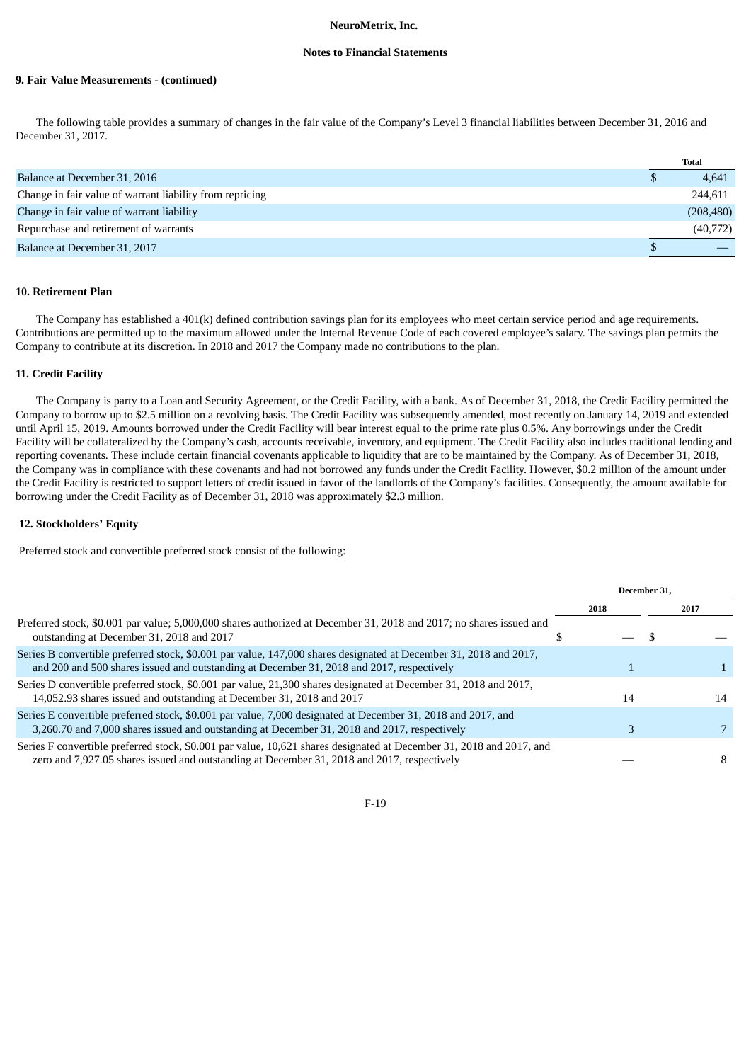## **Notes to Financial Statements**

## **9. Fair Value Measurements - (continued)**

The following table provides a summary of changes in the fair value of the Company's Level 3 financial liabilities between December 31, 2016 and December 31, 2017.

|                                                          |   | <b>Total</b> |
|----------------------------------------------------------|---|--------------|
| Balance at December 31, 2016                             | ъ | 4,641        |
| Change in fair value of warrant liability from repricing |   | 244,611      |
| Change in fair value of warrant liability                |   | (208, 480)   |
| Repurchase and retirement of warrants                    |   | (40,772)     |
| Balance at December 31, 2017                             |   |              |

## **10. Retirement Plan**

The Company has established a 401(k) defined contribution savings plan for its employees who meet certain service period and age requirements. Contributions are permitted up to the maximum allowed under the Internal Revenue Code of each covered employee's salary. The savings plan permits the Company to contribute at its discretion. In 2018 and 2017 the Company made no contributions to the plan.

#### **11. Credit Facility**

The Company is party to a Loan and Security Agreement, or the Credit Facility, with a bank. As of December 31, 2018, the Credit Facility permitted the Company to borrow up to \$2.5 million on a revolving basis. The Credit Facility was subsequently amended, most recently on January 14, 2019 and extended until April 15, 2019. Amounts borrowed under the Credit Facility will bear interest equal to the prime rate plus 0.5%. Any borrowings under the Credit Facility will be collateralized by the Company's cash, accounts receivable, inventory, and equipment. The Credit Facility also includes traditional lending and reporting covenants. These include certain financial covenants applicable to liquidity that are to be maintained by the Company. As of December 31, 2018, the Company was in compliance with these covenants and had not borrowed any funds under the Credit Facility. However, \$0.2 million of the amount under the Credit Facility is restricted to support letters of credit issued in favor of the landlords of the Company's facilities. Consequently, the amount available for borrowing under the Credit Facility as of December 31, 2018 was approximately \$2.3 million.

## **12. Stockholders' Equity**

Preferred stock and convertible preferred stock consist of the following:

|                                                                                                                                                                                                                     |      | December 31, |      |    |
|---------------------------------------------------------------------------------------------------------------------------------------------------------------------------------------------------------------------|------|--------------|------|----|
|                                                                                                                                                                                                                     | 2018 |              | 2017 |    |
| Preferred stock, \$0.001 par value; 5,000,000 shares authorized at December 31, 2018 and 2017; no shares issued and<br>outstanding at December 31, 2018 and 2017                                                    |      |              |      |    |
| Series B convertible preferred stock, \$0.001 par value, 147,000 shares designated at December 31, 2018 and 2017,<br>and 200 and 500 shares issued and outstanding at December 31, 2018 and 2017, respectively      |      |              |      |    |
| Series D convertible preferred stock, \$0.001 par value, 21,300 shares designated at December 31, 2018 and 2017,<br>14,052.93 shares issued and outstanding at December 31, 2018 and 2017                           |      | 14           |      | 14 |
| Series E convertible preferred stock, \$0.001 par value, 7,000 designated at December 31, 2018 and 2017, and<br>3,260.70 and 7,000 shares issued and outstanding at December 31, 2018 and 2017, respectively        |      |              |      |    |
| Series F convertible preferred stock, \$0.001 par value, 10,621 shares designated at December 31, 2018 and 2017, and<br>zero and 7,927.05 shares issued and outstanding at December 31, 2018 and 2017, respectively |      |              |      | 8  |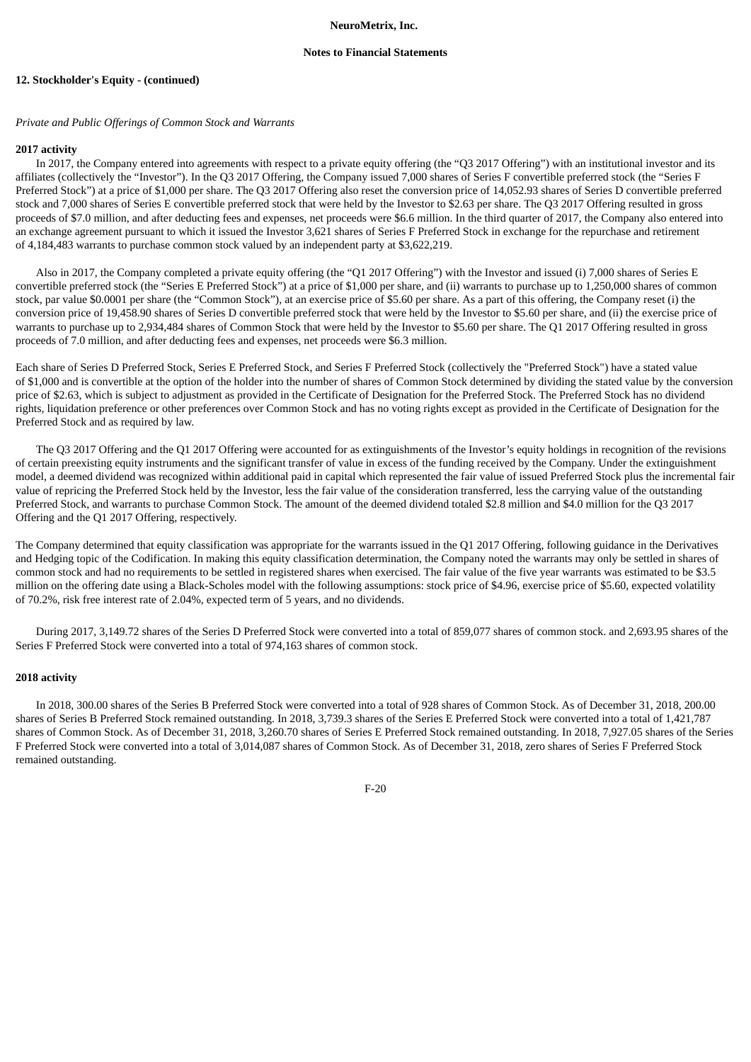## **Notes to Financial Statements**

## **12. Stockholder's Equity - (continued)**

#### *Private and Public Offerings of Common Stock and Warrants*

## **2017 activity**

In 2017, the Company entered into agreements with respect to a private equity offering (the "Q3 2017 Offering") with an institutional investor and its affiliates (collectively the "Investor"). In the Q3 2017 Offering, the Company issued 7,000 shares of Series F convertible preferred stock (the "Series F Preferred Stock") at a price of \$1,000 per share. The Q3 2017 Offering also reset the conversion price of 14,052.93 shares of Series D convertible preferred stock and 7,000 shares of Series E convertible preferred stock that were held by the Investor to \$2.63 per share. The Q3 2017 Offering resulted in gross proceeds of \$7.0 million, and after deducting fees and expenses, net proceeds were \$6.6 million. In the third quarter of 2017, the Company also entered into an exchange agreement pursuant to which it issued the Investor 3,621 shares of Series F Preferred Stock in exchange for the repurchase and retirement of 4,184,483 warrants to purchase common stock valued by an independent party at \$3,622,219.

Also in 2017, the Company completed a private equity offering (the "Q1 2017 Offering") with the Investor and issued (i) 7,000 shares of Series E convertible preferred stock (the "Series E Preferred Stock") at a price of \$1,000 per share, and (ii) warrants to purchase up to 1,250,000 shares of common stock, par value \$0.0001 per share (the "Common Stock"), at an exercise price of \$5.60 per share. As a part of this offering, the Company reset (i) the conversion price of 19,458.90 shares of Series D convertible preferred stock that were held by the Investor to \$5.60 per share, and (ii) the exercise price of warrants to purchase up to 2,934,484 shares of Common Stock that were held by the Investor to \$5.60 per share. The Q1 2017 Offering resulted in gross proceeds of 7.0 million, and after deducting fees and expenses, net proceeds were \$6.3 million.

Each share of Series D Preferred Stock, Series E Preferred Stock, and Series F Preferred Stock (collectively the "Preferred Stock") have a stated value of \$1,000 and is convertible at the option of the holder into the number of shares of Common Stock determined by dividing the stated value by the conversion price of \$2.63, which is subject to adjustment as provided in the Certificate of Designation for the Preferred Stock. The Preferred Stock has no dividend rights, liquidation preference or other preferences over Common Stock and has no voting rights except as provided in the Certificate of Designation for the Preferred Stock and as required by law.

The Q3 2017 Offering and the Q1 2017 Offering were accounted for as extinguishments of the Investor's equity holdings in recognition of the revisions of certain preexisting equity instruments and the significant transfer of value in excess of the funding received by the Company. Under the extinguishment model, a deemed dividend was recognized within additional paid in capital which represented the fair value of issued Preferred Stock plus the incremental fair value of repricing the Preferred Stock held by the Investor, less the fair value of the consideration transferred, less the carrying value of the outstanding Preferred Stock, and warrants to purchase Common Stock. The amount of the deemed dividend totaled \$2.8 million and \$4.0 million for the Q3 2017 Offering and the Q1 2017 Offering, respectively.

The Company determined that equity classification was appropriate for the warrants issued in the Q1 2017 Offering, following guidance in the Derivatives and Hedging topic of the Codification. In making this equity classification determination, the Company noted the warrants may only be settled in shares of common stock and had no requirements to be settled in registered shares when exercised. The fair value of the five year warrants was estimated to be \$3.5 million on the offering date using a Black-Scholes model with the following assumptions: stock price of \$4.96, exercise price of \$5.60, expected volatility of 70.2%, risk free interest rate of 2.04%, expected term of 5 years, and no dividends.

During 2017, 3,149.72 shares of the Series D Preferred Stock were converted into a total of 859,077 shares of common stock. and 2,693.95 shares of the Series F Preferred Stock were converted into a total of 974,163 shares of common stock.

#### **2018 activity**

In 2018, 300.00 shares of the Series B Preferred Stock were converted into a total of 928 shares of Common Stock. As of December 31, 2018, 200.00 shares of Series B Preferred Stock remained outstanding. In 2018, 3,739.3 shares of the Series E Preferred Stock were converted into a total of 1,421,787 shares of Common Stock. As of December 31, 2018, 3,260.70 shares of Series E Preferred Stock remained outstanding. In 2018, 7,927.05 shares of the Series F Preferred Stock were converted into a total of 3,014,087 shares of Common Stock. As of December 31, 2018, zero shares of Series F Preferred Stock remained outstanding.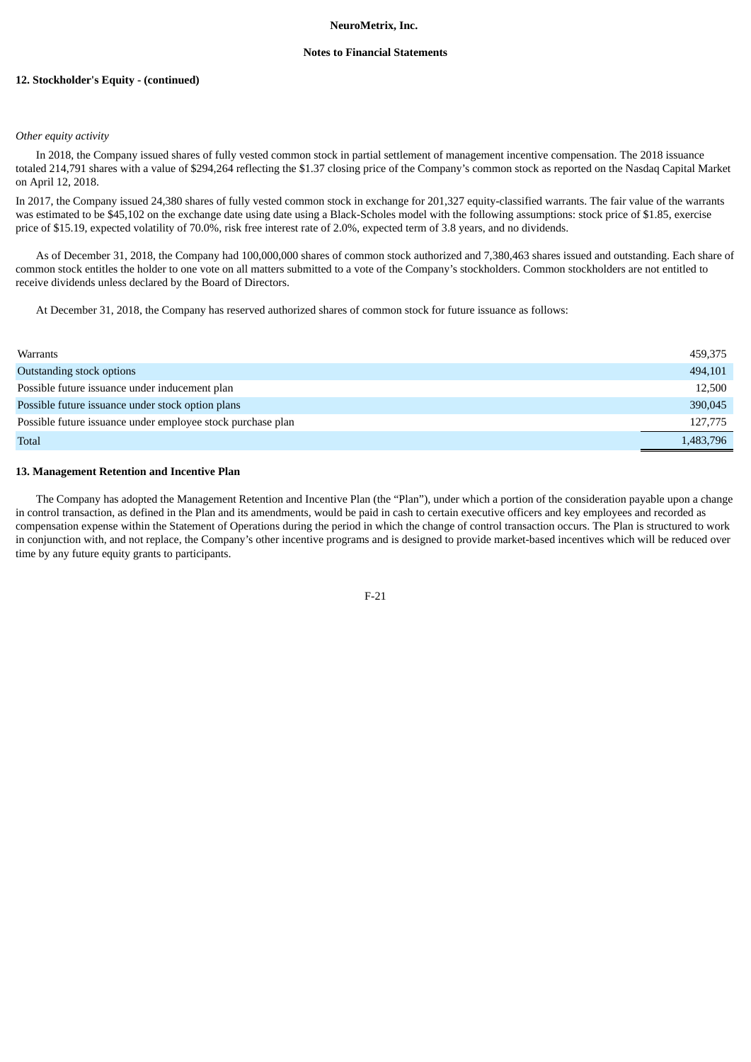#### **Notes to Financial Statements**

## **12. Stockholder's Equity - (continued)**

#### *Other equity activity*

In 2018, the Company issued shares of fully vested common stock in partial settlement of management incentive compensation. The 2018 issuance totaled 214,791 shares with a value of \$294,264 reflecting the \$1.37 closing price of the Company's common stock as reported on the Nasdaq Capital Market on April 12, 2018.

In 2017, the Company issued 24,380 shares of fully vested common stock in exchange for 201,327 equity-classified warrants. The fair value of the warrants was estimated to be \$45,102 on the exchange date using date using a Black-Scholes model with the following assumptions: stock price of \$1.85, exercise price of \$15.19, expected volatility of 70.0%, risk free interest rate of 2.0%, expected term of 3.8 years, and no dividends.

As of December 31, 2018, the Company had 100,000,000 shares of common stock authorized and 7,380,463 shares issued and outstanding. Each share of common stock entitles the holder to one vote on all matters submitted to a vote of the Company's stockholders. Common stockholders are not entitled to receive dividends unless declared by the Board of Directors.

At December 31, 2018, the Company has reserved authorized shares of common stock for future issuance as follows:

| Warrants                                                    | 459,375   |
|-------------------------------------------------------------|-----------|
| <b>Outstanding stock options</b>                            | 494,101   |
| Possible future issuance under inducement plan              | 12,500    |
| Possible future issuance under stock option plans           | 390,045   |
| Possible future issuance under employee stock purchase plan | 127,775   |
| <b>Total</b>                                                | 1,483,796 |

#### **13. Management Retention and Incentive Plan**

The Company has adopted the Management Retention and Incentive Plan (the "Plan"), under which a portion of the consideration payable upon a change in control transaction, as defined in the Plan and its amendments, would be paid in cash to certain executive officers and key employees and recorded as compensation expense within the Statement of Operations during the period in which the change of control transaction occurs. The Plan is structured to work in conjunction with, and not replace, the Company's other incentive programs and is designed to provide market-based incentives which will be reduced over time by any future equity grants to participants.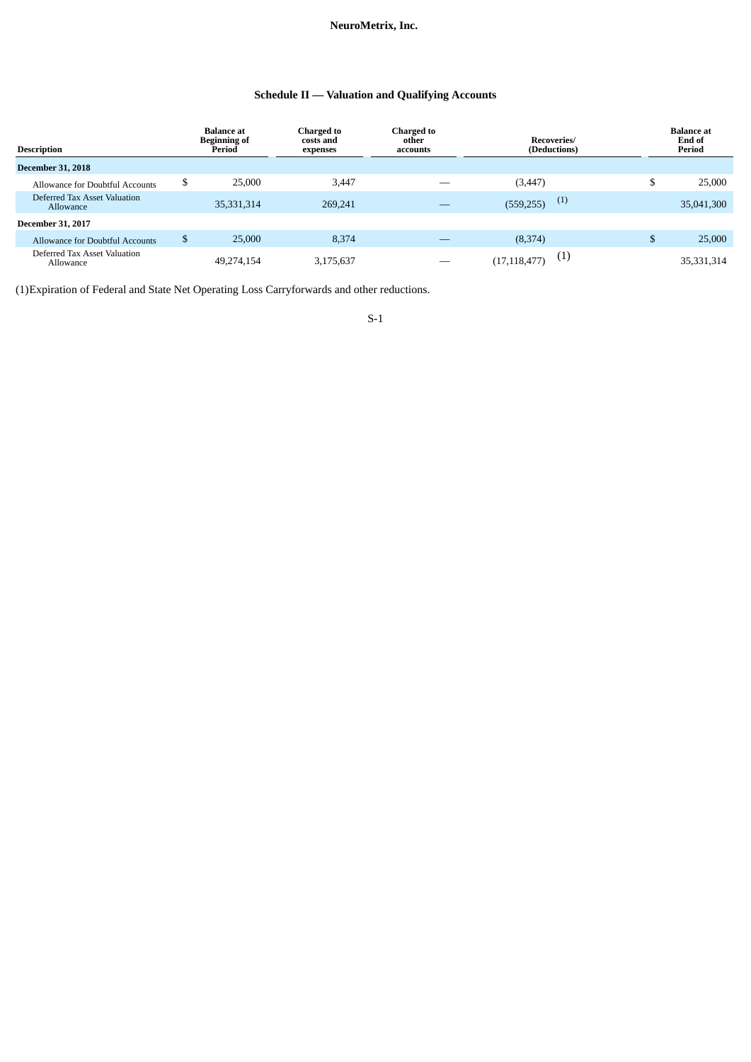# **Schedule II — Valuation and Qualifying Accounts**

| <b>Description</b>                        |    | <b>Balance</b> at<br><b>Beginning of</b><br>Period | Charged to<br>costs and<br>expenses | Charged to<br>other<br>accounts |                | Recoveries/<br>(Deductions) |    | <b>Balance</b> at<br>End of<br>Period |
|-------------------------------------------|----|----------------------------------------------------|-------------------------------------|---------------------------------|----------------|-----------------------------|----|---------------------------------------|
| <b>December 31, 2018</b>                  |    |                                                    |                                     |                                 |                |                             |    |                                       |
| Allowance for Doubtful Accounts           | \$ | 25,000                                             | 3,447                               |                                 | (3, 447)       |                             | ۰υ | 25,000                                |
| Deferred Tax Asset Valuation<br>Allowance |    | 35,331,314                                         | 269,241                             |                                 | (559, 255)     | (1)                         |    | 35,041,300                            |
| <b>December 31, 2017</b>                  |    |                                                    |                                     |                                 |                |                             |    |                                       |
| Allowance for Doubtful Accounts           | Ф  | 25,000                                             | 8,374                               |                                 | (8,374)        |                             | Φ  | 25,000                                |
| Deferred Tax Asset Valuation<br>Allowance |    | 49,274,154                                         | 3,175,637                           |                                 | (17, 118, 477) | (1)                         |    | 35,331,314                            |

(1)Expiration of Federal and State Net Operating Loss Carryforwards and other reductions.

S-1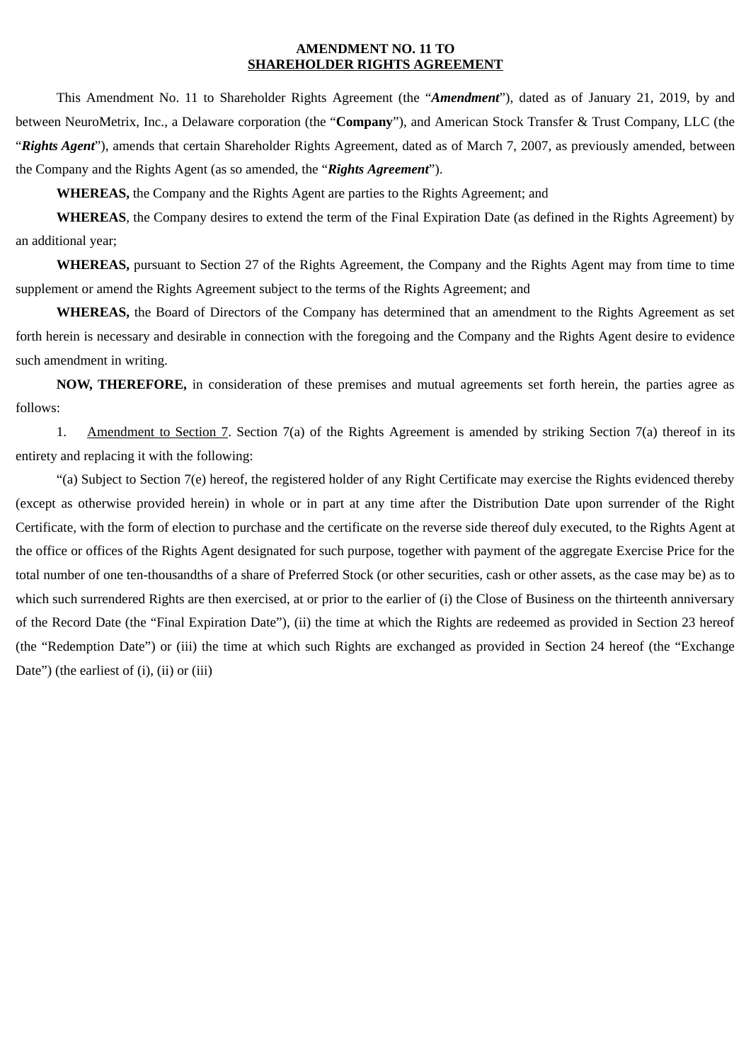# **AMENDMENT NO. 11 TO SHAREHOLDER RIGHTS AGREEMENT**

This Amendment No. 11 to Shareholder Rights Agreement (the "*Amendment*"), dated as of January 21, 2019, by and between NeuroMetrix, Inc., a Delaware corporation (the "**Company**"), and American Stock Transfer & Trust Company, LLC (the "*Rights Agent*"), amends that certain Shareholder Rights Agreement, dated as of March 7, 2007, as previously amended, between the Company and the Rights Agent (as so amended, the "*Rights Agreement*").

**WHEREAS,** the Company and the Rights Agent are parties to the Rights Agreement; and

**WHEREAS**, the Company desires to extend the term of the Final Expiration Date (as defined in the Rights Agreement) by an additional year;

**WHEREAS,** pursuant to Section 27 of the Rights Agreement, the Company and the Rights Agent may from time to time supplement or amend the Rights Agreement subject to the terms of the Rights Agreement; and

**WHEREAS,** the Board of Directors of the Company has determined that an amendment to the Rights Agreement as set forth herein is necessary and desirable in connection with the foregoing and the Company and the Rights Agent desire to evidence such amendment in writing.

**NOW, THEREFORE,** in consideration of these premises and mutual agreements set forth herein, the parties agree as follows:

1. Amendment to Section 7. Section 7(a) of the Rights Agreement is amended by striking Section 7(a) thereof in its entirety and replacing it with the following:

"(a) Subject to Section 7(e) hereof, the registered holder of any Right Certificate may exercise the Rights evidenced thereby (except as otherwise provided herein) in whole or in part at any time after the Distribution Date upon surrender of the Right Certificate, with the form of election to purchase and the certificate on the reverse side thereof duly executed, to the Rights Agent at the office or offices of the Rights Agent designated for such purpose, together with payment of the aggregate Exercise Price for the total number of one ten-thousandths of a share of Preferred Stock (or other securities, cash or other assets, as the case may be) as to which such surrendered Rights are then exercised, at or prior to the earlier of (i) the Close of Business on the thirteenth anniversary of the Record Date (the "Final Expiration Date"), (ii) the time at which the Rights are redeemed as provided in Section 23 hereof (the "Redemption Date") or (iii) the time at which such Rights are exchanged as provided in Section 24 hereof (the "Exchange Date") (the earliest of (i), (ii) or (iii)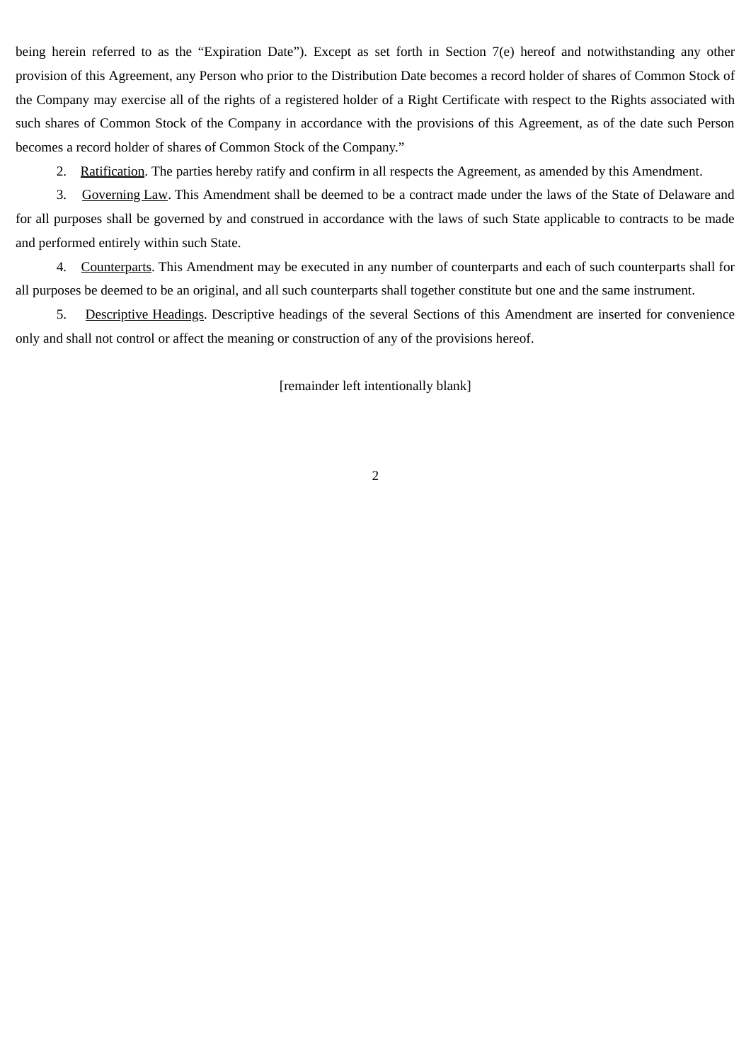being herein referred to as the "Expiration Date"). Except as set forth in Section 7(e) hereof and notwithstanding any other provision of this Agreement, any Person who prior to the Distribution Date becomes a record holder of shares of Common Stock of the Company may exercise all of the rights of a registered holder of a Right Certificate with respect to the Rights associated with such shares of Common Stock of the Company in accordance with the provisions of this Agreement, as of the date such Person becomes a record holder of shares of Common Stock of the Company."

2. Ratification. The parties hereby ratify and confirm in all respects the Agreement, as amended by this Amendment.

3. Governing Law. This Amendment shall be deemed to be a contract made under the laws of the State of Delaware and for all purposes shall be governed by and construed in accordance with the laws of such State applicable to contracts to be made and performed entirely within such State.

4. Counterparts. This Amendment may be executed in any number of counterparts and each of such counterparts shall for all purposes be deemed to be an original, and all such counterparts shall together constitute but one and the same instrument.

5. Descriptive Headings. Descriptive headings of the several Sections of this Amendment are inserted for convenience only and shall not control or affect the meaning or construction of any of the provisions hereof.

[remainder left intentionally blank]

2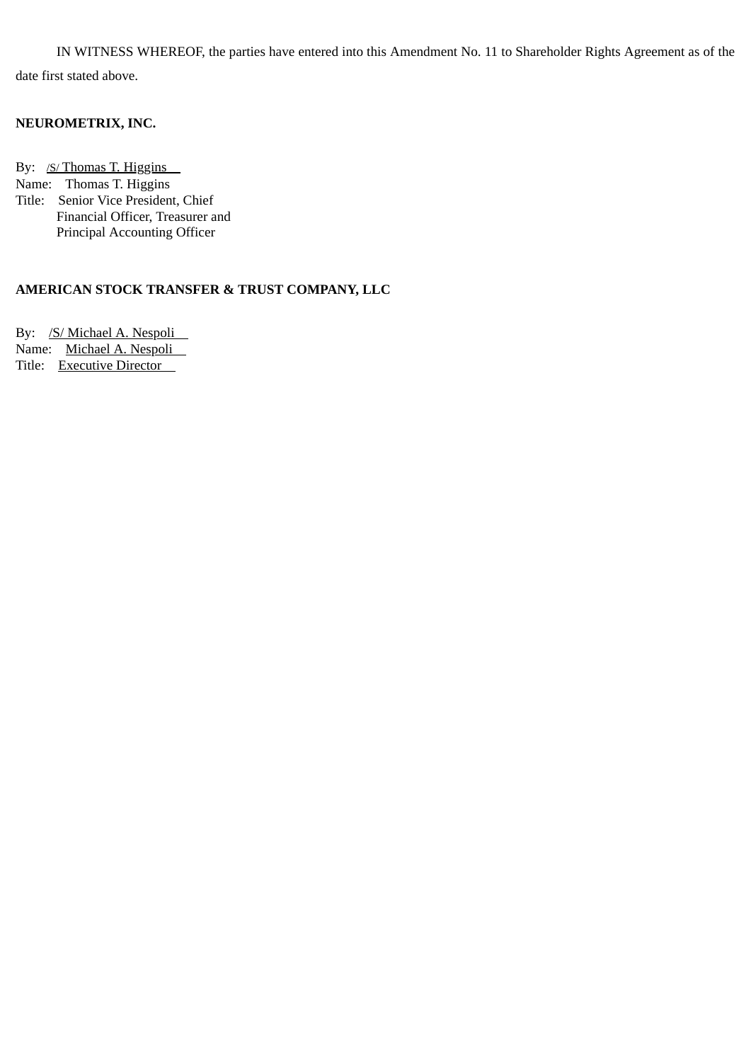IN WITNESS WHEREOF, the parties have entered into this Amendment No. 11 to Shareholder Rights Agreement as of the date first stated above.

# **NEUROMETRIX, INC.**

By: /S/ Thomas T. Higgins Name: Thomas T. Higgins Title: Senior Vice President, Chief Financial Officer, Treasurer and Principal Accounting Officer

# **AMERICAN STOCK TRANSFER & TRUST COMPANY, LLC**

By: /S/ Michael A. Nespoli Name: Michael A. Nespoli Title: Executive Director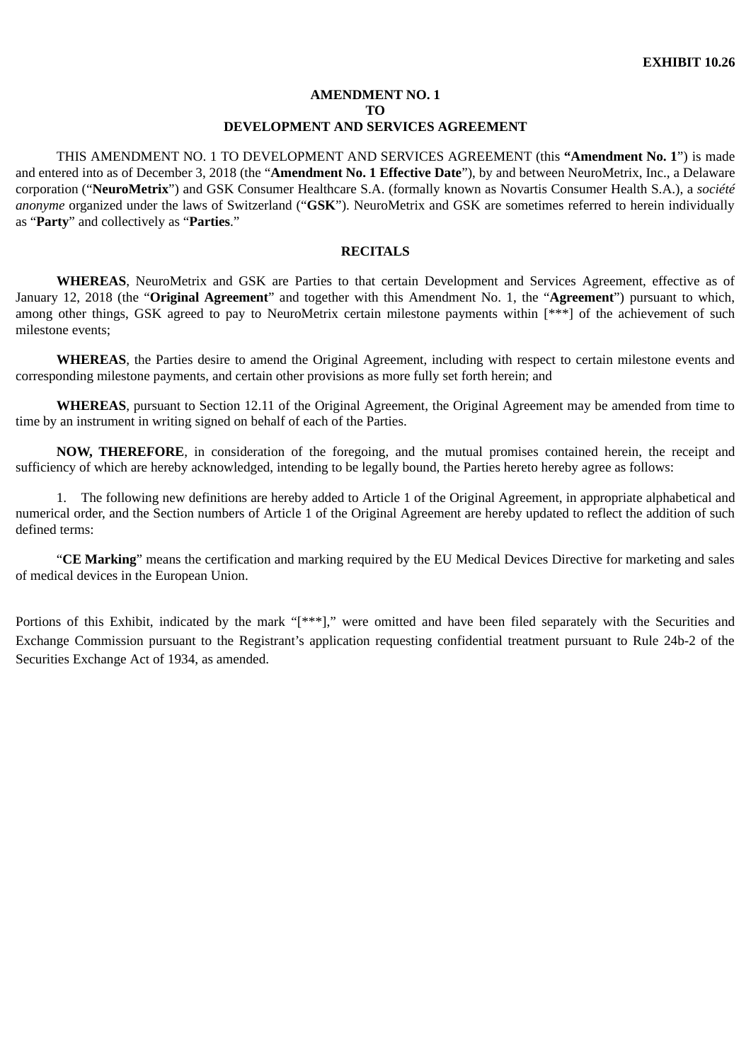# **AMENDMENT NO. 1 TO DEVELOPMENT AND SERVICES AGREEMENT**

THIS AMENDMENT NO. 1 TO DEVELOPMENT AND SERVICES AGREEMENT (this **"Amendment No. 1**") is made and entered into as of December 3, 2018 (the "**Amendment No. 1 Effective Date**"), by and between NeuroMetrix, Inc., a Delaware corporation ("**NeuroMetrix**") and GSK Consumer Healthcare S.A. (formally known as Novartis Consumer Health S.A.), a *société anonyme* organized under the laws of Switzerland ("**GSK**"). NeuroMetrix and GSK are sometimes referred to herein individually as "**Party**" and collectively as "**Parties**."

# **RECITALS**

**WHEREAS**, NeuroMetrix and GSK are Parties to that certain Development and Services Agreement, effective as of January 12, 2018 (the "**Original Agreement**" and together with this Amendment No. 1, the "**Agreement**") pursuant to which, among other things, GSK agreed to pay to NeuroMetrix certain milestone payments within [\*\*\*] of the achievement of such milestone events;

**WHEREAS**, the Parties desire to amend the Original Agreement, including with respect to certain milestone events and corresponding milestone payments, and certain other provisions as more fully set forth herein; and

**WHEREAS**, pursuant to Section 12.11 of the Original Agreement, the Original Agreement may be amended from time to time by an instrument in writing signed on behalf of each of the Parties.

**NOW, THEREFORE**, in consideration of the foregoing, and the mutual promises contained herein, the receipt and sufficiency of which are hereby acknowledged, intending to be legally bound, the Parties hereto hereby agree as follows:

1. The following new definitions are hereby added to Article 1 of the Original Agreement, in appropriate alphabetical and numerical order, and the Section numbers of Article 1 of the Original Agreement are hereby updated to reflect the addition of such defined terms:

"**CE Marking**" means the certification and marking required by the EU Medical Devices Directive for marketing and sales of medical devices in the European Union.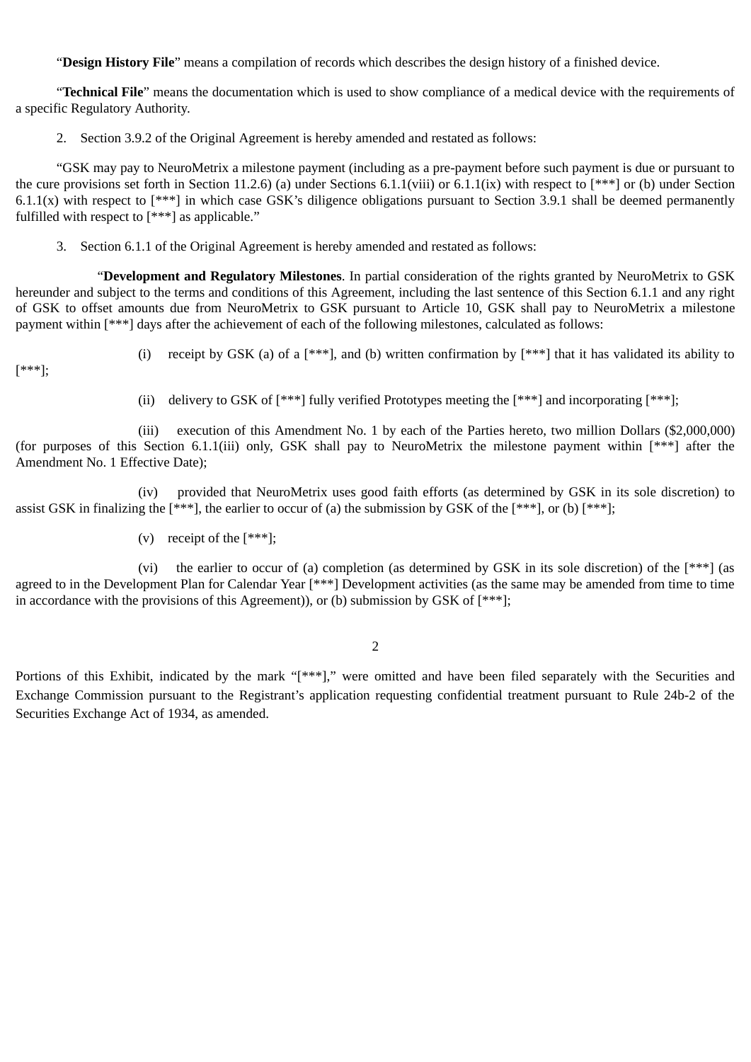"**Design History File**" means a compilation of records which describes the design history of a finished device.

"**Technical File**" means the documentation which is used to show compliance of a medical device with the requirements of a specific Regulatory Authority.

2. Section 3.9.2 of the Original Agreement is hereby amended and restated as follows:

"GSK may pay to NeuroMetrix a milestone payment (including as a pre-payment before such payment is due or pursuant to the cure provisions set forth in Section 11.2.6) (a) under Sections  $6.1.1$ (viii) or  $6.1.1$ (ix) with respect to  $[***]$  or (b) under Section 6.1.1(x) with respect to  $[***]$  in which case GSK's diligence obligations pursuant to Section 3.9.1 shall be deemed permanently fulfilled with respect to [\*\*\*] as applicable."

3. Section 6.1.1 of the Original Agreement is hereby amended and restated as follows:

"**Development and Regulatory Milestones**. In partial consideration of the rights granted by NeuroMetrix to GSK hereunder and subject to the terms and conditions of this Agreement, including the last sentence of this Section 6.1.1 and any right of GSK to offset amounts due from NeuroMetrix to GSK pursuant to Article 10, GSK shall pay to NeuroMetrix a milestone payment within [\*\*\*] days after the achievement of each of the following milestones, calculated as follows:

[\*\*\*];

(i) receipt by GSK (a) of a [\*\*\*], and (b) written confirmation by [\*\*\*] that it has validated its ability to

(ii) delivery to GSK of [\*\*\*] fully verified Prototypes meeting the [\*\*\*] and incorporating [\*\*\*];

(iii) execution of this Amendment No. 1 by each of the Parties hereto, two million Dollars (\$2,000,000) (for purposes of this Section 6.1.1(iii) only, GSK shall pay to NeuroMetrix the milestone payment within [\*\*\*] after the Amendment No. 1 Effective Date);

(iv) provided that NeuroMetrix uses good faith efforts (as determined by GSK in its sole discretion) to assist GSK in finalizing the [\*\*\*], the earlier to occur of (a) the submission by GSK of the [\*\*\*], or (b) [\*\*\*];

(v) receipt of the [\*\*\*];

(vi) the earlier to occur of (a) completion (as determined by GSK in its sole discretion) of the [\*\*\*] (as agreed to in the Development Plan for Calendar Year [\*\*\*] Development activities (as the same may be amended from time to time in accordance with the provisions of this Agreement)), or (b) submission by GSK of  $[***]$ ;

2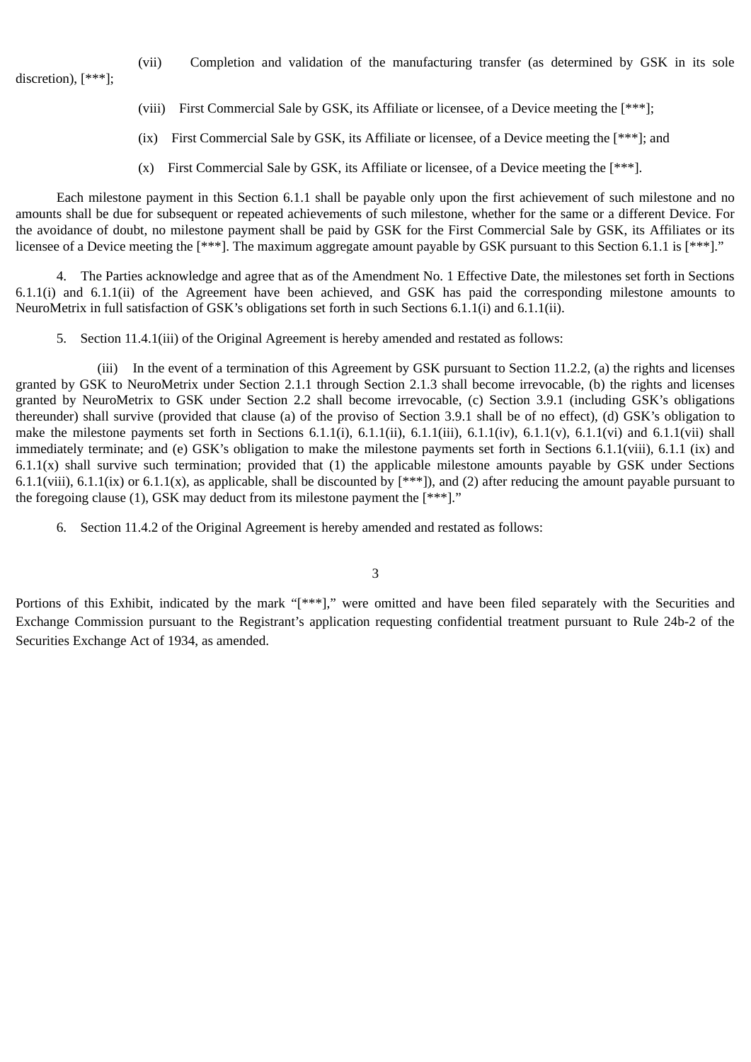(vii) Completion and validation of the manufacturing transfer (as determined by GSK in its sole discretion),  $[***]$ ;

- (viii) First Commercial Sale by GSK, its Affiliate or licensee, of a Device meeting the [\*\*\*];
- (ix) First Commercial Sale by GSK, its Affiliate or licensee, of a Device meeting the [\*\*\*]; and
- (x) First Commercial Sale by GSK, its Affiliate or licensee, of a Device meeting the  $[***]$ .

Each milestone payment in this Section 6.1.1 shall be payable only upon the first achievement of such milestone and no amounts shall be due for subsequent or repeated achievements of such milestone, whether for the same or a different Device. For the avoidance of doubt, no milestone payment shall be paid by GSK for the First Commercial Sale by GSK, its Affiliates or its licensee of a Device meeting the [\*\*\*]. The maximum aggregate amount payable by GSK pursuant to this Section 6.1.1 is [\*\*\*]."

4. The Parties acknowledge and agree that as of the Amendment No. 1 Effective Date, the milestones set forth in Sections 6.1.1(i) and 6.1.1(ii) of the Agreement have been achieved, and GSK has paid the corresponding milestone amounts to NeuroMetrix in full satisfaction of GSK's obligations set forth in such Sections 6.1.1(i) and 6.1.1(ii).

5. Section 11.4.1(iii) of the Original Agreement is hereby amended and restated as follows:

(iii) In the event of a termination of this Agreement by GSK pursuant to Section 11.2.2, (a) the rights and licenses granted by GSK to NeuroMetrix under Section 2.1.1 through Section 2.1.3 shall become irrevocable, (b) the rights and licenses granted by NeuroMetrix to GSK under Section 2.2 shall become irrevocable, (c) Section 3.9.1 (including GSK's obligations thereunder) shall survive (provided that clause (a) of the proviso of Section 3.9.1 shall be of no effect), (d) GSK's obligation to make the milestone payments set forth in Sections 6.1.1(i), 6.1.1(ii), 6.1.1(iii), 6.1.1(iv), 6.1.1(v), 6.1.1(vi) and 6.1.1(vii) shall immediately terminate; and (e) GSK's obligation to make the milestone payments set forth in Sections 6.1.1(viii), 6.1.1 (ix) and  $6.1.1(x)$  shall survive such termination; provided that  $(1)$  the applicable milestone amounts payable by GSK under Sections 6.1.1(viii), 6.1.1(ix) or 6.1.1(x), as applicable, shall be discounted by  $[***]$ ), and (2) after reducing the amount payable pursuant to the foregoing clause (1), GSK may deduct from its milestone payment the [\*\*\*]."

6. Section 11.4.2 of the Original Agreement is hereby amended and restated as follows: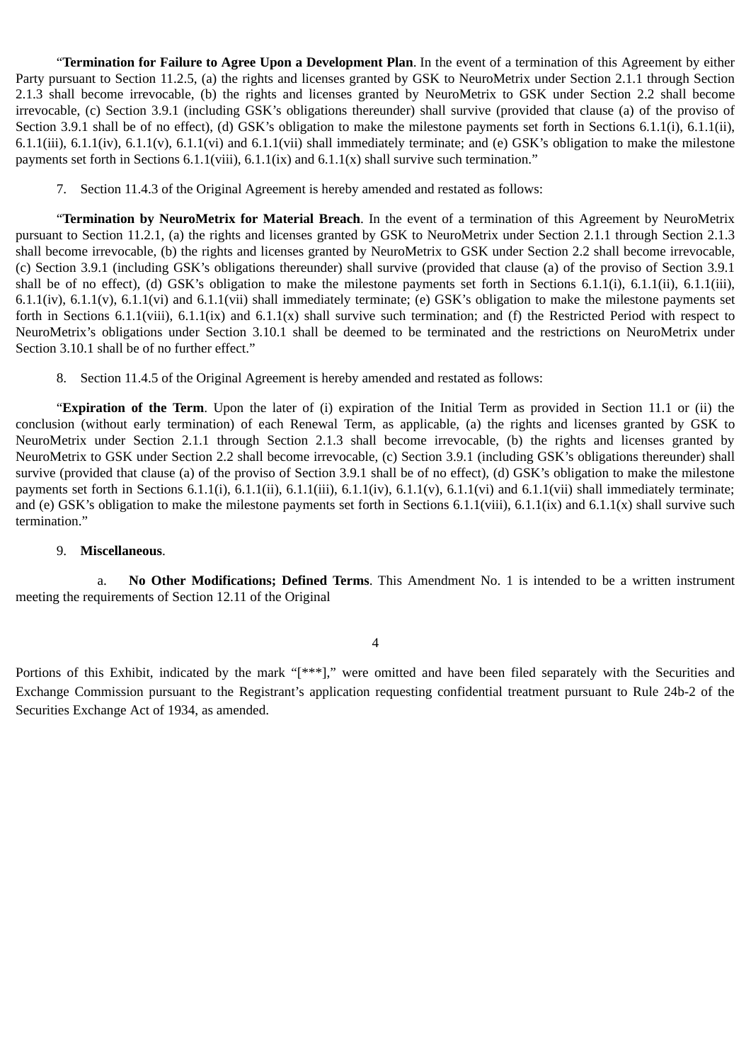"**Termination for Failure to Agree Upon a Development Plan**. In the event of a termination of this Agreement by either Party pursuant to Section 11.2.5, (a) the rights and licenses granted by GSK to NeuroMetrix under Section 2.1.1 through Section 2.1.3 shall become irrevocable, (b) the rights and licenses granted by NeuroMetrix to GSK under Section 2.2 shall become irrevocable, (c) Section 3.9.1 (including GSK's obligations thereunder) shall survive (provided that clause (a) of the proviso of Section 3.9.1 shall be of no effect), (d) GSK's obligation to make the milestone payments set forth in Sections 6.1.1(i), 6.1.1(ii), 6.1.1(iii), 6.1.1(iv), 6.1.1(v), 6.1.1(vi) and 6.1.1(vii) shall immediately terminate; and (e) GSK's obligation to make the milestone payments set forth in Sections  $6.1.1$ (viii),  $6.1.1$ (ix) and  $6.1.1$ (x) shall survive such termination."

7. Section 11.4.3 of the Original Agreement is hereby amended and restated as follows:

"**Termination by NeuroMetrix for Material Breach**. In the event of a termination of this Agreement by NeuroMetrix pursuant to Section 11.2.1, (a) the rights and licenses granted by GSK to NeuroMetrix under Section 2.1.1 through Section 2.1.3 shall become irrevocable, (b) the rights and licenses granted by NeuroMetrix to GSK under Section 2.2 shall become irrevocable, (c) Section 3.9.1 (including GSK's obligations thereunder) shall survive (provided that clause (a) of the proviso of Section 3.9.1 shall be of no effect), (d) GSK's obligation to make the milestone payments set forth in Sections 6.1.1(i), 6.1.1(ii), 6.1.1(iii), 6.1.1(iv), 6.1.1(v), 6.1.1(vi) and 6.1.1(vii) shall immediately terminate; (e) GSK's obligation to make the milestone payments set forth in Sections 6.1.1(viii), 6.1.1(ix) and 6.1.1(x) shall survive such termination; and (f) the Restricted Period with respect to NeuroMetrix's obligations under Section 3.10.1 shall be deemed to be terminated and the restrictions on NeuroMetrix under Section 3.10.1 shall be of no further effect."

8. Section 11.4.5 of the Original Agreement is hereby amended and restated as follows:

"**Expiration of the Term**. Upon the later of (i) expiration of the Initial Term as provided in Section 11.1 or (ii) the conclusion (without early termination) of each Renewal Term, as applicable, (a) the rights and licenses granted by GSK to NeuroMetrix under Section 2.1.1 through Section 2.1.3 shall become irrevocable, (b) the rights and licenses granted by NeuroMetrix to GSK under Section 2.2 shall become irrevocable, (c) Section 3.9.1 (including GSK's obligations thereunder) shall survive (provided that clause (a) of the proviso of Section 3.9.1 shall be of no effect), (d) GSK's obligation to make the milestone payments set forth in Sections 6.1.1(i), 6.1.1(ii), 6.1.1(iii), 6.1.1(iv), 6.1.1(v), 6.1.1(vi) and 6.1.1(vii) shall immediately terminate; and (e) GSK's obligation to make the milestone payments set forth in Sections 6.1.1(viii), 6.1.1(ix) and 6.1.1(x) shall survive such termination."

# 9. **Miscellaneous**.

a. **No Other Modifications; Defined Terms**. This Amendment No. 1 is intended to be a written instrument meeting the requirements of Section 12.11 of the Original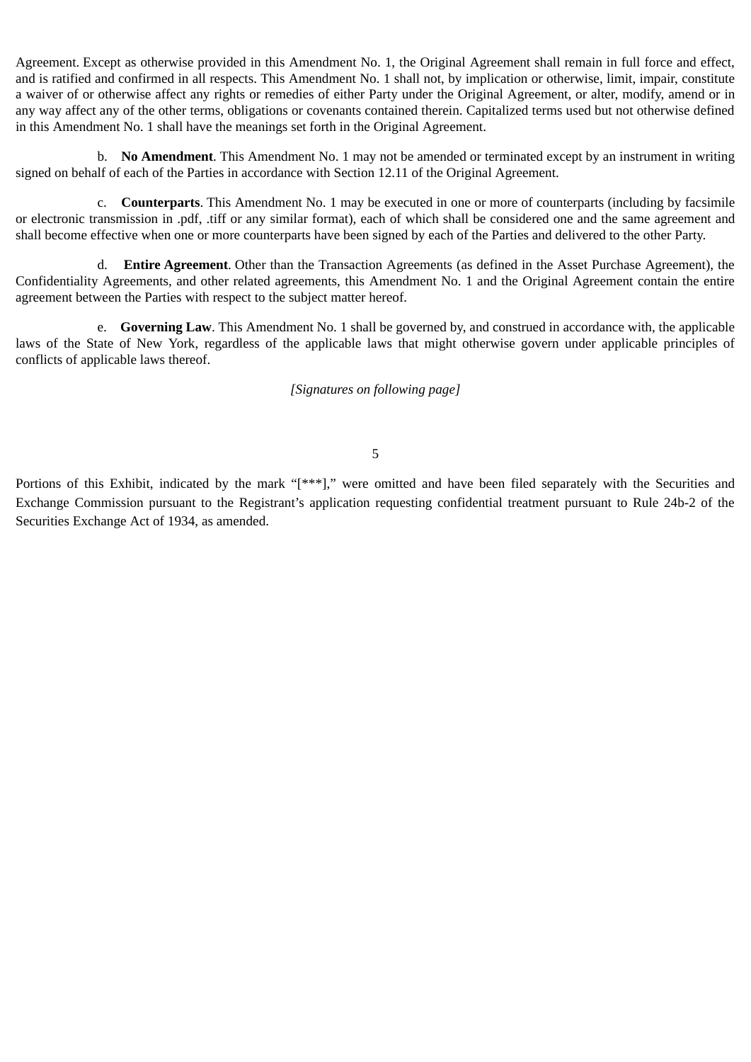Agreement. Except as otherwise provided in this Amendment No. 1, the Original Agreement shall remain in full force and effect, and is ratified and confirmed in all respects. This Amendment No. 1 shall not, by implication or otherwise, limit, impair, constitute a waiver of or otherwise affect any rights or remedies of either Party under the Original Agreement, or alter, modify, amend or in any way affect any of the other terms, obligations or covenants contained therein. Capitalized terms used but not otherwise defined in this Amendment No. 1 shall have the meanings set forth in the Original Agreement.

b. **No Amendment**. This Amendment No. 1 may not be amended or terminated except by an instrument in writing signed on behalf of each of the Parties in accordance with Section 12.11 of the Original Agreement.

c. **Counterparts**. This Amendment No. 1 may be executed in one or more of counterparts (including by facsimile or electronic transmission in .pdf, .tiff or any similar format), each of which shall be considered one and the same agreement and shall become effective when one or more counterparts have been signed by each of the Parties and delivered to the other Party.

d. **Entire Agreement**. Other than the Transaction Agreements (as defined in the Asset Purchase Agreement), the Confidentiality Agreements, and other related agreements, this Amendment No. 1 and the Original Agreement contain the entire agreement between the Parties with respect to the subject matter hereof.

e. **Governing Law**. This Amendment No. 1 shall be governed by, and construed in accordance with, the applicable laws of the State of New York, regardless of the applicable laws that might otherwise govern under applicable principles of conflicts of applicable laws thereof.

*[Signatures on following page]*

5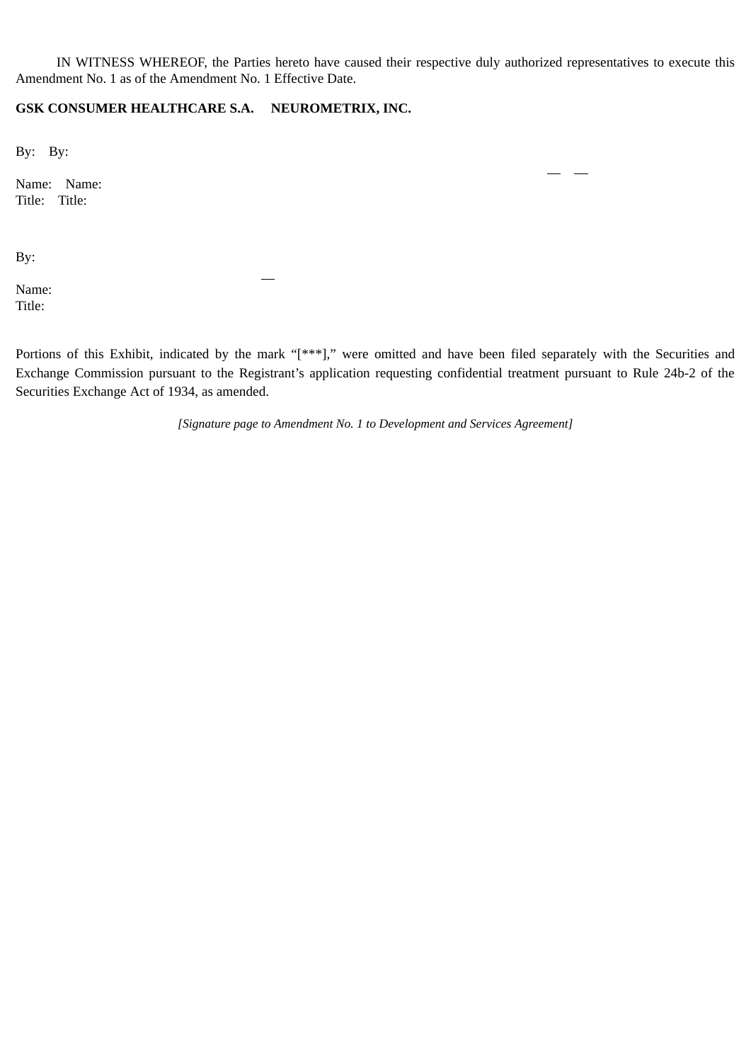IN WITNESS WHEREOF, the Parties hereto have caused their respective duly authorized representatives to execute this Amendment No. 1 as of the Amendment No. 1 Effective Date.

 $\overline{a}$ 

# **GSK CONSUMER HEALTHCARE S.A. NEUROMETRIX, INC.**

 $\overline{a}$ 

By: By:

Name: Name: Title: Title:

By:

Name: Title:

Portions of this Exhibit, indicated by the mark "[\*\*\*]," were omitted and have been filed separately with the Securities and Exchange Commission pursuant to the Registrant's application requesting confidential treatment pursuant to Rule 24b-2 of the Securities Exchange Act of 1934, as amended.

*[Signature page to Amendment No. 1 to Development and Services Agreement]*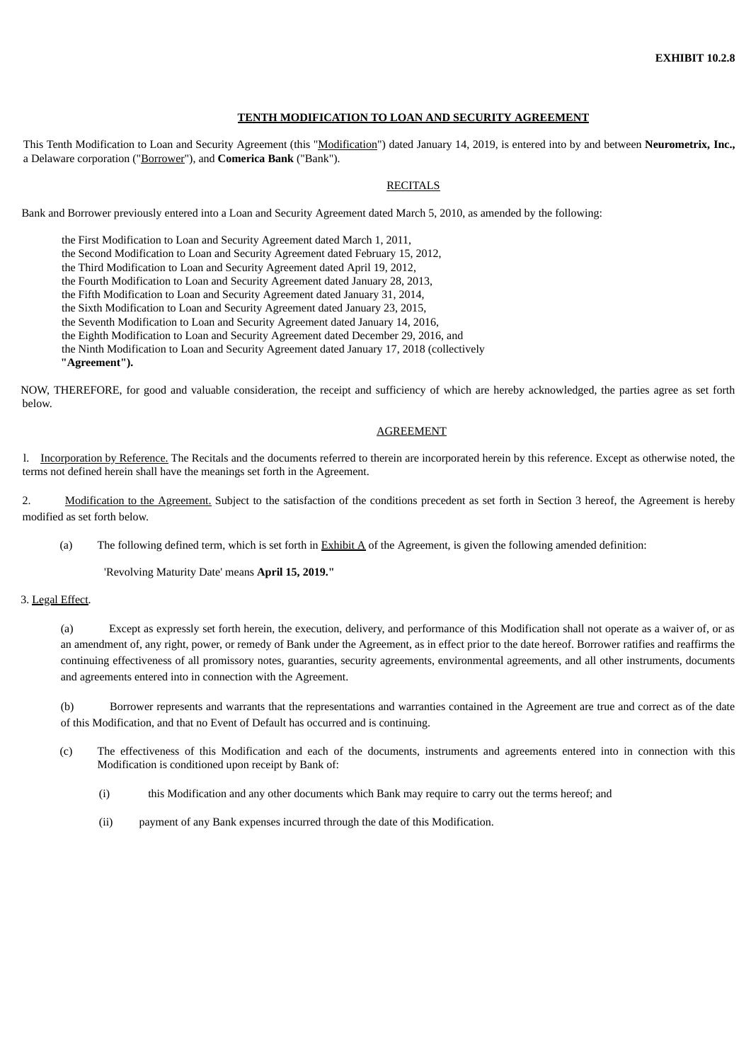## **TENTH MODIFICATION TO LOAN AND SECURITY AGREEMENT**

This Tenth Modification to Loan and Security Agreement (this "Modification") dated January 14, 2019, is entered into by and between **Neurometrix, Inc.,** a Delaware corporation ("Borrower"), and **Comerica Bank** ("Bank").

## RECITALS

Bank and Borrower previously entered into a Loan and Security Agreement dated March 5, 2010, as amended by the following:

the First Modification to Loan and Security Agreement dated March 1, 2011,

the Second Modification to Loan and Security Agreement dated February 15, 2012,

the Third Modification to Loan and Security Agreement dated April 19, 2012,

the Fourth Modification to Loan and Security Agreement dated January 28, 2013,

the Fifth Modification to Loan and Security Agreement dated January 31, 2014,

the Sixth Modification to Loan and Security Agreement dated January 23, 2015,

the Seventh Modification to Loan and Security Agreement dated January 14, 2016,

the Eighth Modification to Loan and Security Agreement dated December 29, 2016, and

the Ninth Modification to Loan and Security Agreement dated January 17, 2018 (collectively

**"Agreement").**

NOW, THEREFORE, for good and valuable consideration, the receipt and sufficiency of which are hereby acknowledged, the parties agree as set forth below.

## AGREEMENT

l. Incorporation by Reference. The Recitals and the documents referred to therein are incorporated herein by this reference. Except as otherwise noted, the terms not defined herein shall have the meanings set forth in the Agreement.

2. Modification to the Agreement. Subject to the satisfaction of the conditions precedent as set forth in Section 3 hereof, the Agreement is hereby modified as set forth below.

(a) The following defined term, which is set forth in Exhibit A of the Agreement, is given the following amended definition:

'Revolving Maturity Date' means **April 15, 2019."**

# 3. Legal Effect.

(a) Except as expressly set forth herein, the execution, delivery, and performance of this Modification shall not operate as a waiver of, or as an amendment of, any right, power, or remedy of Bank under the Agreement, as in effect prior to the date hereof. Borrower ratifies and reaffirms the continuing effectiveness of all promissory notes, guaranties, security agreements, environmental agreements, and all other instruments, documents and agreements entered into in connection with the Agreement.

(b) Borrower represents and warrants that the representations and warranties contained in the Agreement are true and correct as of the date of this Modification, and that no Event of Default has occurred and is continuing.

- (c) The effectiveness of this Modification and each of the documents, instruments and agreements entered into in connection with this Modification is conditioned upon receipt by Bank of:
	- (i) this Modification and any other documents which Bank may require to carry out the terms hereof; and
	- (ii) payment of any Bank expenses incurred through the date of this Modification.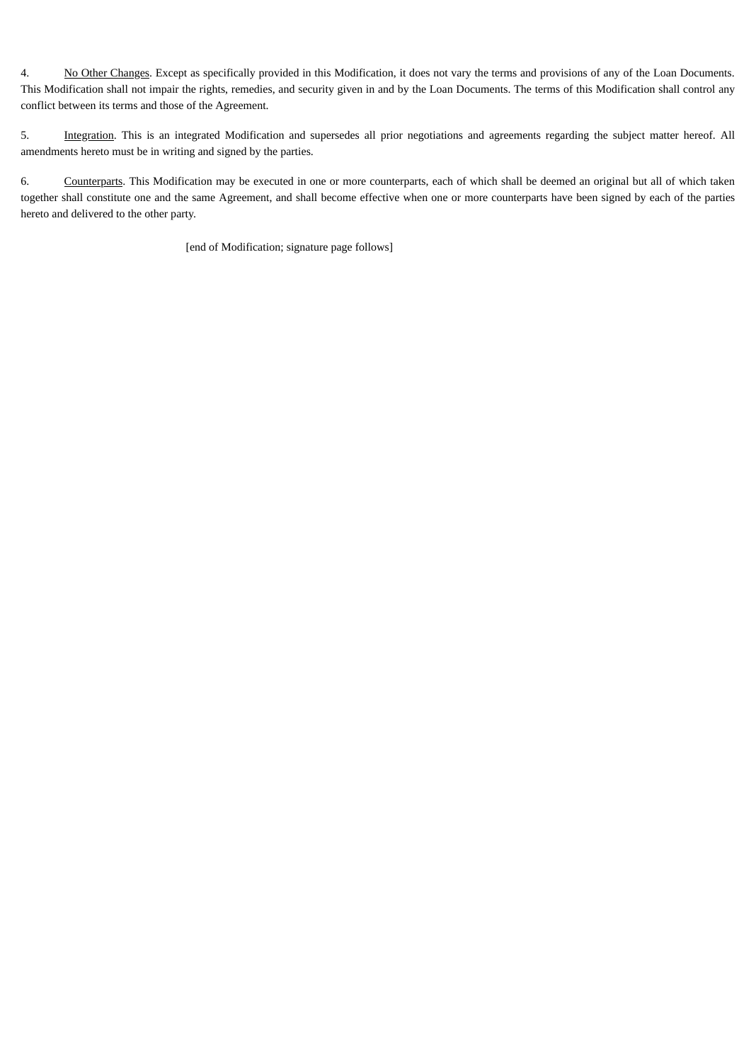4. No Other Changes. Except as specifically provided in this Modification, it does not vary the terms and provisions of any of the Loan Documents. This Modification shall not impair the rights, remedies, and security given in and by the Loan Documents. The terms of this Modification shall control any conflict between its terms and those of the Agreement.

5. Integration. This is an integrated Modification and supersedes all prior negotiations and agreements regarding the subject matter hereof. All amendments hereto must be in writing and signed by the parties.

6. Counterparts. This Modification may be executed in one or more counterparts, each of which shall be deemed an original but all of which taken together shall constitute one and the same Agreement, and shall become effective when one or more counterparts have been signed by each of the parties hereto and delivered to the other party.

[end of Modification; signature page follows]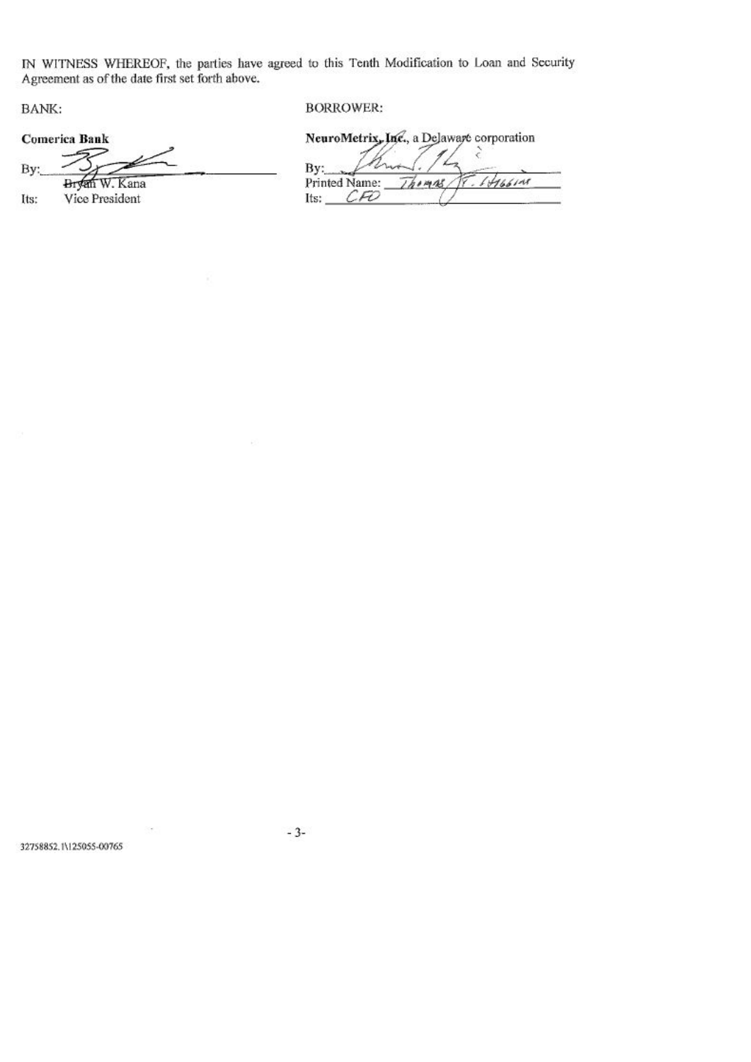IN WITNESS WHEREOF, the parties have agreed to this Tenth Modification to Loan and Security Agreement as of the date first set forth above.

BANK:

**Comerica Bank** 

∠ By: m W. Kana ₽m

Its: Vice President

**BORROWER:** 

NeuroMetrix, Inc., a Delaware corporation By: Printed Name: Thomas, 166115 Its:  $C F C$ 

 $-3-$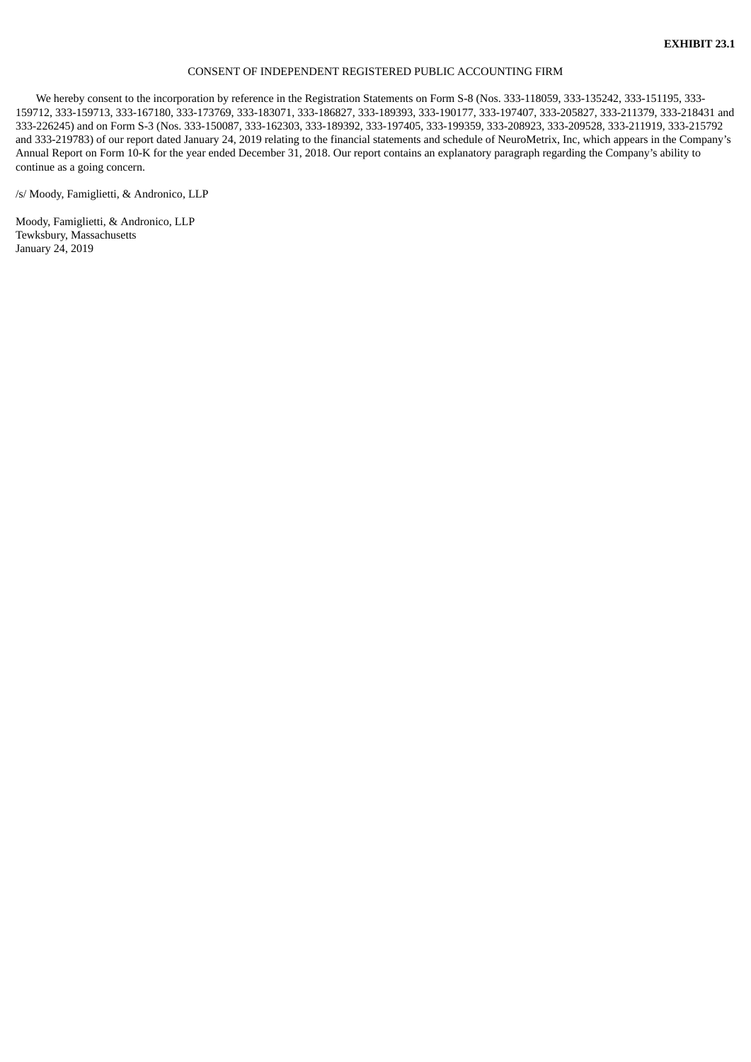## CONSENT OF INDEPENDENT REGISTERED PUBLIC ACCOUNTING FIRM

We hereby consent to the incorporation by reference in the Registration Statements on Form S-8 (Nos. 333-118059, 333-135242, 333-151195, 333- 159712, 333-159713, 333-167180, 333-173769, 333-183071, 333-186827, 333-189393, 333-190177, 333-197407, 333-205827, 333-211379, 333-218431 and 333-226245) and on Form S-3 (Nos. 333-150087, 333-162303, 333-189392, 333-197405, 333-199359, 333-208923, 333-209528, 333-211919, 333-215792 and 333-219783) of our report dated January 24, 2019 relating to the financial statements and schedule of NeuroMetrix, Inc, which appears in the Company's Annual Report on Form 10-K for the year ended December 31, 2018. Our report contains an explanatory paragraph regarding the Company's ability to continue as a going concern.

/s/ Moody, Famiglietti, & Andronico, LLP

Moody, Famiglietti, & Andronico, LLP Tewksbury, Massachusetts January 24, 2019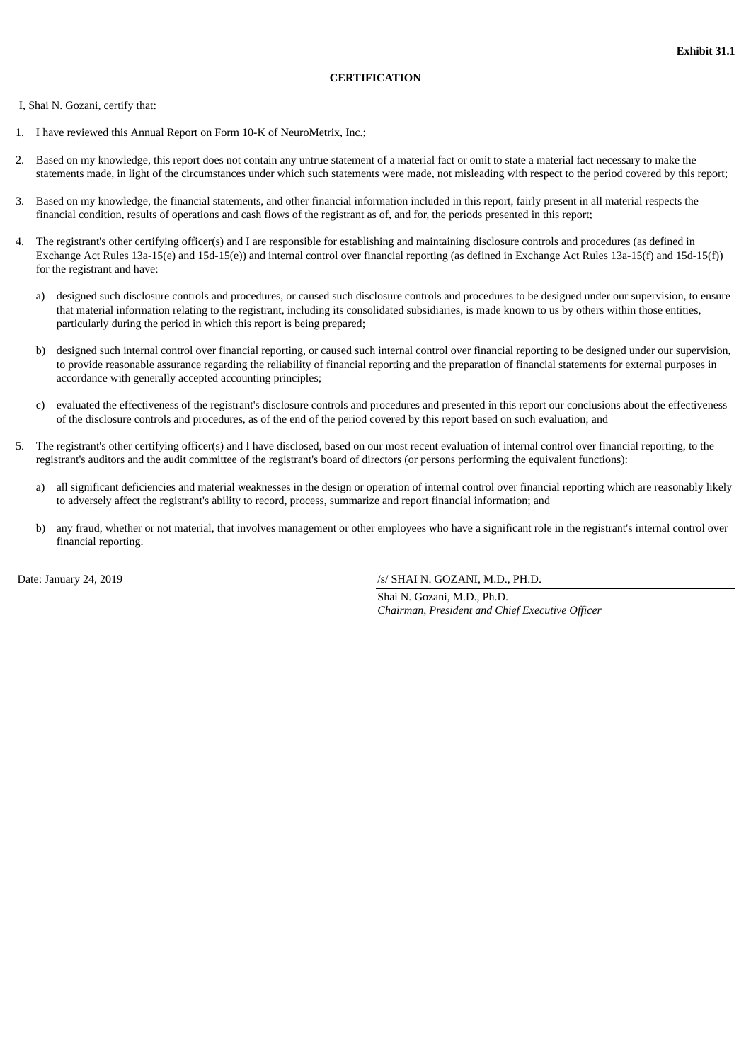# **CERTIFICATION**

I, Shai N. Gozani, certify that:

- 1. I have reviewed this Annual Report on Form 10-K of NeuroMetrix, Inc.;
- 2. Based on my knowledge, this report does not contain any untrue statement of a material fact or omit to state a material fact necessary to make the statements made, in light of the circumstances under which such statements were made, not misleading with respect to the period covered by this report;
- 3. Based on my knowledge, the financial statements, and other financial information included in this report, fairly present in all material respects the financial condition, results of operations and cash flows of the registrant as of, and for, the periods presented in this report;
- 4. The registrant's other certifying officer(s) and I are responsible for establishing and maintaining disclosure controls and procedures (as defined in Exchange Act Rules 13a-15(e) and 15d-15(e)) and internal control over financial reporting (as defined in Exchange Act Rules 13a-15(f) and 15d-15(f)) for the registrant and have:
	- a) designed such disclosure controls and procedures, or caused such disclosure controls and procedures to be designed under our supervision, to ensure that material information relating to the registrant, including its consolidated subsidiaries, is made known to us by others within those entities, particularly during the period in which this report is being prepared;
	- b) designed such internal control over financial reporting, or caused such internal control over financial reporting to be designed under our supervision, to provide reasonable assurance regarding the reliability of financial reporting and the preparation of financial statements for external purposes in accordance with generally accepted accounting principles;
	- c) evaluated the effectiveness of the registrant's disclosure controls and procedures and presented in this report our conclusions about the effectiveness of the disclosure controls and procedures, as of the end of the period covered by this report based on such evaluation; and
- 5. The registrant's other certifying officer(s) and I have disclosed, based on our most recent evaluation of internal control over financial reporting, to the registrant's auditors and the audit committee of the registrant's board of directors (or persons performing the equivalent functions):
	- a) all significant deficiencies and material weaknesses in the design or operation of internal control over financial reporting which are reasonably likely to adversely affect the registrant's ability to record, process, summarize and report financial information; and
	- b) any fraud, whether or not material, that involves management or other employees who have a significant role in the registrant's internal control over financial reporting.

Date: January 24, 2019 /s/ SHAI N. GOZANI, M.D., PH.D.

Shai N. Gozani, M.D., Ph.D. *Chairman, President and Chief Executive Officer*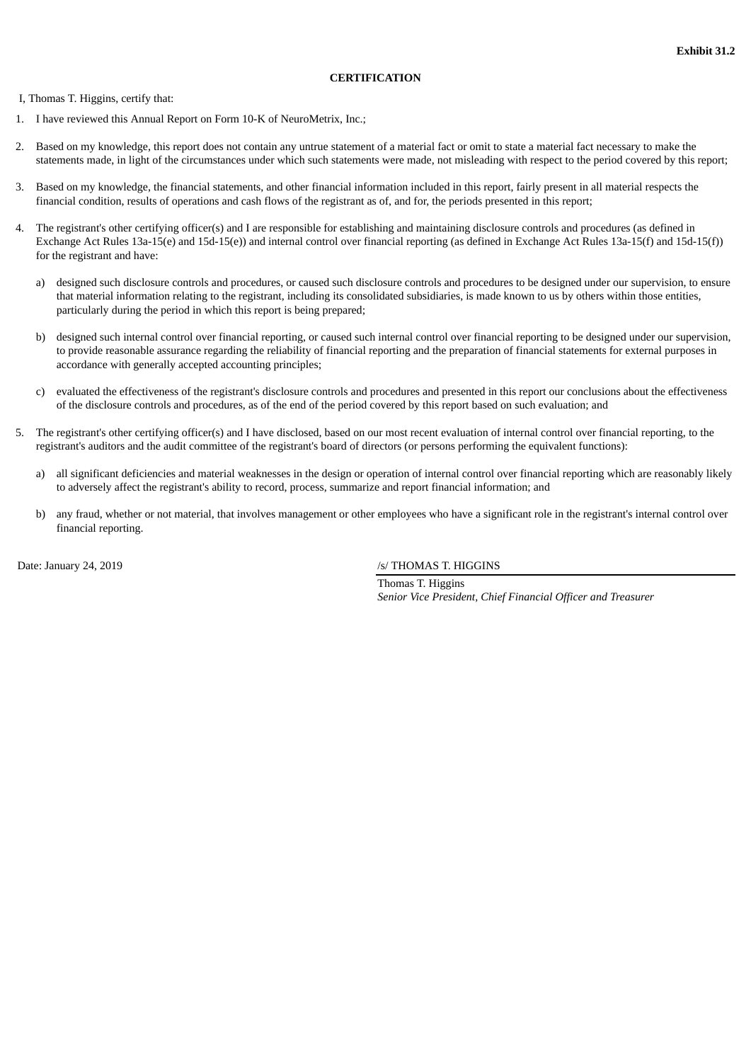## **CERTIFICATION**

I, Thomas T. Higgins, certify that:

- 1. I have reviewed this Annual Report on Form 10-K of NeuroMetrix, Inc.;
- 2. Based on my knowledge, this report does not contain any untrue statement of a material fact or omit to state a material fact necessary to make the statements made, in light of the circumstances under which such statements were made, not misleading with respect to the period covered by this report;
- 3. Based on my knowledge, the financial statements, and other financial information included in this report, fairly present in all material respects the financial condition, results of operations and cash flows of the registrant as of, and for, the periods presented in this report;
- 4. The registrant's other certifying officer(s) and I are responsible for establishing and maintaining disclosure controls and procedures (as defined in Exchange Act Rules 13a-15(e) and 15d-15(e)) and internal control over financial reporting (as defined in Exchange Act Rules 13a-15(f) and 15d-15(f)) for the registrant and have:
	- a) designed such disclosure controls and procedures, or caused such disclosure controls and procedures to be designed under our supervision, to ensure that material information relating to the registrant, including its consolidated subsidiaries, is made known to us by others within those entities, particularly during the period in which this report is being prepared;
	- b) designed such internal control over financial reporting, or caused such internal control over financial reporting to be designed under our supervision, to provide reasonable assurance regarding the reliability of financial reporting and the preparation of financial statements for external purposes in accordance with generally accepted accounting principles;
	- c) evaluated the effectiveness of the registrant's disclosure controls and procedures and presented in this report our conclusions about the effectiveness of the disclosure controls and procedures, as of the end of the period covered by this report based on such evaluation; and
- 5. The registrant's other certifying officer(s) and I have disclosed, based on our most recent evaluation of internal control over financial reporting, to the registrant's auditors and the audit committee of the registrant's board of directors (or persons performing the equivalent functions):
	- a) all significant deficiencies and material weaknesses in the design or operation of internal control over financial reporting which are reasonably likely to adversely affect the registrant's ability to record, process, summarize and report financial information; and
	- b) any fraud, whether or not material, that involves management or other employees who have a significant role in the registrant's internal control over financial reporting.

Date: January 24, 2019 /s/ THOMAS T. HIGGINS

Thomas T. Higgins *Senior Vice President, Chief Financial Officer and Treasurer*